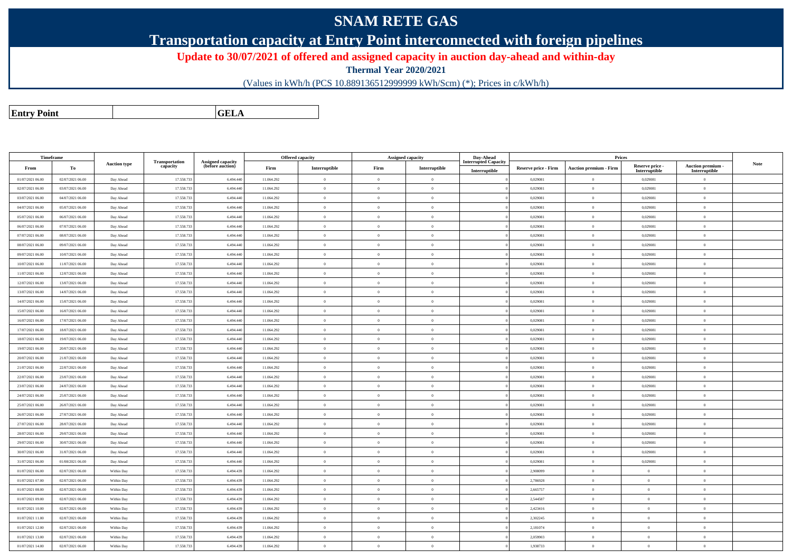## **SNAM RETE GAS**

**Transportation capacity at Entry Point interconnected with foreign pipelines**

**Update to 30/07/2021 of offered and assigned capacity in auction day-ahead and within-day**

**Thermal Year 2020/2021**

(Values in kWh/h (PCS 10.889136512999999 kWh/Scm) (\*); Prices in c/kWh/h)

**Entry PointGELA**

| Timeframe        |                  |                     |                            |                                              |            | <b>Offered capacity</b> |                | <b>Assigned capacity</b> | Day-Ahead                                    |                      | Prices                        |                                  |                                    |             |
|------------------|------------------|---------------------|----------------------------|----------------------------------------------|------------|-------------------------|----------------|--------------------------|----------------------------------------------|----------------------|-------------------------------|----------------------------------|------------------------------------|-------------|
| From             | To               | <b>Auction type</b> | Transportation<br>capacity | <b>Assigned capacity</b><br>(before auction) | Firm       | Interruptible           | Firm           | Interruptible            | <b>Interrupted Capacity</b><br>Interruptible | Reserve price - Firm | <b>Auction premium - Firm</b> | Reserve price -<br>Interruptible | Auction premium -<br>Interruptible | <b>Note</b> |
| 01/07/2021 06:00 | 02/07/2021 06:00 | Day Ahead           | 17.558.73                  | 6.494.440                                    | 11.064.292 | $\theta$                | $\overline{0}$ | $\overline{0}$           |                                              | 0,029081             | $\theta$                      | 0,029081                         | $\overline{0}$                     |             |
| 02/07/2021 06:00 | 03/07/2021 06:00 | Day Ahead           | 17.558.73                  | 6.494.440                                    | 11.064.292 | $\overline{0}$          | $\overline{0}$ | $\overline{0}$           |                                              | 0,029081             | $\mathbf{0}$                  | 0,029081                         | $\overline{0}$                     |             |
| 03/07/2021 06:00 | 04/07/2021 06:00 | Day Ahead           | 17.558.73                  | 6.494.440                                    | 11.064.292 | $\overline{0}$          | $\overline{0}$ | $\Omega$                 |                                              | 0,029081             | $\theta$                      | 0,029081                         | $\overline{0}$                     |             |
| 04/07/2021 06:00 | 05/07/2021 06:00 | Day Ahead           | 17.558.733                 | 6.494.440                                    | 11.064.292 | $\overline{0}$          | $\overline{0}$ | $\overline{0}$           |                                              | 0,029081             | $\theta$                      | 0,029081                         | $\overline{0}$                     |             |
| 05/07/2021 06:00 | 06/07/2021 06:00 | Day Ahead           | 17.558.73                  | 6.494.440                                    | 11.064.292 | $\overline{0}$          | $\overline{0}$ | $\overline{0}$           |                                              | 0,029081             | $\overline{0}$                | 0,029081                         | $\overline{0}$                     |             |
| 06/07/2021 06:00 | 07/07/2021 06:00 | Day Ahead           | 17.558.73                  | 6.494.440                                    | 11.064.292 | $\bf{0}$                | $\overline{0}$ | $\overline{0}$           |                                              | 0,029081             | $\overline{0}$                | 0,029081                         | $\overline{0}$                     |             |
| 07/07/2021 06:00 | 08/07/2021 06:00 | Day Ahead           | 17.558.73                  | 6.494.440                                    | 11.064.292 | $\overline{0}$          | $\overline{0}$ | $\Omega$                 |                                              | 0,029081             | $\theta$                      | 0,029081                         | $\overline{0}$                     |             |
| 08/07/2021 06:00 | 09/07/2021 06:00 | Day Ahead           | 17.558.733                 | 6.494.440                                    | 11.064.292 | $\theta$                | $\overline{0}$ | $\overline{0}$           |                                              | 0,029081             | $\theta$                      | 0,029081                         | $\overline{0}$                     |             |
| 09/07/2021 06:00 | 10/07/2021 06:00 | Day Ahead           | 17.558.73                  | 6.494.440                                    | 11.064.292 | $\overline{0}$          | $\overline{0}$ | $\overline{0}$           |                                              | 0,029081             | $\theta$                      | 0,029081                         | $\overline{0}$                     |             |
| 10/07/2021 06:00 | 11/07/2021 06:00 | Day Ahead           | 17.558.73                  | 6.494.440                                    | 11.064.292 | $\overline{0}$          | $\overline{0}$ | $\overline{0}$           |                                              | 0,029081             | $\overline{0}$                | 0,029081                         | $\overline{0}$                     |             |
| 11/07/2021 06:00 | 12/07/2021 06:00 | Day Ahead           | 17.558.73                  | 6.494.440                                    | 11.064.292 | $\overline{0}$          | $\overline{0}$ | $\overline{0}$           |                                              | 0,029081             | $\theta$                      | 0,029081                         | $\overline{0}$                     |             |
| 12/07/2021 06:00 | 13/07/2021 06:00 | Day Ahead           | 17.558.733                 | 6.494.440                                    | 11.064.292 | $\overline{0}$          | $\overline{0}$ | $\overline{0}$           |                                              | 0,029081             | $\overline{0}$                | 0,029081                         | $\overline{0}$                     |             |
| 13/07/2021 06:00 | 14/07/2021 06:00 | Day Ahead           | 17.558.73                  | 6.494.440                                    | 11.064.292 | $\overline{0}$          | $\overline{0}$ | $\Omega$                 |                                              | 0,029081             | $\theta$                      | 0,029081                         | $\overline{0}$                     |             |
| 14/07/2021 06:00 | 15/07/2021 06:00 | Day Ahead           | 17.558.73                  | 6.494.440                                    | 11.064.292 | $\overline{0}$          | $\overline{0}$ | $\overline{0}$           |                                              | 0,029081             | $\overline{0}$                | 0,029081                         | $\overline{0}$                     |             |
| 15/07/2021 06:00 | 16/07/2021 06:00 | Day Ahead           | 17.558.73                  | 6.494.440                                    | 11.064.292 | $\overline{0}$          | $\overline{0}$ | $\overline{0}$           |                                              | 0,029081             | $\theta$                      | 0,029081                         | $\overline{0}$                     |             |
| 16/07/2021 06:00 | 17/07/2021 06:00 | Day Ahead           | 17.558.733                 | 6.494.440                                    | 11.064.292 | $\overline{0}$          | $\overline{0}$ | $\overline{0}$           |                                              | 0,029081             | $\overline{0}$                | 0,029081                         | $\overline{0}$                     |             |
| 17/07/2021 06:00 | 18/07/2021 06:00 | Day Ahead           | 17.558.73                  | 6.494.440                                    | 11.064.292 | $\theta$                | $\overline{0}$ | $\Omega$                 |                                              | 0,029081             | $\theta$                      | 0,029081                         | $\overline{0}$                     |             |
| 18/07/2021 06:00 | 19/07/2021 06:00 | Day Ahead           | 17.558.73                  | 6.494.440                                    | 11.064.292 | $\overline{0}$          | $\overline{0}$ | $\overline{0}$           |                                              | 0,029081             | $\overline{0}$                | 0,029081                         | $\overline{0}$                     |             |
| 19/07/2021 06:00 | 20/07/2021 06:00 | Day Ahead           | 17.558.73                  | 6.494.440                                    | 11.064.292 | $\overline{0}$          | $\overline{0}$ | $\Omega$                 |                                              | 0,029081             | $\theta$                      | 0,029081                         | $\overline{0}$                     |             |
| 20/07/2021 06:00 | 21/07/2021 06:00 | Day Ahead           | 17.558.733                 | 6.494.440                                    | 11.064.292 | $\overline{0}$          | $\overline{0}$ | $\overline{0}$           |                                              | 0,029081             | $\overline{0}$                | 0,029081                         | $\overline{0}$                     |             |
| 21/07/2021 06:00 | 22/07/2021 06:00 | Day Ahead           | 17.558.73                  | 6.494.440                                    | 11.064.292 | $\overline{0}$          | $\overline{0}$ | $\Omega$                 |                                              | 0,029081             | $\theta$                      | 0,029081                         | $\overline{0}$                     |             |
| 22/07/2021 06:00 | 23/07/2021 06:00 | Day Ahead           | 17.558.73                  | 6.494.440                                    | 11.064.292 | $\overline{0}$          | $\overline{0}$ | $\overline{0}$           |                                              | 0,029081             | $\overline{0}$                | 0,029081                         | $\overline{0}$                     |             |
| 23/07/2021 06:00 | 24/07/2021 06:00 | Day Ahead           | 17.558.73                  | 6.494.440                                    | 11.064.292 | $\theta$                | $\overline{0}$ | $\overline{0}$           |                                              | 0,029081             | $\theta$                      | 0,029081                         | $\overline{0}$                     |             |
| 24/07/2021 06:00 | 25/07/2021 06:00 | Day Ahead           | 17.558.73                  | 6.494.440                                    | 11.064.292 | $\theta$                | $\theta$       | $\theta$                 |                                              | 0,029081             | $\theta$                      | 0,029081                         | $\theta$                           |             |
| 25/07/2021 06:00 | 26/07/2021 06:00 | Day Ahead           | 17.558.73                  | 6.494.440                                    | 11.064.292 | $\theta$                | $\overline{0}$ | $\Omega$                 |                                              | 0,029081             | $\theta$                      | 0,029081                         | $\overline{0}$                     |             |
| 26/07/2021 06:00 | 27/07/2021 06:00 | Day Ahead           | 17.558.73                  | 6.494.440                                    | 11.064.292 | $\overline{0}$          | $\overline{0}$ | $\overline{0}$           |                                              | 0,029081             | $\overline{0}$                | 0,029081                         | $\overline{0}$                     |             |
| 27/07/2021 06:00 | 28/07/2021 06:00 | Day Ahead           | 17.558.73                  | 6.494.440                                    | 11.064.292 | $\bf{0}$                | $\overline{0}$ | $\overline{0}$           |                                              | 0,029081             | $\theta$                      | 0,029081                         | $\overline{0}$                     |             |
| 28/07/2021 06:00 | 29/07/2021 06:00 | Day Ahead           | 17.558.733                 | 6,494,440                                    | 11.064.292 | $\theta$                | $\theta$       | $\theta$                 |                                              | 0.029081             | $\mathbf{a}$                  | 0.029081                         | $\alpha$                           |             |
| 29/07/2021 06:00 | 30/07/2021 06:00 | Day Ahead           | 17.558.73                  | 6.494.440                                    | 11.064.292 | $\overline{0}$          | $\overline{0}$ | $\Omega$                 |                                              | 0,029081             | $\theta$                      | 0.029081                         | $\overline{0}$                     |             |
| 30/07/2021 06:00 | 31/07/2021 06:00 | Day Ahead           | 17.558.73                  | 6.494.440                                    | 11.064.292 | $\overline{0}$          | $\overline{0}$ | $\overline{0}$           |                                              | 0,029081             | $\overline{0}$                | 0,029081                         | $\overline{0}$                     |             |
| 31/07/2021 06:00 | 01/08/2021 06:00 | Day Ahead           | 17.558.733                 | 6,494,440                                    | 11.064.292 | $\overline{0}$          | $\overline{0}$ | $\overline{0}$           |                                              | 0.029081             | $\theta$                      | 0,029081                         | $\overline{0}$                     |             |
| 01/07/2021 06:00 | 02/07/2021 06:00 | Within Day          | 17.558.73                  | 6,494,439                                    | 11.064.292 | $\theta$                | $\theta$       | $\theta$                 |                                              | 2,908099             | $\Omega$                      | $\theta$                         | $\theta$                           |             |
| 01/07/2021 07:00 | 02/07/2021 06:00 | Within Day          | 17.558.73                  | 6.494.439                                    | 11.064.292 | $\theta$                | $\overline{0}$ | $\Omega$                 |                                              | 2,786928             | $\theta$                      | $\theta$                         | $\overline{0}$                     |             |
| 01/07/2021 08:00 | 02/07/2021 06:00 | Within Day          | 17.558.73                  | 6.494.439                                    | 11.064.292 | $\overline{0}$          | $\overline{0}$ | $\overline{0}$           |                                              | 2,665757             | $\theta$                      | $\overline{0}$                   | $\overline{0}$                     |             |
| 01/07/2021 09:00 | 02/07/2021 06:00 | Within Day          | 17.558.73                  | 6,494,439                                    | 11.064.292 | $\theta$                | $\overline{0}$ | $\Omega$                 |                                              | 2,544587             | $\theta$                      | $\theta$                         | $\overline{0}$                     |             |
| 01/07/2021 10:00 | 02/07/2021 06:00 | Within Day          | 17.558.73                  | 6.494.439                                    | 11.064.292 | $\theta$                | $\theta$       | $\overline{0}$           |                                              | 2,423416             | $\theta$                      | $\theta$                         | $\theta$                           |             |
| 01/07/2021 11:00 | 02/07/2021 06:00 | Within Day          | 17.558.733                 | 6.494.439                                    | 11.064.292 | $\theta$                | $\overline{0}$ | $\Omega$                 |                                              | 2,302245             | $\theta$                      | $\theta$                         | $\overline{0}$                     |             |
| 01/07/2021 12:00 | 02/07/2021 06:00 | Within Day          | 17.558.73                  | 6,494,439                                    | 11.064.292 | $\overline{0}$          | $\overline{0}$ | $\overline{0}$           |                                              | 2.181074             | $\overline{0}$                | $\overline{0}$                   | $\overline{0}$                     |             |
| 01/07/2021 13:00 | 02/07/2021 06:00 | Within Day          | 17.558.73                  | 6.494.439                                    | 11.064.292 | $\theta$                | $\overline{0}$ | $\Omega$                 |                                              | 2,059903             | $\theta$                      | $\theta$                         | $\overline{0}$                     |             |
| 01/07/2021 14:00 | 02/07/2021 06:00 | Within Day          | 17.558.733                 | 6.494.439                                    | 11.064.292 | $\theta$                | $\Omega$       | $\overline{0}$           |                                              | 1,938733             | $\theta$                      | $\theta$                         | $\Omega$                           |             |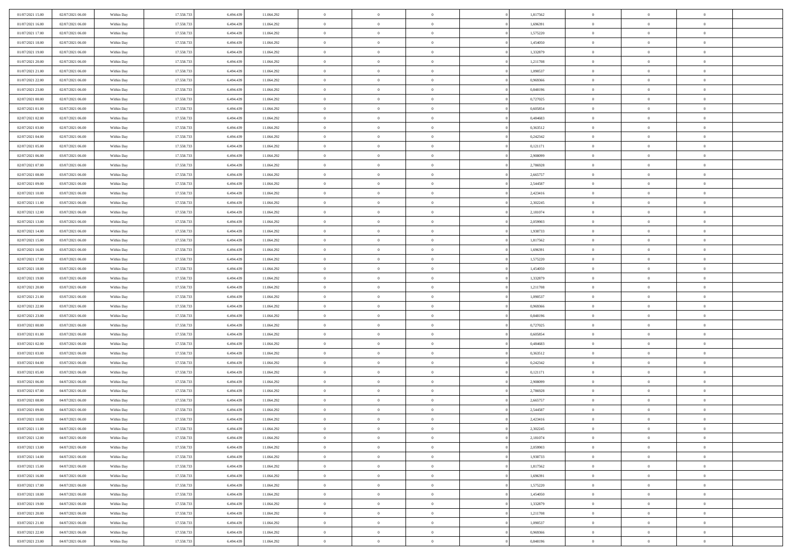| 01/07/2021 15:00 | 02/07/2021 06:00 | Within Day | 17.558.733 | 6.494.439 | 11.064.292 | $\bf{0}$       | $\overline{0}$ | $\theta$       |          | 1,817562 | $\bf{0}$       | $\overline{0}$ | $\,0\,$        |  |
|------------------|------------------|------------|------------|-----------|------------|----------------|----------------|----------------|----------|----------|----------------|----------------|----------------|--|
| 01/07/2021 16:00 | 02/07/2021 06:00 | Within Day | 17.558.733 | 6,494,439 | 11.064.292 | $\overline{0}$ | $\overline{0}$ | $\overline{0}$ |          | 1,696391 | $\overline{0}$ | $\overline{0}$ | $\theta$       |  |
| 01/07/2021 17:00 | 02/07/2021 06:00 | Within Dav | 17.558.733 | 6.494.439 | 11.064.292 | $\mathbf{0}$   | $\overline{0}$ | $\overline{0}$ |          | 1,575220 | $\mathbf{0}$   | $\overline{0}$ | $\overline{0}$ |  |
| 01/07/2021 18:00 | 02/07/2021 06:00 | Within Day | 17.558.733 | 6.494.439 | 11.064.292 | $\bf{0}$       | $\overline{0}$ | $\overline{0}$ |          | 1,454050 | $\bf{0}$       | $\overline{0}$ | $\bf{0}$       |  |
| 01/07/2021 19:00 | 02/07/2021 06:00 | Within Day | 17.558.733 | 6,494,439 | 11.064.292 | $\bf{0}$       | $\overline{0}$ | $\overline{0}$ |          | 1,332879 | $\bf{0}$       | $\bf{0}$       | $\,0\,$        |  |
| 01/07/2021 20:00 | 02/07/2021 06:00 | Within Dav | 17.558.733 | 6.494.439 | 11.064.292 | $\mathbf{0}$   | $\overline{0}$ | $\overline{0}$ |          | 1,211708 | $\mathbf{0}$   | $\overline{0}$ | $\overline{0}$ |  |
| 01/07/2021 21:00 | 02/07/2021 06:00 | Within Day | 17.558.733 | 6.494.439 | 11.064.292 | $\bf{0}$       | $\overline{0}$ | $\overline{0}$ |          | 1,090537 | $\bf{0}$       | $\overline{0}$ | $\,0\,$        |  |
| 01/07/2021 22:00 | 02/07/2021 06:00 | Within Day | 17.558.733 | 6,494,439 | 11.064.292 | $\overline{0}$ | $\overline{0}$ | $\overline{0}$ |          | 0,969366 | $\,$ 0 $\,$    | $\overline{0}$ | $\overline{0}$ |  |
| 01/07/2021 23:00 | 02/07/2021 06:00 | Within Day | 17.558.733 | 6.494.439 | 11.064.292 | $\mathbf{0}$   | $\overline{0}$ | $\overline{0}$ |          | 0,848196 | $\mathbf{0}$   | $\overline{0}$ | $\overline{0}$ |  |
| 02/07/2021 00:00 | 02/07/2021 06:00 | Within Day | 17.558.733 | 6.494.439 | 11.064.292 | $\bf{0}$       | $\overline{0}$ | $\overline{0}$ |          | 0,727025 | $\bf{0}$       | $\overline{0}$ | $\,0\,$        |  |
| 02/07/2021 01:00 | 02/07/2021 06:00 | Within Day | 17.558.733 | 6,494,439 | 11.064.292 | $\overline{0}$ | $\overline{0}$ | $\overline{0}$ |          | 0.605854 | $\bf{0}$       | $\overline{0}$ | $\overline{0}$ |  |
| 02/07/2021 02:00 | 02/07/2021 06:00 | Within Dav | 17.558.733 | 6.494.439 | 11.064.292 | $\mathbf{0}$   | $\overline{0}$ | $\overline{0}$ |          | 0,484683 | $\mathbf{0}$   | $\overline{0}$ | $\overline{0}$ |  |
| 02/07/2021 03:00 | 02/07/2021 06:00 | Within Day | 17.558.733 | 6.494.439 | 11.064.292 | $\bf{0}$       | $\overline{0}$ | $\bf{0}$       |          | 0,363512 | $\bf{0}$       | $\overline{0}$ | $\bf{0}$       |  |
| 02/07/2021 04:00 | 02/07/2021 06:00 | Within Day | 17.558.733 | 6,494,439 | 11.064.292 | $\bf{0}$       | $\overline{0}$ | $\overline{0}$ |          | 0,242342 | $\bf{0}$       | $\mathbf{0}$   | $\,0\,$        |  |
| 02/07/2021 05:00 | 02/07/2021 06:00 | Within Dav | 17.558.733 | 6.494.439 | 11.064.292 | $\overline{0}$ | $\overline{0}$ | $\overline{0}$ |          | 0,121171 | $\mathbf{0}$   | $\overline{0}$ | $\overline{0}$ |  |
| 02/07/2021 06:00 | 03/07/2021 06:00 | Within Day | 17.558.733 | 6.494.439 | 11.064.292 | $\bf{0}$       | $\bf{0}$       | $\overline{0}$ |          | 2,908099 | $\bf{0}$       | $\overline{0}$ | $\bf{0}$       |  |
| 02/07/2021 07:00 | 03/07/2021 06:00 | Within Day | 17.558.733 | 6,494,439 | 11.064.292 | $\overline{0}$ | $\overline{0}$ | $\overline{0}$ |          | 2,786928 | $\bf{0}$       | $\overline{0}$ | $\theta$       |  |
| 02/07/2021 08:00 | 03/07/2021 06:00 | Within Day | 17.558.733 | 6.494.439 | 11.064.292 | $\mathbf{0}$   | $\overline{0}$ | $\overline{0}$ |          | 2,665757 | $\mathbf{0}$   | $\overline{0}$ | $\overline{0}$ |  |
| 02/07/2021 09:00 | 03/07/2021 06:00 | Within Day | 17.558.733 | 6.494.439 | 11.064.292 | $\bf{0}$       | $\bf{0}$       | $\overline{0}$ |          | 2,544587 | $\bf{0}$       | $\overline{0}$ | $\,0\,$        |  |
| 02/07/2021 10:00 | 03/07/2021 06:00 | Within Day | 17.558.733 | 6,494,439 | 11.064.292 | $\overline{0}$ | $\overline{0}$ | $\overline{0}$ |          | 2,423416 | $\bf{0}$       | $\overline{0}$ | $\overline{0}$ |  |
| 02/07/2021 11:00 | 03/07/2021 06:00 | Within Dav | 17.558.733 | 6.494.439 | 11.064.292 | $\mathbf{0}$   | $\overline{0}$ | $\overline{0}$ |          | 2,302245 | $\mathbf{0}$   | $\overline{0}$ | $\overline{0}$ |  |
| 02/07/2021 12:00 | 03/07/2021 06:00 | Within Day | 17.558.733 | 6.494.439 | 11.064.292 | $\bf{0}$       | $\overline{0}$ | $\overline{0}$ |          | 2,181074 | $\bf{0}$       | $\overline{0}$ | $\bf{0}$       |  |
| 02/07/2021 13:00 | 03/07/2021 06:00 | Within Day | 17.558.733 | 6,494,439 | 11.064.292 | $\bf{0}$       | $\bf{0}$       | $\overline{0}$ |          | 2,059903 | $\bf{0}$       | $\overline{0}$ | $\,0\,$        |  |
| 02/07/2021 14:00 | 03/07/2021 06:00 | Within Dav | 17.558.733 | 6.494.439 | 11.064.292 | $\mathbf{0}$   | $\overline{0}$ | $\overline{0}$ |          | 1,938733 | $\mathbf{0}$   | $\overline{0}$ | $\overline{0}$ |  |
| 02/07/2021 15:00 | 03/07/2021 06:00 | Within Day | 17.558.733 | 6.494.439 | 11.064.292 | $\bf{0}$       | $\bf{0}$       | $\overline{0}$ |          | 1,817562 | $\bf{0}$       | $\overline{0}$ | $\bf{0}$       |  |
| 02/07/2021 16:00 | 03/07/2021 06:00 | Within Day | 17.558.733 | 6,494,439 | 11.064.292 | $\overline{0}$ | $\overline{0}$ | $\overline{0}$ |          | 1,696391 | $\bf{0}$       | $\mathbf{0}$   | $\overline{0}$ |  |
| 02/07/2021 17:00 | 03/07/2021 06:00 | Within Dav | 17.558.733 | 6.494.439 | 11.064.292 | $\mathbf{0}$   | $\overline{0}$ | $\overline{0}$ |          | 1,575220 | $\mathbf{0}$   | $\overline{0}$ | $\overline{0}$ |  |
| 02/07/2021 18:00 | 03/07/2021 06:00 | Within Day | 17.558.733 | 6.494.439 | 11.064.292 | $\bf{0}$       | $\bf{0}$       | $\overline{0}$ |          | 1,454050 | $\bf{0}$       | $\overline{0}$ | $\,0\,$        |  |
| 02/07/2021 19:00 | 03/07/2021 06:00 | Within Day | 17.558.733 | 6,494,439 | 11.064.292 | $\bf{0}$       | $\bf{0}$       | $\overline{0}$ |          | 1,332879 | $\bf{0}$       | $\overline{0}$ | $\overline{0}$ |  |
| 02/07/2021 20:00 | 03/07/2021 06:00 | Within Dav | 17.558.733 | 6.494.439 | 11.064.292 | $\mathbf{0}$   | $\overline{0}$ | $\overline{0}$ |          | 1,211708 | $\mathbf{0}$   | $\overline{0}$ | $\overline{0}$ |  |
| 02/07/2021 21:00 | 03/07/2021 06:00 | Within Day | 17.558.733 | 6.494.439 | 11.064.292 | $\bf{0}$       | $\overline{0}$ | $\overline{0}$ |          | 1,090537 | $\,$ 0         | $\overline{0}$ | $\theta$       |  |
| 02/07/2021 22:00 | 03/07/2021 06:00 | Within Day | 17.558.733 | 6,494,439 | 11.064.292 | $\bf{0}$       | $\bf{0}$       | $\overline{0}$ |          | 0,969366 | $\bf{0}$       | $\overline{0}$ | $\overline{0}$ |  |
| 02/07/2021 23:00 | 03/07/2021 06:00 | Within Dav | 17.558.733 | 6.494.439 | 11.064.292 | $\overline{0}$ | $\overline{0}$ | $\overline{0}$ |          | 0,848196 | $\mathbf{0}$   | $\overline{0}$ | $\overline{0}$ |  |
| 03/07/2021 00:00 | 03/07/2021 06:00 | Within Day | 17.558.733 | 6.494.439 | 11.064.292 | $\bf{0}$       | $\overline{0}$ | $\overline{0}$ |          | 0,727025 | $\,$ 0         | $\overline{0}$ | $\theta$       |  |
| 03/07/2021 01:00 | 03/07/2021 06:00 | Within Day | 17.558.733 | 6,494,439 | 11.064.292 | $\overline{0}$ | $\overline{0}$ | $\overline{0}$ |          | 0.605854 | $\bf{0}$       | $\overline{0}$ | $\overline{0}$ |  |
| 03/07/2021 02:00 | 03/07/2021 06:00 | Within Day | 17.558.733 | 6.494.439 | 11.064.292 | $\mathbf{0}$   | $\overline{0}$ | $\overline{0}$ |          | 0,484683 | $\mathbf{0}$   | $\overline{0}$ | $\overline{0}$ |  |
| 03/07/2021 03:00 | 03/07/2021 06:00 | Within Day | 17.558.733 | 6.494.439 | 11.064.292 | $\bf{0}$       | $\overline{0}$ | $\overline{0}$ |          | 0,363512 | $\,$ 0         | $\overline{0}$ | $\theta$       |  |
| 03/07/2021 04:00 | 03/07/2021 06:00 | Within Day | 17.558.733 | 6,494,439 | 11.064.292 | $\bf{0}$       | $\overline{0}$ | $\overline{0}$ |          | 0,242342 | $\bf{0}$       | $\overline{0}$ | $\overline{0}$ |  |
| 03/07/2021 05:00 | 03/07/2021 06:00 | Within Dav | 17.558.733 | 6.494.439 | 11.064.292 | $\mathbf{0}$   | $\overline{0}$ | $\overline{0}$ |          | 0,121171 | $\mathbf{0}$   | $\overline{0}$ | $\overline{0}$ |  |
| 03/07/2021 06:00 | 04/07/2021 06:00 | Within Day | 17.558.733 | 6.494.439 | 11.064.292 | $\,0\,$        | $\overline{0}$ | $\overline{0}$ |          | 2,908099 | $\,$ 0         | $\overline{0}$ | $\theta$       |  |
| 03/07/2021 07:00 | 04/07/2021 06:00 | Within Day | 17.558.733 | 6.494.439 | 11.064.292 | $\bf{0}$       | $\overline{0}$ | $\overline{0}$ |          | 2,786928 | $\bf{0}$       | $\overline{0}$ | $\overline{0}$ |  |
| 03/07/2021 08:00 | 04/07/2021 06:00 | Within Dav | 17.558.733 | 6.494.439 | 11.064.292 | $\mathbf{0}$   | $\overline{0}$ | $\overline{0}$ |          | 2,665757 | $\mathbf{0}$   | $\overline{0}$ | $\overline{0}$ |  |
| 03/07/2021 09:00 | 04/07/2021 06:00 | Within Day | 17.558.733 | 6.494.439 | 11.064.292 | $\bf{0}$       | $\overline{0}$ | $\overline{0}$ |          | 2,544587 | $\,$ 0         | $\overline{0}$ | $\theta$       |  |
| 03/07/2021 10:00 | 04/07/2021 06:00 | Within Day | 17.558.733 | 6.494.439 | 11.064.292 | $\bf{0}$       | $\overline{0}$ | $\overline{0}$ |          | 2,423416 | $\bf{0}$       | $\overline{0}$ | $\overline{0}$ |  |
| 03/07/2021 11:00 | 04/07/2021 06:00 | Within Day | 17.558.733 | 6.494.439 | 11.064.292 | $\bf{0}$       | $\overline{0}$ | $\Omega$       |          | 2,302245 | $\overline{0}$ | $\theta$       | $\theta$       |  |
| 03/07/2021 12:00 | 04/07/2021 06:00 | Within Day | 17.558.733 | 6.494.439 | 11.064.292 | $\,0\,$        | $\overline{0}$ | $\overline{0}$ |          | 2,181074 | $\,$ 0 $\,$    | $\bf{0}$       | $\theta$       |  |
| 03/07/2021 13:00 | 04/07/2021 06:00 | Within Day | 17.558.733 | 6.494.439 | 11.064.292 | $\overline{0}$ | $\overline{0}$ | $\overline{0}$ |          | 2,059903 | $\overline{0}$ | $\overline{0}$ | $\overline{0}$ |  |
| 03/07/2021 14:00 | 04/07/2021 06:00 | Within Day | 17.558.733 | 6.494.439 | 11.064.292 | $\bf{0}$       | $\overline{0}$ | $\overline{0}$ |          | 1,938733 | $\overline{0}$ | $\bf{0}$       | $\mathbf{0}$   |  |
| 03/07/2021 15:00 | 04/07/2021 06:00 | Within Day | 17.558.733 | 6.494.439 | 11.064.292 | $\bf{0}$       | $\overline{0}$ | $\overline{0}$ | $\theta$ | 1,817562 | $\mathbf{0}$   | $\bf{0}$       | $\,$ 0 $\,$    |  |
| 03/07/2021 16:00 | 04/07/2021 06:00 | Within Day | 17.558.733 | 6,494,439 | 11.064.292 | $\bf{0}$       | $\overline{0}$ | $\overline{0}$ |          | 1,696391 | $\,$ 0 $\,$    | $\overline{0}$ | $\overline{0}$ |  |
| 03/07/2021 17:00 | 04/07/2021 06:00 | Within Day | 17.558.733 | 6.494.439 | 11.064.292 | $\bf{0}$       | $\overline{0}$ | $\overline{0}$ |          | 1,575220 | $\mathbf{0}$   | $\overline{0}$ | $\overline{0}$ |  |
| 03/07/2021 18:00 | 04/07/2021 06:00 | Within Day | 17.558.733 | 6.494.439 | 11.064.292 | $\,$ 0 $\,$    | $\overline{0}$ | $\overline{0}$ | $\theta$ | 1,454050 | $\,$ 0 $\,$    | $\overline{0}$ | $\overline{0}$ |  |
| 03/07/2021 19:00 | 04/07/2021 06:00 | Within Day | 17.558.733 | 6.494.439 | 11.064.292 | $\bf{0}$       | $\overline{0}$ | $\overline{0}$ |          | 1,332879 | $\overline{0}$ | $\overline{0}$ | $\overline{0}$ |  |
| 03/07/2021 20:00 | 04/07/2021 06:00 | Within Day | 17.558.733 | 6.494.439 | 11.064.292 | $\bf{0}$       | $\overline{0}$ | $\overline{0}$ |          | 1,211708 | $\mathbf{0}$   | $\bf{0}$       | $\overline{0}$ |  |
| 03/07/2021 21:00 | 04/07/2021 06:00 | Within Day | 17.558.733 | 6.494.439 | 11.064.292 | $\,0\,$        | $\overline{0}$ | $\overline{0}$ |          | 1,090537 | $\,$ 0 $\,$    | $\overline{0}$ | $\overline{0}$ |  |
| 03/07/2021 22:00 | 04/07/2021 06:00 | Within Day | 17.558.733 | 6,494,439 | 11.064.292 | $\bf{0}$       | $\overline{0}$ | $\overline{0}$ |          | 0.969366 | $\bf{0}$       | $\mathbf{0}$   | $\overline{0}$ |  |
| 03/07/2021 23:00 | 04/07/2021 06:00 | Within Day | 17.558.733 | 6.494.439 | 11.064.292 | $\bf{0}$       | $\overline{0}$ | $\overline{0}$ |          | 0,848196 | $\mathbf{0}$   | $\overline{0}$ | $\overline{0}$ |  |
|                  |                  |            |            |           |            |                |                |                |          |          |                |                |                |  |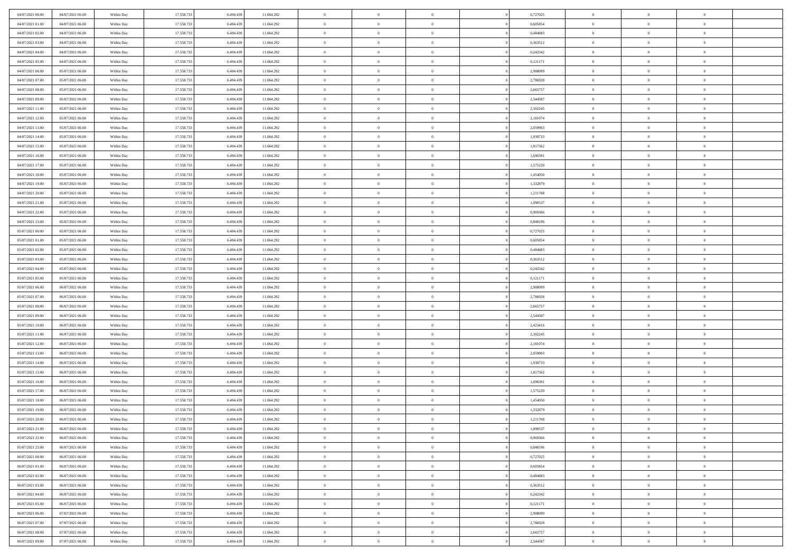| 04/07/2021 00:00                     | 04/07/2021 06:00                     | Within Day               | 17.558.733               | 6.494.439              | 11.064.292               | $\bf{0}$                 | $\bf{0}$                         | $\overline{0}$                   |          | 0,727025             | $\bf{0}$                 | $\overline{0}$                   | $\,0\,$                          |  |
|--------------------------------------|--------------------------------------|--------------------------|--------------------------|------------------------|--------------------------|--------------------------|----------------------------------|----------------------------------|----------|----------------------|--------------------------|----------------------------------|----------------------------------|--|
| 04/07/2021 01:00                     | 04/07/2021 06:00                     | Within Day               | 17.558.733               | 6,494,439              | 11.064.292               | $\overline{0}$           | $\overline{0}$                   | $\overline{0}$                   |          | 0.605854             | $\overline{0}$           | $\overline{0}$                   | $\theta$                         |  |
| 04/07/2021 02:00                     | 04/07/2021 06:00                     | Within Dav               | 17.558.733               | 6.494.439              | 11.064.292               | $\mathbf{0}$             | $\overline{0}$                   | $\overline{0}$                   |          | 0,484683             | $\mathbf{0}$             | $\overline{0}$                   | $\overline{0}$                   |  |
| 04/07/2021 03:00                     | 04/07/2021 06:00                     | Within Day               | 17.558.733               | 6.494.439              | 11.064.292               | $\bf{0}$                 | $\overline{0}$                   | $\bf{0}$                         |          | 0,363512             | $\bf{0}$                 | $\overline{0}$                   | $\bf{0}$                         |  |
| 04/07/2021 04:00                     | 04/07/2021 06:00                     | Within Day               | 17.558.733               | 6,494,439              | 11.064.292               | $\bf{0}$                 | $\bf{0}$                         | $\overline{0}$                   |          | 0,242342             | $\bf{0}$                 | $\bf{0}$                         | $\,0\,$                          |  |
| 04/07/2021 05:00                     | 04/07/2021 06:00                     | Within Dav               | 17.558.733               | 6.494.439              | 11.064.292               | $\mathbf{0}$             | $\overline{0}$                   | $\overline{0}$                   |          | 0,121171             | $\mathbf{0}$             | $\overline{0}$                   | $\overline{0}$                   |  |
| 04/07/2021 06:00                     | 05/07/2021 06:00                     | Within Day               | 17.558.733               | 6.494.439              | 11.064.292               | $\bf{0}$                 | $\bf{0}$                         | $\overline{0}$                   |          | 2,908099             | $\bf{0}$                 | $\overline{0}$                   | $\,0\,$                          |  |
| 04/07/2021 07:00                     | 05/07/2021 06:00                     | Within Day               | 17.558.733               | 6,494,439              | 11.064.292               | $\overline{0}$           | $\overline{0}$                   | $\overline{0}$                   |          | 2,786928             | $\,$ 0 $\,$              | $\overline{0}$                   | $\overline{0}$                   |  |
| 04/07/2021 08:00                     | 05/07/2021 06:00                     | Within Day               | 17.558.733               | 6.494.439              | 11.064.292               | $\mathbf{0}$             | $\overline{0}$                   | $\overline{0}$                   |          | 2,665757             | $\mathbf{0}$             | $\overline{0}$                   | $\overline{0}$                   |  |
| 04/07/2021 09:00                     | 05/07/2021 06:00                     | Within Day               | 17.558.733               | 6.494.439              | 11.064.292               | $\bf{0}$                 | $\bf{0}$                         | $\overline{0}$                   |          | 2,544587             | $\bf{0}$                 | $\overline{0}$                   | $\,0\,$                          |  |
| 04/07/2021 11:00                     | 05/07/2021 06:00                     | Within Day               | 17.558.733               | 6,494,439              | 11.064.292               | $\overline{0}$           | $\overline{0}$                   | $\overline{0}$                   |          | 2,302245             | $\bf{0}$                 | $\overline{0}$                   | $\theta$                         |  |
| 04/07/2021 12:00                     | 05/07/2021 06:00                     | Within Dav               | 17.558.733               | 6.494.439              | 11.064.292               | $\mathbf{0}$             | $\overline{0}$                   | $\overline{0}$                   |          | 2,181074             | $\mathbf{0}$             | $\overline{0}$                   | $\overline{0}$                   |  |
| 04/07/2021 13:00                     | 05/07/2021 06:00                     | Within Day               | 17.558.733               | 6.494.439              | 11.064.292               | $\bf{0}$                 | $\overline{0}$                   | $\bf{0}$                         |          | 2,059903             | $\bf{0}$                 | $\overline{0}$                   | $\bf{0}$                         |  |
| 04/07/2021 14:00                     | 05/07/2021 06:00                     | Within Day               | 17.558.733               | 6,494,439              | 11.064.292               | $\bf{0}$                 | $\overline{0}$                   | $\overline{0}$                   |          | 1,938733             | $\bf{0}$                 | $\mathbf{0}$                     | $\,0\,$                          |  |
| 04/07/2021 15:00                     | 05/07/2021 06:00                     | Within Dav               | 17.558.733               | 6.494.439              | 11.064.292               | $\overline{0}$           | $\overline{0}$                   | $\overline{0}$                   |          | 1,817562             | $\mathbf{0}$             | $\overline{0}$                   | $\overline{0}$                   |  |
| 04/07/2021 16:00                     | 05/07/2021 06:00                     | Within Day               | 17.558.733               | 6.494.439              | 11.064.292               | $\bf{0}$                 | $\bf{0}$                         | $\overline{0}$                   |          | 1,696391             | $\bf{0}$                 | $\overline{0}$                   | $\bf{0}$                         |  |
| 04/07/2021 17.00                     | 05/07/2021 06:00                     | Within Day               | 17.558.733               | 6,494,439              | 11.064.292               | $\overline{0}$           | $\overline{0}$                   | $\overline{0}$                   |          | 1,575220             | $\,$ 0 $\,$              | $\overline{0}$                   | $\theta$                         |  |
| 04/07/2021 18:00                     | 05/07/2021 06:00                     | Within Day               | 17.558.733               | 6.494.439              | 11.064.292               | $\mathbf{0}$             | $\overline{0}$                   | $\overline{0}$                   |          | 1,454050             | $\mathbf{0}$             | $\overline{0}$                   | $\overline{0}$                   |  |
| 04/07/2021 19:00                     | 05/07/2021 06:00                     | Within Day               | 17.558.733               | 6.494.439              | 11.064.292               | $\bf{0}$                 | $\bf{0}$                         | $\overline{0}$                   |          | 1,332879             | $\bf{0}$                 | $\overline{0}$                   | $\,0\,$                          |  |
| 04/07/2021 20:00                     | 05/07/2021 06:00                     | Within Day               | 17.558.733               | 6,494,439              | 11.064.292               | $\overline{0}$           | $\overline{0}$                   | $\overline{0}$                   |          | 1,211708             | $\bf{0}$                 | $\overline{0}$                   | $\overline{0}$                   |  |
| 04/07/2021 21:00                     | 05/07/2021 06:00                     | Within Dav               | 17.558.733               | 6.494.439              | 11.064.292               | $\mathbf{0}$             | $\overline{0}$                   | $\overline{0}$                   |          | 1,090537             | $\mathbf{0}$             | $\overline{0}$                   | $\overline{0}$                   |  |
| 04/07/2021 22:00                     | 05/07/2021 06:00                     | Within Day               | 17.558.733               | 6.494.439              | 11.064.292               | $\bf{0}$                 | $\overline{0}$                   | $\overline{0}$                   |          | 0,969366             | $\bf{0}$                 | $\overline{0}$                   | $\bf{0}$                         |  |
|                                      | 05/07/2021 06:00                     |                          | 17.558.733               | 6,494,439              |                          | $\bf{0}$                 | $\bf{0}$                         | $\overline{0}$                   |          | 0,848196             | $\bf{0}$                 | $\overline{0}$                   | $\,0\,$                          |  |
| 04/07/2021 23:00<br>05/07/2021 00:00 | 05/07/2021 06:00                     | Within Day<br>Within Dav | 17.558.733               | 6.494.439              | 11.064.292<br>11.064.292 | $\mathbf{0}$             | $\overline{0}$                   | $\overline{0}$                   |          | 0,727025             | $\mathbf{0}$             | $\overline{0}$                   | $\overline{0}$                   |  |
| 05/07/2021 01:00                     | 05/07/2021 06:00                     | Within Day               | 17.558.733               | 6.494.439              | 11.064.292               | $\bf{0}$                 | $\bf{0}$                         | $\overline{0}$                   |          | 0,605854             | $\bf{0}$                 | $\overline{0}$                   | $\,0\,$                          |  |
|                                      |                                      |                          | 17.558.733               | 6,494,439              |                          | $\overline{0}$           | $\overline{0}$                   | $\overline{0}$                   |          | 0.484683             |                          | $\mathbf{0}$                     | $\overline{0}$                   |  |
| 05/07/2021 02:00<br>05/07/2021 03:00 | 05/07/2021 06:00<br>05/07/2021 06:00 | Within Day               |                          |                        | 11.064.292               | $\mathbf{0}$             |                                  |                                  |          |                      | $\bf{0}$<br>$\mathbf{0}$ |                                  | $\overline{0}$                   |  |
|                                      | 05/07/2021 06:00                     | Within Dav               | 17.558.733               | 6.494.439              | 11.064.292               |                          | $\overline{0}$                   | $\overline{0}$<br>$\overline{0}$ |          | 0,363512             |                          | $\overline{0}$<br>$\overline{0}$ |                                  |  |
| 05/07/2021 04:00                     |                                      | Within Day               | 17.558.733               | 6.494.439<br>6,494,439 | 11.064.292               | $\bf{0}$                 | $\bf{0}$                         |                                  |          | 0,242342             | $\bf{0}$                 |                                  | $\,0\,$                          |  |
| 05/07/2021 05:00<br>05/07/2021 06:00 | 05/07/2021 06:00<br>06/07/2021 06:00 | Within Day<br>Within Dav | 17.558.733<br>17.558.733 | 6.494.439              | 11.064.292<br>11.064.292 | $\bf{0}$<br>$\mathbf{0}$ | $\bf{0}$<br>$\overline{0}$       | $\overline{0}$<br>$\overline{0}$ |          | 0,121171<br>2,908099 | $\bf{0}$<br>$\mathbf{0}$ | $\overline{0}$<br>$\overline{0}$ | $\overline{0}$<br>$\overline{0}$ |  |
|                                      |                                      |                          |                          |                        |                          |                          |                                  |                                  |          |                      |                          | $\overline{0}$                   | $\theta$                         |  |
| 05/07/2021 07:00                     | 06/07/2021 06:00                     | Within Day               | 17.558.733               | 6.494.439<br>6,494,439 | 11.064.292               | $\bf{0}$                 | $\overline{0}$                   | $\theta$                         |          | 2,786928             | $\,$ 0                   | $\overline{0}$                   |                                  |  |
| 05/07/2021 08:00                     | 06/07/2021 06:00                     | Within Day               | 17.558.733               |                        | 11.064.292               | $\bf{0}$<br>$\mathbf{0}$ | $\bf{0}$                         | $\overline{0}$                   |          | 2,665757             | $\bf{0}$<br>$\mathbf{0}$ |                                  | $\overline{0}$<br>$\overline{0}$ |  |
| 05/07/2021 09:00                     | 06/07/2021 06:00                     | Within Dav               | 17.558.733               | 6.494.439              | 11.064.292               | $\bf{0}$                 | $\overline{0}$                   | $\overline{0}$                   |          | 2,544587             |                          | $\overline{0}$                   | $\theta$                         |  |
| 05/07/2021 10:00                     | 06/07/2021 06:00                     | Within Day               | 17.558.733               | 6.494.439<br>6,494,439 | 11.064.292               | $\overline{0}$           | $\overline{0}$<br>$\overline{0}$ | $\theta$<br>$\overline{0}$       |          | 2,423416             | $\,$ 0                   | $\overline{0}$<br>$\overline{0}$ | $\overline{0}$                   |  |
| 05/07/2021 11:00<br>05/07/2021 12:00 | 06/07/2021 06:00<br>06/07/2021 06:00 | Within Day<br>Within Day | 17.558.733<br>17.558.733 | 6.494.439              | 11.064.292<br>11.064.292 | $\mathbf{0}$             | $\overline{0}$                   |                                  |          | 2,302245<br>2,181074 | $\bf{0}$<br>$\mathbf{0}$ | $\overline{0}$                   | $\overline{0}$                   |  |
|                                      |                                      |                          |                          |                        |                          | $\bf{0}$                 |                                  | $\overline{0}$                   |          |                      |                          | $\overline{0}$                   | $\theta$                         |  |
| 05/07/2021 13:00                     | 06/07/2021 06:00                     | Within Day               | 17.558.733               | 6.494.439<br>6,494,439 | 11.064.292               |                          | $\overline{0}$                   | $\theta$                         |          | 2,059903             | $\,$ 0                   | $\overline{0}$                   |                                  |  |
| 05/07/2021 14:00                     | 06/07/2021 06:00                     | Within Day               | 17.558.733               |                        | 11.064.292               | $\bf{0}$<br>$\mathbf{0}$ | $\overline{0}$                   | $\overline{0}$                   |          | 1,938733             | $\bf{0}$<br>$\mathbf{0}$ |                                  | $\overline{0}$<br>$\overline{0}$ |  |
| 05/07/2021 15:00                     | 06/07/2021 06:00                     | Within Dav               | 17.558.733               | 6.494.439              | 11.064.292               |                          | $\overline{0}$                   | $\overline{0}$                   |          | 1,817562             |                          | $\overline{0}$                   |                                  |  |
| 05/07/2021 16:00                     | 06/07/2021 06:00                     | Within Day               | 17.558.733<br>17.558.733 | 6.494.439              | 11.064.292               | $\,0\,$<br>$\bf{0}$      | $\overline{0}$<br>$\overline{0}$ | $\theta$                         |          | 1,696391             | $\,$ 0                   | $\overline{0}$<br>$\overline{0}$ | $\theta$                         |  |
| 05/07/2021 17:00<br>05/07/2021 18:00 | 06/07/2021 06:00<br>06/07/2021 06:00 | Within Day<br>Within Dav | 17.558.733               | 6.494.439<br>6.494.439 | 11.064.292<br>11.064.292 | $\mathbf{0}$             | $\overline{0}$                   | $\overline{0}$                   |          | 1,575220<br>1,454050 | $\bf{0}$<br>$\mathbf{0}$ | $\overline{0}$                   | $\bf{0}$<br>$\overline{0}$       |  |
| 05/07/2021 19:00                     | 06/07/2021 06:00                     | Within Day               | 17.558.733               | 6.494.439              | 11.064.292               | $\bf{0}$                 | $\overline{0}$                   | $\overline{0}$<br>$\theta$       |          | 1,332879             | $\,$ 0                   | $\overline{0}$                   | $\theta$                         |  |
|                                      | 06/07/2021 06:00                     |                          | 17.558.733               |                        |                          | $\bf{0}$                 | $\overline{0}$                   |                                  |          |                      | $\bf{0}$                 | $\overline{0}$                   |                                  |  |
| 05/07/2021 20:00<br>05/07/2021 21:00 | 06/07/2021 06:00                     | Within Day<br>Within Day | 17.558.733               | 6.494.439<br>6.494.439 | 11.064.292<br>11.064.292 | $\bf{0}$                 | $\overline{0}$                   | $\overline{0}$                   |          | 1,211708<br>1,090537 | $\overline{0}$           | $\theta$                         | $\bf{0}$<br>$\theta$             |  |
|                                      |                                      |                          |                          |                        |                          |                          |                                  | $\Omega$                         |          |                      |                          |                                  | $\theta$                         |  |
| 05/07/2021 22.00                     | 06/07/2021 06:00<br>06/07/2021 06:00 | Within Day               | 17.558.733               | 6.494.439<br>6.494.439 | 11.064.292               | $\,0\,$                  | $\overline{0}$                   | $\theta$<br>$\overline{0}$       |          | 0,969366<br>0.848196 | $\,$ 0 $\,$              | $\bf{0}$<br>$\overline{0}$       |                                  |  |
| 05/07/2021 23.00                     |                                      | Within Day               | 17.558.733               |                        | 11.064.292               | $\overline{0}$           | $\overline{0}$                   |                                  |          |                      | $\overline{0}$           |                                  | $\overline{0}$                   |  |
| 06/07/2021 00:00                     | 06/07/2021 06:00                     | Within Day               | 17.558.733               | 6.494.439              | 11.064.292               | $\bf{0}$                 | $\overline{0}$                   | $\overline{0}$                   |          | 0,727025             | $\overline{0}$           | $\bf{0}$                         | $\mathbf{0}$                     |  |
| 06/07/2021 01:00                     | 06/07/2021 06:00                     | Within Day               | 17.558.733               | 6.494.439              | 11.064.292               | $\bf{0}$                 | $\overline{0}$                   | $\overline{0}$                   | $\theta$ | 0,605854             | $\mathbf{0}$             | $\bf{0}$                         | $\,$ 0 $\,$                      |  |
| 06/07/2021 02:00                     | 06/07/2021 06:00                     | Within Day               | 17.558.733               | 6,494,439              | 11.064.292               | $\bf{0}$                 | $\overline{0}$                   | $\overline{0}$                   |          | 0,484683             | $\,$ 0 $\,$              | $\overline{0}$                   | $\overline{0}$                   |  |
| 06/07/2021 03:00                     | 06/07/2021 06:00                     | Within Day               | 17.558.733               | 6.494.439              | 11.064.292               | $\bf{0}$                 | $\overline{0}$                   | $\overline{0}$                   |          | 0,363512             | $\mathbf{0}$             | $\overline{0}$                   | $\overline{0}$                   |  |
| 06/07/2021 04:00                     | 06/07/2021 06:00                     | Within Day               | 17.558.733               | 6.494.439              | 11.064.292               | $\,0\,$                  | $\overline{0}$                   | $\overline{0}$                   | $\theta$ | 0,242342             | $\,$ 0 $\,$              | $\overline{0}$                   | $\overline{0}$                   |  |
| 06/07/2021 05:00                     | 06/07/2021 06:00                     | Within Day               | 17.558.733               | 6.494.439              | 11.064.292               | $\bf{0}$                 | $\overline{0}$                   | $\overline{0}$                   |          | 0,121171             | $\overline{0}$           | $\overline{0}$                   | $\overline{0}$                   |  |
| 06/07/2021 06:00                     | 07/07/2021 06:00                     | Within Day               | 17.558.733               | 6.494.439              | 11.064.292               | $\bf{0}$                 | $\overline{0}$                   | $\overline{0}$                   |          | 2,908099             | $\mathbf{0}$             | $\overline{0}$                   | $\overline{0}$                   |  |
| 06/07/2021 07:00                     | 07/07/2021 06:00                     | Within Day               | 17.558.733               | 6.494.439              | 11.064.292               | $\,0\,$                  | $\overline{0}$                   | $\overline{0}$                   |          | 2,786928             | $\,$ 0 $\,$              | $\mathbf{0}$                     | $\overline{0}$                   |  |
| 06/07/2021 08:00                     | 07/07/2021 06:00                     | Within Day               | 17.558.733               | 6.494.439              | 11.064.292               | $\bf{0}$                 | $\overline{0}$                   | $\overline{0}$                   |          | 2,665757             | $\bf{0}$                 | $\mathbf{0}$                     | $\overline{0}$                   |  |
| 06/07/2021 09:00                     | 07/07/2021 06:00                     | Within Day               | 17.558.733               | 6.494.439              | 11.064.292               | $\mathbf{0}$             | $\overline{0}$                   | $\overline{0}$                   |          | 2,544587             | $\mathbf{0}$             | $\overline{0}$                   | $\overline{0}$                   |  |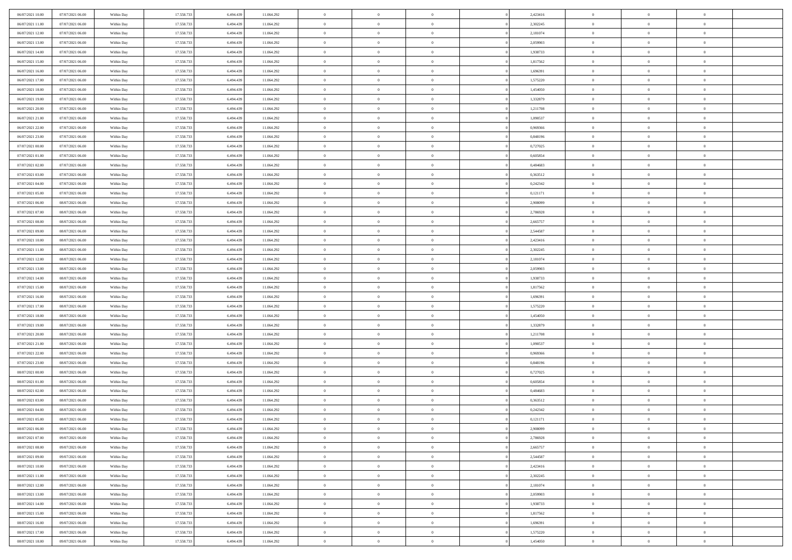| 06/07/2021 10:00                     | 07/07/2021 06:00 | Within Day | 17.558.733 | 6.494.439 | 11.064.292 | $\bf{0}$       | $\bf{0}$       | $\theta$       |          | 2,423416 | $\bf{0}$                 | $\overline{0}$ | $\,0\,$        |  |
|--------------------------------------|------------------|------------|------------|-----------|------------|----------------|----------------|----------------|----------|----------|--------------------------|----------------|----------------|--|
| 06/07/2021 11:00                     | 07/07/2021 06:00 | Within Day | 17.558.733 | 6,494,439 | 11.064.292 | $\overline{0}$ | $\overline{0}$ | $\overline{0}$ |          | 2,302245 | $\overline{0}$           | $\overline{0}$ | $\theta$       |  |
| 06/07/2021 12:00                     | 07/07/2021 06:00 | Within Dav | 17.558.733 | 6.494.439 | 11.064.292 | $\overline{0}$ | $\overline{0}$ | $\overline{0}$ |          | 2,181074 | $\mathbf{0}$             | $\overline{0}$ | $\overline{0}$ |  |
| 06/07/2021 13:00                     | 07/07/2021 06:00 | Within Day | 17.558.733 | 6.494.439 | 11.064.292 | $\bf{0}$       | $\overline{0}$ | $\overline{0}$ |          | 2,059903 | $\bf{0}$                 | $\overline{0}$ | $\bf{0}$       |  |
| 06/07/2021 14:00                     | 07/07/2021 06:00 | Within Day | 17.558.733 | 6,494,439 | 11.064.292 | $\bf{0}$       | $\bf{0}$       | $\overline{0}$ |          | 1,938733 | $\bf{0}$                 | $\bf{0}$       | $\,0\,$        |  |
| 06/07/2021 15:00                     | 07/07/2021 06:00 | Within Dav | 17.558.733 | 6.494.439 | 11.064.292 | $\mathbf{0}$   | $\overline{0}$ | $\overline{0}$ |          | 1,817562 | $\mathbf{0}$             | $\overline{0}$ | $\overline{0}$ |  |
| 06/07/2021 16:00                     | 07/07/2021 06:00 | Within Day | 17.558.733 | 6.494.439 | 11.064.292 | $\bf{0}$       | $\bf{0}$       | $\overline{0}$ |          | 1,696391 | $\bf{0}$                 | $\overline{0}$ | $\bf{0}$       |  |
| 06/07/2021 17:00                     | 07/07/2021 06:00 | Within Day | 17.558.733 | 6,494,439 | 11.064.292 | $\overline{0}$ | $\overline{0}$ | $\overline{0}$ |          | 1,575220 | $\,$ 0 $\,$              | $\overline{0}$ | $\overline{0}$ |  |
| 06/07/2021 18:00                     | 07/07/2021 06:00 | Within Day | 17.558.733 | 6.494.439 | 11.064.292 | $\mathbf{0}$   | $\overline{0}$ | $\overline{0}$ |          | 1,454050 | $\mathbf{0}$             | $\overline{0}$ | $\overline{0}$ |  |
| 06/07/2021 19:00                     | 07/07/2021 06:00 |            | 17.558.733 | 6.494.439 | 11.064.292 | $\bf{0}$       | $\bf{0}$       | $\overline{0}$ |          | 1,332879 | $\bf{0}$                 | $\overline{0}$ | $\,0\,$        |  |
|                                      |                  | Within Day |            | 6,494,439 |            | $\overline{0}$ | $\overline{0}$ |                |          |          |                          | $\overline{0}$ | $\overline{0}$ |  |
| 06/07/2021 20:00<br>06/07/2021 21:00 | 07/07/2021 06:00 | Within Day | 17.558.733 |           | 11.064.292 | $\mathbf{0}$   |                | $\overline{0}$ |          | 1,211708 | $\bf{0}$<br>$\mathbf{0}$ |                | $\overline{0}$ |  |
|                                      | 07/07/2021 06:00 | Within Dav | 17.558.733 | 6.494.439 | 11.064.292 |                | $\overline{0}$ | $\overline{0}$ |          | 1,090537 |                          | $\overline{0}$ |                |  |
| 06/07/2021 22.00                     | 07/07/2021 06:00 | Within Day | 17.558.733 | 6.494.439 | 11.064.292 | $\bf{0}$       | $\overline{0}$ | $\bf{0}$       |          | 0,969366 | $\bf{0}$                 | $\overline{0}$ | $\overline{0}$ |  |
| 06/07/2021 23:00                     | 07/07/2021 06:00 | Within Day | 17.558.733 | 6,494,439 | 11.064.292 | $\bf{0}$       | $\overline{0}$ | $\overline{0}$ |          | 0,848196 | $\bf{0}$                 | $\overline{0}$ | $\,0\,$        |  |
| 07/07/2021 00:00                     | 07/07/2021 06:00 | Within Dav | 17.558.733 | 6.494.439 | 11.064.292 | $\overline{0}$ | $\overline{0}$ | $\overline{0}$ |          | 0,727025 | $\mathbf{0}$             | $\overline{0}$ | $\overline{0}$ |  |
| 07/07/2021 01:00                     | 07/07/2021 06:00 | Within Day | 17.558.733 | 6.494.439 | 11.064.292 | $\bf{0}$       | $\bf{0}$       | $\overline{0}$ |          | 0,605854 | $\bf{0}$                 | $\overline{0}$ | $\bf{0}$       |  |
| 07/07/2021 02:00                     | 07/07/2021 06:00 | Within Day | 17.558.733 | 6,494,439 | 11.064.292 | $\overline{0}$ | $\overline{0}$ | $\overline{0}$ |          | 0.484683 | $\bf{0}$                 | $\overline{0}$ | $\theta$       |  |
| 07/07/2021 03:00                     | 07/07/2021 06:00 | Within Day | 17.558.733 | 6.494.439 | 11.064.292 | $\mathbf{0}$   | $\overline{0}$ | $\overline{0}$ |          | 0,363512 | $\mathbf{0}$             | $\overline{0}$ | $\overline{0}$ |  |
| 07/07/2021 04:00                     | 07/07/2021 06:00 | Within Day | 17.558.733 | 6.494.439 | 11.064.292 | $\bf{0}$       | $\bf{0}$       | $\overline{0}$ |          | 0,242342 | $\bf{0}$                 | $\overline{0}$ | $\,0\,$        |  |
| 07/07/2021 05:00                     | 07/07/2021 06:00 | Within Day | 17.558.733 | 6,494,439 | 11.064.292 | $\overline{0}$ | $\overline{0}$ | $\overline{0}$ |          | 0,121171 | $\bf{0}$                 | $\overline{0}$ | $\overline{0}$ |  |
| 07/07/2021 06:00                     | 08/07/2021 06:00 | Within Dav | 17.558.733 | 6.494.439 | 11.064.292 | $\mathbf{0}$   | $\overline{0}$ | $\overline{0}$ |          | 2,908099 | $\mathbf{0}$             | $\overline{0}$ | $\overline{0}$ |  |
| 07/07/2021 07:00                     | 08/07/2021 06:00 | Within Day | 17.558.733 | 6.494.439 | 11.064.292 | $\bf{0}$       | $\overline{0}$ | $\overline{0}$ |          | 2,786928 | $\bf{0}$                 | $\overline{0}$ | $\bf{0}$       |  |
| 07/07/2021 08:00                     | 08/07/2021 06:00 | Within Day | 17.558.733 | 6,494,439 | 11.064.292 | $\bf{0}$       | $\bf{0}$       | $\overline{0}$ |          | 2,665757 | $\bf{0}$                 | $\overline{0}$ | $\,0\,$        |  |
| 07/07/2021 09:00                     | 08/07/2021 06:00 | Within Dav | 17.558.733 | 6.494.439 | 11.064.292 | $\mathbf{0}$   | $\overline{0}$ | $\overline{0}$ |          | 2,544587 | $\mathbf{0}$             | $\overline{0}$ | $\overline{0}$ |  |
| 07/07/2021 10:00                     | 08/07/2021 06:00 | Within Day | 17.558.733 | 6.494.439 | 11.064.292 | $\bf{0}$       | $\bf{0}$       | $\overline{0}$ |          | 2,423416 | $\bf{0}$                 | $\overline{0}$ | $\bf{0}$       |  |
| 07/07/2021 11:00                     | 08/07/2021 06:00 | Within Day | 17.558.733 | 6,494,439 | 11.064.292 | $\overline{0}$ | $\overline{0}$ | $\overline{0}$ |          | 2,302245 | $\bf{0}$                 | $\mathbf{0}$   | $\overline{0}$ |  |
| 07/07/2021 12:00                     | 08/07/2021 06:00 | Within Dav | 17.558.733 | 6.494.439 | 11.064.292 | $\mathbf{0}$   | $\overline{0}$ | $\overline{0}$ |          | 2,181074 | $\mathbf{0}$             | $\overline{0}$ | $\overline{0}$ |  |
| 07/07/2021 13:00                     | 08/07/2021 06:00 | Within Day | 17.558.733 | 6.494.439 | 11.064.292 | $\bf{0}$       | $\bf{0}$       | $\overline{0}$ |          | 2,059903 | $\bf{0}$                 | $\overline{0}$ | $\,0\,$        |  |
| 07/07/2021 14:00                     | 08/07/2021 06:00 | Within Day | 17.558.733 | 6,494,439 | 11.064.292 | $\bf{0}$       | $\bf{0}$       | $\overline{0}$ |          | 1,938733 | $\bf{0}$                 | $\overline{0}$ | $\overline{0}$ |  |
| 07/07/2021 15:00                     | 08/07/2021 06:00 | Within Dav | 17.558.733 | 6.494.439 | 11.064.292 | $\mathbf{0}$   | $\overline{0}$ | $\overline{0}$ |          | 1,817562 | $\mathbf{0}$             | $\overline{0}$ | $\overline{0}$ |  |
| 07/07/2021 16:00                     | 08/07/2021 06:00 | Within Day | 17.558.733 | 6.494.439 | 11.064.292 | $\bf{0}$       | $\overline{0}$ | $\overline{0}$ |          | 1,696391 | $\,$ 0                   | $\overline{0}$ | $\theta$       |  |
| 07/07/2021 17:00                     | 08/07/2021 06:00 | Within Day | 17.558.733 | 6,494,439 | 11.064.292 | $\bf{0}$       | $\bf{0}$       | $\overline{0}$ |          | 1,575220 | $\bf{0}$                 | $\overline{0}$ | $\overline{0}$ |  |
| 07/07/2021 18:00                     | 08/07/2021 06:00 | Within Dav | 17.558.733 | 6.494.439 | 11.064.292 | $\overline{0}$ | $\overline{0}$ | $\overline{0}$ |          | 1,454050 | $\mathbf{0}$             | $\overline{0}$ | $\overline{0}$ |  |
| 07/07/2021 19:00                     | 08/07/2021 06:00 | Within Day | 17.558.733 | 6.494.439 | 11.064.292 | $\bf{0}$       | $\overline{0}$ | $\overline{0}$ |          | 1,332879 | $\,$ 0                   | $\overline{0}$ | $\theta$       |  |
| 07/07/2021 20:00                     | 08/07/2021 06:00 | Within Day | 17.558.733 | 6,494,439 | 11.064.292 | $\overline{0}$ | $\overline{0}$ | $\overline{0}$ |          | 1,211708 | $\bf{0}$                 | $\overline{0}$ | $\overline{0}$ |  |
| 07/07/2021 21:00                     | 08/07/2021 06:00 | Within Day | 17.558.733 | 6.494.439 | 11.064.292 | $\mathbf{0}$   | $\overline{0}$ | $\overline{0}$ |          | 1,090537 | $\mathbf{0}$             | $\overline{0}$ | $\overline{0}$ |  |
| 07/07/2021 22:00                     | 08/07/2021 06:00 | Within Day | 17.558.733 | 6.494.439 | 11.064.292 | $\bf{0}$       | $\overline{0}$ | $\overline{0}$ |          | 0,969366 | $\,$ 0                   | $\overline{0}$ | $\theta$       |  |
| 07/07/2021 23.00                     | 08/07/2021 06:00 | Within Day | 17.558.733 | 6,494,439 | 11.064.292 | $\bf{0}$       | $\overline{0}$ | $\overline{0}$ |          | 0,848196 | $\bf{0}$                 | $\overline{0}$ | $\overline{0}$ |  |
| 08/07/2021 00:00                     | 08/07/2021 06:00 | Within Dav | 17.558.733 | 6.494.439 | 11.064.292 | $\mathbf{0}$   | $\overline{0}$ | $\overline{0}$ |          | 0,727025 | $\mathbf{0}$             | $\overline{0}$ | $\overline{0}$ |  |
| 08/07/2021 01:00                     | 08/07/2021 06:00 | Within Day | 17.558.733 | 6.494.439 | 11.064.292 | $\,0\,$        | $\overline{0}$ | $\overline{0}$ |          | 0,605854 | $\,$ 0                   | $\overline{0}$ | $\theta$       |  |
| 08/07/2021 02:00                     | 08/07/2021 06:00 | Within Day | 17.558.733 | 6.494.439 | 11.064.292 | $\bf{0}$       | $\overline{0}$ | $\overline{0}$ |          | 0,484683 | $\bf{0}$                 | $\overline{0}$ | $\overline{0}$ |  |
| 08/07/2021 03:00                     | 08/07/2021 06:00 | Within Dav | 17.558.733 | 6.494.439 | 11.064.292 | $\mathbf{0}$   | $\overline{0}$ | $\overline{0}$ |          | 0,363512 | $\mathbf{0}$             | $\overline{0}$ | $\overline{0}$ |  |
| 08/07/2021 04:00                     | 08/07/2021 06:00 | Within Day | 17.558.733 | 6.494.439 | 11.064.292 | $\bf{0}$       | $\overline{0}$ | $\overline{0}$ |          | 0,242342 | $\,$ 0                   | $\overline{0}$ | $\theta$       |  |
| 08/07/2021 05:00                     | 08/07/2021 06:00 | Within Day | 17.558.733 | 6.494.439 | 11.064.292 | $\bf{0}$       | $\overline{0}$ | $\overline{0}$ |          | 0,121171 | $\bf{0}$                 | $\overline{0}$ | $\overline{0}$ |  |
| 08/07/2021 06:00                     | 09/07/2021 06:00 | Within Day | 17.558.733 | 6.494.439 | 11.064.292 | $\bf{0}$       | $\overline{0}$ |                |          | 2,908099 | $\overline{0}$           | $\theta$       | $\theta$       |  |
| 08/07/2021 07:00                     | 09/07/2021 06:00 | Within Day | 17.558.733 | 6.494.439 | 11.064.292 | $\,0\,$        | $\overline{0}$ | $\overline{0}$ |          | 2,786928 | $\,$ 0 $\,$              | $\bf{0}$       | $\theta$       |  |
|                                      | 09/07/2021 06:00 |            |            | 6.494.439 |            |                |                | $\overline{0}$ |          |          |                          | $\overline{0}$ |                |  |
| 08/07/2021 08:00                     |                  | Within Day | 17.558.733 |           | 11.064.292 | $\overline{0}$ | $\overline{0}$ |                |          | 2,665757 | $\overline{0}$           |                | $\overline{0}$ |  |
| 08/07/2021 09:00                     | 09/07/2021 06:00 | Within Day | 17.558.733 | 6.494.439 | 11.064.292 | $\bf{0}$       | $\overline{0}$ | $\overline{0}$ |          | 2,544587 | $\overline{0}$           | $\bf{0}$       | $\mathbf{0}$   |  |
| 08/07/2021 10:00                     | 09/07/2021 06:00 | Within Day | 17.558.733 | 6.494.439 | 11.064.292 | $\bf{0}$       | $\overline{0}$ | $\overline{0}$ | $\theta$ | 2,423416 | $\mathbf{0}$             | $\bf{0}$       | $\,$ 0 $\,$    |  |
| 08/07/2021 11:00                     | 09/07/2021 06:00 | Within Day | 17.558.733 | 6,494,439 | 11.064.292 | $\bf{0}$       | $\overline{0}$ | $\overline{0}$ |          | 2,302245 | $\,$ 0 $\,$              | $\overline{0}$ | $\overline{0}$ |  |
| 08/07/2021 12:00                     | 09/07/2021 06:00 | Within Day | 17.558.733 | 6.494.439 | 11.064.292 | $\bf{0}$       | $\overline{0}$ | $\overline{0}$ |          | 2,181074 | $\mathbf{0}$             | $\overline{0}$ | $\overline{0}$ |  |
| 08/07/2021 13:00                     | 09/07/2021 06:00 | Within Day | 17.558.733 | 6.494.439 | 11.064.292 | $\,$ 0 $\,$    | $\overline{0}$ | $\overline{0}$ | $\theta$ | 2,059903 | $\,$ 0 $\,$              | $\overline{0}$ | $\overline{0}$ |  |
| 08/07/2021 14:00                     | 09/07/2021 06:00 | Within Day | 17.558.733 | 6.494.439 | 11.064.292 | $\bf{0}$       | $\overline{0}$ | $\overline{0}$ |          | 1,938733 | $\overline{0}$           | $\overline{0}$ | $\overline{0}$ |  |
| 08/07/2021 15:00                     | 09/07/2021 06:00 | Within Day | 17.558.733 | 6.494.439 | 11.064.292 | $\bf{0}$       | $\overline{0}$ | $\overline{0}$ |          | 1,817562 | $\mathbf{0}$             | $\overline{0}$ | $\overline{0}$ |  |
| 08/07/2021 16:00                     | 09/07/2021 06:00 | Within Day | 17.558.733 | 6.494.439 | 11.064.292 | $\,0\,$        | $\overline{0}$ | $\overline{0}$ |          | 1,696391 | $\,$ 0 $\,$              | $\mathbf{0}$   | $\overline{0}$ |  |
| 08/07/2021 17:00                     | 09/07/2021 06:00 | Within Day | 17.558.733 | 6,494,439 | 11.064.292 | $\bf{0}$       | $\overline{0}$ | $\overline{0}$ |          | 1,575220 | $\bf{0}$                 | $\mathbf{0}$   | $\overline{0}$ |  |
| 08/07/2021 18:00                     | 09/07/2021 06:00 | Within Day | 17.558.733 | 6.494.439 | 11.064.292 | $\bf{0}$       | $\overline{0}$ | $\overline{0}$ |          | 1,454050 | $\mathbf{0}$             | $\overline{0}$ | $\overline{0}$ |  |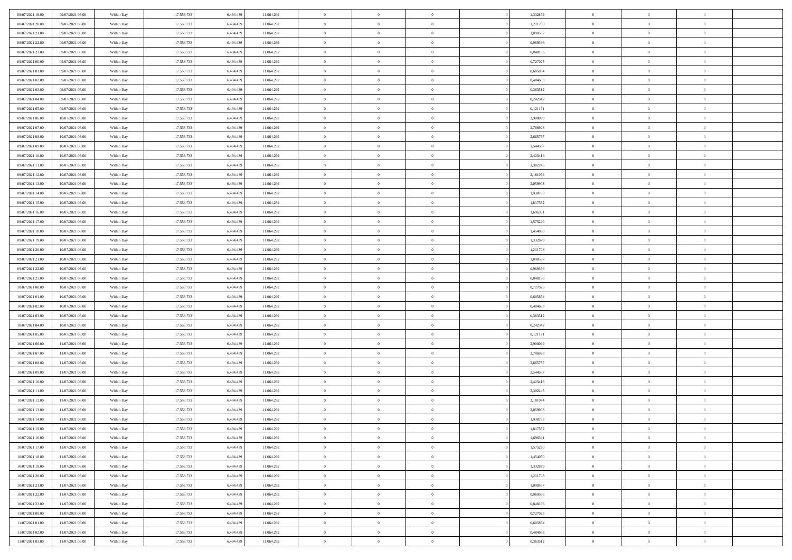| 08/07/2021 19:00 | 09/07/2021 06:00 | Within Day | 17.558.733 | 6.494.439 | 11.064.292 | $\bf{0}$       | $\bf{0}$       | $\overline{0}$ |          | 1,332879 | $\bf{0}$       | $\overline{0}$ | $\,0\,$        |  |
|------------------|------------------|------------|------------|-----------|------------|----------------|----------------|----------------|----------|----------|----------------|----------------|----------------|--|
| 08/07/2021 20:00 | 09/07/2021 06:00 | Within Day | 17.558.733 | 6,494,439 | 11.064.292 | $\overline{0}$ | $\overline{0}$ | $\overline{0}$ |          | 1,211708 | $\overline{0}$ | $\overline{0}$ | $\theta$       |  |
| 08/07/2021 21:00 | 09/07/2021 06:00 | Within Dav | 17.558.733 | 6.494.439 | 11.064.292 | $\mathbf{0}$   | $\overline{0}$ | $\overline{0}$ |          | 1,090537 | $\mathbf{0}$   | $\overline{0}$ | $\overline{0}$ |  |
| 08/07/2021 22.00 | 09/07/2021 06:00 | Within Day | 17.558.733 | 6.494.439 | 11.064.292 | $\bf{0}$       | $\overline{0}$ | $\overline{0}$ |          | 0,969366 | $\bf{0}$       | $\overline{0}$ | $\bf{0}$       |  |
| 08/07/2021 23:00 | 09/07/2021 06:00 | Within Day | 17.558.733 | 6,494,439 | 11.064.292 | $\bf{0}$       | $\bf{0}$       | $\overline{0}$ |          | 0,848196 | $\bf{0}$       | $\bf{0}$       | $\,0\,$        |  |
| 09/07/2021 00:00 | 09/07/2021 06:00 | Within Dav | 17.558.733 | 6.494.439 | 11.064.292 | $\mathbf{0}$   | $\overline{0}$ | $\overline{0}$ |          | 0,727025 | $\mathbf{0}$   | $\overline{0}$ | $\overline{0}$ |  |
| 09/07/2021 01:00 | 09/07/2021 06:00 | Within Day | 17.558.733 | 6.494.439 | 11.064.292 | $\bf{0}$       | $\bf{0}$       | $\overline{0}$ |          | 0,605854 | $\bf{0}$       | $\overline{0}$ | $\,0\,$        |  |
| 09/07/2021 02:00 | 09/07/2021 06:00 | Within Day | 17.558.733 | 6,494,439 | 11.064.292 | $\overline{0}$ | $\overline{0}$ | $\overline{0}$ |          | 0.484683 | $\,$ 0 $\,$    | $\overline{0}$ | $\overline{0}$ |  |
| 09/07/2021 03:00 | 09/07/2021 06:00 | Within Day | 17.558.733 | 6.494.439 | 11.064.292 | $\mathbf{0}$   | $\overline{0}$ | $\overline{0}$ |          | 0,363512 | $\mathbf{0}$   | $\overline{0}$ | $\overline{0}$ |  |
| 09/07/2021 04:00 | 09/07/2021 06:00 |            | 17.558.733 | 6.494.439 | 11.064.292 | $\bf{0}$       | $\bf{0}$       | $\overline{0}$ |          | 0,242342 | $\bf{0}$       | $\overline{0}$ | $\,0\,$        |  |
|                  |                  | Within Day |            | 6,494,439 |            | $\overline{0}$ | $\overline{0}$ |                |          |          |                | $\overline{0}$ | $\overline{0}$ |  |
| 09/07/2021 05:00 | 09/07/2021 06:00 | Within Day | 17.558.733 |           | 11.064.292 |                |                | $\overline{0}$ |          | 0,121171 | $\bf{0}$       |                |                |  |
| 09/07/2021 06:00 | 10/07/2021 06:00 | Within Dav | 17.558.733 | 6.494.439 | 11.064.292 | $\mathbf{0}$   | $\overline{0}$ | $\overline{0}$ |          | 2,908099 | $\mathbf{0}$   | $\overline{0}$ | $\overline{0}$ |  |
| 09/07/2021 07:00 | 10/07/2021 06:00 | Within Day | 17.558.733 | 6.494.439 | 11.064.292 | $\bf{0}$       | $\overline{0}$ | $\bf{0}$       |          | 2,786928 | $\bf{0}$       | $\overline{0}$ | $\overline{0}$ |  |
| 09/07/2021 08:00 | 10/07/2021 06:00 | Within Day | 17.558.733 | 6,494,439 | 11.064.292 | $\bf{0}$       | $\overline{0}$ | $\overline{0}$ |          | 2,665757 | $\bf{0}$       | $\mathbf{0}$   | $\,0\,$        |  |
| 09/07/2021 09:00 | 10/07/2021 06:00 | Within Dav | 17.558.733 | 6.494.439 | 11.064.292 | $\overline{0}$ | $\overline{0}$ | $\overline{0}$ |          | 2,544587 | $\mathbf{0}$   | $\overline{0}$ | $\overline{0}$ |  |
| 09/07/2021 10:00 | 10/07/2021 06:00 | Within Day | 17.558.733 | 6.494.439 | 11.064.292 | $\bf{0}$       | $\bf{0}$       | $\overline{0}$ |          | 2,423416 | $\bf{0}$       | $\overline{0}$ | $\bf{0}$       |  |
| 09/07/2021 11:00 | 10/07/2021 06:00 | Within Day | 17.558.733 | 6,494,439 | 11.064.292 | $\overline{0}$ | $\overline{0}$ | $\overline{0}$ |          | 2,302245 | $\bf{0}$       | $\overline{0}$ | $\theta$       |  |
| 09/07/2021 12:00 | 10/07/2021 06:00 | Within Day | 17.558.733 | 6.494.439 | 11.064.292 | $\mathbf{0}$   | $\overline{0}$ | $\overline{0}$ |          | 2,181074 | $\mathbf{0}$   | $\overline{0}$ | $\overline{0}$ |  |
| 09/07/2021 13:00 | 10/07/2021 06:00 | Within Day | 17.558.733 | 6.494.439 | 11.064.292 | $\bf{0}$       | $\bf{0}$       | $\overline{0}$ |          | 2,059903 | $\bf{0}$       | $\overline{0}$ | $\,0\,$        |  |
| 09/07/2021 14:00 | 10/07/2021 06:00 | Within Day | 17.558.733 | 6,494,439 | 11.064.292 | $\overline{0}$ | $\overline{0}$ | $\overline{0}$ |          | 1,938733 | $\bf{0}$       | $\overline{0}$ | $\overline{0}$ |  |
| 09/07/2021 15:00 | 10/07/2021 06:00 | Within Dav | 17.558.733 | 6.494.439 | 11.064.292 | $\mathbf{0}$   | $\overline{0}$ | $\overline{0}$ |          | 1,817562 | $\mathbf{0}$   | $\overline{0}$ | $\overline{0}$ |  |
| 09/07/2021 16:00 | 10/07/2021 06:00 | Within Day | 17.558.733 | 6.494.439 | 11.064.292 | $\bf{0}$       | $\overline{0}$ | $\overline{0}$ |          | 1,696391 | $\bf{0}$       | $\overline{0}$ | $\bf{0}$       |  |
| 09/07/2021 17:00 | 10/07/2021 06:00 | Within Day | 17.558.733 | 6,494,439 | 11.064.292 | $\bf{0}$       | $\bf{0}$       | $\overline{0}$ |          | 1,575220 | $\bf{0}$       | $\overline{0}$ | $\,0\,$        |  |
| 09/07/2021 18:00 | 10/07/2021 06:00 | Within Dav | 17.558.733 | 6.494.439 | 11.064.292 | $\mathbf{0}$   | $\overline{0}$ | $\overline{0}$ |          | 1,454050 | $\mathbf{0}$   | $\overline{0}$ | $\overline{0}$ |  |
| 09/07/2021 19:00 | 10/07/2021 06:00 | Within Day | 17.558.733 | 6.494.439 | 11.064.292 | $\bf{0}$       | $\bf{0}$       | $\overline{0}$ |          | 1,332879 | $\bf{0}$       | $\overline{0}$ | $\bf{0}$       |  |
| 09/07/2021 20:00 | 10/07/2021 06:00 | Within Day | 17.558.733 | 6,494,439 | 11.064.292 | $\overline{0}$ | $\overline{0}$ | $\overline{0}$ |          | 1,211708 | $\bf{0}$       | $\mathbf{0}$   | $\overline{0}$ |  |
| 09/07/2021 21:00 | 10/07/2021 06:00 | Within Dav | 17.558.733 | 6.494.439 | 11.064.292 | $\mathbf{0}$   | $\overline{0}$ | $\overline{0}$ |          | 1,090537 | $\mathbf{0}$   | $\overline{0}$ | $\overline{0}$ |  |
| 09/07/2021 22.00 | 10/07/2021 06:00 | Within Day | 17.558.733 | 6.494.439 | 11.064.292 | $\bf{0}$       | $\bf{0}$       | $\overline{0}$ |          | 0,969366 | $\bf{0}$       | $\overline{0}$ | $\,0\,$        |  |
| 09/07/2021 23.00 | 10/07/2021 06:00 | Within Day | 17.558.733 | 6,494,439 | 11.064.292 | $\bf{0}$       | $\bf{0}$       | $\overline{0}$ |          | 0.848196 | $\bf{0}$       | $\overline{0}$ | $\overline{0}$ |  |
| 10/07/2021 00:00 | 10/07/2021 06:00 | Within Dav | 17.558.733 | 6.494.439 | 11.064.292 | $\mathbf{0}$   | $\overline{0}$ | $\overline{0}$ |          | 0,727025 | $\mathbf{0}$   | $\overline{0}$ | $\overline{0}$ |  |
| 10/07/2021 01:00 | 10/07/2021 06:00 | Within Day | 17.558.733 | 6.494.439 | 11.064.292 | $\bf{0}$       | $\overline{0}$ | $\theta$       |          | 0,605854 | $\,$ 0         | $\overline{0}$ | $\theta$       |  |
| 10/07/2021 02:00 | 10/07/2021 06:00 | Within Day | 17.558.733 | 6,494,439 | 11.064.292 | $\bf{0}$       | $\bf{0}$       | $\overline{0}$ |          | 0,484683 | $\bf{0}$       | $\overline{0}$ | $\overline{0}$ |  |
| 10/07/2021 03:00 | 10/07/2021 06:00 | Within Dav | 17.558.733 | 6.494.439 | 11.064.292 | $\overline{0}$ | $\overline{0}$ | $\overline{0}$ |          | 0,363512 | $\mathbf{0}$   | $\overline{0}$ | $\overline{0}$ |  |
| 10/07/2021 04:00 | 10/07/2021 06:00 | Within Day | 17.558.733 | 6.494.439 | 11.064.292 | $\bf{0}$       | $\overline{0}$ | $\theta$       |          | 0,242342 | $\,$ 0         | $\overline{0}$ | $\theta$       |  |
| 10/07/2021 05:00 | 10/07/2021 06:00 | Within Day | 17.558.733 | 6,494,439 | 11.064.292 | $\overline{0}$ | $\overline{0}$ | $\overline{0}$ |          | 0,121171 | $\bf{0}$       | $\overline{0}$ | $\overline{0}$ |  |
| 10/07/2021 06:00 | 11/07/2021 06:00 | Within Day | 17.558.733 | 6.494.439 | 11.064.292 | $\mathbf{0}$   | $\overline{0}$ | $\overline{0}$ |          | 2,908099 | $\mathbf{0}$   | $\overline{0}$ | $\overline{0}$ |  |
| 10/07/2021 07:00 | 11/07/2021 06:00 | Within Day | 17.558.733 | 6.494.439 | 11.064.292 | $\bf{0}$       | $\overline{0}$ | $\theta$       |          | 2,786928 | $\,$ 0         | $\overline{0}$ | $\theta$       |  |
| 10/07/2021 08:00 | 11/07/2021 06:00 | Within Day | 17.558.733 | 6,494,439 | 11.064.292 | $\bf{0}$       | $\overline{0}$ | $\overline{0}$ |          | 2,665757 | $\bf{0}$       | $\overline{0}$ | $\overline{0}$ |  |
| 10/07/2021 09:00 | 11/07/2021 06:00 | Within Dav | 17.558.733 | 6.494.439 | 11.064.292 | $\mathbf{0}$   | $\overline{0}$ | $\overline{0}$ |          | 2,544587 | $\mathbf{0}$   | $\overline{0}$ | $\overline{0}$ |  |
| 10/07/2021 10:00 | 11/07/2021 06:00 | Within Day | 17.558.733 | 6.494.439 | 11.064.292 | $\,0\,$        | $\overline{0}$ | $\theta$       |          | 2,423416 | $\,$ 0         | $\overline{0}$ | $\theta$       |  |
| 10/07/2021 11:00 | 11/07/2021 06:00 | Within Day | 17.558.733 | 6.494.439 | 11.064.292 | $\bf{0}$       | $\overline{0}$ | $\overline{0}$ |          | 2,302245 | $\bf{0}$       | $\overline{0}$ | $\overline{0}$ |  |
| 10/07/2021 12:00 | 11/07/2021 06:00 | Within Dav | 17.558.733 | 6.494.439 | 11.064.292 | $\mathbf{0}$   | $\overline{0}$ | $\overline{0}$ |          | 2,181074 | $\mathbf{0}$   | $\overline{0}$ | $\overline{0}$ |  |
| 10/07/2021 13:00 | 11/07/2021 06:00 | Within Day | 17.558.733 | 6.494.439 | 11.064.292 | $\bf{0}$       | $\overline{0}$ | $\theta$       |          | 2,059903 | $\,$ 0         | $\overline{0}$ | $\theta$       |  |
| 10/07/2021 14:00 | 11/07/2021 06:00 | Within Day | 17.558.733 | 6.494.439 | 11.064.292 | $\bf{0}$       | $\overline{0}$ | $\overline{0}$ |          | 1,938733 | $\bf{0}$       | $\overline{0}$ | $\overline{0}$ |  |
| 10/07/2021 15:00 | 11/07/2021 06:00 | Within Day | 17.558.733 | 6.494.439 | 11.064.292 | $\bf{0}$       | $\overline{0}$ |                |          | 1,817562 | $\overline{0}$ | $\theta$       | $\theta$       |  |
|                  |                  |            |            |           |            | $\,0\,$        |                | $\theta$       |          |          | $\,$ 0 $\,$    | $\bf{0}$       | $\theta$       |  |
| 10/07/2021 16:00 | 11/07/2021 06:00 | Within Day | 17.558.733 | 6.494.439 | 11.064.292 |                | $\overline{0}$ |                |          | 1,696391 |                |                |                |  |
| 10/07/2021 17:00 | 11/07/2021 06:00 | Within Day | 17.558.733 | 6.494.439 | 11.064.292 | $\overline{0}$ | $\overline{0}$ | $\overline{0}$ |          | 1,575220 | $\overline{0}$ | $\overline{0}$ | $\overline{0}$ |  |
| 10/07/2021 18:00 | 11/07/2021 06:00 | Within Day | 17.558.733 | 6.494.439 | 11.064.292 | $\bf{0}$       | $\overline{0}$ | $\overline{0}$ |          | 1,454050 | $\overline{0}$ | $\bf{0}$       | $\overline{0}$ |  |
| 10/07/2021 19:00 | 11/07/2021 06:00 | Within Day | 17.558.733 | 6.494.439 | 11.064.292 | $\bf{0}$       | $\overline{0}$ | $\overline{0}$ | $\theta$ | 1,332879 | $\mathbf{0}$   | $\bf{0}$       | $\,$ 0 $\,$    |  |
| 10/07/2021 20:00 | 11/07/2021 06:00 | Within Day | 17.558.733 | 6.494.439 | 11.064.292 | $\overline{0}$ | $\overline{0}$ | $\overline{0}$ |          | 1,211708 | $\,$ 0 $\,$    | $\overline{0}$ | $\overline{0}$ |  |
| 10/07/2021 21:00 | 11/07/2021 06:00 | Within Day | 17.558.733 | 6.494.439 | 11.064.292 | $\bf{0}$       | $\overline{0}$ | $\overline{0}$ |          | 1,090537 | $\mathbf{0}$   | $\overline{0}$ | $\overline{0}$ |  |
| 10/07/2021 22:00 | 11/07/2021 06:00 | Within Day | 17.558.733 | 6.494.439 | 11.064.292 | $\,$ 0 $\,$    | $\overline{0}$ | $\overline{0}$ | $\theta$ | 0,969366 | $\mathbf{0}$   | $\mathbf{0}$   | $\,$ 0 $\,$    |  |
| 10/07/2021 23:00 | 11/07/2021 06:00 | Within Day | 17.558.733 | 6.494.439 | 11.064.292 | $\bf{0}$       | $\overline{0}$ | $\overline{0}$ |          | 0,848196 | $\overline{0}$ | $\overline{0}$ | $\overline{0}$ |  |
| 11/07/2021 00:00 | 11/07/2021 06:00 | Within Day | 17.558.733 | 6.494.439 | 11.064.292 | $\bf{0}$       | $\overline{0}$ | $\overline{0}$ |          | 0,727025 | $\mathbf{0}$   | $\bf{0}$       | $\overline{0}$ |  |
| 11/07/2021 01:00 | 11/07/2021 06:00 | Within Day | 17.558.733 | 6.494.439 | 11.064.292 | $\,0\,$        | $\overline{0}$ | $\overline{0}$ |          | 0,605854 | $\mathbf{0}$   | $\mathbf{0}$   | $\,$ 0 $\,$    |  |
| 11/07/2021 02:00 | 11/07/2021 06:00 | Within Day | 17.558.733 | 6.494.439 | 11.064.292 | $\bf{0}$       | $\overline{0}$ | $\overline{0}$ |          | 0.484683 | $\bf{0}$       | $\mathbf{0}$   | $\overline{0}$ |  |
| 11/07/2021 03:00 | 11/07/2021 06:00 | Within Day | 17.558.733 | 6.494.439 | 11.064.292 | $\bf{0}$       | $\overline{0}$ | $\overline{0}$ |          | 0,363512 | $\mathbf{0}$   | $\overline{0}$ | $\overline{0}$ |  |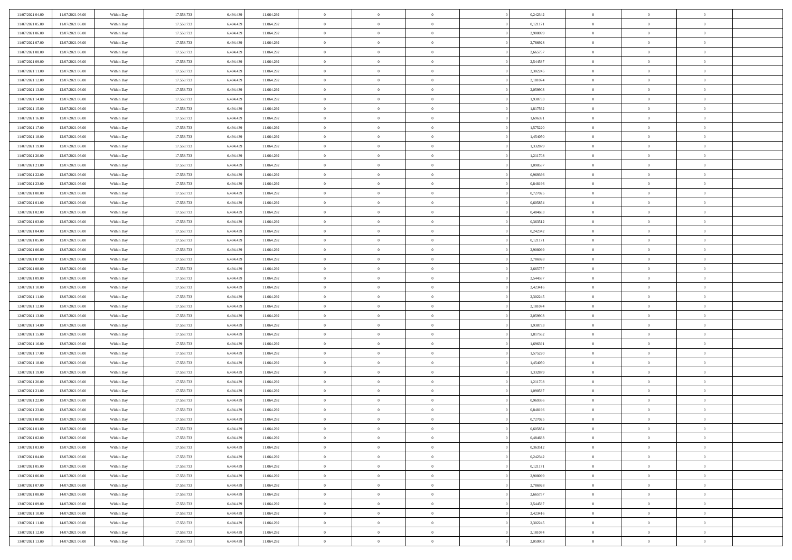| 11/07/2021 04:00 | 11/07/2021 06:00 | Within Day | 17.558.733 | 6.494.439 | 11.064.292 | $\,$ 0         | $\bf{0}$       | $\theta$       |                | 0,242342 | $\bf{0}$       | $\overline{0}$ | $\theta$       |  |
|------------------|------------------|------------|------------|-----------|------------|----------------|----------------|----------------|----------------|----------|----------------|----------------|----------------|--|
| 11/07/2021 05:00 | 11/07/2021 06:00 | Within Day | 17.558.733 | 6.494.439 | 11.064.292 | $\overline{0}$ | $\overline{0}$ | $\overline{0}$ |                | 0,121171 | $\theta$       | $\theta$       | $\overline{0}$ |  |
| 11/07/2021 06:00 | 12/07/2021 06:00 | Within Day | 17.558.733 | 6.494.439 | 11.064.292 | $\mathbf{0}$   | $\overline{0}$ | $\overline{0}$ |                | 2,908099 | $\theta$       | $\overline{0}$ | $\theta$       |  |
| 11/07/2021 07:00 | 12/07/2021 06:00 | Within Day | 17.558.733 | 6.494.439 | 11.064.292 | $\bf{0}$       | $\overline{0}$ | $\bf{0}$       |                | 2,786928 | $\bf{0}$       | $\overline{0}$ | $\bf{0}$       |  |
| 11/07/2021 08:00 | 12/07/2021 06:00 | Within Day | 17.558.733 | 6,494,439 | 11.064.292 | $\bf{0}$       | $\bf{0}$       | $\overline{0}$ |                | 2,665757 | $\bf{0}$       | $\Omega$       | $\bf{0}$       |  |
| 11/07/2021 09:00 | 12/07/2021 06:00 | Within Day | 17.558.733 | 6.494.439 | 11.064.292 | $\overline{0}$ | $\overline{0}$ |                |                | 2,544587 | $\theta$       |                | $\theta$       |  |
|                  |                  |            |            |           |            |                |                | $\overline{0}$ |                |          |                | $\overline{0}$ |                |  |
| 11/07/2021 11:00 | 12/07/2021 06:00 | Within Day | 17.558.733 | 6.494.439 | 11.064.292 | $\bf{0}$       | $\bf{0}$       | $\overline{0}$ |                | 2,302245 | $\bf{0}$       | $\overline{0}$ | $\theta$       |  |
| 11/07/2021 12:00 | 12/07/2021 06:00 | Within Day | 17.558.733 | 6,494,439 | 11.064.292 | $\overline{0}$ | $\overline{0}$ | $\overline{0}$ |                | 2,181074 | $\,$ 0 $\,$    | $\overline{0}$ | $\overline{0}$ |  |
| 11/07/2021 13:00 | 12/07/2021 06:00 | Within Day | 17.558.733 | 6.494.439 | 11.064.292 | $\mathbf{0}$   | $\overline{0}$ | $\overline{0}$ |                | 2,059903 | $\theta$       | $\overline{0}$ | $\theta$       |  |
| 11/07/2021 14:00 | 12/07/2021 06:00 | Within Day | 17.558.733 | 6.494.439 | 11.064.292 | $\bf{0}$       | $\bf{0}$       | $\overline{0}$ |                | 1,938733 | $\bf{0}$       | $\overline{0}$ | $\theta$       |  |
| 11/07/2021 15:00 | 12/07/2021 06:00 | Within Day | 17.558.733 | 6,494,439 | 11.064.292 | $\bf{0}$       | $\overline{0}$ | $\overline{0}$ |                | 1,817562 | $\bf{0}$       | $\theta$       | $\overline{0}$ |  |
| 11/07/2021 16:00 | 12/07/2021 06:00 | Within Day | 17.558.733 | 6.494.439 | 11.064.292 | $\mathbf{0}$   | $\overline{0}$ | $\overline{0}$ |                | 1,696391 | $\theta$       | $\overline{0}$ | $\theta$       |  |
| 11/07/2021 17:00 | 12/07/2021 06:00 | Within Day | 17.558.733 | 6.494.439 | 11.064.292 | $\bf{0}$       | $\overline{0}$ | $\bf{0}$       |                | 1,575220 | $\bf{0}$       | $\overline{0}$ | $\bf{0}$       |  |
| 11/07/2021 18:00 | 12/07/2021 06:00 | Within Day | 17.558.733 | 6,494,439 | 11.064.292 | $\bf{0}$       | $\overline{0}$ | $\overline{0}$ |                | 1,454050 | $\bf{0}$       | $\Omega$       | $\bf{0}$       |  |
| 11/07/2021 19:00 | 12/07/2021 06:00 | Within Day | 17.558.733 | 6.494.439 | 11.064.292 | $\overline{0}$ | $\overline{0}$ | $\overline{0}$ |                | 1,332879 | $\theta$       | $\overline{0}$ | $\theta$       |  |
| 11/07/2021 20:00 | 12/07/2021 06:00 | Within Day | 17.558.733 | 6.494.439 | 11.064.292 | $\bf{0}$       | $\bf{0}$       | $\overline{0}$ |                | 1,211708 | $\bf{0}$       | $\overline{0}$ | $\theta$       |  |
| 11/07/2021 21:00 | 12/07/2021 06:00 | Within Day | 17.558.733 | 6,494,439 | 11.064.292 | $\bf{0}$       | $\overline{0}$ | $\overline{0}$ |                | 1,090537 | $\,$ 0 $\,$    | $\overline{0}$ | $\overline{0}$ |  |
| 11/07/2021 22:00 | 12/07/2021 06:00 | Within Day | 17.558.733 | 6.494.439 | 11.064.292 | $\mathbf{0}$   | $\overline{0}$ | $\overline{0}$ |                | 0,969366 | $\theta$       | $\overline{0}$ | $\theta$       |  |
| 11/07/2021 23:00 | 12/07/2021 06:00 | Within Day | 17.558.733 | 6.494.439 | 11.064.292 | $\bf{0}$       | $\bf{0}$       | $\overline{0}$ |                | 0,848196 | $\bf{0}$       | $\overline{0}$ | $\theta$       |  |
| 12/07/2021 00:00 | 12/07/2021 06:00 | Within Day | 17.558.733 | 6,494,439 | 11.064.292 | $\bf{0}$       | $\overline{0}$ | $\overline{0}$ |                | 0,727025 | $\bf{0}$       | $\theta$       | $\bf{0}$       |  |
| 12/07/2021 01:00 | 12/07/2021 06:00 | Within Day | 17.558.733 | 6.494.439 | 11.064.292 | $\mathbf{0}$   | $\overline{0}$ | $\overline{0}$ |                | 0,605854 | $\theta$       | $\overline{0}$ | $\theta$       |  |
| 12/07/2021 02:00 | 12/07/2021 06:00 | Within Day | 17.558.733 | 6.494.439 | 11.064.292 | $\bf{0}$       | $\bf{0}$       | $\bf{0}$       |                | 0,484683 | $\bf{0}$       | $\overline{0}$ | $\bf{0}$       |  |
| 12/07/2021 03:00 | 12/07/2021 06:00 | Within Day | 17.558.733 | 6,494,439 | 11.064.292 | $\bf{0}$       | $\bf{0}$       | $\overline{0}$ |                | 0,363512 | $\bf{0}$       | $\overline{0}$ | $\bf{0}$       |  |
| 12/07/2021 04:00 | 12/07/2021 06:00 | Within Day | 17.558.733 | 6.494.439 | 11.064.292 | $\mathbf{0}$   | $\overline{0}$ | $\overline{0}$ |                | 0,242342 | $\theta$       | $\overline{0}$ | $\theta$       |  |
| 12/07/2021 05:00 | 12/07/2021 06:00 | Within Day | 17.558.733 | 6.494.439 | 11.064.292 | $\bf{0}$       | $\bf{0}$       | $\overline{0}$ |                | 0,121171 | $\bf{0}$       | $\overline{0}$ | $\theta$       |  |
| 12/07/2021 06:00 | 13/07/2021 06:00 | Within Day | 17.558.733 | 6,494,439 | 11.064.292 | $\bf{0}$       | $\overline{0}$ | $\overline{0}$ |                | 2,908099 | $\,$ 0 $\,$    | $\overline{0}$ | $\bf{0}$       |  |
| 12/07/2021 07:00 | 13/07/2021 06:00 | Within Day | 17.558.733 | 6.494.439 | 11.064.292 | $\mathbf{0}$   | $\overline{0}$ | $\overline{0}$ |                | 2,786928 | $\theta$       | $\overline{0}$ | $\theta$       |  |
| 12/07/2021 08:00 | 13/07/2021 06:00 | Within Day | 17.558.733 | 6.494.439 | 11.064.292 | $\bf{0}$       | $\bf{0}$       | $\overline{0}$ |                | 2,665757 | $\bf{0}$       | $\overline{0}$ | $\theta$       |  |
| 12/07/2021 09:00 | 13/07/2021 06:00 | Within Day | 17.558.733 | 6,494,439 | 11.064.292 | $\bf{0}$       | $\overline{0}$ | $\overline{0}$ |                | 2,544587 | $\bf{0}$       | $\theta$       | $\bf{0}$       |  |
| 12/07/2021 10:00 | 13/07/2021 06:00 | Within Day | 17.558.733 | 6.494.439 | 11.064.292 | $\mathbf{0}$   | $\overline{0}$ | $\overline{0}$ |                | 2,423416 | $\theta$       | $\overline{0}$ | $\theta$       |  |
| 12/07/2021 11:00 | 13/07/2021 06:00 | Within Day | 17.558.733 | 6.494.439 | 11.064.292 | $\bf{0}$       | $\overline{0}$ | $\overline{0}$ |                | 2,302245 | $\,0\,$        | $\overline{0}$ | $\theta$       |  |
| 12/07/2021 12:00 | 13/07/2021 06:00 | Within Day | 17.558.733 | 6,494,439 | 11.064.292 | $\bf{0}$       | $\bf{0}$       | $\overline{0}$ |                | 2,181074 | $\bf{0}$       | $\overline{0}$ | $\bf{0}$       |  |
| 12/07/2021 13:00 | 13/07/2021 06:00 | Within Day | 17.558.733 | 6.494.439 | 11.064.292 | $\overline{0}$ | $\overline{0}$ | $\overline{0}$ |                | 2,059903 | $\theta$       | $\overline{0}$ | $\theta$       |  |
| 12/07/2021 14:00 |                  |            | 17.558.733 | 6.494.439 |            | $\bf{0}$       | $\overline{0}$ | $\overline{0}$ |                | 1,938733 | $\,0\,$        | $\overline{0}$ | $\theta$       |  |
|                  | 13/07/2021 06:00 | Within Day |            | 6,494,439 | 11.064.292 |                | $\overline{0}$ | $\overline{0}$ |                |          |                |                |                |  |
| 12/07/2021 15:00 | 13/07/2021 06:00 | Within Day | 17.558.733 |           | 11.064.292 | $\overline{0}$ |                |                |                | 1,817562 | $\bf{0}$       | $\overline{0}$ | $\bf{0}$       |  |
| 12/07/2021 16:00 | 13/07/2021 06:00 | Within Day | 17.558.733 | 6.494.439 | 11.064.292 | $\mathbf{0}$   | $\overline{0}$ | $\overline{0}$ |                | 1,696391 | $\theta$       | $\overline{0}$ | $\overline{0}$ |  |
| 12/07/2021 17:00 | 13/07/2021 06:00 | Within Day | 17.558.733 | 6.494.439 | 11.064.292 | $\bf{0}$       | $\overline{0}$ | $\overline{0}$ |                | 1,575220 | $\,0\,$        | $\overline{0}$ | $\theta$       |  |
| 12/07/2021 18:00 | 13/07/2021 06:00 | Within Day | 17.558.733 | 6,494,439 | 11.064.292 | $\bf{0}$       | $\overline{0}$ | $\overline{0}$ |                | 1,454050 | $\bf{0}$       | $\theta$       | $\bf{0}$       |  |
| 12/07/2021 19:00 | 13/07/2021 06:00 | Within Day | 17.558.733 | 6.494.439 | 11.064.292 | $\mathbf{0}$   | $\overline{0}$ | $\overline{0}$ |                | 1,332879 | $\theta$       | $\overline{0}$ | $\theta$       |  |
| 12/07/2021 20:00 | 13/07/2021 06:00 | Within Day | 17.558.733 | 6.494.439 | 11.064.292 | $\,0\,$        | $\overline{0}$ | $\overline{0}$ |                | 1,211708 | $\,0\,$        | $\overline{0}$ | $\theta$       |  |
| 12/07/2021 21:00 | 13/07/2021 06:00 | Within Day | 17.558.733 | 6.494.439 | 11.064.292 | $\bf{0}$       | $\bf{0}$       | $\overline{0}$ |                | 1,090537 | $\bf{0}$       | $\overline{0}$ | $\bf{0}$       |  |
| 12/07/2021 22:00 | 13/07/2021 06:00 | Within Day | 17.558.733 | 6.494.439 | 11.064.292 | $\mathbf{0}$   | $\overline{0}$ | $\overline{0}$ |                | 0,969366 | $\theta$       | $\overline{0}$ | $\overline{0}$ |  |
| 12/07/2021 23:00 | 13/07/2021 06:00 | Within Day | 17.558.733 | 6.494.439 | 11.064.292 | $\bf{0}$       | $\overline{0}$ | $\theta$       |                | 0,848196 | $\,0\,$        | $\overline{0}$ | $\theta$       |  |
| 13/07/2021 00:00 | 13/07/2021 06:00 | Within Day | 17.558.733 | 6.494.439 | 11.064.292 | $\bf{0}$       | $\overline{0}$ | $\overline{0}$ |                | 0,727025 | $\,$ 0 $\,$    | $\overline{0}$ | $\bf{0}$       |  |
| 13/07/2021 01:00 | 13/07/2021 06:00 | Within Day | 17.558.733 | 6.494.439 | 11.064.292 | $\bf{0}$       | $\overline{0}$ |                |                | 0,605854 | $\bf{0}$       | $\Omega$       | $\theta$       |  |
| 13/07/2021 02:00 | 13/07/2021 06:00 | Within Day | 17.558.733 | 6.494.439 | 11.064.292 | $\,0\,$        | $\overline{0}$ | $\theta$       |                | 0,484683 | $\,$ 0 $\,$    | $\overline{0}$ | $\theta$       |  |
| 13/07/2021 03:00 | 13/07/2021 06:00 | Within Day | 17.558.733 | 6,494,439 | 11.064.292 | $\overline{0}$ | $\overline{0}$ | $\overline{0}$ |                | 0,363512 | $\overline{0}$ | $\overline{0}$ | $\overline{0}$ |  |
| 13/07/2021 04:00 | 13/07/2021 06:00 | Within Day | 17.558.733 | 6.494.439 | 11.064.292 | $\mathbf{0}$   | $\overline{0}$ | $\overline{0}$ |                | 0,242342 | $\mathbf{0}$   | $\overline{0}$ | $\overline{0}$ |  |
| 13/07/2021 05:00 | 13/07/2021 06:00 | Within Day | 17.558.733 | 6.494.439 | 11.064.292 | $\,$ 0 $\,$    | $\overline{0}$ | $\overline{0}$ | $\overline{0}$ | 0,121171 | $\,$ 0 $\,$    | $\mathbf{0}$   | $\,$ 0         |  |
| 13/07/2021 06:00 | 14/07/2021 06:00 | Within Day | 17.558.733 | 6.494.439 | 11.064.292 | $\,$ 0 $\,$    | $\overline{0}$ | $\overline{0}$ |                | 2,908099 | $\,$ 0 $\,$    | $\overline{0}$ | $\overline{0}$ |  |
| 13/07/2021 07:00 | 14/07/2021 06:00 | Within Day | 17.558.733 | 6.494.439 | 11.064.292 | $\mathbf{0}$   | $\overline{0}$ | $\overline{0}$ |                | 2,786928 | $\overline{0}$ | $\overline{0}$ | $\mathbf{0}$   |  |
| 13/07/2021 08:00 | 14/07/2021 06:00 | Within Day | 17.558.733 | 6.494.439 | 11.064.292 | $\,$ 0 $\,$    | $\overline{0}$ | $\overline{0}$ | $\theta$       | 2,665757 | $\,$ 0 $\,$    | $\overline{0}$ | $\theta$       |  |
| 13/07/2021 09:00 | 14/07/2021 06:00 | Within Day | 17.558.733 | 6,494,439 | 11.064.292 | $\bullet$      | $\overline{0}$ | $\overline{0}$ |                | 2,544587 | $\overline{0}$ | $\overline{0}$ | $\overline{0}$ |  |
| 13/07/2021 10:00 | 14/07/2021 06:00 | Within Day | 17.558.733 | 6.494.439 | 11.064.292 | $\mathbf{0}$   | $\overline{0}$ | $\overline{0}$ |                | 2,423416 | $\mathbf{0}$   | $\overline{0}$ | $\overline{0}$ |  |
| 13/07/2021 11:00 | 14/07/2021 06:00 | Within Day | 17.558.733 | 6.494.439 | 11.064.292 | $\,$ 0 $\,$    | $\overline{0}$ | $\overline{0}$ |                | 2,302245 | $\,$ 0 $\,$    | $\overline{0}$ | $\,$ 0         |  |
| 13/07/2021 12:00 | 14/07/2021 06:00 | Within Day | 17.558.733 | 6.494.439 | 11.064.292 | $\bf{0}$       | $\bf{0}$       | $\overline{0}$ |                | 2,181074 | $\,$ 0 $\,$    | $\overline{0}$ | $\overline{0}$ |  |
| 13/07/2021 13:00 | 14/07/2021 06:00 | Within Day | 17.558.733 | 6.494.439 | 11.064.292 | $\overline{0}$ | $\overline{0}$ | $\overline{0}$ |                | 2,059903 | $\mathbf{0}$   | $\overline{0}$ | $\overline{0}$ |  |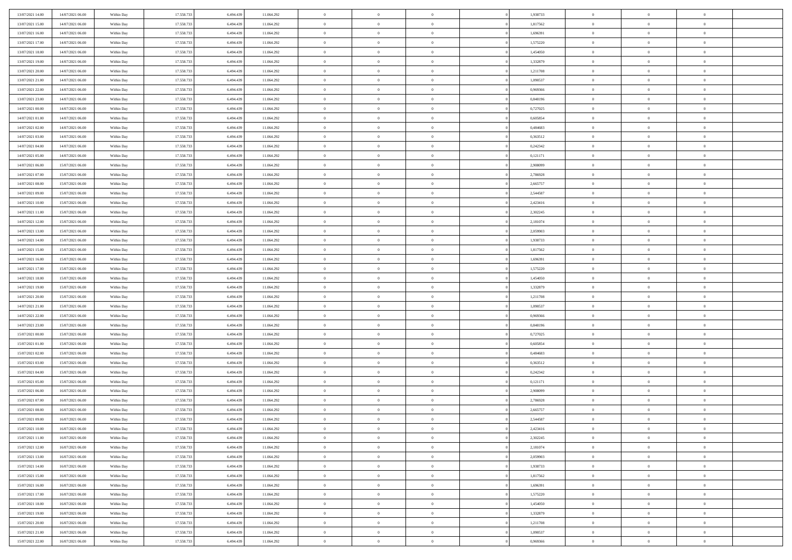| 13/07/2021 14:00                     | 14/07/2021 06:00 | Within Day | 17.558.733 | 6.494.439 | 11.064.292 | $\bf{0}$                 | $\bf{0}$       | $\theta$       |          | 1,938733 | $\bf{0}$                 | $\overline{0}$ | $\,0\,$        |  |
|--------------------------------------|------------------|------------|------------|-----------|------------|--------------------------|----------------|----------------|----------|----------|--------------------------|----------------|----------------|--|
| 13/07/2021 15:00                     | 14/07/2021 06:00 | Within Day | 17.558.733 | 6,494,439 | 11.064.292 | $\overline{0}$           | $\overline{0}$ | $\overline{0}$ |          | 1,817562 | $\theta$                 | $\overline{0}$ | $\theta$       |  |
| 13/07/2021 16:00                     | 14/07/2021 06:00 | Within Dav | 17.558.733 | 6.494.439 | 11.064.292 | $\overline{0}$           | $\overline{0}$ | $\overline{0}$ |          | 1,696391 | $\mathbf{0}$             | $\overline{0}$ | $\overline{0}$ |  |
| 13/07/2021 17:00                     | 14/07/2021 06:00 | Within Day | 17.558.733 | 6.494.439 | 11.064.292 | $\bf{0}$                 | $\overline{0}$ | $\overline{0}$ |          | 1,575220 | $\bf{0}$                 | $\overline{0}$ | $\bf{0}$       |  |
| 13/07/2021 18:00                     | 14/07/2021 06:00 | Within Day | 17.558.733 | 6,494,439 | 11.064.292 | $\bf{0}$                 | $\bf{0}$       | $\overline{0}$ |          | 1,454050 | $\bf{0}$                 | $\bf{0}$       | $\,0\,$        |  |
| 13/07/2021 19:00                     | 14/07/2021 06:00 | Within Dav | 17.558.733 | 6.494.439 | 11.064.292 | $\overline{0}$           | $\overline{0}$ | $\overline{0}$ |          | 1,332879 | $\mathbf{0}$             | $\overline{0}$ | $\overline{0}$ |  |
| 13/07/2021 20:00                     | 14/07/2021 06:00 | Within Day | 17.558.733 | 6.494.439 | 11.064.292 | $\bf{0}$                 | $\bf{0}$       | $\overline{0}$ |          | 1,211708 | $\bf{0}$                 | $\overline{0}$ | $\bf{0}$       |  |
| 13/07/2021 21:00                     | 14/07/2021 06:00 | Within Day | 17.558.733 | 6,494,439 | 11.064.292 | $\overline{0}$           | $\overline{0}$ | $\overline{0}$ |          | 1,090537 | $\,$ 0 $\,$              | $\overline{0}$ | $\overline{0}$ |  |
| 13/07/2021 22:00                     | 14/07/2021 06:00 | Within Day | 17.558.733 | 6.494.439 | 11.064.292 | $\mathbf{0}$             | $\overline{0}$ | $\overline{0}$ |          | 0,969366 | $\mathbf{0}$             | $\overline{0}$ | $\overline{0}$ |  |
| 13/07/2021 23:00                     | 14/07/2021 06:00 |            | 17.558.733 | 6.494.439 | 11.064.292 | $\bf{0}$                 | $\bf{0}$       | $\overline{0}$ |          | 0,848196 | $\bf{0}$                 | $\overline{0}$ | $\,0\,$        |  |
|                                      |                  | Within Day |            | 6,494,439 |            |                          | $\overline{0}$ |                |          |          |                          | $\overline{0}$ | $\overline{0}$ |  |
| 14/07/2021 00:00<br>14/07/2021 01:00 | 14/07/2021 06:00 | Within Day | 17.558.733 |           | 11.064.292 | $\bf{0}$<br>$\mathbf{0}$ |                | $\overline{0}$ |          | 0,727025 | $\bf{0}$<br>$\mathbf{0}$ |                | $\overline{0}$ |  |
|                                      | 14/07/2021 06:00 | Within Dav | 17.558.733 | 6.494.439 | 11.064.292 |                          | $\overline{0}$ | $\overline{0}$ |          | 0,605854 |                          | $\overline{0}$ |                |  |
| 14/07/2021 02.00                     | 14/07/2021 06:00 | Within Day | 17.558.733 | 6.494.439 | 11.064.292 | $\bf{0}$                 | $\overline{0}$ | $\bf{0}$       |          | 0,484683 | $\bf{0}$                 | $\overline{0}$ | $\overline{0}$ |  |
| 14/07/2021 03:00                     | 14/07/2021 06:00 | Within Day | 17.558.733 | 6,494,439 | 11.064.292 | $\bf{0}$                 | $\overline{0}$ | $\overline{0}$ |          | 0,363512 | $\bf{0}$                 | $\overline{0}$ | $\,0\,$        |  |
| 14/07/2021 04:00                     | 14/07/2021 06:00 | Within Dav | 17.558.733 | 6.494.439 | 11.064.292 | $\overline{0}$           | $\overline{0}$ | $\overline{0}$ |          | 0,242342 | $\mathbf{0}$             | $\overline{0}$ | $\overline{0}$ |  |
| 14/07/2021 05:00                     | 14/07/2021 06:00 | Within Day | 17.558.733 | 6.494.439 | 11.064.292 | $\bf{0}$                 | $\bf{0}$       | $\overline{0}$ |          | 0,121171 | $\bf{0}$                 | $\overline{0}$ | $\bf{0}$       |  |
| 14/07/2021 06:00                     | 15/07/2021 06:00 | Within Day | 17.558.733 | 6,494,439 | 11.064.292 | $\overline{0}$           | $\overline{0}$ | $\overline{0}$ |          | 2.908099 | $\,$ 0 $\,$              | $\overline{0}$ | $\overline{0}$ |  |
| 14/07/2021 07:00                     | 15/07/2021 06:00 | Within Day | 17.558.733 | 6.494.439 | 11.064.292 | $\mathbf{0}$             | $\overline{0}$ | $\overline{0}$ |          | 2,786928 | $\mathbf{0}$             | $\overline{0}$ | $\overline{0}$ |  |
| 14/07/2021 08:00                     | 15/07/2021 06:00 | Within Day | 17.558.733 | 6.494.439 | 11.064.292 | $\bf{0}$                 | $\overline{0}$ | $\overline{0}$ |          | 2,665757 | $\bf{0}$                 | $\overline{0}$ | $\,0\,$        |  |
| 14/07/2021 09:00                     | 15/07/2021 06:00 | Within Day | 17.558.733 | 6,494,439 | 11.064.292 | $\overline{0}$           | $\overline{0}$ | $\overline{0}$ |          | 2,544587 | $\bf{0}$                 | $\overline{0}$ | $\overline{0}$ |  |
| 14/07/2021 10:00                     | 15/07/2021 06:00 | Within Dav | 17.558.733 | 6.494.439 | 11.064.292 | $\mathbf{0}$             | $\overline{0}$ | $\overline{0}$ |          | 2,423416 | $\mathbf{0}$             | $\overline{0}$ | $\overline{0}$ |  |
| 14/07/2021 11:00                     | 15/07/2021 06:00 | Within Day | 17.558.733 | 6.494.439 | 11.064.292 | $\bf{0}$                 | $\overline{0}$ | $\overline{0}$ |          | 2,302245 | $\bf{0}$                 | $\overline{0}$ | $\bf{0}$       |  |
| 14/07/2021 12:00                     | 15/07/2021 06:00 | Within Day | 17.558.733 | 6,494,439 | 11.064.292 | $\bf{0}$                 | $\overline{0}$ | $\overline{0}$ |          | 2,181074 | $\bf{0}$                 | $\overline{0}$ | $\,0\,$        |  |
| 14/07/2021 13:00                     | 15/07/2021 06:00 | Within Dav | 17.558.733 | 6.494.439 | 11.064.292 | $\mathbf{0}$             | $\overline{0}$ | $\overline{0}$ |          | 2,059903 | $\mathbf{0}$             | $\overline{0}$ | $\overline{0}$ |  |
| 14/07/2021 14:00                     | 15/07/2021 06:00 | Within Day | 17.558.733 | 6.494.439 | 11.064.292 | $\bf{0}$                 | $\overline{0}$ | $\overline{0}$ |          | 1,938733 | $\bf{0}$                 | $\overline{0}$ | $\bf{0}$       |  |
| 14/07/2021 15:00                     | 15/07/2021 06:00 | Within Day | 17.558.733 | 6,494,439 | 11.064.292 | $\overline{0}$           | $\overline{0}$ | $\overline{0}$ |          | 1,817562 | $\bf{0}$                 | $\mathbf{0}$   | $\overline{0}$ |  |
| 14/07/2021 16:00                     | 15/07/2021 06:00 | Within Day | 17.558.733 | 6.494.439 | 11.064.292 | $\mathbf{0}$             | $\overline{0}$ | $\overline{0}$ |          | 1,696391 | $\mathbf{0}$             | $\overline{0}$ | $\overline{0}$ |  |
| 14/07/2021 17.00                     | 15/07/2021 06:00 | Within Day | 17.558.733 | 6.494.439 | 11.064.292 | $\bf{0}$                 | $\overline{0}$ | $\overline{0}$ |          | 1,575220 | $\bf{0}$                 | $\overline{0}$ | $\,0\,$        |  |
| 14/07/2021 18:00                     | 15/07/2021 06:00 | Within Day | 17.558.733 | 6,494,439 | 11.064.292 | $\bf{0}$                 | $\overline{0}$ | $\overline{0}$ |          | 1,454050 | $\bf{0}$                 | $\overline{0}$ | $\overline{0}$ |  |
| 14/07/2021 19:00                     | 15/07/2021 06:00 | Within Dav | 17.558.733 | 6.494.439 | 11.064.292 | $\mathbf{0}$             | $\overline{0}$ | $\overline{0}$ |          | 1,332879 | $\mathbf{0}$             | $\overline{0}$ | $\overline{0}$ |  |
| 14/07/2021 20:00                     | 15/07/2021 06:00 | Within Day | 17.558.733 | 6.494.439 | 11.064.292 | $\bf{0}$                 | $\overline{0}$ | $\theta$       |          | 1,211708 | $\,$ 0                   | $\overline{0}$ | $\theta$       |  |
| 14/07/2021 21:00                     | 15/07/2021 06:00 | Within Day | 17.558.733 | 6,494,439 | 11.064.292 | $\bf{0}$                 | $\overline{0}$ | $\overline{0}$ |          | 1,090537 | $\bf{0}$                 | $\overline{0}$ | $\overline{0}$ |  |
| 14/07/2021 22:00                     | 15/07/2021 06:00 | Within Dav | 17.558.733 | 6.494.439 | 11.064.292 | $\overline{0}$           | $\overline{0}$ | $\overline{0}$ |          | 0,969366 | $\mathbf{0}$             | $\overline{0}$ | $\overline{0}$ |  |
| 14/07/2021 23:00                     | 15/07/2021 06:00 | Within Day | 17.558.733 | 6.494.439 | 11.064.292 | $\bf{0}$                 | $\overline{0}$ | $\theta$       |          | 0,848196 | $\,$ 0                   | $\overline{0}$ | $\theta$       |  |
| 15/07/2021 00:00                     | 15/07/2021 06:00 | Within Day | 17.558.733 | 6,494,439 | 11.064.292 | $\overline{0}$           | $\overline{0}$ | $\overline{0}$ |          | 0,727025 | $\bf{0}$                 | $\overline{0}$ | $\overline{0}$ |  |
| 15/07/2021 01:00                     | 15/07/2021 06:00 | Within Day | 17.558.733 | 6.494.439 | 11.064.292 | $\mathbf{0}$             | $\overline{0}$ | $\overline{0}$ |          | 0,605854 | $\mathbf{0}$             | $\overline{0}$ | $\overline{0}$ |  |
| 15/07/2021 02:00                     | 15/07/2021 06:00 | Within Day | 17.558.733 | 6.494.439 | 11.064.292 | $\bf{0}$                 | $\overline{0}$ | $\theta$       |          | 0,484683 | $\,$ 0                   | $\overline{0}$ | $\theta$       |  |
| 15/07/2021 03:00                     | 15/07/2021 06:00 | Within Day | 17.558.733 | 6,494,439 | 11.064.292 | $\bf{0}$                 | $\overline{0}$ | $\overline{0}$ |          | 0,363512 | $\bf{0}$                 | $\overline{0}$ | $\bf{0}$       |  |
| 15/07/2021 04:00                     | 15/07/2021 06:00 | Within Dav | 17.558.733 | 6.494.439 | 11.064.292 | $\mathbf{0}$             | $\overline{0}$ | $\overline{0}$ |          | 0,242342 | $\mathbf{0}$             | $\overline{0}$ | $\overline{0}$ |  |
| 15/07/2021 05:00                     | 15/07/2021 06:00 | Within Day | 17.558.733 | 6.494.439 | 11.064.292 | $\,0\,$                  | $\overline{0}$ | $\theta$       |          | 0,121171 | $\,$ 0                   | $\overline{0}$ | $\theta$       |  |
| 15/07/2021 06:00                     | 16/07/2021 06:00 | Within Day | 17.558.733 | 6.494.439 | 11.064.292 | $\bf{0}$                 | $\overline{0}$ | $\overline{0}$ |          | 2,908099 | $\bf{0}$                 | $\overline{0}$ | $\bf{0}$       |  |
| 15/07/2021 07:00                     | 16/07/2021 06:00 | Within Dav | 17.558.733 | 6.494.439 | 11.064.292 | $\mathbf{0}$             | $\overline{0}$ | $\overline{0}$ |          | 2,786928 | $\mathbf{0}$             | $\overline{0}$ | $\overline{0}$ |  |
| 15/07/2021 08:00                     | 16/07/2021 06:00 | Within Day | 17.558.733 | 6.494.439 | 11.064.292 | $\bf{0}$                 | $\overline{0}$ | $\theta$       |          | 2,665757 | $\,$ 0                   | $\overline{0}$ | $\theta$       |  |
| 15/07/2021 09:00                     | 16/07/2021 06:00 | Within Day | 17.558.733 | 6.494.439 | 11.064.292 | $\bf{0}$                 | $\overline{0}$ | $\overline{0}$ |          | 2,544587 | $\bf{0}$                 | $\overline{0}$ | $\bf{0}$       |  |
| 15/07/2021 10:00                     | 16/07/2021 06:00 | Within Day | 17.558.733 | 6.494.439 | 11.064.292 | $\bf{0}$                 | $\overline{0}$ | $\Omega$       |          | 2,423416 | $\overline{0}$           | $\theta$       | $\theta$       |  |
| 15/07/2021 11:00                     | 16/07/2021 06:00 | Within Day | 17.558.733 | 6.494.439 | 11.064.292 | $\,0\,$                  | $\overline{0}$ | $\theta$       |          | 2,302245 | $\,$ 0 $\,$              | $\bf{0}$       | $\theta$       |  |
| 15/07/2021 12:00                     | 16/07/2021 06:00 | Within Day | 17.558.733 | 6.494.439 | 11.064.292 | $\overline{0}$           | $\overline{0}$ | $\overline{0}$ |          | 2,181074 | $\overline{0}$           | $\overline{0}$ | $\overline{0}$ |  |
| 15/07/2021 13:00                     | 16/07/2021 06:00 | Within Day | 17.558.733 | 6.494.439 | 11.064.292 | $\bf{0}$                 | $\overline{0}$ | $\overline{0}$ |          | 2,059903 | $\overline{0}$           | $\bf{0}$       | $\overline{0}$ |  |
| 15/07/2021 14:00                     | 16/07/2021 06:00 | Within Day | 17.558.733 | 6.494.439 | 11.064.292 | $\bf{0}$                 | $\overline{0}$ | $\overline{0}$ | $\theta$ | 1,938733 | $\mathbf{0}$             | $\bf{0}$       | $\,$ 0 $\,$    |  |
| 15/07/2021 15:00                     | 16/07/2021 06:00 | Within Day | 17.558.733 | 6,494,439 | 11.064.292 | $\bf{0}$                 | $\overline{0}$ | $\overline{0}$ |          | 1,817562 | $\,$ 0 $\,$              | $\overline{0}$ | $\overline{0}$ |  |
| 15/07/2021 16:00                     | 16/07/2021 06:00 | Within Day | 17.558.733 | 6.494.439 | 11.064.292 | $\bf{0}$                 | $\overline{0}$ | $\overline{0}$ |          | 1,696391 | $\mathbf{0}$             | $\overline{0}$ | $\overline{0}$ |  |
|                                      |                  |            |            |           |            |                          |                |                |          |          |                          |                |                |  |
| 15/07/2021 17:00                     | 16/07/2021 06:00 | Within Day | 17.558.733 | 6.494.439 | 11.064.292 | $\,$ 0 $\,$              | $\overline{0}$ | $\overline{0}$ | $\theta$ | 1,575220 | $\mathbf{0}$             | $\mathbf{0}$   | $\,$ 0 $\,$    |  |
| 15/07/2021 18:00                     | 16/07/2021 06:00 | Within Day | 17.558.733 | 6.494.439 | 11.064.292 | $\bf{0}$                 | $\overline{0}$ | $\overline{0}$ |          | 1,454050 | $\overline{0}$           | $\overline{0}$ | $\overline{0}$ |  |
| 15/07/2021 19:00                     | 16/07/2021 06:00 | Within Day | 17.558.733 | 6.494.439 | 11.064.292 | $\bf{0}$                 | $\overline{0}$ | $\overline{0}$ |          | 1,332879 | $\mathbf{0}$             | $\bf{0}$       | $\overline{0}$ |  |
| 15/07/2021 20:00                     | 16/07/2021 06:00 | Within Day | 17.558.733 | 6.494.439 | 11.064.292 | $\,0\,$                  | $\overline{0}$ | $\overline{0}$ |          | 1,211708 | $\mathbf{0}$             | $\mathbf{0}$   | $\,$ 0 $\,$    |  |
| 15/07/2021 21:00                     | 16/07/2021 06:00 | Within Day | 17.558.733 | 6.494.439 | 11.064.292 | $\overline{0}$           | $\overline{0}$ | $\overline{0}$ |          | 1,090537 | $\mathbf{0}$             | $\mathbf{0}$   | $\overline{0}$ |  |
| 15/07/2021 22:00                     | 16/07/2021 06:00 | Within Day | 17.558.733 | 6.494.439 | 11.064.292 | $\overline{0}$           | $\overline{0}$ | $\overline{0}$ |          | 0,969366 | $\mathbf{0}$             | $\overline{0}$ | $\overline{0}$ |  |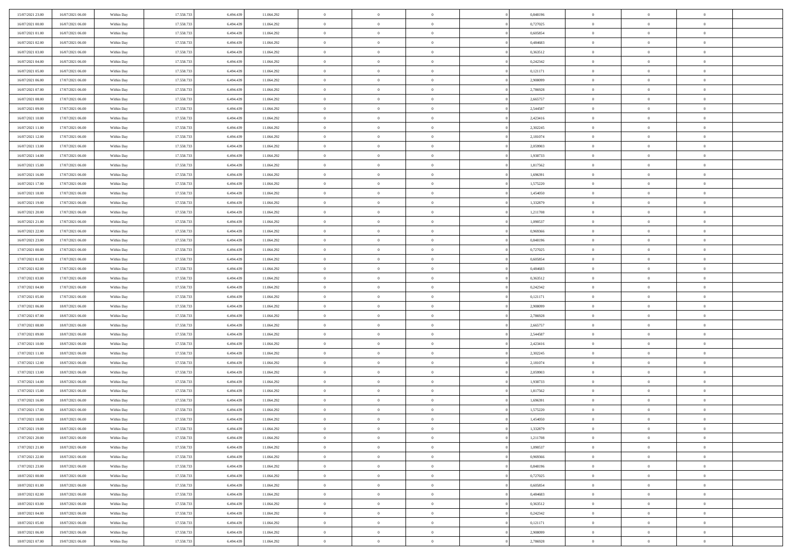| 15/07/2021 23.00                     | 16/07/2021 06:00                     | Within Day               | 17.558.733               | 6.494.439              | 11.064.292               | $\bf{0}$                       | $\bf{0}$                         | $\theta$                         |          | 0,848196             | $\bf{0}$                 | $\overline{0}$                   | $\,0\,$                          |  |
|--------------------------------------|--------------------------------------|--------------------------|--------------------------|------------------------|--------------------------|--------------------------------|----------------------------------|----------------------------------|----------|----------------------|--------------------------|----------------------------------|----------------------------------|--|
| 16/07/2021 00:00                     | 16/07/2021 06:00                     | Within Day               | 17.558.733               | 6,494,439              | 11.064.292               | $\overline{0}$                 | $\overline{0}$                   | $\overline{0}$                   |          | 0,727025             | $\overline{0}$           | $\overline{0}$                   | $\theta$                         |  |
| 16/07/2021 01:00                     | 16/07/2021 06:00                     | Within Dav               | 17.558.733               | 6.494.439              | 11.064.292               | $\mathbf{0}$                   | $\overline{0}$                   | $\overline{0}$                   |          | 0,605854             | $\mathbf{0}$             | $\overline{0}$                   | $\overline{0}$                   |  |
| 16/07/2021 02:00                     | 16/07/2021 06:00                     | Within Day               | 17.558.733               | 6.494.439              | 11.064.292               | $\bf{0}$                       | $\overline{0}$                   | $\overline{0}$                   |          | 0,484683             | $\bf{0}$                 | $\overline{0}$                   | $\bf{0}$                         |  |
| 16/07/2021 03:00                     | 16/07/2021 06:00                     | Within Day               | 17.558.733               | 6,494,439              | 11.064.292               | $\bf{0}$                       | $\bf{0}$                         | $\overline{0}$                   |          | 0,363512             | $\bf{0}$                 | $\bf{0}$                         | $\,0\,$                          |  |
| 16/07/2021 04:00                     | 16/07/2021 06:00                     | Within Dav               | 17.558.733               | 6.494.439              | 11.064.292               | $\overline{0}$                 | $\overline{0}$                   | $\overline{0}$                   |          | 0,242342             | $\mathbf{0}$             | $\overline{0}$                   | $\overline{0}$                   |  |
| 16/07/2021 05:00                     | 16/07/2021 06:00                     | Within Day               | 17.558.733               | 6.494.439              | 11.064.292               | $\bf{0}$                       | $\bf{0}$                         | $\overline{0}$                   |          | 0,121171             | $\bf{0}$                 | $\overline{0}$                   | $\bf{0}$                         |  |
| 16/07/2021 06:00                     | 17/07/2021 06:00                     | Within Day               | 17.558.733               | 6,494,439              | 11.064.292               | $\overline{0}$                 | $\overline{0}$                   | $\overline{0}$                   |          | 2.908099             | $\,$ 0 $\,$              | $\overline{0}$                   | $\overline{0}$                   |  |
| 16/07/2021 07:00                     | 17/07/2021 06:00                     | Within Day               | 17.558.733               | 6.494.439              | 11.064.292               | $\mathbf{0}$                   | $\overline{0}$                   | $\overline{0}$                   |          | 2,786928             | $\mathbf{0}$             | $\overline{0}$                   | $\overline{0}$                   |  |
| 16/07/2021 08:00                     | 17/07/2021 06:00                     | Within Day               | 17.558.733               | 6.494.439              | 11.064.292               | $\bf{0}$                       | $\overline{0}$                   | $\overline{0}$                   |          | 2,665757             | $\bf{0}$                 | $\overline{0}$                   | $\,0\,$                          |  |
| 16/07/2021 09:00                     | 17/07/2021 06:00                     | Within Day               | 17.558.733               | 6,494,439              | 11.064.292               | $\bf{0}$                       | $\overline{0}$                   | $\overline{0}$                   |          | 2,544587             | $\bf{0}$                 | $\overline{0}$                   | $\overline{0}$                   |  |
| 16/07/2021 10:00                     | 17/07/2021 06:00                     | Within Dav               | 17.558.733               | 6.494.439              | 11.064.292               | $\mathbf{0}$                   | $\overline{0}$                   | $\overline{0}$                   |          | 2,423416             | $\mathbf{0}$             | $\overline{0}$                   | $\overline{0}$                   |  |
| 16/07/2021 11:00                     | 17/07/2021 06:00                     | Within Day               | 17.558.733               | 6.494.439              | 11.064.292               | $\bf{0}$                       | $\overline{0}$                   | $\bf{0}$                         |          | 2,302245             | $\bf{0}$                 | $\overline{0}$                   | $\overline{0}$                   |  |
| 16/07/2021 12:00                     | 17/07/2021 06:00                     | Within Day               | 17.558.733               | 6,494,439              | 11.064.292               | $\bf{0}$                       | $\overline{0}$                   | $\overline{0}$                   |          | 2,181074             | $\bf{0}$                 | $\overline{0}$                   | $\,0\,$                          |  |
| 16/07/2021 13:00                     | 17/07/2021 06:00                     | Within Dav               | 17.558.733               | 6.494.439              | 11.064.292               | $\overline{0}$                 | $\overline{0}$                   | $\overline{0}$                   |          | 2,059903             | $\mathbf{0}$             | $\overline{0}$                   | $\overline{0}$                   |  |
| 16/07/2021 14:00                     | 17/07/2021 06:00                     | Within Day               | 17.558.733               | 6.494.439              | 11.064.292               | $\bf{0}$                       | $\overline{0}$                   | $\overline{0}$                   |          | 1,938733             | $\bf{0}$                 | $\overline{0}$                   | $\bf{0}$                         |  |
| 16/07/2021 15:00                     | 17/07/2021 06:00                     | Within Day               | 17.558.733               | 6,494,439              | 11.064.292               | $\overline{0}$                 | $\overline{0}$                   | $\overline{0}$                   |          | 1,817562             | $\,$ 0 $\,$              | $\overline{0}$                   | $\theta$                         |  |
| 16/07/2021 16:00                     | 17/07/2021 06:00                     | Within Day               | 17.558.733               | 6.494.439              | 11.064.292               | $\mathbf{0}$                   | $\overline{0}$                   | $\overline{0}$                   |          | 1,696391             | $\mathbf{0}$             | $\overline{0}$                   | $\overline{0}$                   |  |
| 16/07/2021 17:00                     | 17/07/2021 06:00                     | Within Day               | 17.558.733               | 6.494.439              | 11.064.292               | $\bf{0}$                       | $\overline{0}$                   | $\overline{0}$                   |          | 1,575220             | $\bf{0}$                 | $\overline{0}$                   | $\,0\,$                          |  |
| 16/07/2021 18:00                     | 17/07/2021 06:00                     | Within Day               | 17.558.733               | 6,494,439              | 11.064.292               | $\overline{0}$                 | $\overline{0}$                   | $\overline{0}$                   |          | 1,454050             | $\bf{0}$                 | $\overline{0}$                   | $\overline{0}$                   |  |
| 16/07/2021 19:00                     | 17/07/2021 06:00                     | Within Dav               | 17.558.733               | 6.494.439              | 11.064.292               | $\mathbf{0}$                   | $\overline{0}$                   | $\overline{0}$                   |          | 1,332879             | $\mathbf{0}$             | $\overline{0}$                   | $\overline{0}$                   |  |
| 16/07/2021 20:00                     | 17/07/2021 06:00                     | Within Day               | 17.558.733               | 6.494.439              | 11.064.292               | $\bf{0}$                       | $\overline{0}$                   | $\overline{0}$                   |          | 1,211708             | $\bf{0}$                 | $\overline{0}$                   | $\bf{0}$                         |  |
| 16/07/2021 21:00                     | 17/07/2021 06:00                     |                          | 17.558.733               | 6,494,439              | 11.064.292               | $\bf{0}$                       | $\overline{0}$                   | $\overline{0}$                   |          | 1,090537             | $\bf{0}$                 | $\overline{0}$                   | $\,0\,$                          |  |
| 16/07/2021 22:00                     | 17/07/2021 06:00                     | Within Day<br>Within Dav | 17.558.733               | 6.494.439              | 11.064.292               | $\mathbf{0}$                   | $\overline{0}$                   | $\overline{0}$                   |          | 0,969366             | $\mathbf{0}$             | $\overline{0}$                   | $\overline{0}$                   |  |
| 16/07/2021 23:00                     | 17/07/2021 06:00                     | Within Day               | 17.558.733               | 6.494.439              | 11.064.292               | $\bf{0}$                       | $\overline{0}$                   | $\overline{0}$                   |          | 0,848196             | $\bf{0}$                 | $\overline{0}$                   | $\bf{0}$                         |  |
|                                      |                                      |                          |                          | 6,494,439              |                          | $\overline{0}$                 | $\overline{0}$                   | $\overline{0}$                   |          |                      |                          | $\mathbf{0}$                     | $\overline{0}$                   |  |
| 17/07/2021 00:00<br>17/07/2021 01:00 | 17/07/2021 06:00<br>17/07/2021 06:00 | Within Day               | 17.558.733               |                        | 11.064.292               | $\mathbf{0}$                   |                                  |                                  |          | 0,727025             | $\bf{0}$<br>$\mathbf{0}$ |                                  | $\overline{0}$                   |  |
|                                      | 17/07/2021 06:00                     | Within Dav               | 17.558.733               | 6.494.439              | 11.064.292               |                                | $\overline{0}$                   | $\overline{0}$<br>$\overline{0}$ |          | 0,605854             |                          | $\overline{0}$<br>$\overline{0}$ |                                  |  |
| 17/07/2021 02.00                     |                                      | Within Day               | 17.558.733               | 6.494.439              | 11.064.292               | $\bf{0}$                       | $\bf{0}$                         |                                  |          | 0,484683             | $\bf{0}$                 |                                  | $\,0\,$                          |  |
| 17/07/2021 03:00                     | 17/07/2021 06:00                     | Within Day               | 17.558.733               | 6,494,439              | 11.064.292               | $\bf{0}$<br>$\mathbf{0}$       | $\bf{0}$                         | $\overline{0}$                   |          | 0,363512             | $\bf{0}$<br>$\mathbf{0}$ | $\overline{0}$                   | $\bf{0}$<br>$\overline{0}$       |  |
| 17/07/2021 04:00                     | 17/07/2021 06:00                     | Within Dav               | 17.558.733               | 6.494.439              | 11.064.292               |                                | $\overline{0}$                   | $\overline{0}$                   |          | 0,242342             |                          | $\overline{0}$                   |                                  |  |
| 17/07/2021 05:00                     | 17/07/2021 06:00                     | Within Day               | 17.558.733               | 6.494.439              | 11.064.292               | $\bf{0}$                       | $\overline{0}$                   | $\theta$                         |          | 0,121171             | $\,$ 0                   | $\overline{0}$                   | $\theta$                         |  |
| 17/07/2021 06:00                     | 18/07/2021 06:00                     | Within Day               | 17.558.733               | 6,494,439              | 11.064.292               | $\bf{0}$                       | $\bf{0}$                         | $\overline{0}$                   |          | 2,908099             | $\bf{0}$                 | $\overline{0}$                   | $\bf{0}$                         |  |
| 17/07/2021 07:00                     | 18/07/2021 06:00                     | Within Dav               | 17.558.733               | 6.494.439              | 11.064.292               | $\overline{0}$                 | $\overline{0}$                   | $\overline{0}$                   |          | 2,786928             | $\mathbf{0}$             | $\overline{0}$                   | $\overline{0}$                   |  |
| 17/07/2021 08:00                     | 18/07/2021 06:00                     | Within Day               | 17.558.733               | 6.494.439              | 11.064.292               | $\bf{0}$                       | $\overline{0}$                   | $\theta$                         |          | 2,665757             | $\,$ 0                   | $\overline{0}$                   | $\theta$                         |  |
| 17/07/2021 09:00                     | 18/07/2021 06:00                     | Within Day               | 17.558.733               | 6,494,439              | 11.064.292               | $\overline{0}$<br>$\mathbf{0}$ | $\overline{0}$                   | $\overline{0}$                   |          | 2,544587             | $\bf{0}$<br>$\mathbf{0}$ | $\overline{0}$                   | $\overline{0}$<br>$\overline{0}$ |  |
| 17/07/2021 10:00                     | 18/07/2021 06:00                     | Within Day               | 17.558.733               | 6.494.439              | 11.064.292               | $\bf{0}$                       | $\overline{0}$                   | $\overline{0}$                   |          | 2,423416             |                          | $\overline{0}$<br>$\overline{0}$ | $\theta$                         |  |
| 17/07/2021 11:00                     | 18/07/2021 06:00                     | Within Day               | 17.558.733<br>17.558.733 | 6.494.439<br>6,494,439 | 11.064.292               | $\bf{0}$                       | $\overline{0}$                   | $\theta$<br>$\overline{0}$       |          | 2,302245             | $\,$ 0                   | $\overline{0}$                   |                                  |  |
| 17/07/2021 12:00<br>17/07/2021 13:00 | 18/07/2021 06:00<br>18/07/2021 06:00 | Within Day<br>Within Dav | 17.558.733               | 6.494.439              | 11.064.292<br>11.064.292 | $\mathbf{0}$                   | $\overline{0}$<br>$\overline{0}$ | $\overline{0}$                   |          | 2,181074<br>2,059903 | $\bf{0}$<br>$\mathbf{0}$ | $\overline{0}$                   | $\bf{0}$<br>$\overline{0}$       |  |
|                                      |                                      |                          |                          |                        |                          |                                |                                  |                                  |          |                      |                          | $\overline{0}$                   | $\theta$                         |  |
| 17/07/2021 14:00                     | 18/07/2021 06:00<br>18/07/2021 06:00 | Within Day               | 17.558.733<br>17.558.733 | 6.494.439<br>6.494.439 | 11.064.292               | $\,0\,$<br>$\bf{0}$            | $\overline{0}$<br>$\overline{0}$ | $\theta$<br>$\overline{0}$       |          | 1,938733             | $\,$ 0                   | $\overline{0}$                   | $\overline{0}$                   |  |
| 17/07/2021 15:00<br>17/07/2021 16:00 | 18/07/2021 06:00                     | Within Day<br>Within Dav | 17.558.733               | 6.494.439              | 11.064.292<br>11.064.292 | $\mathbf{0}$                   | $\overline{0}$                   | $\overline{0}$                   |          | 1,817562<br>1,696391 | $\bf{0}$<br>$\mathbf{0}$ | $\overline{0}$                   | $\overline{0}$                   |  |
| 17/07/2021 17:00                     | 18/07/2021 06:00                     | Within Day               | 17.558.733               | 6.494.439              | 11.064.292               | $\bf{0}$                       | $\overline{0}$                   | $\theta$                         |          | 1,575220             | $\,$ 0                   | $\overline{0}$                   | $\theta$                         |  |
| 17/07/2021 18:00                     | 18/07/2021 06:00                     |                          | 17.558.733               | 6.494.439              | 11.064.292               | $\bf{0}$                       | $\overline{0}$                   | $\overline{0}$                   |          | 1,454050             | $\bf{0}$                 | $\overline{0}$                   | $\overline{0}$                   |  |
| 17/07/2021 19:00                     | 18/07/2021 06:00                     | Within Day<br>Within Day | 17.558.733               | 6.494.439              | 11.064.292               | $\bf{0}$                       | $\overline{0}$                   | $\Omega$                         |          | 1,332879             | $\overline{0}$           | $\theta$                         | $\theta$                         |  |
| 17/07/2021 20:00                     | 18/07/2021 06:00                     | Within Day               | 17.558.733               | 6.494.439              | 11.064.292               | $\,0\,$                        | $\overline{0}$                   | $\theta$                         |          | 1,211708             | $\,$ 0 $\,$              | $\bf{0}$                         | $\theta$                         |  |
|                                      |                                      |                          | 17.558.733               | 6.494.439              |                          |                                | $\overline{0}$                   | $\overline{0}$                   |          |                      | $\overline{0}$           | $\overline{0}$                   |                                  |  |
| 17/07/2021 21:00<br>17/07/2021 22:00 | 18/07/2021 06:00<br>18/07/2021 06:00 | Within Day<br>Within Day | 17.558.733               | 6.494.439              | 11.064.292<br>11.064.292 | $\overline{0}$<br>$\bf{0}$     | $\overline{0}$                   | $\overline{0}$                   |          | 1,090537<br>0,969366 | $\overline{0}$           | $\bf{0}$                         | $\overline{0}$<br>$\overline{0}$ |  |
| 17/07/2021 23:00                     | 18/07/2021 06:00                     | Within Day               | 17.558.733               | 6.494.439              | 11.064.292               | $\bf{0}$                       | $\overline{0}$                   | $\overline{0}$                   | $\theta$ | 0,848196             | $\mathbf{0}$             | $\bf{0}$                         | $\,$ 0 $\,$                      |  |
| 18/07/2021 00:00                     | 18/07/2021 06:00                     |                          | 17.558.733               | 6,494,439              |                          | $\bf{0}$                       | $\overline{0}$                   | $\overline{0}$                   |          |                      | $\,$ 0 $\,$              | $\overline{0}$                   | $\overline{0}$                   |  |
| 18/07/2021 01:00                     | 18/07/2021 06:00                     | Within Day<br>Within Day | 17.558.733               | 6.494.439              | 11.064.292<br>11.064.292 | $\bf{0}$                       | $\overline{0}$                   | $\overline{0}$                   |          | 0,727025<br>0,605854 | $\mathbf{0}$             | $\overline{0}$                   | $\overline{0}$                   |  |
|                                      |                                      |                          |                          |                        |                          |                                |                                  |                                  |          |                      |                          |                                  |                                  |  |
| 18/07/2021 02:00                     | 18/07/2021 06:00                     | Within Day               | 17.558.733               | 6.494.439              | 11.064.292               | $\,$ 0 $\,$                    | $\overline{0}$                   | $\overline{0}$                   | $\theta$ | 0,484683             | $\,$ 0 $\,$              | $\mathbf{0}$                     | $\,$ 0 $\,$                      |  |
| 18/07/2021 03:00                     | 18/07/2021 06:00                     | Within Day               | 17.558.733               | 6.494.439              | 11.064.292               | $\bf{0}$                       | $\overline{0}$                   | $\overline{0}$                   |          | 0,363512             | $\overline{0}$           | $\overline{0}$                   | $\overline{0}$                   |  |
| 18/07/2021 04:00                     | 18/07/2021 06:00                     | Within Day               | 17.558.733               | 6.494.439              | 11.064.292               | $\bf{0}$                       | $\overline{0}$                   | $\overline{0}$                   |          | 0,242342             | $\mathbf{0}$             | $\bf{0}$                         | $\overline{0}$                   |  |
| 18/07/2021 05:00                     | 18/07/2021 06:00                     | Within Day               | 17.558.733               | 6.494.439              | 11.064.292               | $\,0\,$                        | $\overline{0}$                   | $\overline{0}$                   |          | 0,121171             | $\,$ 0 $\,$              | $\overline{0}$                   | $\,$ 0 $\,$                      |  |
| 18/07/2021 06:00                     | 19/07/2021 06:00                     | Within Day               | 17.558.733               | 6,494,439              | 11.064.292               | $\overline{0}$                 | $\overline{0}$                   | $\overline{0}$                   |          | 2,908099             | $\bf{0}$                 | $\mathbf{0}$                     | $\overline{0}$                   |  |
| 18/07/2021 07:00                     | 19/07/2021 06:00                     | Within Day               | 17.558.733               | 6.494.439              | 11.064.292               | $\bf{0}$                       | $\overline{0}$                   | $\overline{0}$                   |          | 2,786928             | $\mathbf{0}$             | $\overline{0}$                   | $\overline{0}$                   |  |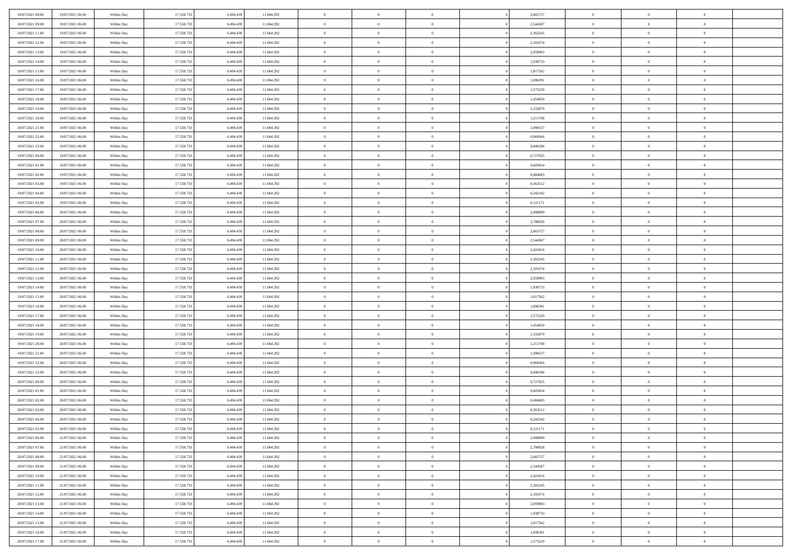| 18/07/2021 08:00 | 19/07/2021 06:00 | Within Day | 17.558.733 | 6.494.439 | 11.064.292 | $\bf{0}$       | $\overline{0}$ | $\theta$       |          | 2,665757 | $\bf{0}$       | $\overline{0}$ | $\,0\,$        |  |
|------------------|------------------|------------|------------|-----------|------------|----------------|----------------|----------------|----------|----------|----------------|----------------|----------------|--|
| 18/07/2021 09:00 | 19/07/2021 06:00 | Within Day | 17.558.733 | 6,494,439 | 11.064.292 | $\overline{0}$ | $\overline{0}$ | $\overline{0}$ |          | 2,544587 | $\overline{0}$ | $\overline{0}$ | $\theta$       |  |
| 18/07/2021 11:00 | 19/07/2021 06:00 | Within Dav | 17.558.733 | 6.494.439 | 11.064.292 | $\mathbf{0}$   | $\overline{0}$ | $\overline{0}$ |          | 2,302245 | $\mathbf{0}$   | $\overline{0}$ | $\overline{0}$ |  |
| 18/07/2021 12:00 | 19/07/2021 06:00 | Within Day | 17.558.733 | 6.494.439 | 11.064.292 | $\bf{0}$       | $\overline{0}$ | $\overline{0}$ |          | 2,181074 | $\bf{0}$       | $\overline{0}$ | $\bf{0}$       |  |
| 18/07/2021 13:00 | 19/07/2021 06:00 | Within Day | 17.558.733 | 6,494,439 | 11.064.292 | $\bf{0}$       | $\overline{0}$ | $\overline{0}$ |          | 2,059903 | $\bf{0}$       | $\bf{0}$       | $\,0\,$        |  |
| 18/07/2021 14:00 | 19/07/2021 06:00 | Within Dav | 17.558.733 | 6.494.439 | 11.064.292 | $\overline{0}$ | $\overline{0}$ | $\overline{0}$ |          | 1,938733 | $\mathbf{0}$   | $\overline{0}$ | $\overline{0}$ |  |
| 18/07/2021 15:00 | 19/07/2021 06:00 | Within Day | 17.558.733 | 6.494.439 | 11.064.292 | $\bf{0}$       | $\overline{0}$ | $\overline{0}$ |          | 1,817562 | $\bf{0}$       | $\overline{0}$ | $\bf{0}$       |  |
| 18/07/2021 16:00 | 19/07/2021 06:00 | Within Day | 17.558.733 | 6,494,439 | 11.064.292 | $\overline{0}$ | $\overline{0}$ | $\overline{0}$ |          | 1,696391 | $\,$ 0 $\,$    | $\overline{0}$ | $\theta$       |  |
| 18/07/2021 17:00 | 19/07/2021 06:00 | Within Dav | 17.558.733 | 6.494.439 | 11.064.292 | $\mathbf{0}$   | $\overline{0}$ | $\overline{0}$ |          | 1,575220 | $\mathbf{0}$   | $\overline{0}$ | $\overline{0}$ |  |
| 18/07/2021 18:00 | 19/07/2021 06:00 | Within Day | 17.558.733 | 6.494.439 | 11.064.292 | $\bf{0}$       | $\overline{0}$ | $\overline{0}$ |          | 1,454050 | $\bf{0}$       | $\overline{0}$ | $\,0\,$        |  |
| 18/07/2021 19:00 | 19/07/2021 06:00 | Within Day | 17.558.733 | 6,494,439 | 11.064.292 | $\overline{0}$ | $\overline{0}$ | $\overline{0}$ |          | 1,332879 | $\bf{0}$       | $\overline{0}$ | $\overline{0}$ |  |
| 18/07/2021 20:00 | 19/07/2021 06:00 | Within Dav | 17.558.733 | 6.494.439 | 11.064.292 | $\mathbf{0}$   | $\overline{0}$ | $\overline{0}$ |          | 1,211708 | $\mathbf{0}$   | $\overline{0}$ | $\overline{0}$ |  |
| 18/07/2021 21:00 | 19/07/2021 06:00 | Within Day | 17.558.733 | 6.494.439 | 11.064.292 | $\bf{0}$       | $\overline{0}$ | $\bf{0}$       |          | 1,090537 | $\bf{0}$       | $\overline{0}$ | $\overline{0}$ |  |
| 18/07/2021 22:00 | 19/07/2021 06:00 | Within Day | 17.558.733 | 6,494,439 | 11.064.292 | $\bf{0}$       | $\overline{0}$ | $\overline{0}$ |          | 0,969366 | $\bf{0}$       | $\overline{0}$ | $\,0\,$        |  |
| 18/07/2021 23:00 | 19/07/2021 06:00 | Within Dav | 17.558.733 | 6.494.439 | 11.064.292 | $\overline{0}$ | $\overline{0}$ | $\overline{0}$ |          | 0,848196 | $\mathbf{0}$   | $\overline{0}$ | $\overline{0}$ |  |
| 19/07/2021 00:00 | 19/07/2021 06:00 | Within Day | 17.558.733 | 6.494.439 | 11.064.292 | $\bf{0}$       | $\bf{0}$       | $\overline{0}$ |          | 0,727025 | $\bf{0}$       | $\overline{0}$ | $\bf{0}$       |  |
| 19/07/2021 01:00 | 19/07/2021 06:00 | Within Day | 17.558.733 | 6,494,439 | 11.064.292 | $\overline{0}$ | $\overline{0}$ | $\overline{0}$ |          | 0.605854 | $\bf{0}$       | $\overline{0}$ | $\overline{0}$ |  |
| 19/07/2021 02:00 | 19/07/2021 06:00 | Within Day | 17.558.733 | 6.494.439 | 11.064.292 | $\mathbf{0}$   | $\overline{0}$ | $\overline{0}$ |          | 0,484683 | $\mathbf{0}$   | $\overline{0}$ | $\overline{0}$ |  |
| 19/07/2021 03:00 | 19/07/2021 06:00 | Within Day | 17.558.733 | 6.494.439 | 11.064.292 | $\bf{0}$       | $\bf{0}$       | $\overline{0}$ |          | 0,363512 | $\bf{0}$       | $\overline{0}$ | $\,0\,$        |  |
| 19/07/2021 04:00 | 19/07/2021 06:00 | Within Day | 17.558.733 | 6,494,439 | 11.064.292 | $\overline{0}$ | $\overline{0}$ | $\overline{0}$ |          | 0,242342 | $\bf{0}$       | $\overline{0}$ | $\overline{0}$ |  |
| 19/07/2021 05:00 | 19/07/2021 06:00 | Within Dav | 17.558.733 | 6.494.439 | 11.064.292 | $\mathbf{0}$   | $\overline{0}$ | $\overline{0}$ |          | 0,121171 | $\mathbf{0}$   | $\overline{0}$ | $\overline{0}$ |  |
| 19/07/2021 06:00 | 20/07/2021 06:00 | Within Day | 17.558.733 | 6.494.439 | 11.064.292 | $\bf{0}$       | $\overline{0}$ | $\overline{0}$ |          | 2,908099 | $\bf{0}$       | $\overline{0}$ | $\bf{0}$       |  |
| 19/07/2021 07:00 | 20/07/2021 06:00 | Within Day | 17.558.733 | 6,494,439 | 11.064.292 | $\bf{0}$       | $\bf{0}$       | $\overline{0}$ |          | 2,786928 | $\bf{0}$       | $\overline{0}$ | $\,0\,$        |  |
| 19/07/2021 08:00 | 20/07/2021 06:00 | Within Dav | 17.558.733 | 6.494.439 | 11.064.292 | $\mathbf{0}$   | $\overline{0}$ | $\overline{0}$ |          | 2,665757 | $\mathbf{0}$   | $\overline{0}$ | $\overline{0}$ |  |
| 19/07/2021 09:00 | 20/07/2021 06:00 | Within Day | 17.558.733 | 6.494.439 | 11.064.292 | $\bf{0}$       | $\bf{0}$       | $\overline{0}$ |          | 2,544587 | $\bf{0}$       | $\overline{0}$ | $\bf{0}$       |  |
| 19/07/2021 10:00 | 20/07/2021 06:00 | Within Day | 17.558.733 | 6,494,439 | 11.064.292 | $\overline{0}$ | $\overline{0}$ | $\overline{0}$ |          | 2,423416 | $\bf{0}$       | $\mathbf{0}$   | $\overline{0}$ |  |
| 19/07/2021 11:00 | 20/07/2021 06:00 | Within Dav | 17.558.733 | 6.494.439 | 11.064.292 | $\mathbf{0}$   | $\overline{0}$ | $\overline{0}$ |          | 2,302245 | $\mathbf{0}$   | $\overline{0}$ | $\overline{0}$ |  |
| 19/07/2021 12:00 | 20/07/2021 06:00 | Within Day | 17.558.733 | 6.494.439 | 11.064.292 | $\bf{0}$       | $\bf{0}$       | $\overline{0}$ |          | 2,181074 | $\bf{0}$       | $\overline{0}$ | $\,0\,$        |  |
| 19/07/2021 13:00 | 20/07/2021 06:00 | Within Day | 17.558.733 | 6,494,439 | 11.064.292 | $\bf{0}$       | $\overline{0}$ | $\overline{0}$ |          | 2,059903 | $\bf{0}$       | $\overline{0}$ | $\overline{0}$ |  |
| 19/07/2021 14:00 | 20/07/2021 06:00 | Within Dav | 17.558.733 | 6.494.439 | 11.064.292 | $\mathbf{0}$   | $\overline{0}$ | $\overline{0}$ |          | 1,938733 | $\mathbf{0}$   | $\overline{0}$ | $\overline{0}$ |  |
| 19/07/2021 15:00 | 20/07/2021 06:00 | Within Day | 17.558.733 | 6.494.439 | 11.064.292 | $\bf{0}$       | $\overline{0}$ | $\theta$       |          | 1,817562 | $\,$ 0         | $\overline{0}$ | $\theta$       |  |
| 19/07/2021 16:00 | 20/07/2021 06:00 | Within Day | 17.558.733 | 6,494,439 | 11.064.292 | $\bf{0}$       | $\bf{0}$       | $\overline{0}$ |          | 1,696391 | $\bf{0}$       | $\overline{0}$ | $\overline{0}$ |  |
| 19/07/2021 17:00 | 20/07/2021 06:00 | Within Dav | 17.558.733 | 6.494.439 | 11.064.292 | $\overline{0}$ | $\overline{0}$ | $\overline{0}$ |          | 1,575220 | $\mathbf{0}$   | $\overline{0}$ | $\overline{0}$ |  |
| 19/07/2021 18:00 | 20/07/2021 06:00 | Within Day | 17.558.733 | 6.494.439 | 11.064.292 | $\bf{0}$       | $\overline{0}$ | $\theta$       |          | 1,454050 | $\,$ 0         | $\overline{0}$ | $\theta$       |  |
| 19/07/2021 19:00 | 20/07/2021 06:00 | Within Day | 17.558.733 | 6,494,439 | 11.064.292 | $\overline{0}$ | $\overline{0}$ | $\overline{0}$ |          | 1,332879 | $\bf{0}$       | $\overline{0}$ | $\overline{0}$ |  |
| 19/07/2021 20:00 | 20/07/2021 06:00 | Within Day | 17.558.733 | 6.494.439 | 11.064.292 | $\mathbf{0}$   | $\overline{0}$ | $\overline{0}$ |          | 1,211708 | $\mathbf{0}$   | $\overline{0}$ | $\overline{0}$ |  |
| 19/07/2021 21:00 | 20/07/2021 06:00 | Within Day | 17.558.733 | 6.494.439 | 11.064.292 | $\bf{0}$       | $\overline{0}$ | $\theta$       |          | 1,090537 | $\,$ 0         | $\overline{0}$ | $\theta$       |  |
| 19/07/2021 22.00 | 20/07/2021 06:00 | Within Day | 17.558.733 | 6,494,439 | 11.064.292 | $\bf{0}$       | $\overline{0}$ | $\overline{0}$ |          | 0.969366 | $\bf{0}$       | $\overline{0}$ | $\overline{0}$ |  |
| 19/07/2021 23:00 | 20/07/2021 06:00 | Within Dav | 17.558.733 | 6.494.439 | 11.064.292 | $\mathbf{0}$   | $\overline{0}$ | $\overline{0}$ |          | 0,848196 | $\mathbf{0}$   | $\overline{0}$ | $\overline{0}$ |  |
| 20/07/2021 00:00 | 20/07/2021 06:00 | Within Day | 17.558.733 | 6.494.439 | 11.064.292 | $\,0\,$        | $\overline{0}$ | $\theta$       |          | 0,727025 | $\,$ 0         | $\overline{0}$ | $\theta$       |  |
| 20/07/2021 01:00 | 20/07/2021 06:00 | Within Day | 17.558.733 | 6.494.439 | 11.064.292 | $\bf{0}$       | $\overline{0}$ | $\overline{0}$ |          | 0,605854 | $\bf{0}$       | $\overline{0}$ | $\overline{0}$ |  |
| 20/07/2021 02:00 | 20/07/2021 06:00 | Within Dav | 17.558.733 | 6.494.439 | 11.064.292 | $\mathbf{0}$   | $\overline{0}$ | $\overline{0}$ |          | 0,484683 | $\mathbf{0}$   | $\overline{0}$ | $\overline{0}$ |  |
| 20/07/2021 03:00 | 20/07/2021 06:00 | Within Day | 17.558.733 | 6.494.439 | 11.064.292 | $\bf{0}$       | $\overline{0}$ | $\theta$       |          | 0,363512 | $\,$ 0         | $\overline{0}$ | $\theta$       |  |
| 20/07/2021 04:00 | 20/07/2021 06:00 | Within Day | 17.558.733 | 6.494.439 | 11.064.292 | $\bf{0}$       | $\overline{0}$ | $\overline{0}$ |          | 0,242342 | $\bf{0}$       | $\overline{0}$ | $\overline{0}$ |  |
| 20/07/2021 05:00 | 20/07/2021 06:00 | Within Day | 17.558.733 | 6.494.439 | 11.064.292 | $\bf{0}$       | $\overline{0}$ | $\Omega$       |          | 0,121171 | $\overline{0}$ | $\theta$       | $\theta$       |  |
| 20/07/2021 06:00 | 21/07/2021 06:00 | Within Day | 17.558.733 | 6.494.439 | 11.064.292 | $\,0\,$        | $\overline{0}$ | $\theta$       |          | 2,908099 | $\,$ 0 $\,$    | $\bf{0}$       | $\theta$       |  |
| 20/07/2021 07:00 | 21/07/2021 06:00 | Within Day | 17.558.733 | 6.494.439 | 11.064.292 | $\overline{0}$ | $\overline{0}$ | $\overline{0}$ |          | 2,786928 | $\overline{0}$ | $\overline{0}$ | $\overline{0}$ |  |
| 20/07/2021 08:00 | 21/07/2021 06:00 | Within Day | 17.558.733 | 6.494.439 | 11.064.292 | $\bf{0}$       | $\overline{0}$ | $\overline{0}$ |          | 2,665757 | $\overline{0}$ | $\bf{0}$       | $\overline{0}$ |  |
| 20/07/2021 09:00 | 21/07/2021 06:00 | Within Day | 17.558.733 | 6.494.439 | 11.064.292 | $\bf{0}$       | $\overline{0}$ | $\overline{0}$ | $\theta$ | 2,544587 | $\mathbf{0}$   | $\bf{0}$       | $\,$ 0 $\,$    |  |
| 20/07/2021 10:00 | 21/07/2021 06:00 | Within Day | 17.558.733 | 6.494.439 | 11.064.292 | $\overline{0}$ | $\overline{0}$ | $\overline{0}$ |          | 2,423416 | $\,$ 0 $\,$    | $\overline{0}$ | $\overline{0}$ |  |
| 20/07/2021 11:00 | 21/07/2021 06:00 | Within Day | 17.558.733 | 6.494.439 | 11.064.292 | $\bf{0}$       | $\overline{0}$ | $\overline{0}$ |          | 2,302245 | $\mathbf{0}$   | $\overline{0}$ | $\overline{0}$ |  |
| 20/07/2021 12:00 | 21/07/2021 06:00 | Within Day | 17.558.733 | 6.494.439 | 11.064.292 | $\,$ 0 $\,$    | $\overline{0}$ | $\overline{0}$ | $\theta$ | 2,181074 | $\mathbf{0}$   | $\overline{0}$ | $\,$ 0 $\,$    |  |
| 20/07/2021 13:00 | 21/07/2021 06:00 | Within Day | 17.558.733 | 6.494.439 | 11.064.292 | $\bf{0}$       | $\overline{0}$ | $\overline{0}$ |          | 2,059903 | $\overline{0}$ | $\overline{0}$ | $\overline{0}$ |  |
| 20/07/2021 14:00 | 21/07/2021 06:00 | Within Day | 17.558.733 | 6.494.439 | 11.064.292 | $\bf{0}$       | $\overline{0}$ | $\overline{0}$ |          | 1,938733 | $\mathbf{0}$   | $\bf{0}$       | $\overline{0}$ |  |
| 20/07/2021 15:00 | 21/07/2021 06:00 | Within Day | 17.558.733 | 6.494.439 | 11.064.292 | $\,0\,$        | $\overline{0}$ | $\overline{0}$ |          | 1,817562 | $\mathbf{0}$   | $\overline{0}$ | $\,$ 0 $\,$    |  |
| 20/07/2021 16:00 | 21/07/2021 06:00 | Within Day | 17.558.733 | 6.494.439 | 11.064.292 | $\bf{0}$       | $\overline{0}$ | $\overline{0}$ |          | 1,696391 | $\bf{0}$       | $\mathbf{0}$   | $\overline{0}$ |  |
| 20/07/2021 17:00 | 21/07/2021 06:00 | Within Day | 17.558.733 | 6.494.439 | 11.064.292 | $\overline{0}$ | $\overline{0}$ | $\overline{0}$ |          | 1,575220 | $\mathbf{0}$   | $\overline{0}$ | $\overline{0}$ |  |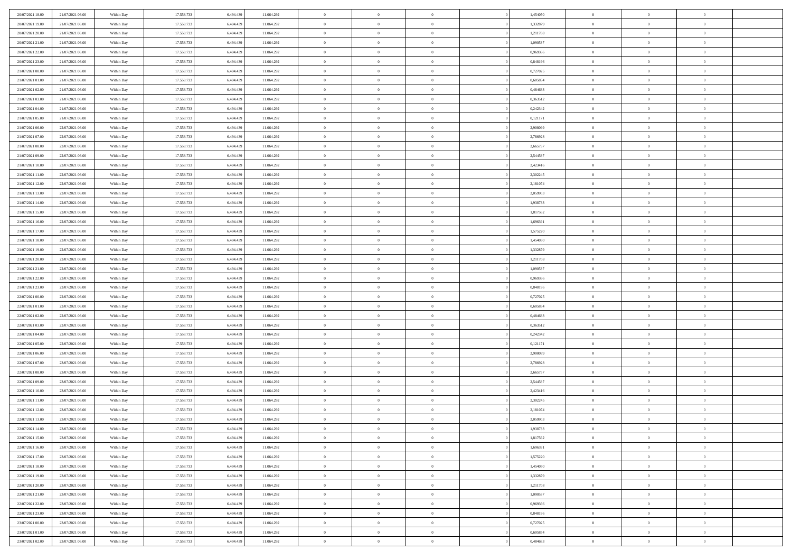| 20/07/2021 18:00                     | 21/07/2021 06:00                     | Within Day               | 17.558.733               | 6.494.439              | 11.064.292               | $\,$ 0                         | $\overline{0}$                   | $\theta$                         |          | 1,454050             | $\bf{0}$                    | $\overline{0}$             | $\,0\,$                          |  |
|--------------------------------------|--------------------------------------|--------------------------|--------------------------|------------------------|--------------------------|--------------------------------|----------------------------------|----------------------------------|----------|----------------------|-----------------------------|----------------------------|----------------------------------|--|
| 20/07/2021 19:00                     | 21/07/2021 06:00                     | Within Day               | 17.558.733               | 6,494,439              | 11.064.292               | $\overline{0}$                 | $\overline{0}$                   | $\overline{0}$                   |          | 1,332879             | $\theta$                    | $\overline{0}$             | $\theta$                         |  |
| 20/07/2021 20:00                     | 21/07/2021 06:00                     | Within Dav               | 17.558.733               | 6.494.439              | 11.064.292               | $\overline{0}$                 | $\overline{0}$                   | $\overline{0}$                   |          | 1,211708             | $\mathbf{0}$                | $\overline{0}$             | $\overline{0}$                   |  |
| 20/07/2021 21:00                     | 21/07/2021 06:00                     | Within Day               | 17.558.733               | 6.494.439              | 11.064.292               | $\bf{0}$                       | $\overline{0}$                   | $\overline{0}$                   |          | 1,090537             | $\bf{0}$                    | $\overline{0}$             | $\bf{0}$                         |  |
| 20/07/2021 22:00                     | 21/07/2021 06:00                     | Within Day               | 17.558.733               | 6,494,439              | 11.064.292               | $\bf{0}$                       | $\overline{0}$                   | $\overline{0}$                   |          | 0,969366             | $\bf{0}$                    | $\bf{0}$                   | $\,0\,$                          |  |
| 20/07/2021 23:00                     | 21/07/2021 06:00                     | Within Dav               | 17.558.733               | 6.494.439              | 11.064.292               | $\overline{0}$                 | $\overline{0}$                   | $\overline{0}$                   |          | 0,848196             | $\mathbf{0}$                | $\overline{0}$             | $\overline{0}$                   |  |
| 21/07/2021 00:00                     | 21/07/2021 06:00                     | Within Day               | 17.558.733               | 6.494.439              | 11.064.292               | $\bf{0}$                       | $\bf{0}$                         | $\overline{0}$                   |          | 0,727025             | $\bf{0}$                    | $\overline{0}$             | $\bf{0}$                         |  |
| 21/07/2021 01:00                     | 21/07/2021 06:00                     | Within Day               | 17.558.733               | 6,494,439              | 11.064.292               | $\overline{0}$                 | $\overline{0}$                   | $\overline{0}$                   |          | 0.605854             | $\,$ 0 $\,$                 | $\overline{0}$             | $\theta$                         |  |
| 21/07/2021 02:00                     | 21/07/2021 06:00                     | Within Dav               | 17.558.733               | 6.494.439              | 11.064.292               | $\mathbf{0}$                   | $\overline{0}$                   | $\overline{0}$                   |          | 0,484683             | $\mathbf{0}$                | $\overline{0}$             | $\overline{0}$                   |  |
| 21/07/2021 03:00                     | 21/07/2021 06:00                     | Within Day               | 17.558.733               | 6.494.439              | 11.064.292               | $\bf{0}$                       | $\bf{0}$                         | $\overline{0}$                   |          | 0,363512             | $\bf{0}$                    | $\overline{0}$             | $\,0\,$                          |  |
| 21/07/2021 04:00                     | 21/07/2021 06:00                     | Within Day               | 17.558.733               | 6,494,439              | 11.064.292               | $\bf{0}$                       | $\overline{0}$                   | $\overline{0}$                   |          | 0,242342             | $\bf{0}$                    | $\overline{0}$             | $\overline{0}$                   |  |
| 21/07/2021 05:00                     | 21/07/2021 06:00                     | Within Dav               | 17.558.733               | 6.494.439              | 11.064.292               | $\mathbf{0}$                   | $\overline{0}$                   | $\overline{0}$                   |          | 0,121171             | $\mathbf{0}$                | $\overline{0}$             | $\overline{0}$                   |  |
| 21/07/2021 06:00                     | 22/07/2021 06:00                     | Within Day               | 17.558.733               | 6.494.439              | 11.064.292               | $\bf{0}$                       | $\overline{0}$                   | $\bf{0}$                         |          | 2,908099             | $\bf{0}$                    | $\overline{0}$             | $\bf{0}$                         |  |
| 21/07/2021 07:00                     | 22/07/2021 06:00                     | Within Day               | 17.558.733               | 6,494,439              | 11.064.292               | $\bf{0}$                       | $\bf{0}$                         | $\overline{0}$                   |          | 2,786928             | $\bf{0}$                    | $\overline{0}$             | $\,0\,$                          |  |
| 21/07/2021 08:00                     | 22/07/2021 06:00                     | Within Dav               | 17.558.733               | 6.494.439              | 11.064.292               | $\overline{0}$                 | $\overline{0}$                   | $\overline{0}$                   |          | 2,665757             | $\mathbf{0}$                | $\overline{0}$             | $\overline{0}$                   |  |
| 21/07/2021 09:00                     | 22/07/2021 06:00                     | Within Day               | 17.558.733               | 6.494.439              | 11.064.292               | $\bf{0}$                       | $\bf{0}$                         | $\overline{0}$                   |          | 2,544587             | $\bf{0}$                    | $\overline{0}$             | $\bf{0}$                         |  |
| 21/07/2021 10:00                     | 22/07/2021 06:00                     | Within Day               | 17.558.733               | 6,494,439              | 11.064.292               | $\overline{0}$                 | $\overline{0}$                   | $\overline{0}$                   |          | 2,423416             | $\bf{0}$                    | $\overline{0}$             | $\theta$                         |  |
| 21/07/2021 11:00                     | 22/07/2021 06:00                     | Within Day               | 17.558.733               | 6.494.439              | 11.064.292               | $\mathbf{0}$                   | $\overline{0}$                   | $\overline{0}$                   |          | 2,302245             | $\mathbf{0}$                | $\overline{0}$             | $\overline{0}$                   |  |
| 21/07/2021 12:00                     | 22/07/2021 06:00                     | Within Day               | 17.558.733               | 6.494.439              | 11.064.292               | $\bf{0}$                       | $\bf{0}$                         | $\overline{0}$                   |          | 2,181074             | $\bf{0}$                    | $\overline{0}$             | $\,0\,$                          |  |
| 21/07/2021 13:00                     | 22/07/2021 06:00                     | Within Day               | 17.558.733               | 6,494,439              | 11.064.292               | $\bf{0}$                       | $\overline{0}$                   | $\overline{0}$                   |          | 2,059903             | $\bf{0}$                    | $\overline{0}$             | $\overline{0}$                   |  |
| 21/07/2021 14:00                     | 22/07/2021 06:00                     | Within Dav               | 17.558.733               | 6.494.439              | 11.064.292               | $\mathbf{0}$                   | $\overline{0}$                   | $\overline{0}$                   |          | 1,938733             | $\mathbf{0}$                | $\overline{0}$             | $\overline{0}$                   |  |
| 21/07/2021 15:00                     | 22/07/2021 06:00                     | Within Day               | 17.558.733               | 6.494.439              | 11.064.292               | $\bf{0}$                       | $\overline{0}$                   | $\overline{0}$                   |          | 1,817562             | $\bf{0}$                    | $\overline{0}$             | $\bf{0}$                         |  |
| 21/07/2021 16:00                     | 22/07/2021 06:00                     | Within Day               | 17.558.733               | 6,494,439              | 11.064.292               | $\bf{0}$                       | $\bf{0}$                         | $\overline{0}$                   |          | 1,696391             | $\bf{0}$                    | $\overline{0}$             | $\,0\,$                          |  |
| 21/07/2021 17:00                     | 22/07/2021 06:00                     | Within Dav               | 17.558.733               | 6.494.439              | 11.064.292               | $\mathbf{0}$                   | $\overline{0}$                   | $\overline{0}$                   |          | 1,575220             | $\mathbf{0}$                | $\overline{0}$             | $\overline{0}$                   |  |
| 21/07/2021 18:00                     | 22/07/2021 06:00                     | Within Day               | 17.558.733               | 6.494.439              | 11.064.292               | $\bf{0}$                       | $\bf{0}$                         | $\overline{0}$                   |          | 1,454050             | $\bf{0}$                    | $\overline{0}$             | $\bf{0}$                         |  |
| 21/07/2021 19:00                     | 22/07/2021 06:00                     |                          | 17.558.733               | 6,494,439              | 11.064.292               | $\bf{0}$                       | $\overline{0}$                   | $\overline{0}$                   |          | 1,332879             | $\bf{0}$                    | $\mathbf{0}$               | $\overline{0}$                   |  |
| 21/07/2021 20:00                     | 22/07/2021 06:00                     | Within Day<br>Within Dav | 17.558.733               | 6.494.439              | 11.064.292               | $\mathbf{0}$                   | $\overline{0}$                   | $\overline{0}$                   |          | 1,211708             | $\mathbf{0}$                | $\overline{0}$             | $\overline{0}$                   |  |
| 21/07/2021 21:00                     | 22/07/2021 06:00                     |                          | 17.558.733               | 6.494.439              | 11.064.292               | $\bf{0}$                       | $\bf{0}$                         | $\overline{0}$                   |          | 1,090537             | $\bf{0}$                    | $\overline{0}$             | $\,0\,$                          |  |
|                                      |                                      | Within Day               |                          | 6,494,439              |                          | $\bf{0}$                       |                                  | $\overline{0}$                   |          | 0.969366             |                             | $\overline{0}$             |                                  |  |
| 21/07/2021 22:00<br>21/07/2021 23:00 | 22/07/2021 06:00<br>22/07/2021 06:00 | Within Day<br>Within Dav | 17.558.733<br>17.558.733 | 6.494.439              | 11.064.292<br>11.064.292 | $\mathbf{0}$                   | $\bf{0}$<br>$\overline{0}$       | $\overline{0}$                   |          | 0,848196             | $\bf{0}$<br>$\mathbf{0}$    | $\overline{0}$             | $\overline{0}$<br>$\overline{0}$ |  |
|                                      |                                      |                          |                          |                        |                          |                                |                                  |                                  |          |                      |                             | $\overline{0}$             | $\theta$                         |  |
| 22/07/2021 00:00                     | 22/07/2021 06:00                     | Within Day               | 17.558.733<br>17.558.733 | 6.494.439              | 11.064.292               | $\bf{0}$<br>$\bf{0}$           | $\overline{0}$                   | $\theta$                         |          | 0,727025             | $\,$ 0                      | $\overline{0}$             |                                  |  |
| 22/07/2021 01:00<br>22/07/2021 02:00 | 22/07/2021 06:00<br>22/07/2021 06:00 | Within Day<br>Within Dav | 17.558.733               | 6.494.439<br>6.494.439 | 11.064.292<br>11.064.292 | $\overline{0}$                 | $\overline{0}$<br>$\overline{0}$ | $\overline{0}$<br>$\overline{0}$ |          | 0,605854<br>0,484683 | $\bf{0}$<br>$\mathbf{0}$    | $\overline{0}$             | $\overline{0}$<br>$\overline{0}$ |  |
|                                      |                                      |                          |                          |                        |                          | $\bf{0}$                       | $\overline{0}$                   | $\overline{0}$                   |          |                      | $\,$ 0                      | $\overline{0}$             | $\theta$                         |  |
| 22/07/2021 03:00                     | 22/07/2021 06:00                     | Within Day               | 17.558.733               | 6.494.439<br>6,494,439 | 11.064.292               |                                | $\overline{0}$                   | $\overline{0}$                   |          | 0,363512             |                             | $\overline{0}$             | $\overline{0}$                   |  |
| 22/07/2021 04:00<br>22/07/2021 05:00 | 22/07/2021 06:00<br>22/07/2021 06:00 | Within Day<br>Within Day | 17.558.733<br>17.558.733 | 6.494.439              | 11.064.292<br>11.064.292 | $\overline{0}$<br>$\mathbf{0}$ | $\overline{0}$                   |                                  |          | 0,242342             | $\bf{0}$<br>$\mathbf{0}$    | $\overline{0}$             | $\overline{0}$                   |  |
|                                      |                                      |                          |                          |                        |                          | $\bf{0}$                       |                                  | $\overline{0}$                   |          | 0,121171             |                             | $\overline{0}$             | $\theta$                         |  |
| 22/07/2021 06:00                     | 23/07/2021 06:00                     | Within Day               | 17.558.733               | 6.494.439<br>6,494,439 | 11.064.292               | $\bf{0}$                       | $\overline{0}$                   | $\overline{0}$<br>$\overline{0}$ |          | 2,908099             | $\,$ 0                      | $\overline{0}$             |                                  |  |
| 22/07/2021 07:00<br>22/07/2021 08:00 | 23/07/2021 06:00<br>23/07/2021 06:00 | Within Day<br>Within Dav | 17.558.733<br>17.558.733 | 6.494.439              | 11.064.292<br>11.064.292 | $\mathbf{0}$                   | $\overline{0}$<br>$\overline{0}$ | $\overline{0}$                   |          | 2,786928<br>2,665757 | $\bf{0}$<br>$\mathbf{0}$    | $\overline{0}$             | $\overline{0}$<br>$\overline{0}$ |  |
|                                      |                                      |                          |                          |                        |                          |                                |                                  |                                  |          |                      |                             | $\overline{0}$             | $\theta$                         |  |
| 22/07/2021 09:00                     | 23/07/2021 06:00                     | Within Day               | 17.558.733<br>17.558.733 | 6.494.439<br>6.494.439 | 11.064.292               | $\,0\,$<br>$\bf{0}$            | $\overline{0}$<br>$\overline{0}$ | $\overline{0}$<br>$\overline{0}$ |          | 2,544587             | $\,$ 0                      | $\overline{0}$             | $\overline{0}$                   |  |
| 22/07/2021 10:00<br>22/07/2021 11:00 | 23/07/2021 06:00<br>23/07/2021 06:00 | Within Day<br>Within Dav | 17.558.733               | 6.494.439              | 11.064.292<br>11.064.292 | $\mathbf{0}$                   | $\overline{0}$                   | $\overline{0}$                   |          | 2,423416<br>2,302245 | $\bf{0}$<br>$\mathbf{0}$    | $\overline{0}$             | $\overline{0}$                   |  |
| 22/07/2021 12:00                     | 23/07/2021 06:00                     | Within Day               | 17.558.733               | 6.494.439              | 11.064.292               | $\bf{0}$                       | $\overline{0}$                   | $\overline{0}$                   |          | 2,181074             | $\,$ 0                      | $\overline{0}$             | $\theta$                         |  |
| 22/07/2021 13:00                     | 23/07/2021 06:00                     |                          | 17.558.733               | 6.494.439              | 11.064.292               | $\bf{0}$                       | $\overline{0}$                   | $\overline{0}$                   |          | 2,059903             | $\bf{0}$                    | $\overline{0}$             | $\overline{0}$                   |  |
| 22/07/2021 14:00                     | 23/07/2021 06:00                     | Within Day<br>Within Day | 17.558.733               | 6.494.439              | 11.064.292               | $\bf{0}$                       | $\overline{0}$                   | $\Omega$                         |          | 1,938733             | $\overline{0}$              | $\theta$                   | $\theta$                         |  |
| 22/07/2021 15:00                     | 23/07/2021 06:00                     | Within Day               | 17.558.733               | 6.494.439              | 11.064.292               | $\,0\,$                        | $\overline{0}$                   | $\overline{0}$                   |          | 1,817562             | $\,$ 0 $\,$                 | $\bf{0}$                   | $\theta$                         |  |
| 22/07/2021 16:00                     | 23/07/2021 06:00                     |                          | 17.558.733               | 6.494.439              |                          | $\overline{0}$                 | $\overline{0}$                   | $\overline{0}$                   |          | 1,696391             | $\overline{0}$              | $\overline{0}$             | $\overline{0}$                   |  |
| 22/07/2021 17:00                     | 23/07/2021 06:00                     | Within Day<br>Within Day | 17.558.733               | 6.494.439              | 11.064.292<br>11.064.292 | $\bf{0}$                       | $\overline{0}$                   | $\overline{0}$                   |          | 1,575220             | $\overline{0}$              | $\bf{0}$                   | $\mathbf{0}$                     |  |
|                                      |                                      |                          |                          |                        |                          |                                |                                  |                                  |          |                      |                             |                            |                                  |  |
| 22/07/2021 18:00                     | 23/07/2021 06:00<br>23/07/2021 06:00 | Within Day               | 17.558.733<br>17.558.733 | 6.494.439<br>6.494.439 | 11.064.292               | $\bf{0}$<br>$\,$ 0 $\,$        | $\overline{0}$<br>$\overline{0}$ | $\overline{0}$<br>$\overline{0}$ | $\theta$ | 1,454050<br>1,332879 | $\mathbf{0}$<br>$\,$ 0 $\,$ | $\bf{0}$<br>$\overline{0}$ | $\,$ 0 $\,$<br>$\overline{0}$    |  |
| 22/07/2021 19:00<br>22/07/2021 20:00 | 23/07/2021 06:00                     | Within Day<br>Within Day | 17.558.733               | 6.494.439              | 11.064.292<br>11.064.292 | $\bf{0}$                       | $\overline{0}$                   | $\overline{0}$                   |          | 1,211708             | $\mathbf{0}$                | $\overline{0}$             | $\overline{0}$                   |  |
|                                      |                                      |                          |                          |                        |                          |                                |                                  |                                  |          |                      |                             |                            |                                  |  |
| 22/07/2021 21:00                     | 23/07/2021 06:00                     | Within Day               | 17.558.733               | 6.494.439              | 11.064.292               | $\,$ 0 $\,$                    | $\overline{0}$                   | $\overline{0}$                   | $\theta$ | 1,090537             | $\,$ 0 $\,$                 | $\mathbf{0}$               | $\,$ 0 $\,$                      |  |
| 22/07/2021 22:00                     | 23/07/2021 06:00                     | Within Day               | 17.558.733               | 6.494.439              | 11.064.292               | $\bf{0}$                       | $\overline{0}$                   | $\overline{0}$                   |          | 0,969366             | $\overline{0}$              | $\overline{0}$             | $\overline{0}$                   |  |
| 22/07/2021 23:00                     | 23/07/2021 06:00                     | Within Day               | 17.558.733               | 6.494.439              | 11.064.292               | $\bf{0}$                       | $\overline{0}$                   | $\overline{0}$                   |          | 0,848196             | $\mathbf{0}$                | $\bf{0}$                   | $\overline{0}$                   |  |
| 23/07/2021 00:00                     | 23/07/2021 06:00                     | Within Day               | 17.558.733               | 6.494.439              | 11.064.292               | $\,0\,$                        | $\overline{0}$                   | $\overline{0}$                   |          | 0,727025             | $\mathbf{0}$                | $\mathbf{0}$               | $\,$ 0 $\,$                      |  |
| 23/07/2021 01:00                     | 23/07/2021 06:00                     | Within Day               | 17.558.733               | 6.494.439              | 11.064.292               | $\bf{0}$                       | $\bf{0}$                         | $\overline{0}$                   |          | 0.605854             | $\bf{0}$                    | $\mathbf{0}$               | $\overline{0}$                   |  |
| 23/07/2021 02:00                     | 23/07/2021 06:00                     | Within Day               | 17.558.733               | 6.494.439              | 11.064.292               | $\bf{0}$                       | $\overline{0}$                   | $\overline{0}$                   |          | 0,484683             | $\mathbf{0}$                | $\overline{0}$             | $\overline{0}$                   |  |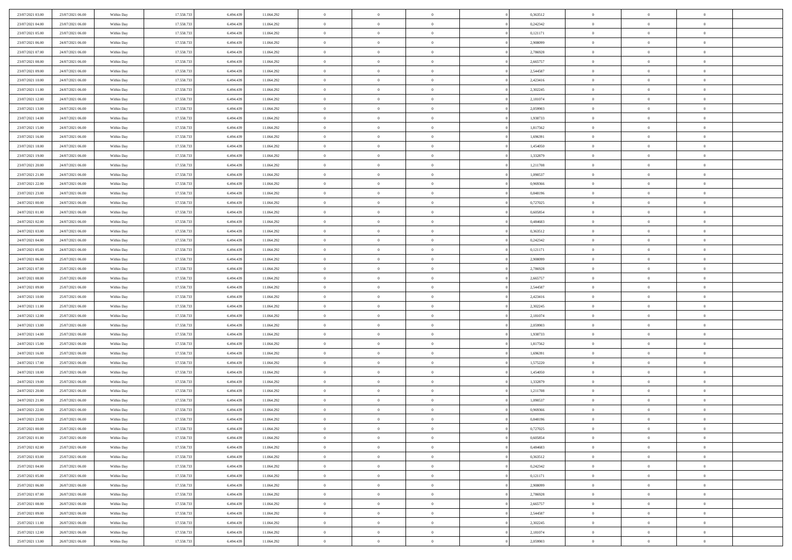| 23/07/2021 03:00                     | 23/07/2021 06:00                     | Within Day               | 17.558.733 | 6.494.439 | 11.064.292               | $\bf{0}$       | $\bf{0}$       | $\overline{0}$ |          | 0,363512             | $\bf{0}$                 | $\overline{0}$ | $\,0\,$        |  |
|--------------------------------------|--------------------------------------|--------------------------|------------|-----------|--------------------------|----------------|----------------|----------------|----------|----------------------|--------------------------|----------------|----------------|--|
| 23/07/2021 04:00                     | 23/07/2021 06:00                     | Within Day               | 17.558.733 | 6,494,439 | 11.064.292               | $\overline{0}$ | $\overline{0}$ | $\overline{0}$ |          | 0,242342             | $\theta$                 | $\overline{0}$ | $\theta$       |  |
| 23/07/2021 05:00                     | 23/07/2021 06:00                     | Within Dav               | 17.558.733 | 6.494.439 | 11.064.292               | $\mathbf{0}$   | $\overline{0}$ | $\overline{0}$ |          | 0,121171             | $\mathbf{0}$             | $\overline{0}$ | $\overline{0}$ |  |
| 23/07/2021 06:00                     | 24/07/2021 06:00                     | Within Day               | 17.558.733 | 6.494.439 | 11.064.292               | $\bf{0}$       | $\overline{0}$ | $\overline{0}$ |          | 2,908099             | $\bf{0}$                 | $\overline{0}$ | $\bf{0}$       |  |
| 23/07/2021 07:00                     | 24/07/2021 06:00                     | Within Day               | 17.558.733 | 6,494,439 | 11.064.292               | $\bf{0}$       | $\bf{0}$       | $\overline{0}$ |          | 2,786928             | $\bf{0}$                 | $\bf{0}$       | $\,0\,$        |  |
| 23/07/2021 08:00                     | 24/07/2021 06:00                     | Within Dav               | 17.558.733 | 6.494.439 | 11.064.292               | $\overline{0}$ | $\overline{0}$ | $\overline{0}$ |          | 2,665757             | $\mathbf{0}$             | $\overline{0}$ | $\overline{0}$ |  |
| 23/07/2021 09:00                     | 24/07/2021 06:00                     | Within Day               | 17.558.733 | 6.494.439 | 11.064.292               | $\bf{0}$       | $\bf{0}$       | $\overline{0}$ |          | 2,544587             | $\bf{0}$                 | $\overline{0}$ | $\bf{0}$       |  |
| 23/07/2021 10:00                     | 24/07/2021 06:00                     | Within Day               | 17.558.733 | 6,494,439 | 11.064.292               | $\overline{0}$ | $\overline{0}$ | $\overline{0}$ |          | 2,423416             | $\,$ 0 $\,$              | $\overline{0}$ | $\theta$       |  |
| 23/07/2021 11:00                     | 24/07/2021 06:00                     | Within Dav               | 17.558.733 | 6.494.439 | 11.064.292               | $\mathbf{0}$   | $\overline{0}$ | $\overline{0}$ |          | 2,302245             | $\mathbf{0}$             | $\overline{0}$ | $\overline{0}$ |  |
| 23/07/2021 12:00                     | 24/07/2021 06:00                     | Within Day               | 17.558.733 | 6.494.439 | 11.064.292               | $\bf{0}$       | $\bf{0}$       | $\overline{0}$ |          | 2,181074             | $\bf{0}$                 | $\overline{0}$ | $\,0\,$        |  |
| 23/07/2021 13:00                     | 24/07/2021 06:00                     | Within Day               | 17.558.733 | 6,494,439 | 11.064.292               | $\bf{0}$       | $\overline{0}$ | $\overline{0}$ |          | 2,059903             | $\bf{0}$                 | $\overline{0}$ | $\overline{0}$ |  |
| 23/07/2021 14:00                     | 24/07/2021 06:00                     | Within Dav               | 17.558.733 | 6.494.439 | 11.064.292               | $\mathbf{0}$   | $\overline{0}$ | $\overline{0}$ |          | 1,938733             | $\mathbf{0}$             | $\overline{0}$ | $\overline{0}$ |  |
| 23/07/2021 15:00                     | 24/07/2021 06:00                     | Within Day               | 17.558.733 | 6.494.439 | 11.064.292               | $\bf{0}$       | $\overline{0}$ | $\bf{0}$       |          | 1,817562             | $\bf{0}$                 | $\overline{0}$ | $\overline{0}$ |  |
| 23/07/2021 16:00                     | 24/07/2021 06:00                     | Within Day               | 17.558.733 | 6,494,439 | 11.064.292               | $\bf{0}$       | $\bf{0}$       | $\overline{0}$ |          | 1,696391             | $\bf{0}$                 | $\overline{0}$ | $\,0\,$        |  |
| 23/07/2021 18:00                     | 24/07/2021 06:00                     | Within Dav               | 17.558.733 | 6.494.439 | 11.064.292               | $\overline{0}$ | $\overline{0}$ | $\overline{0}$ |          | 1,454050             | $\mathbf{0}$             | $\overline{0}$ | $\overline{0}$ |  |
| 23/07/2021 19:00                     | 24/07/2021 06:00                     | Within Day               | 17.558.733 | 6.494.439 | 11.064.292               | $\bf{0}$       | $\bf{0}$       | $\overline{0}$ |          | 1,332879             | $\bf{0}$                 | $\overline{0}$ | $\bf{0}$       |  |
| 23/07/2021 20:00                     | 24/07/2021 06:00                     |                          | 17.558.733 | 6,494,439 | 11.064.292               | $\overline{0}$ | $\overline{0}$ | $\overline{0}$ |          | 1,211708             | $\bf{0}$                 | $\overline{0}$ | $\theta$       |  |
| 23/07/2021 21:00                     | 24/07/2021 06:00                     | Within Day<br>Within Day | 17.558.733 | 6.494.439 | 11.064.292               | $\mathbf{0}$   | $\overline{0}$ | $\overline{0}$ |          | 1,090537             | $\mathbf{0}$             | $\overline{0}$ | $\overline{0}$ |  |
|                                      | 24/07/2021 06:00                     |                          | 17.558.733 | 6.494.439 | 11.064.292               | $\bf{0}$       | $\overline{0}$ | $\overline{0}$ |          | 0,969366             | $\bf{0}$                 | $\overline{0}$ | $\,0\,$        |  |
| 23/07/2021 22:00                     |                                      | Within Day               | 17.558.733 | 6,494,439 |                          | $\bf{0}$       | $\overline{0}$ | $\overline{0}$ |          |                      |                          | $\overline{0}$ | $\overline{0}$ |  |
| 23/07/2021 23:00<br>24/07/2021 00:00 | 24/07/2021 06:00<br>24/07/2021 06:00 | Within Day<br>Within Dav | 17.558.733 | 6.494.439 | 11.064.292<br>11.064.292 | $\mathbf{0}$   | $\overline{0}$ | $\overline{0}$ |          | 0,848196<br>0,727025 | $\bf{0}$<br>$\mathbf{0}$ | $\overline{0}$ | $\overline{0}$ |  |
|                                      | 24/07/2021 06:00                     |                          |            |           |                          |                |                |                |          |                      |                          |                |                |  |
| 24/07/2021 01:00                     |                                      | Within Day               | 17.558.733 | 6.494.439 | 11.064.292               | $\bf{0}$       | $\overline{0}$ | $\overline{0}$ |          | 0,605854             | $\bf{0}$                 | $\overline{0}$ | $\bf{0}$       |  |
| 24/07/2021 02:00                     | 24/07/2021 06:00                     | Within Day               | 17.558.733 | 6,494,439 | 11.064.292               | $\bf{0}$       | $\overline{0}$ | $\overline{0}$ |          | 0,484683             | $\bf{0}$                 | $\overline{0}$ | $\,0\,$        |  |
| 24/07/2021 03:00                     | 24/07/2021 06:00                     | Within Dav               | 17.558.733 | 6.494.439 | 11.064.292               | $\mathbf{0}$   | $\overline{0}$ | $\overline{0}$ |          | 0,363512             | $\mathbf{0}$             | $\overline{0}$ | $\overline{0}$ |  |
| 24/07/2021 04:00                     | 24/07/2021 06:00                     | Within Day               | 17.558.733 | 6.494.439 | 11.064.292               | $\bf{0}$       | $\overline{0}$ | $\overline{0}$ |          | 0,242342             | $\bf{0}$                 | $\overline{0}$ | $\bf{0}$       |  |
| 24/07/2021 05:00                     | 24/07/2021 06:00                     | Within Day               | 17.558.733 | 6,494,439 | 11.064.292               | $\overline{0}$ | $\overline{0}$ | $\overline{0}$ |          | 0,121171             | $\bf{0}$                 | $\mathbf{0}$   | $\overline{0}$ |  |
| 24/07/2021 06:00                     | 25/07/2021 06:00                     | Within Dav               | 17.558.733 | 6.494.439 | 11.064.292               | $\mathbf{0}$   | $\overline{0}$ | $\overline{0}$ |          | 2,908099             | $\mathbf{0}$             | $\overline{0}$ | $\overline{0}$ |  |
| 24/07/2021 07:00                     | 25/07/2021 06:00                     | Within Day               | 17.558.733 | 6.494.439 | 11.064.292               | $\bf{0}$       | $\overline{0}$ | $\overline{0}$ |          | 2,786928             | $\bf{0}$                 | $\overline{0}$ | $\,0\,$        |  |
| 24/07/2021 08:00                     | 25/07/2021 06:00                     | Within Day               | 17.558.733 | 6,494,439 | 11.064.292               | $\bf{0}$       | $\overline{0}$ | $\overline{0}$ |          | 2,665757             | $\bf{0}$                 | $\overline{0}$ | $\overline{0}$ |  |
| 24/07/2021 09:00                     | 25/07/2021 06:00                     | Within Dav               | 17.558.733 | 6.494.439 | 11.064.292               | $\mathbf{0}$   | $\overline{0}$ | $\overline{0}$ |          | 2,544587             | $\mathbf{0}$             | $\overline{0}$ | $\overline{0}$ |  |
| 24/07/2021 10:00                     | 25/07/2021 06:00                     | Within Day               | 17.558.733 | 6.494.439 | 11.064.292               | $\bf{0}$       | $\overline{0}$ | $\theta$       |          | 2,423416             | $\,$ 0                   | $\overline{0}$ | $\theta$       |  |
| 24/07/2021 11:00                     | 25/07/2021 06:00                     | Within Day               | 17.558.733 | 6.494.439 | 11.064.292               | $\bf{0}$       | $\overline{0}$ | $\overline{0}$ |          | 2,302245             | $\bf{0}$                 | $\overline{0}$ | $\overline{0}$ |  |
| 24/07/2021 12:00                     | 25/07/2021 06:00                     | Within Dav               | 17.558.733 | 6.494.439 | 11.064.292               | $\overline{0}$ | $\overline{0}$ | $\overline{0}$ |          | 2,181074             | $\mathbf{0}$             | $\overline{0}$ | $\overline{0}$ |  |
| 24/07/2021 13:00                     | 25/07/2021 06:00                     | Within Day               | 17.558.733 | 6.494.439 | 11.064.292               | $\bf{0}$       | $\overline{0}$ | $\theta$       |          | 2,059903             | $\,$ 0                   | $\overline{0}$ | $\theta$       |  |
| 24/07/2021 14:00                     | 25/07/2021 06:00                     | Within Day               | 17.558.733 | 6,494,439 | 11.064.292               | $\overline{0}$ | $\overline{0}$ | $\overline{0}$ |          | 1,938733             | $\bf{0}$                 | $\overline{0}$ | $\overline{0}$ |  |
| 24/07/2021 15:00                     | 25/07/2021 06:00                     | Within Day               | 17.558.733 | 6.494.439 | 11.064.292               | $\mathbf{0}$   | $\overline{0}$ | $\overline{0}$ |          | 1,817562             | $\mathbf{0}$             | $\overline{0}$ | $\overline{0}$ |  |
| 24/07/2021 16:00                     | 25/07/2021 06:00                     | Within Day               | 17.558.733 | 6.494.439 | 11.064.292               | $\bf{0}$       | $\overline{0}$ | $\theta$       |          | 1,696391             | $\,$ 0                   | $\overline{0}$ | $\theta$       |  |
| 24/07/2021 17.00                     | 25/07/2021 06:00                     | Within Day               | 17.558.733 | 6,494,439 | 11.064.292               | $\bf{0}$       | $\overline{0}$ | $\overline{0}$ |          | 1,575220             | $\bf{0}$                 | $\overline{0}$ | $\bf{0}$       |  |
| 24/07/2021 18:00                     | 25/07/2021 06:00                     | Within Dav               | 17.558.733 | 6.494.439 | 11.064.292               | $\mathbf{0}$   | $\overline{0}$ | $\overline{0}$ |          | 1,454050             | $\mathbf{0}$             | $\overline{0}$ | $\overline{0}$ |  |
| 24/07/2021 19:00                     | 25/07/2021 06:00                     | Within Day               | 17.558.733 | 6.494.439 | 11.064.292               | $\,0\,$        | $\overline{0}$ | $\theta$       |          | 1,332879             | $\,$ 0                   | $\overline{0}$ | $\theta$       |  |
| 24/07/2021 20:00                     | 25/07/2021 06:00                     | Within Day               | 17.558.733 | 6.494.439 | 11.064.292               | $\bf{0}$       | $\overline{0}$ | $\overline{0}$ |          | 1,211708             | $\bf{0}$                 | $\overline{0}$ | $\bf{0}$       |  |
| 24/07/2021 21:00                     | 25/07/2021 06:00                     | Within Dav               | 17.558.733 | 6.494.439 | 11.064.292               | $\mathbf{0}$   | $\overline{0}$ | $\overline{0}$ |          | 1,090537             | $\mathbf{0}$             | $\overline{0}$ | $\overline{0}$ |  |
| 24/07/2021 22:00                     | 25/07/2021 06:00                     | Within Day               | 17.558.733 | 6.494.439 | 11.064.292               | $\bf{0}$       | $\overline{0}$ | $\theta$       |          | 0,969366             | $\,$ 0                   | $\overline{0}$ | $\theta$       |  |
| 24/07/2021 23.00                     | 25/07/2021 06:00                     | Within Day               | 17.558.733 | 6.494.439 | 11.064.292               | $\bf{0}$       | $\overline{0}$ | $\overline{0}$ |          | 0,848196             | $\bf{0}$                 | $\overline{0}$ | $\bf{0}$       |  |
| 25/07/2021 00:00                     | 25/07/2021 06:00                     | Within Day               | 17.558.733 | 6.494.439 | 11.064.292               | $\bf{0}$       | $\overline{0}$ | $\Omega$       |          | 0,727025             | $\overline{0}$           | $\theta$       | $\theta$       |  |
| 25/07/2021 01:00                     | 25/07/2021 06:00                     | Within Day               | 17.558.733 | 6.494.439 | 11.064.292               | $\,0\,$        | $\overline{0}$ | $\theta$       |          | 0,605854             | $\,$ 0 $\,$              | $\bf{0}$       | $\theta$       |  |
| 25/07/2021 02:00                     | 25/07/2021 06:00                     | Within Day               | 17.558.733 | 6.494.439 | 11.064.292               | $\overline{0}$ | $\overline{0}$ | $\overline{0}$ |          | 0.484683             | $\overline{0}$           | $\overline{0}$ | $\overline{0}$ |  |
| 25/07/2021 03:00                     | 25/07/2021 06:00                     | Within Day               | 17.558.733 | 6.494.439 | 11.064.292               | $\bf{0}$       | $\overline{0}$ | $\overline{0}$ |          | 0,363512             | $\overline{0}$           | $\bf{0}$       | $\mathbf{0}$   |  |
| 25/07/2021 04:00                     | 25/07/2021 06:00                     | Within Day               | 17.558.733 | 6.494.439 | 11.064.292               | $\bf{0}$       | $\overline{0}$ | $\overline{0}$ | $\theta$ | 0,242342             | $\mathbf{0}$             | $\bf{0}$       | $\,$ 0 $\,$    |  |
| 25/07/2021 05:00                     | 25/07/2021 06:00                     | Within Day               | 17.558.733 | 6.494.439 | 11.064.292               | $\bf{0}$       | $\overline{0}$ | $\overline{0}$ |          | 0,121171             | $\,$ 0 $\,$              | $\overline{0}$ | $\overline{0}$ |  |
| 25/07/2021 06:00                     | 26/07/2021 06:00                     | Within Day               | 17.558.733 | 6.494.439 | 11.064.292               | $\bf{0}$       | $\overline{0}$ | $\overline{0}$ |          | 2,908099             | $\mathbf{0}$             | $\overline{0}$ | $\overline{0}$ |  |
| 25/07/2021 07:00                     | 26/07/2021 06:00                     | Within Day               | 17.558.733 | 6.494.439 | 11.064.292               | $\,$ 0 $\,$    | $\overline{0}$ | $\overline{0}$ | $\theta$ | 2,786928             | $\,$ 0 $\,$              | $\mathbf{0}$   | $\,$ 0 $\,$    |  |
| 25/07/2021 08:00                     | 26/07/2021 06:00                     | Within Day               | 17.558.733 | 6.494.439 | 11.064.292               | $\bf{0}$       | $\overline{0}$ | $\overline{0}$ |          | 2,665757             | $\overline{0}$           | $\overline{0}$ | $\overline{0}$ |  |
| 25/07/2021 09:00                     | 26/07/2021 06:00                     | Within Day               | 17.558.733 | 6.494.439 | 11.064.292               | $\bf{0}$       | $\overline{0}$ | $\overline{0}$ |          | 2,544587             | $\mathbf{0}$             | $\bf{0}$       | $\overline{0}$ |  |
| 25/07/2021 11:00                     | 26/07/2021 06:00                     | Within Day               | 17.558.733 | 6.494.439 | 11.064.292               | $\,0\,$        | $\overline{0}$ | $\overline{0}$ |          | 2,302245             | $\,$ 0 $\,$              | $\mathbf{0}$   | $\,$ 0 $\,$    |  |
| 25/07/2021 12:00                     | 26/07/2021 06:00                     | Within Day               | 17.558.733 | 6.494.439 | 11.064.292               | $\bf{0}$       | $\overline{0}$ | $\overline{0}$ |          | 2,181074             | $\bf{0}$                 | $\mathbf{0}$   | $\overline{0}$ |  |
| 25/07/2021 13:00                     | 26/07/2021 06:00                     | Within Day               | 17.558.733 | 6.494.439 | 11.064.292               | $\bf{0}$       | $\overline{0}$ | $\overline{0}$ |          | 2,059903             | $\mathbf{0}$             | $\overline{0}$ | $\overline{0}$ |  |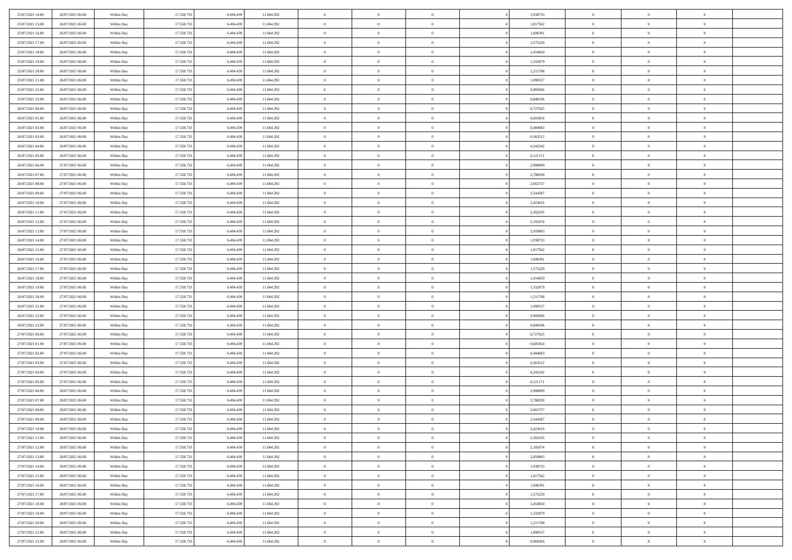| 25/07/2021 14:00 | 26/07/2021 06:00 | Within Day | 17.558.733 | 6.494.439 | 11.064.292 | $\overline{0}$ | $\overline{0}$ | $\Omega$       | 1,938733 | $\bf{0}$       | $\mathbf{0}$   | $\bf{0}$       |  |
|------------------|------------------|------------|------------|-----------|------------|----------------|----------------|----------------|----------|----------------|----------------|----------------|--|
| 25/07/2021 15:00 | 26/07/2021 06:00 | Within Day | 17.558.733 | 6.494.439 | 11.064.292 | $\overline{0}$ | $\overline{0}$ | $\overline{0}$ | 1,817562 | $\mathbf{0}$   | $\overline{0}$ | $\overline{0}$ |  |
| 25/07/2021 16:00 | 26/07/2021 06:00 | Within Day | 17.558.733 | 6.494.439 | 11.064.292 | $\bf{0}$       | $\overline{0}$ | $\bf{0}$       | 1,696391 | $\,$ 0         | $\overline{0}$ | $\,$ 0 $\,$    |  |
| 25/07/2021 17:00 | 26/07/2021 06:00 | Within Day | 17.558.733 | 6,494,439 | 11.064.292 | $\bf{0}$       | $\overline{0}$ | $\Omega$       | 1,575220 | $\theta$       | $\mathbf{0}$   | $\theta$       |  |
| 25/07/2021 18:00 | 26/07/2021 06:00 | Within Day | 17.558.733 | 6.494.439 | 11.064.292 | $\bf{0}$       | $\overline{0}$ | $\overline{0}$ | 1,454050 | $\mathbf{0}$   | $\bf{0}$       | $\overline{0}$ |  |
| 25/07/2021 19:00 | 26/07/2021 06:00 | Within Day | 17.558.733 | 6.494.439 | 11.064.292 | $\bf{0}$       | $\overline{0}$ | $\bf{0}$       | 1,332879 | $\,$ 0         | $\overline{0}$ | $\,$ 0 $\,$    |  |
| 25/07/2021 20:00 | 26/07/2021 06:00 | Within Day | 17.558.733 | 6.494.439 | 11.064.292 | $\bf{0}$       | $\overline{0}$ | $\overline{0}$ | 1,211708 | $\bf{0}$       | $\overline{0}$ | $\theta$       |  |
| 25/07/2021 21:00 | 26/07/2021 06:00 | Within Day | 17.558.733 | 6.494.439 | 11.064.292 | $\overline{0}$ | $\overline{0}$ | $\overline{0}$ | 1,090537 | $\mathbf{0}$   | $\overline{0}$ | $\overline{0}$ |  |
| 25/07/2021 22.00 | 26/07/2021 06:00 | Within Day | 17.558.733 | 6.494.439 | 11.064.292 | $\bf{0}$       | $\overline{0}$ | $\bf{0}$       | 0,969366 | $\,$ 0         | $\overline{0}$ | $\,$ 0 $\,$    |  |
| 25/07/2021 23.00 | 26/07/2021 06:00 | Within Day | 17.558.733 | 6,494,439 | 11.064.292 | $\overline{0}$ | $\overline{0}$ | $\Omega$       | 0.848196 | $\theta$       | $\overline{0}$ | $\theta$       |  |
| 26/07/2021 00:00 | 26/07/2021 06:00 | Within Day | 17.558.733 | 6.494.439 | 11.064.292 | $\bf{0}$       | $\overline{0}$ | $\overline{0}$ | 0,727025 | $\mathbf{0}$   | $\overline{0}$ | $\overline{0}$ |  |
| 26/07/2021 01:00 | 26/07/2021 06:00 | Within Day | 17.558.733 | 6.494.439 | 11.064.292 | $\bf{0}$       | $\overline{0}$ | $\bf{0}$       | 0,605854 | $\,$ 0         | $\overline{0}$ | $\,$ 0 $\,$    |  |
| 26/07/2021 02:00 | 26/07/2021 06:00 | Within Day | 17.558.733 | 6,494,439 | 11.064.292 | $\bf{0}$       | $\overline{0}$ | $\Omega$       | 0.484683 | $\theta$       | $\mathbf{0}$   | $\theta$       |  |
| 26/07/2021 03:00 | 26/07/2021 06:00 | Within Day | 17.558.733 | 6.494.439 | 11.064.292 | $\bf{0}$       | $\overline{0}$ | $\overline{0}$ | 0,363512 | $\mathbf{0}$   | $\overline{0}$ | $\overline{0}$ |  |
| 26/07/2021 04:00 | 26/07/2021 06:00 | Within Day | 17.558.733 | 6.494.439 | 11.064.292 | $\bf{0}$       | $\overline{0}$ | $\bf{0}$       | 0,242342 | $\,$ 0         | $\overline{0}$ | $\,$ 0 $\,$    |  |
| 26/07/2021 05:00 | 26/07/2021 06:00 | Within Day | 17.558.733 | 6.494.439 | 11.064.292 | $\bf{0}$       | $\overline{0}$ | $\overline{0}$ | 0,121171 | $\bf{0}$       | $\overline{0}$ | $\theta$       |  |
| 26/07/2021 06:00 | 27/07/2021 06:00 | Within Day | 17.558.733 | 6.494.439 | 11.064.292 | $\overline{0}$ | $\overline{0}$ | $\overline{0}$ | 2,908099 | $\mathbf{0}$   | $\overline{0}$ | $\overline{0}$ |  |
| 26/07/2021 07:00 | 27/07/2021 06:00 | Within Day | 17.558.733 | 6.494.439 | 11.064.292 | $\bf{0}$       | $\overline{0}$ | $\bf{0}$       | 2,786928 | $\,$ 0         | $\overline{0}$ | $\,$ 0 $\,$    |  |
| 26/07/2021 08:00 | 27/07/2021 06:00 | Within Day | 17.558.733 | 6,494,439 | 11.064.292 | $\bf{0}$       | $\overline{0}$ | $\Omega$       | 2.665757 | $\theta$       | $\mathbf{0}$   | $\theta$       |  |
| 26/07/2021 09:00 | 27/07/2021 06:00 | Within Day | 17.558.733 | 6.494.439 | 11.064.292 | $\overline{0}$ | $\overline{0}$ | $\overline{0}$ | 2,544587 | $\mathbf{0}$   | $\overline{0}$ | $\overline{0}$ |  |
| 26/07/2021 10:00 | 27/07/2021 06:00 | Within Day | 17.558.733 | 6.494.439 | 11.064.292 | $\bf{0}$       | $\overline{0}$ | $\bf{0}$       | 2,423416 | $\,$ 0         | $\overline{0}$ | $\,$ 0 $\,$    |  |
| 26/07/2021 11:00 | 27/07/2021 06:00 | Within Day | 17.558.733 | 6,494,439 | 11.064.292 | $\bf{0}$       | $\overline{0}$ | $\Omega$       | 2,302245 | $\theta$       | $\mathbf{0}$   | $\theta$       |  |
| 26/07/2021 12:00 | 27/07/2021 06:00 | Within Day | 17.558.733 | 6.494.439 | 11.064.292 | $\bf{0}$       | $\overline{0}$ | $\overline{0}$ | 2,181074 | $\overline{0}$ | $\overline{0}$ | $\overline{0}$ |  |
| 26/07/2021 13:00 | 27/07/2021 06:00 | Within Day | 17.558.733 | 6.494.439 | 11.064.292 | $\bf{0}$       | $\overline{0}$ | $\bf{0}$       | 2,059903 | $\,$ 0         | $\overline{0}$ | $\,$ 0 $\,$    |  |
| 26/07/2021 14:00 | 27/07/2021 06:00 | Within Day | 17.558.733 | 6.494.439 | 11.064.292 | $\bf{0}$       | $\overline{0}$ | $\overline{0}$ | 1.938733 | $\bf{0}$       | $\overline{0}$ | $\bf{0}$       |  |
| 26/07/2021 15:00 | 27/07/2021 06:00 | Within Day | 17.558.733 | 6.494.439 | 11.064.292 | $\overline{0}$ | $\overline{0}$ | $\overline{0}$ | 1,817562 | $\mathbf{0}$   | $\overline{0}$ | $\overline{0}$ |  |
| 26/07/2021 16:00 | 27/07/2021 06:00 | Within Day | 17.558.733 | 6.494.439 | 11.064.292 | $\bf{0}$       | $\overline{0}$ | $\bf{0}$       | 1,696391 | $\,$ 0         | $\overline{0}$ | $\,$ 0 $\,$    |  |
| 26/07/2021 17:00 | 27/07/2021 06:00 | Within Day | 17.558.733 | 6,494,439 | 11.064.292 | $\bf{0}$       | $\overline{0}$ | $\Omega$       | 1,575220 | $\theta$       | $\mathbf{0}$   | $\theta$       |  |
| 26/07/2021 18:00 | 27/07/2021 06:00 | Within Day | 17.558.733 | 6.494.439 | 11.064.292 | $\bf{0}$       | $\overline{0}$ | $\overline{0}$ | 1,454050 | $\overline{0}$ | $\overline{0}$ | $\overline{0}$ |  |
| 26/07/2021 19:00 | 27/07/2021 06:00 | Within Day | 17.558.733 | 6.494.439 | 11.064.292 | $\bf{0}$       | $\overline{0}$ | $\bf{0}$       | 1,332879 | $\,$ 0         | $\overline{0}$ | $\,$ 0 $\,$    |  |
| 26/07/2021 20:00 | 27/07/2021 06:00 | Within Day | 17.558.733 | 6.494.439 | 11.064.292 | $\bf{0}$       | $\bf{0}$       | $\overline{0}$ | 1,211708 | $\bf{0}$       | $\overline{0}$ | $\,0\,$        |  |
| 26/07/2021 21:00 | 27/07/2021 06:00 | Within Day | 17.558.733 | 6.494.439 | 11.064.292 | $\overline{0}$ | $\overline{0}$ | $\overline{0}$ | 1,090537 | $\mathbf{0}$   | $\overline{0}$ | $\overline{0}$ |  |
| 26/07/2021 22:00 | 27/07/2021 06:00 | Within Day | 17.558.733 | 6.494.439 | 11.064.292 | $\bf{0}$       | $\overline{0}$ | $\bf{0}$       | 0,969366 | $\,$ 0         | $\overline{0}$ | $\,$ 0 $\,$    |  |
| 26/07/2021 23:00 | 27/07/2021 06:00 | Within Day | 17.558.733 | 6.494.439 | 11.064.292 | $\bf{0}$       | $\overline{0}$ | $\bf{0}$       | 0,848196 | $\bf{0}$       | $\overline{0}$ | $\bf{0}$       |  |
| 27/07/2021 00:00 | 27/07/2021 06:00 | Within Day | 17.558.733 | 6.494.439 | 11.064.292 | $\overline{0}$ | $\overline{0}$ | $\overline{0}$ | 0,727025 | $\mathbf{0}$   | $\overline{0}$ | $\overline{0}$ |  |
| 27/07/2021 01:00 | 27/07/2021 06:00 | Within Day | 17.558.733 | 6.494.439 | 11.064.292 | $\bf{0}$       | $\overline{0}$ | $\bf{0}$       | 0,605854 | $\,$ 0         | $\overline{0}$ | $\,$ 0 $\,$    |  |
| 27/07/2021 02:00 | 27/07/2021 06:00 | Within Day | 17.558.733 | 6.494.439 | 11.064.292 | $\bf{0}$       | $\bf{0}$       | $\overline{0}$ | 0,484683 | $\bf{0}$       | $\overline{0}$ | $\,0\,$        |  |
| 27/07/2021 03:00 | 27/07/2021 06:00 | Within Day | 17.558.733 | 6.494.439 | 11.064.292 | $\overline{0}$ | $\overline{0}$ | $\overline{0}$ | 0,363512 | $\mathbf{0}$   | $\overline{0}$ | $\overline{0}$ |  |
| 27/07/2021 04:00 | 27/07/2021 06:00 | Within Day | 17.558.733 | 6.494.439 | 11.064.292 | $\bf{0}$       | $\overline{0}$ | $\bf{0}$       | 0,242342 | $\,$ 0         | $\overline{0}$ | $\,$ 0 $\,$    |  |
| 27/07/2021 05:00 | 27/07/2021 06:00 | Within Day | 17.558.733 | 6.494.439 | 11.064.292 | $\bf{0}$       | $\bf{0}$       | $\overline{0}$ | 0,121171 | $\bf{0}$       | $\overline{0}$ | $\,0\,$        |  |
| 27/07/2021 06:00 | 28/07/2021 06:00 | Within Day | 17.558.733 | 6.494.439 | 11.064.292 | $\overline{0}$ | $\overline{0}$ | $\overline{0}$ | 2,908099 | $\mathbf{0}$   | $\overline{0}$ | $\overline{0}$ |  |
| 27/07/2021 07:00 | 28/07/2021 06:00 | Within Day | 17.558.733 | 6.494.439 | 11.064.292 | $\bf{0}$       | $\overline{0}$ | $\bf{0}$       | 2,786928 | $\,$ 0         | $\overline{0}$ | $\,$ 0 $\,$    |  |
| 27/07/2021 08:00 | 28/07/2021 06:00 | Within Day | 17.558.733 | 6.494.439 | 11.064.292 | $\bf{0}$       | $\bf{0}$       | $\bf{0}$       | 2,665757 | $\bf{0}$       | $\overline{0}$ | $\,0\,$        |  |
| 27/07/2021 09:00 | 28/07/2021 06:00 | Within Day | 17.558.733 | 6.494.439 | 11.064.292 | $\mathbf{0}$   | $\overline{0}$ | $\overline{0}$ | 2,544587 | $\mathbf{0}$   | $\overline{0}$ | $\overline{0}$ |  |
| 27/07/2021 10:00 | 28/07/2021 06:00 | Within Day | 17.558.733 | 6.494.439 | 11.064.292 | $\bf{0}$       | $\overline{0}$ | $\theta$       | 2,423416 | $\overline{0}$ | $\overline{0}$ | $\theta$       |  |
| 27/07/2021 11:00 | 28/07/2021 06:00 | Within Day | 17.558.733 | 6.494.439 | 11.064.292 | $\bf{0}$       | $\bf{0}$       | $\bf{0}$       | 2,302245 | $\bf{0}$       | $\overline{0}$ | $\bf{0}$       |  |
| 27/07/2021 12:00 | 28/07/2021 06:00 | Within Day | 17.558.733 | 6.494.439 | 11.064.292 | $\overline{0}$ | $\overline{0}$ | $\overline{0}$ | 2,181074 | $\overline{0}$ | $\overline{0}$ | $\overline{0}$ |  |
| 27/07/2021 13:00 | 28/07/2021 06:00 | Within Day | 17.558.733 | 6.494.439 | 11.064.292 | $\,$ 0 $\,$    | $\overline{0}$ | $\overline{0}$ | 2,059903 | $\mathbf{0}$   | $\,$ 0 $\,$    | $\,$ 0 $\,$    |  |
| 27/07/2021 14:00 | 28/07/2021 06:00 | Within Day | 17.558.733 | 6.494.439 | 11.064.292 | $\bf{0}$       | $\bf{0}$       | $\overline{0}$ | 1,938733 | $\bf{0}$       | $\overline{0}$ | $\bf{0}$       |  |
| 27/07/2021 15:00 | 28/07/2021 06:00 | Within Day | 17.558.733 | 6.494.439 | 11.064.292 | $\bf{0}$       | $\overline{0}$ | $\overline{0}$ | 1,817562 | $\overline{0}$ | $\bf{0}$       | $\overline{0}$ |  |
| 27/07/2021 16:00 | 28/07/2021 06:00 | Within Day | 17.558.733 | 6.494.439 | 11.064.292 | $\,$ 0 $\,$    | $\overline{0}$ | $\overline{0}$ | 1,696391 | $\mathbf{0}$   | $\overline{0}$ | $\,$ 0 $\,$    |  |
| 27/07/2021 17:00 | 28/07/2021 06:00 | Within Day | 17.558.733 | 6.494.439 | 11.064.292 | $\overline{0}$ | $\overline{0}$ | $\overline{0}$ | 1,575220 | $\bf{0}$       | $\overline{0}$ | $\overline{0}$ |  |
| 27/07/2021 18:00 | 28/07/2021 06:00 | Within Day | 17.558.733 | 6.494.439 | 11.064.292 | $\overline{0}$ | $\overline{0}$ | $\overline{0}$ | 1,454050 | $\overline{0}$ | $\bf{0}$       | $\overline{0}$ |  |
| 27/07/2021 19:00 | 28/07/2021 06:00 | Within Day | 17.558.733 | 6.494.439 | 11.064.292 | $\,$ 0 $\,$    | $\overline{0}$ | $\overline{0}$ | 1,332879 | $\mathbf{0}$   | $\,$ 0 $\,$    | $\,$ 0 $\,$    |  |
| 27/07/2021 20:00 | 28/07/2021 06:00 | Within Day | 17.558.733 | 6.494.439 | 11.064.292 | $\bf{0}$       | $\bf{0}$       | $\overline{0}$ | 1,211708 | $\bf{0}$       | $\overline{0}$ | $\bf{0}$       |  |
| 27/07/2021 21:00 | 28/07/2021 06:00 | Within Day | 17.558.733 | 6.494.439 | 11.064.292 | $\overline{0}$ | $\overline{0}$ | $\overline{0}$ | 1,090537 | $\mathbf{0}$   | $\bf{0}$       | $\overline{0}$ |  |
| 27/07/2021 22.00 | 28/07/2021 06:00 | Within Day | 17.558.733 | 6.494.439 | 11.064.292 | $\,0\,$        | $\overline{0}$ | $\overline{0}$ | 0,969366 | $\,$ 0         | $\overline{0}$ | $\,$ 0 $\,$    |  |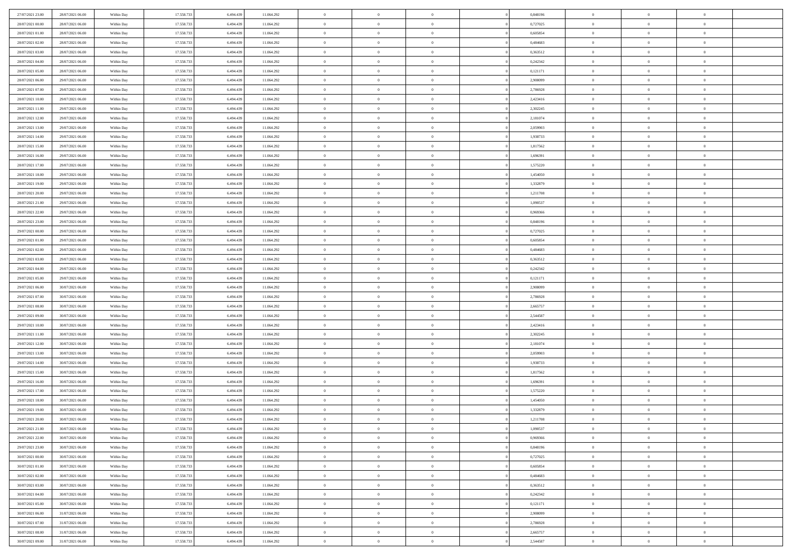| 27/07/2021 23:00                     | 28/07/2021 06:00 | Within Day               | 17.558.733 | 6.494.439 | 11.064.292               | $\,0\,$        | $\overline{0}$ | $\overline{0}$ |                | 0,848196 | $\,$ 0 $\,$    | $\overline{0}$ | $\bf{0}$       |  |
|--------------------------------------|------------------|--------------------------|------------|-----------|--------------------------|----------------|----------------|----------------|----------------|----------|----------------|----------------|----------------|--|
| 28/07/2021 00:00                     | 28/07/2021 06:00 | Within Day               | 17.558.733 | 6.494.439 | 11.064.292               | $\overline{0}$ | $\overline{0}$ | $\overline{0}$ |                | 0,727025 | $\theta$       | $\overline{0}$ | $\overline{0}$ |  |
| 28/07/2021 01:00                     | 28/07/2021 06:00 | Within Day               | 17.558.733 | 6.494.439 | 11.064.292               | $\mathbf{0}$   | $\overline{0}$ | $\overline{0}$ |                | 0,605854 | $\theta$       | $\overline{0}$ | $\overline{0}$ |  |
| 28/07/2021 02:00                     | 28/07/2021 06:00 | Within Day               | 17.558.733 | 6.494.439 | 11.064.292               | $\bf{0}$       | $\overline{0}$ | $\overline{0}$ |                | 0,484683 | $\bf{0}$       | $\overline{0}$ | $\bf{0}$       |  |
| 28/07/2021 03:00                     | 28/07/2021 06:00 | Within Day               | 17.558.733 | 6.494.439 | 11.064.292               | $\overline{0}$ | $\overline{0}$ | $\overline{0}$ |                | 0,363512 | $\bf{0}$       | $\overline{0}$ | $\bf{0}$       |  |
| 28/07/2021 04:00                     | 28/07/2021 06:00 | Within Day               | 17.558.733 | 6.494.439 | 11.064.292               | $\mathbf{0}$   | $\overline{0}$ | $\overline{0}$ |                | 0,242342 | $\theta$       | $\overline{0}$ | $\theta$       |  |
| 28/07/2021 05:00                     | 28/07/2021 06:00 | Within Day               | 17.558.733 | 6.494.439 | 11.064.292               | $\mathbf{0}$   | $\overline{0}$ | $\overline{0}$ |                | 0,121171 | $\bf{0}$       | $\overline{0}$ | $\theta$       |  |
| 28/07/2021 06:00                     | 29/07/2021 06:00 | Within Day               | 17.558.733 | 6.494.439 | 11.064.292               | $\overline{0}$ | $\overline{0}$ | $\overline{0}$ |                | 2.908099 | $\,$ 0 $\,$    | $\overline{0}$ | $\overline{0}$ |  |
| 28/07/2021 07:00                     | 29/07/2021 06:00 | Within Day               | 17.558.733 | 6.494.439 | 11.064.292               | $\mathbf{0}$   | $\overline{0}$ | $\overline{0}$ |                | 2,786928 | $\theta$       | $\overline{0}$ | $\overline{0}$ |  |
| 28/07/2021 10:00                     | 29/07/2021 06:00 | Within Day               | 17.558.733 | 6.494.439 | 11.064.292               | $\bf{0}$       | $\overline{0}$ | $\overline{0}$ |                | 2,423416 | $\mathbf{0}$   | $\overline{0}$ | $\bf{0}$       |  |
|                                      | 29/07/2021 06:00 |                          | 17.558.733 | 6.494.439 |                          | $\bf{0}$       | $\overline{0}$ | $\overline{0}$ |                | 2,302245 | $\bf{0}$       | $\mathbf{0}$   | $\theta$       |  |
| 28/07/2021 11:00<br>28/07/2021 12:00 | 29/07/2021 06:00 | Within Day<br>Within Day | 17.558.733 | 6.494.439 | 11.064.292<br>11.064.292 | $\mathbf{0}$   | $\overline{0}$ | $\overline{0}$ |                | 2,181074 | $\theta$       | $\overline{0}$ | $\overline{0}$ |  |
| 28/07/2021 13:00                     | 29/07/2021 06:00 | Within Day               | 17.558.733 | 6.494.439 |                          | $\,0\,$        | $\overline{0}$ | $\overline{0}$ |                | 2,059903 | $\bf{0}$       | $\overline{0}$ | $\bf{0}$       |  |
| 28/07/2021 14:00                     | 29/07/2021 06:00 |                          | 17.558.733 | 6.494.439 | 11.064.292               | $\bf{0}$       | $\overline{0}$ | $\overline{0}$ |                | 1,938733 | $\,$ 0 $\,$    | $\overline{0}$ | $\theta$       |  |
| 28/07/2021 15:00                     | 29/07/2021 06:00 | Within Day<br>Within Day | 17.558.733 | 6.494.439 | 11.064.292<br>11.064.292 | $\mathbf{0}$   | $\overline{0}$ | $\overline{0}$ |                | 1,817562 | $\theta$       | $\overline{0}$ | $\overline{0}$ |  |
|                                      |                  |                          |            |           |                          |                | $\overline{0}$ | $\overline{0}$ |                |          |                | $\overline{0}$ |                |  |
| 28/07/2021 16:00                     | 29/07/2021 06:00 | Within Day               | 17.558.733 | 6.494.439 | 11.064.292               | $\,0\,$        |                |                |                | 1,696391 | $\bf{0}$       |                | $\bf{0}$       |  |
| 28/07/2021 17:00                     | 29/07/2021 06:00 | Within Day               | 17.558.733 | 6.494.439 | 11.064.292               | $\bf{0}$       | $\overline{0}$ | $\overline{0}$ |                | 1,575220 | $\bf{0}$       | $\overline{0}$ | $\overline{0}$ |  |
| 28/07/2021 18:00                     | 29/07/2021 06:00 | Within Day               | 17.558.733 | 6.494.439 | 11.064.292               | $\mathbf{0}$   | $\overline{0}$ | $\overline{0}$ |                | 1,454050 | $\theta$       | $\overline{0}$ | $\overline{0}$ |  |
| 28/07/2021 19:00                     | 29/07/2021 06:00 | Within Day               | 17.558.733 | 6.494.439 | 11.064.292               | $\bf{0}$       | $\overline{0}$ | $\bf{0}$       |                | 1,332879 | $\bf{0}$       | $\overline{0}$ | $\bf{0}$       |  |
| 28/07/2021 20:00                     | 29/07/2021 06:00 | Within Day               | 17.558.733 | 6.494.439 | 11.064.292               | $\bf{0}$       | $\overline{0}$ | $\overline{0}$ |                | 1,211708 | $\bf{0}$       | $\overline{0}$ | $\bf{0}$       |  |
| 28/07/2021 21:00                     | 29/07/2021 06:00 | Within Day               | 17.558.733 | 6.494.439 | 11.064.292               | $\mathbf{0}$   | $\overline{0}$ | $\overline{0}$ |                | 1,090537 | $\theta$       | $\overline{0}$ | $\overline{0}$ |  |
| 28/07/2021 22:00                     | 29/07/2021 06:00 | Within Day               | 17.558.733 | 6.494.439 | 11.064.292               | $\mathbf{0}$   | $\overline{0}$ | $\overline{0}$ |                | 0,969366 | $\bf{0}$       | $\overline{0}$ | $\theta$       |  |
| 28/07/2021 23:00                     | 29/07/2021 06:00 | Within Day               | 17.558.733 | 6.494.439 | 11.064.292               | $\bf{0}$       | $\overline{0}$ | $\overline{0}$ |                | 0,848196 | $\bf{0}$       | $\overline{0}$ | $\overline{0}$ |  |
| 29/07/2021 00:00                     | 29/07/2021 06:00 | Within Day               | 17.558.733 | 6.494.439 | 11.064.292               | $\mathbf{0}$   | $\overline{0}$ | $\overline{0}$ |                | 0,727025 | $\theta$       | $\overline{0}$ | $\overline{0}$ |  |
| 29/07/2021 01:00                     | 29/07/2021 06:00 | Within Day               | 17.558.733 | 6.494.439 | 11.064.292               | $\bf{0}$       | $\overline{0}$ | $\overline{0}$ |                | 0,605854 | $\bf{0}$       | $\overline{0}$ | $\bf{0}$       |  |
| 29/07/2021 02:00                     | 29/07/2021 06:00 | Within Day               | 17.558.733 | 6.494.439 | 11.064.292               | $\bf{0}$       | $\overline{0}$ | $\overline{0}$ |                | 0,484683 | $\bf{0}$       | $\overline{0}$ | $\bf{0}$       |  |
| 29/07/2021 03:00                     | 29/07/2021 06:00 | Within Day               | 17.558.733 | 6.494.439 | 11.064.292               | $\mathbf{0}$   | $\overline{0}$ | $\overline{0}$ |                | 0,363512 | $\theta$       | $\overline{0}$ | $\overline{0}$ |  |
| 29/07/2021 04:00                     | 29/07/2021 06:00 | Within Day               | 17.558.733 | 6.494.439 | 11.064.292               | $\,0\,$        | $\overline{0}$ | $\bf{0}$       |                | 0,242342 | $\bf{0}$       | $\overline{0}$ | $\bf{0}$       |  |
| 29/07/2021 05:00                     | 29/07/2021 06:00 | Within Day               | 17.558.733 | 6.494.439 | 11.064.292               | $\overline{0}$ | $\overline{0}$ | $\overline{0}$ |                | 0,121171 | $\,$ 0 $\,$    | $\overline{0}$ | $\bf{0}$       |  |
| 29/07/2021 06:00                     | 30/07/2021 06:00 | Within Day               | 17.558.733 | 6.494.439 | 11.064.292               | $\mathbf{0}$   | $\overline{0}$ | $\overline{0}$ |                | 2,908099 | $\theta$       | $\overline{0}$ | $\overline{0}$ |  |
| 29/07/2021 07:00                     | 30/07/2021 06:00 | Within Day               | 17.558.733 | 6.494.439 | 11.064.292               | $\mathbf{0}$   | $\overline{0}$ | $\overline{0}$ |                | 2,786928 | $\,$ 0 $\,$    | $\overline{0}$ | $\theta$       |  |
| 29/07/2021 08:00                     | 30/07/2021 06:00 | Within Day               | 17.558.733 | 6.494.439 | 11.064.292               | $\bf{0}$       | $\overline{0}$ | $\overline{0}$ |                | 2,665757 | $\bf{0}$       | $\overline{0}$ | $\bf{0}$       |  |
| 29/07/2021 09:00                     | 30/07/2021 06:00 | Within Day               | 17.558.733 | 6.494.439 | 11.064.292               | $\mathbf{0}$   | $\overline{0}$ | $\overline{0}$ |                | 2,544587 | $\theta$       | $\overline{0}$ | $\overline{0}$ |  |
| 29/07/2021 10:00                     | 30/07/2021 06:00 | Within Day               | 17.558.733 | 6.494.439 | 11.064.292               | $\mathbf{0}$   | $\overline{0}$ | $\overline{0}$ |                | 2,423416 | $\,$ 0 $\,$    | $\overline{0}$ | $\theta$       |  |
| 29/07/2021 11:00                     | 30/07/2021 06:00 | Within Day               | 17.558.733 | 6.494.439 | 11.064.292               | $\overline{0}$ | $\overline{0}$ | $\overline{0}$ |                | 2,302245 | $\bf{0}$       | $\overline{0}$ | $\bf{0}$       |  |
| 29/07/2021 12:00                     | 30/07/2021 06:00 | Within Day               | 17.558.733 | 6.494.439 | 11.064.292               | $\mathbf{0}$   | $\overline{0}$ | $\overline{0}$ |                | 2,181074 | $\theta$       | $\overline{0}$ | $\overline{0}$ |  |
| 29/07/2021 13:00                     | 30/07/2021 06:00 | Within Day               | 17.558.733 | 6.494.439 | 11.064.292               | $\mathbf{0}$   | $\overline{0}$ | $\theta$       |                | 2,059903 | $\,$ 0 $\,$    | $\overline{0}$ | $\theta$       |  |
| 29/07/2021 14:00                     | 30/07/2021 06:00 | Within Day               | 17.558.733 | 6.494.439 | 11.064.292               | $\bf{0}$       | $\overline{0}$ | $\overline{0}$ |                | 1,938733 | $\bf{0}$       | $\overline{0}$ | $\overline{0}$ |  |
| 29/07/2021 15:00                     | 30/07/2021 06:00 | Within Day               | 17.558.733 | 6.494.439 | 11.064.292               | $\mathbf{0}$   | $\overline{0}$ | $\overline{0}$ |                | 1,817562 | $\theta$       | $\overline{0}$ | $\overline{0}$ |  |
| 29/07/2021 16:00                     | 30/07/2021 06:00 | Within Day               | 17.558.733 | 6.494.439 | 11.064.292               | $\,$ 0 $\,$    | $\overline{0}$ | $\bf{0}$       |                | 1,696391 | $\,$ 0 $\,$    | $\overline{0}$ | $\theta$       |  |
| 29/07/2021 17:00                     | 30/07/2021 06:00 | Within Day               | 17.558.733 | 6.494.439 | 11.064.292               | $\bf{0}$       | $\overline{0}$ | $\overline{0}$ |                | 1,575220 | $\bf{0}$       | $\overline{0}$ | $\bf{0}$       |  |
| 29/07/2021 18:00                     | 30/07/2021 06:00 | Within Day               | 17.558.733 | 6.494.439 | 11.064.292               | $\mathbf{0}$   | $\overline{0}$ | $\overline{0}$ |                | 1,454050 | $\theta$       | $\overline{0}$ | $\overline{0}$ |  |
| 29/07/2021 19:00                     | 30/07/2021 06:00 | Within Day               | 17.558.733 | 6.494.439 | 11.064.292               | $\mathbf{0}$   | $\overline{0}$ | $\overline{0}$ |                | 1,332879 | $\,$ 0 $\,$    | $\overline{0}$ | $\theta$       |  |
| 29/07/2021 20:00                     | 30/07/2021 06:00 | Within Day               | 17.558.733 | 6.494.439 | 11.064.292               | $\bf{0}$       | $\overline{0}$ | $\overline{0}$ |                | 1,211708 | $\,$ 0 $\,$    | $\overline{0}$ | $\overline{0}$ |  |
| 29/07/2021 21:00                     | 30/07/2021 06:00 | Within Day               | 17.558.733 | 6.494.439 | 11.064.292               | $\mathbf{0}$   | $\overline{0}$ | $\overline{0}$ |                | 1,090537 | $\overline{0}$ | $^{\circ}$     | $\theta$       |  |
| 29/07/2021 22:00                     | 30/07/2021 06:00 | Within Day               | 17.558.733 | 6.494.439 | 11.064.292               | $\,$ 0 $\,$    | $\overline{0}$ | $\bf{0}$       |                | 0,969366 | $\,$ 0 $\,$    | $\bf{0}$       | $\theta$       |  |
| 29/07/2021 23:00                     | 30/07/2021 06:00 | Within Day               | 17.558.733 | 6.494.439 | 11.064.292               | $\mathbf{0}$   | $\overline{0}$ | $\overline{0}$ |                | 0,848196 | $\,$ 0 $\,$    | $\overline{0}$ | $\overline{0}$ |  |
| 30/07/2021 00:00                     | 30/07/2021 06:00 | Within Day               | 17.558.733 | 6.494.439 | 11.064.292               | $\mathbf{0}$   | $\overline{0}$ | $\overline{0}$ |                | 0,727025 | $\mathbf{0}$   | $\overline{0}$ | $\overline{0}$ |  |
| 30/07/2021 01:00                     | 30/07/2021 06:00 | Within Day               | 17.558.733 | 6.494.439 | 11.064.292               | $\,$ 0 $\,$    | $\overline{0}$ | $\overline{0}$ | $\overline{0}$ | 0,605854 | $\,$ 0 $\,$    | $\bf{0}$       | $\,$ 0 $\,$    |  |
| 30/07/2021 02:00                     | 30/07/2021 06:00 | Within Day               | 17.558.733 | 6.494.439 | 11.064.292               | $\bf{0}$       | $\overline{0}$ | $\overline{0}$ |                | 0,484683 | $\,$ 0 $\,$    | $\overline{0}$ | $\overline{0}$ |  |
| 30/07/2021 03:00                     | 30/07/2021 06:00 | Within Day               | 17.558.733 | 6.494.439 | 11.064.292               | $\mathbf{0}$   | $\overline{0}$ | $\overline{0}$ |                | 0,363512 | $\overline{0}$ | $\overline{0}$ | $\overline{0}$ |  |
| 30/07/2021 04:00                     | 30/07/2021 06:00 | Within Day               | 17.558.733 | 6.494.439 | 11.064.292               | $\,$ 0 $\,$    | $\overline{0}$ | $\overline{0}$ |                | 0,242342 | $\,$ 0 $\,$    | $\bf{0}$       | $\,$ 0 $\,$    |  |
| 30/07/2021 05:00                     | 30/07/2021 06:00 | Within Day               | 17.558.733 | 6.494.439 | 11.064.292               | $\overline{0}$ | $\overline{0}$ | $\overline{0}$ |                | 0,121171 | $\overline{0}$ | $\overline{0}$ | $\overline{0}$ |  |
| 30/07/2021 06:00                     | 31/07/2021 06:00 | Within Day               | 17.558.733 | 6.494.439 | 11.064.292               | $\mathbf{0}$   | $\overline{0}$ | $\overline{0}$ |                | 2,908099 | $\mathbf{0}$   | $\overline{0}$ | $\overline{0}$ |  |
| 30/07/2021 07:00                     | 31/07/2021 06:00 | Within Day               | 17.558.733 | 6.494.439 | 11.064.292               | $\,$ 0         | $\overline{0}$ | $\overline{0}$ | $\overline{0}$ | 2,786928 | $\,$ 0 $\,$    | $\bf{0}$       | $\,$ 0 $\,$    |  |
| 30/07/2021 08:00                     | 31/07/2021 06:00 | Within Day               | 17.558.733 | 6.494.439 | 11.064.292               | $\bf{0}$       | $\overline{0}$ | $\overline{0}$ |                | 2,665757 | $\,$ 0 $\,$    | $\overline{0}$ | $\overline{0}$ |  |
| 30/07/2021 09:00                     | 31/07/2021 06:00 | Within Day               | 17.558.733 | 6.494.439 | 11.064.292               | $\mathbf{0}$   | $\overline{0}$ | $\overline{0}$ |                | 2,544587 | $\mathbf{0}$   | $\overline{0}$ | $\overline{0}$ |  |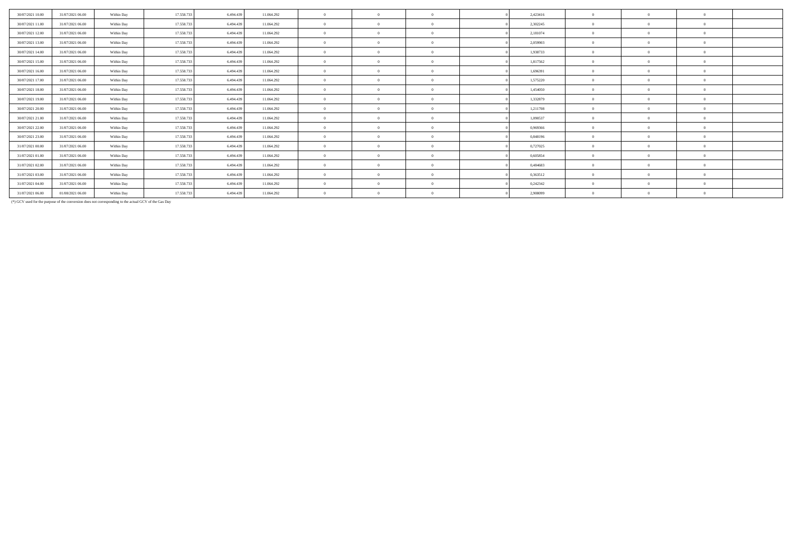| 30/07/2021 10:00 | 31/07/2021 06:00 | Within Day | 17.558.73  | 6.494.439 | 11.064.292 | $\mathbf{0}$   | $\Omega$ | 2,423416 | $\Omega$       | $\Omega$ | $\Omega$ |  |
|------------------|------------------|------------|------------|-----------|------------|----------------|----------|----------|----------------|----------|----------|--|
| 30/07/2021 11:00 | 31/07/2021 06:00 | Within Day | 17.558.73  | 6.494.439 | 11.064.292 | $\mathbf{0}$   | $\Omega$ | 2,302245 | $\theta$       |          | $\Omega$ |  |
| 30/07/2021 12:00 | 31/07/2021 06:00 | Within Day | 17.558.73  | 6.494.439 | 11.064.292 | $\mathbf{a}$   | $\Omega$ | 2,181074 | $\theta$       |          | $\Omega$ |  |
| 30/07/2021 13:00 | 31/07/2021 06:00 | Within Day | 17.558.73  | 6.494.439 | 11.064.292 | $\mathbf{a}$   | $\theta$ | 2,059903 | $\theta$       |          | $\Omega$ |  |
| 30/07/2021 14:00 | 31/07/2021 06:00 | Within Day | 17.558.73  | 6.494.439 | 11.064.292 | $\overline{0}$ | $\Omega$ | 1.938733 | $\theta$       |          | $\Omega$ |  |
| 30/07/2021 15:00 | 31/07/2021 06:00 | Within Day | 17.558.73  | 6.494.439 | 11.064.292 | $\mathbf{a}$   | $\Omega$ | 1,817562 | $\theta$       |          | $\Omega$ |  |
| 30/07/2021 16:00 | 31/07/2021 06:00 | Within Day | 17.558.73  | 6.494.439 | 11.064.292 | $\mathbf{0}$   | $\Omega$ | 1,696391 | $\overline{0}$ | $\Omega$ | $\Omega$ |  |
| 30/07/2021 17:00 | 31/07/2021 06:00 | Within Day | 17.558.73  | 6.494.439 | 11.064.292 | $\mathbf{a}$   | $\Omega$ | 1,575220 | $\theta$       |          | $\Omega$ |  |
| 30/07/2021 18:00 | 31/07/2021 06:00 | Within Day | 17.558.73  | 6.494.439 | 11.064.292 | $\mathbf{a}$   | $\Omega$ | 1,454050 | $\theta$       |          | $\Omega$ |  |
| 30/07/2021 19:00 | 31/07/2021 06:00 | Within Day | 17.558.73  | 6.494.439 | 11.064.292 | $\mathbf{a}$   | $\theta$ | 1,332879 | $\theta$       |          | $\Omega$ |  |
| 30/07/2021 20:00 | 31/07/2021 06:00 | Within Day | 17.558.73  | 6.494.439 | 11.064.292 | $\mathbf{a}$   | $\Omega$ | 1.211708 | $\Omega$       |          | $\Omega$ |  |
| 30/07/2021 21:00 | 31/07/2021 06:00 | Within Day | 17.558.733 | 6.494.439 | 11.064.292 | $\mathbf{a}$   | $\Omega$ | 1,090537 | $\Omega$       |          | $\Omega$ |  |
| 30/07/2021 22.00 | 31/07/2021 06:00 | Within Day | 17.558.733 | 6.494.439 | 11.064.292 | $\mathbf{0}$   | $\theta$ | 0,969366 | $\Omega$       |          | $\Omega$ |  |
| 30/07/2021 23.00 | 31/07/2021 06:00 | Within Day | 17.558.73  | 6.494.439 | 11.064.292 | $\mathbf{a}$   | $\Omega$ | 0,848196 | $\theta$       |          | $\Omega$ |  |
| 31/07/2021 00:00 | 31/07/2021 06:00 | Within Day | 17.558.73  | 6.494.439 | 11.064.292 | $\mathbf{a}$   | $\Omega$ | 0,727025 | $\theta$       |          | $\Omega$ |  |
| 31/07/2021 01:00 | 31/07/2021 06:00 | Within Day | 17.558.733 | 6.494.439 | 11.064.292 | $\sqrt{2}$     | $\theta$ | 0,605854 | $\theta$       |          | $\Omega$ |  |
| 31/07/2021 02:00 | 31/07/2021 06:00 | Within Day | 17.558.73  | 6.494.439 | 11.064.292 | $\mathbf{a}$   | -0       | 0.484683 | $\theta$       |          | $\Omega$ |  |
| 31/07/2021 03:00 | 31/07/2021 06:00 | Within Day | 17.558.733 | 6.494.439 | 11.064.292 | $\mathbf{a}$   | $\Omega$ | 0,363512 | $\Omega$       |          | $\Omega$ |  |
| 31/07/2021 04:00 | 31/07/2021 06:00 | Within Day | 17.558.73  | 6.494.439 | 11.064.292 | $\mathbf{0}$   | $\Omega$ | 0,242342 | $\Omega$       |          | $\Omega$ |  |
| 31/07/2021 06:00 | 01/08/2021 06:00 | Within Day | 17.558.73  | 6.494.439 | 11.064.292 | $\mathbf{a}$   | $\Omega$ | 2,908099 | $\theta$       |          | $\Omega$ |  |
|                  |                  |            |            |           |            |                |          |          |                |          |          |  |

(\*) GCV used for the purpose of the conversion does not corresponding to the actual GCV of the Gas Day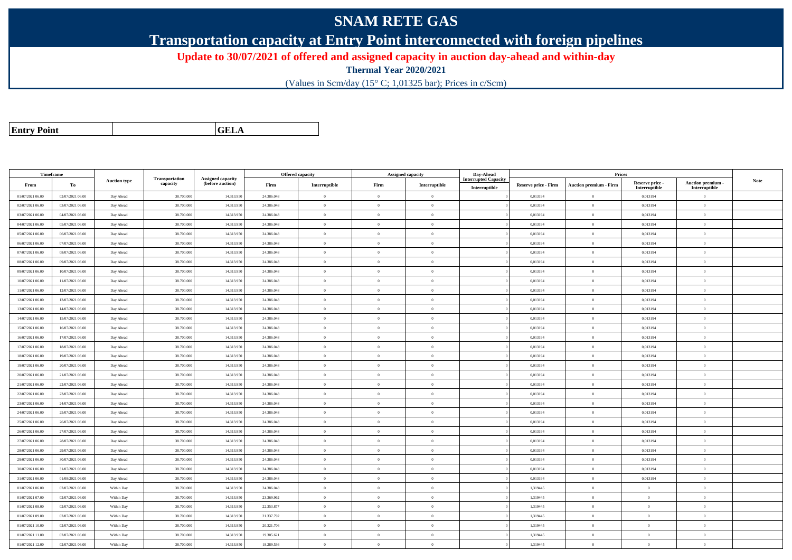## **SNAM RETE GAS**

**Transportation capacity at Entry Point interconnected with foreign pipelines**

**Update to 30/07/2021 of offered and assigned capacity in auction day-ahead and within-day**

**Thermal Year 2020/2021**

(Values in Scm/day (15° C; 1,01325 bar); Prices in c/Scm)

| <b>Entry Point</b> |  |
|--------------------|--|
|--------------------|--|

**a CELA** 

| Timeframe        |                  |                     |                            |                                              |            | Offered capacity |                | <b>Assigned capacity</b> | Day-Ahead                   |                      | Prices                        |                           |                           |             |
|------------------|------------------|---------------------|----------------------------|----------------------------------------------|------------|------------------|----------------|--------------------------|-----------------------------|----------------------|-------------------------------|---------------------------|---------------------------|-------------|
| From             | To               | <b>Auction type</b> | Transportation<br>capacity | <b>Assigned capacity</b><br>(before auction) | Firm       | Interruptible    | Firm           | Interruptible            | <b>Interrupted Capacity</b> | Reserve price - Firm | <b>Auction premium - Firm</b> | Reserve price -           | Auction premium -         | <b>Note</b> |
| 01/07/2021 06:00 | 02/07/2021 06:00 | Day Ahead           | 38.700.000                 | 14.313.95                                    | 24.386.048 | $\bf{0}$         | $\Omega$       | $\Omega$                 | Interruptible               | 0,013194             | $\overline{0}$                | Interruptible<br>0,013194 | Interruptible<br>$\Omega$ |             |
| 02/07/2021 06:00 | 03/07/2021 06:00 | Day Ahead           | 38.700.000                 | 14.313.950                                   | 24.386.048 | $\overline{0}$   | $\theta$       | $\overline{0}$           |                             | 0,013194             | $\overline{0}$                | 0,013194                  | $\mathbf{0}$              |             |
| 03/07/2021 06:00 | 04/07/2021 06:00 | Day Ahead           | 38.700.000                 | 14.313.95                                    | 24.386.048 | $\overline{0}$   | $\theta$       | $\Omega$                 |                             | 0,013194             | $\overline{0}$                | 0,013194                  | $\theta$                  |             |
| 04/07/2021 06:00 | 05/07/2021 06:00 | Day Ahead           | 38.700.000                 | 14.313.950                                   | 24.386.048 | $\bf{0}$         | $\overline{0}$ | $\Omega$                 |                             | 0,013194             | $\mathbf{0}$                  | 0,013194                  | $\theta$                  |             |
| 05/07/2021 06:00 | 06/07/2021 06:00 | Day Ahead           | 38.700.000                 | 14.313.950                                   | 24.386.048 | $\bf{0}$         | $\overline{0}$ | $\Omega$                 |                             | 0,013194             | $\mathbf{0}$                  | 0,013194                  | $\theta$                  |             |
| 06/07/2021 06:00 | 07/07/2021 06:00 | Day Ahead           | 38.700.000                 | 14.313.950                                   | 24.386.048 | $\overline{0}$   | $\overline{0}$ | $\Omega$                 |                             | 0,013194             | $\mathbf{0}$                  | 0,013194                  | $\overline{0}$            |             |
| 07/07/2021 06:00 | 08/07/2021 06:00 | Day Ahead           | 38.700.000                 | 14.313.950                                   | 24.386.048 | $\overline{0}$   | $\theta$       | $\Omega$                 |                             | 0,013194             | $\overline{0}$                | 0,013194                  | $\overline{0}$            |             |
| 08/07/2021 06:00 | 09/07/2021 06:00 | Day Ahead           | 38,700,000                 | 14.313.950                                   | 24.386.048 | $\theta$         | $\theta$       | $\Omega$                 |                             | 0.013194             | $\theta$                      | 0.013194                  | $\Omega$                  |             |
| 09/07/2021 06:00 | 10/07/2021 06:00 | Day Ahead           | 38.700.000                 | 14.313.95                                    | 24.386.048 | $\theta$         | $\Omega$       | $\Omega$                 |                             | 0,013194             | $\mathbf{0}$                  | 0,013194                  | $\Omega$                  |             |
| 10/07/2021 06:00 | 11/07/2021 06:00 | Day Ahead           | 38.700.000                 | 14.313.950                                   | 24.386.048 | $\bf{0}$         | $\overline{0}$ | $\overline{0}$           |                             | 0,013194             | $\mathbf{0}$                  | 0,013194                  | $\theta$                  |             |
| 11/07/2021 06:00 | 12/07/2021 06:00 | Day Ahead           | 38,700,000                 | 14.313.950                                   | 24.386.048 | $\theta$         | $\theta$       | $\Omega$                 |                             | 0.013194             | $\theta$                      | 0.013194                  | $\Omega$                  |             |
| 12/07/2021 06:00 | 13/07/2021 06:00 | Day Ahead           | 38.700.000                 | 14.313.95                                    | 24.386.048 | $\bf{0}$         | $\Omega$       | $\Omega$                 |                             | 0,013194             | $\overline{0}$                | 0,013194                  | $\mathbf{0}$              |             |
| 13/07/2021 06:00 | 14/07/2021 06:00 | Day Ahead           | 38.700.000                 | 14.313.950                                   | 24.386.048 | $\bf{0}$         | $\Omega$       | $\Omega$                 |                             | 0,013194             | $\theta$                      | 0,013194                  | $\overline{0}$            |             |
| 14/07/2021 06:00 | 15/07/2021 06:00 | Day Ahead           | 38.700.000                 | 14.313.95                                    | 24.386.048 | $\theta$         | $\theta$       | $\Omega$                 |                             | 0,013194             | $\theta$                      | 0,013194                  | $\theta$                  |             |
| 15/07/2021 06:00 | 16/07/2021 06:00 | Day Ahead           | 38,700,000                 | 14.313.950                                   | 24.386.048 | $\overline{0}$   | $\Omega$       | $\Omega$                 |                             | 0,013194             | $\mathbf{0}$                  | 0,013194                  | $\Omega$                  |             |
| 16/07/2021 06:00 | 17/07/2021 06:00 | Day Ahead           | 38.700.000                 | 14.313.950                                   | 24.386.048 | $\overline{0}$   | $\overline{0}$ | $\Omega$                 |                             | 0,013194             | $\mathbf{0}$                  | 0,013194                  | $\mathbf{0}$              |             |
| 17/07/2021 06:00 | 18/07/2021 06:00 | Day Ahead           | 38.700.000                 | 14.313.95                                    | 24.386.048 | $\overline{0}$   | $\theta$       | $\Omega$                 |                             | 0,013194             | $\overline{0}$                | 0,013194                  | $\overline{0}$            |             |
| 18/07/2021 06:00 | 19/07/2021 06:00 | Day Ahead           | 38.700.000                 | 14.313.950                                   | 24.386.048 | $\overline{0}$   | $\Omega$       | $\Omega$                 |                             | 0,013194             | $\overline{0}$                | 0,013194                  | $\mathbf{0}$              |             |
| 19/07/2021 06:00 | 20/07/2021 06:00 | Day Ahead           | 38.700.000                 | 14.313.950                                   | 24.386.048 | $\overline{0}$   | $\theta$       | $\theta$                 |                             | 0,013194             | $\overline{0}$                | 0,013194                  | $\overline{0}$            |             |
| 20/07/2021 06:00 | 21/07/2021 06:00 | Day Ahead           | 38.700.000                 | 14.313.95                                    | 24.386.048 | $\overline{0}$   | $\Omega$       | $\overline{0}$           |                             | 0,013194             | $\,$ 0 $\,$                   | 0,013194                  | $\mathbf{0}$              |             |
| 21/07/2021 06:00 | 22/07/2021 06:00 | Day Ahead           | 38.700.000                 | 14.313.950                                   | 24.386.048 | $\bf{0}$         | $\overline{0}$ | $\Omega$                 |                             | 0,013194             | $\mathbf{0}$                  | 0,013194                  | $\theta$                  |             |
| 22/07/2021 06:00 | 23/07/2021 06:00 | Day Ahead           | 38.700.000                 | 14.313.95                                    | 24.386.048 | $\,$ 0 $\,$      | $\overline{0}$ | $\overline{0}$           |                             | 0,013194             | $\,$ 0 $\,$                   | 0,013194                  | $\overline{0}$            |             |
| 23/07/2021 06:00 | 24/07/2021 06:00 | Day Ahead           | 38,700,000                 | 14.313.950                                   | 24.386.048 | $\theta$         | $\theta$       | $\theta$                 |                             | 0.013194             | $\theta$                      | 0.013194                  | $\Omega$                  |             |
| 24/07/2021 06:00 | 25/07/2021 06:00 | Day Ahead           | 38.700.000                 | 14.313.95                                    | 24.386.048 | $\bf{0}$         | $\Omega$       | $^{\circ}$               |                             | 0,013194             | $\theta$                      | 0,013194                  | $\Omega$                  |             |
| 25/07/2021 06:00 | 26/07/2021 06:00 | Day Ahead           | 38.700.000                 | 14.313.95                                    | 24.386.048 | $\,$ 0 $\,$      | $\overline{0}$ | $\Omega$                 |                             | 0,013194             | $\mathbf{0}$                  | 0,013194                  | $\overline{0}$            |             |
| 26/07/2021 06:00 | 27/07/2021 06:00 | Day Ahead           | 38.700.000                 | 14.313.950                                   | 24.386.048 | $\overline{0}$   | $\theta$       | $\Omega$                 |                             | 0,013194             | $\mathbf{0}$                  | 0,013194                  | $\theta$                  |             |
| 27/07/2021 06:00 | 28/07/2021 06:00 | Day Ahead           | 38,700,000                 | 14.313.950                                   | 24.386.048 | $\overline{0}$   | $\theta$       | $\Omega$                 |                             | 0.013194             | $\mathbf{0}$                  | 0.013194                  | $\Omega$                  |             |
| 28/07/2021 06:00 | 29/07/2021 06:00 | Day Ahead           | 38,700,000                 | 14.313.950                                   | 24,386,048 | $\overline{0}$   | $\overline{0}$ | $\Omega$                 |                             | 0.013194             | $\overline{0}$                | 0.013194                  | $\mathbf{0}$              |             |
| 29/07/2021 06:00 | 30/07/2021 06:00 | Day Ahead           | 38.700.000                 | 14.313.950                                   | 24.386.048 | $\overline{0}$   | $\Omega$       | $\Omega$                 |                             | 0,013194             | $\overline{0}$                | 0,013194                  | $\overline{0}$            |             |
| 30/07/2021 06:00 | 31/07/2021 06:00 | Day Ahead           | 38.700.000                 | 14.313.950                                   | 24.386.048 | $\overline{0}$   | $\Omega$       | $\Omega$                 |                             | 0,013194             | $\overline{0}$                | 0,013194                  | $\Omega$                  |             |
| 31/07/2021 06:00 | 01/08/2021 06:00 | Day Ahead           | 38,700,000                 | 14.313.950                                   | 24.386.048 | $\mathbf{0}$     | $\overline{0}$ | $\overline{0}$           |                             | 0.013194             | $\mathbf{0}$                  | 0.013194                  | $\mathbf{0}$              |             |
| 01/07/2021 06:00 | 02/07/2021 06:00 | Within Day          | 38.700.000                 | 14.313.950                                   | 24.386.048 | $\bf{0}$         | $\overline{0}$ | $\Omega$                 |                             | 1.319445             | $\mathbf{0}$                  | $\overline{0}$            | $\theta$                  |             |
| 01/07/2021 07:00 | 02/07/2021 06:00 | Within Day          | 38.700.000                 | 14.313.95                                    | 23.369.962 | $\bf{0}$         | $\theta$       | $\overline{0}$           |                             | 1,319445             | $\overline{0}$                | $\overline{0}$            | $\overline{0}$            |             |
| 01/07/2021 08:00 | 02/07/2021 06:00 | Within Day          | 38.700.000                 | 14.313.950                                   | 22.353.877 | $\theta$         | $\theta$       | $\Omega$                 |                             | 1,319445             | $\theta$                      | $\theta$                  | $\Omega$                  |             |
| 01/07/2021 09:00 | 02/07/2021 06:00 | Within Day          | 38,700,000                 | 14.313.950                                   | 21.337.792 | $\theta$         | $\Omega$       | $\Omega$                 |                             | 1.319445             | $\overline{0}$                | $\theta$                  | $\Omega$                  |             |
| 01/07/2021 10:00 | 02/07/2021 06:00 | Within Day          | 38.700.000                 | 14.313.95                                    | 20.321.706 | $\overline{0}$   | $\theta$       | $\Omega$                 |                             | 1,319445             | $\mathbf{0}$                  | $\theta$                  | $\overline{0}$            |             |
| 01/07/2021 11:00 | 02/07/2021 06:00 | Within Day          | 38.700.000                 | 14.313.950                                   | 19.305.621 | $\bf{0}$         | $\overline{0}$ | $\Omega$                 |                             | 1,319445             | $\mathbf{0}$                  | $\theta$                  | $\theta$                  |             |
| 01/07/2021 12:00 | 02/07/2021 06:00 | Within Day          | 38.700.000                 | 14.313.950                                   | 18.289.536 | $\bf{0}$         | $\Omega$       | $\Omega$                 |                             | 1,319445             | $\overline{0}$                | $\theta$                  | $\overline{0}$            |             |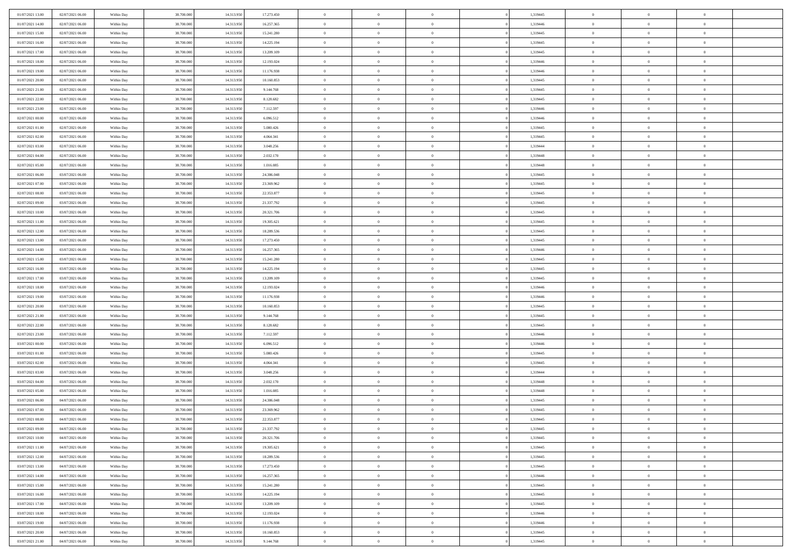| 01/07/2021 13:00 | 02/07/2021 06:00 | Within Day | 38,700,000 | 14.313.950 | 17.273.450 | $\overline{0}$ | $\overline{0}$ | $\Omega$       | 1,319445 | $\bf{0}$       | $\mathbf{0}$   | $\bf{0}$       |  |
|------------------|------------------|------------|------------|------------|------------|----------------|----------------|----------------|----------|----------------|----------------|----------------|--|
| 01/07/2021 14:00 | 02/07/2021 06:00 | Within Dav | 38.700.000 | 14.313.950 | 16.257.365 | $\mathbf{0}$   | $\overline{0}$ | $\overline{0}$ | 1,319446 | $\overline{0}$ | $\overline{0}$ | $\overline{0}$ |  |
| 01/07/2021 15:00 | 02/07/2021 06:00 | Within Day | 38.700.000 | 14.313.950 | 15.241.280 | $\,$ 0         | $\overline{0}$ | $\bf{0}$       | 1,319445 | $\,$ 0         | $\overline{0}$ | $\,$ 0 $\,$    |  |
| 01/07/2021 16:00 | 02/07/2021 06:00 | Within Day | 38,700,000 | 14.313.950 | 14.225.194 | $\bf{0}$       | $\overline{0}$ | $\Omega$       | 1,319445 | $\bf{0}$       | $\mathbf{0}$   | $\theta$       |  |
| 01/07/2021 17:00 | 02/07/2021 06:00 | Within Dav | 38.700.000 | 14.313.950 | 13.209.109 | $\bf{0}$       | $\overline{0}$ | $\overline{0}$ | 1,319445 | $\overline{0}$ | $\overline{0}$ | $\overline{0}$ |  |
| 01/07/2021 18:00 | 02/07/2021 06:00 | Within Day | 38.700.000 | 14.313.950 | 12.193.024 | $\bf{0}$       | $\overline{0}$ | $\bf{0}$       | 1,319446 | $\,$ 0         | $\overline{0}$ | $\,$ 0 $\,$    |  |
| 01/07/2021 19:00 | 02/07/2021 06:00 | Within Day | 38,700,000 | 14.313.950 | 11.176.938 | $\bf{0}$       | $\overline{0}$ | $\Omega$       | 1,319446 | $\bf{0}$       | $\overline{0}$ | $\theta$       |  |
| 01/07/2021 20:00 | 02/07/2021 06:00 | Within Day | 38.700.000 | 14.313.950 | 10.160.853 | $\overline{0}$ | $\overline{0}$ | $\overline{0}$ | 1,319445 | $\mathbf{0}$   | $\overline{0}$ | $\overline{0}$ |  |
| 01/07/2021 21:00 | 02/07/2021 06:00 | Within Day | 38.700.000 | 14.313.950 | 9.144.768  | $\bf{0}$       | $\overline{0}$ | $\bf{0}$       | 1,319445 | $\,$ 0         | $\overline{0}$ | $\,$ 0 $\,$    |  |
| 01/07/2021 22:00 | 02/07/2021 06:00 | Within Day | 38,700,000 | 14.313.950 | 8.128.682  | $\bf{0}$       | $\overline{0}$ | $\Omega$       | 1,319445 | $\theta$       | $\mathbf{0}$   | $\theta$       |  |
| 01/07/2021 23:00 | 02/07/2021 06:00 | Within Day | 38.700.000 | 14.313.950 | 7.112.597  | $\overline{0}$ | $\overline{0}$ | $\overline{0}$ | 1,319446 | $\mathbf{0}$   | $\overline{0}$ | $\overline{0}$ |  |
| 02/07/2021 00:00 | 02/07/2021 06:00 | Within Day | 38.700.000 | 14.313.950 | 6.096.512  | $\bf{0}$       | $\overline{0}$ | $\bf{0}$       | 1,319446 | $\,$ 0         | $\overline{0}$ | $\,$ 0 $\,$    |  |
| 02/07/2021 01:00 | 02/07/2021 06:00 | Within Day | 38,700,000 | 14.313.950 | 5.080.426  | $\bf{0}$       | $\overline{0}$ | $\Omega$       | 1,319445 | $\overline{0}$ | $\mathbf{0}$   | $\theta$       |  |
| 02/07/2021 02:00 | 02/07/2021 06:00 | Within Dav | 38.700.000 | 14.313.950 | 4.064.341  | $\overline{0}$ | $\overline{0}$ | $\overline{0}$ | 1,319445 | $\mathbf{0}$   | $\overline{0}$ | $\overline{0}$ |  |
| 02/07/2021 03:00 | 02/07/2021 06:00 | Within Day | 38.700.000 | 14.313.950 | 3.048.256  | $\bf{0}$       | $\overline{0}$ | $\bf{0}$       | 1,319444 | $\,$ 0         | $\overline{0}$ | $\,$ 0 $\,$    |  |
| 02/07/2021 04:00 | 02/07/2021 06:00 | Within Day | 38,700,000 | 14.313.950 | 2.032.170  | $\bf{0}$       | $\overline{0}$ | $\overline{0}$ | 1,319448 | $\bf{0}$       | $\mathbf{0}$   | $\theta$       |  |
| 02/07/2021 05:00 | 02/07/2021 06:00 | Within Day | 38.700.000 | 14.313.950 | 1.016.085  | $\overline{0}$ | $\overline{0}$ | $\overline{0}$ | 1,319448 | $\mathbf{0}$   | $\overline{0}$ | $\overline{0}$ |  |
| 02/07/2021 06:00 | 03/07/2021 06:00 | Within Day | 38.700.000 | 14.313.950 | 24.386.048 | $\bf{0}$       | $\overline{0}$ | $\bf{0}$       | 1,319445 | $\,$ 0         | $\overline{0}$ | $\,$ 0 $\,$    |  |
| 02/07/2021 07:00 | 03/07/2021 06:00 | Within Day | 38,700,000 | 14.313.950 | 23.369.962 | $\bf{0}$       | $\overline{0}$ | $\Omega$       | 1,319445 | $\theta$       | $\mathbf{0}$   | $\theta$       |  |
| 02/07/2021 08:00 | 03/07/2021 06:00 | Within Day | 38.700.000 | 14.313.950 | 22.353.877 | $\overline{0}$ | $\overline{0}$ | $\overline{0}$ | 1,319445 | $\mathbf{0}$   | $\overline{0}$ | $\overline{0}$ |  |
| 02/07/2021 09:00 | 03/07/2021 06:00 | Within Day | 38.700.000 | 14.313.950 | 21.337.792 | $\bf{0}$       | $\overline{0}$ | $\bf{0}$       | 1,319445 | $\,$ 0         | $\overline{0}$ | $\,$ 0 $\,$    |  |
| 02/07/2021 10:00 | 03/07/2021 06:00 | Within Day | 38,700,000 | 14.313.950 | 20.321.706 | $\bf{0}$       | $\overline{0}$ | $\Omega$       | 1,319445 | $\bf{0}$       | $\mathbf{0}$   | $\theta$       |  |
| 02/07/2021 11:00 | 03/07/2021 06:00 | Within Day | 38.700.000 | 14.313.950 | 19.305.621 | $\overline{0}$ | $\overline{0}$ | $\overline{0}$ | 1,319445 | $\mathbf{0}$   | $\overline{0}$ | $\overline{0}$ |  |
| 02/07/2021 12:00 | 03/07/2021 06:00 | Within Day | 38.700.000 | 14.313.950 | 18.289.536 | $\bf{0}$       | $\overline{0}$ | $\bf{0}$       | 1,319445 | $\,$ 0         | $\overline{0}$ | $\,$ 0 $\,$    |  |
| 02/07/2021 13:00 | 03/07/2021 06:00 | Within Day | 38,700,000 | 14.313.950 | 17.273.450 | $\bf{0}$       | $\overline{0}$ | $\overline{0}$ | 1,319445 | $\bf{0}$       | $\overline{0}$ | $\bf{0}$       |  |
| 02/07/2021 14:00 | 03/07/2021 06:00 | Within Day | 38.700.000 | 14.313.950 | 16.257.365 | $\overline{0}$ | $\overline{0}$ | $\overline{0}$ | 1,319446 | $\mathbf{0}$   | $\overline{0}$ | $\overline{0}$ |  |
| 02/07/2021 15:00 | 03/07/2021 06:00 | Within Day | 38.700.000 | 14.313.950 | 15.241.280 | $\bf{0}$       | $\overline{0}$ | $\bf{0}$       | 1,319445 | $\,$ 0         | $\overline{0}$ | $\,$ 0 $\,$    |  |
| 02/07/2021 16:00 | 03/07/2021 06:00 | Within Day | 38,700,000 | 14.313.950 | 14.225.194 | $\bf{0}$       | $\overline{0}$ | $\Omega$       | 1,319445 | $\theta$       | $\mathbf{0}$   | $\theta$       |  |
| 02/07/2021 17:00 | 03/07/2021 06:00 | Within Day | 38.700.000 | 14.313.950 | 13.209.109 | $\overline{0}$ | $\overline{0}$ | $\overline{0}$ | 1,319445 | $\mathbf{0}$   | $\overline{0}$ | $\overline{0}$ |  |
| 02/07/2021 18:00 | 03/07/2021 06:00 | Within Day | 38.700.000 | 14.313.950 | 12.193.024 | $\bf{0}$       | $\overline{0}$ | $\bf{0}$       | 1,319446 | $\,$ 0         | $\overline{0}$ | $\,$ 0 $\,$    |  |
| 02/07/2021 19:00 | 03/07/2021 06:00 | Within Day | 38.700.000 | 14.313.950 | 11.176.938 | $\bf{0}$       | $\bf{0}$       | $\overline{0}$ | 1,319446 | $\bf{0}$       | $\overline{0}$ | $\,0\,$        |  |
| 02/07/2021 20:00 | 03/07/2021 06:00 | Within Dav | 38.700.000 | 14.313.950 | 10.160.853 | $\overline{0}$ | $\overline{0}$ | $\overline{0}$ | 1,319445 | $\mathbf{0}$   | $\overline{0}$ | $\overline{0}$ |  |
| 02/07/2021 21:00 | 03/07/2021 06:00 | Within Day | 38.700.000 | 14.313.950 | 9.144.768  | $\bf{0}$       | $\overline{0}$ | $\bf{0}$       | 1,319445 | $\,$ 0         | $\overline{0}$ | $\,$ 0 $\,$    |  |
| 02/07/2021 22.00 | 03/07/2021 06:00 | Within Day | 38.700.000 | 14.313.950 | 8.128.682  | $\bf{0}$       | $\bf{0}$       | $\bf{0}$       | 1,319445 | $\bf{0}$       | $\overline{0}$ | $\,0\,$        |  |
| 02/07/2021 23:00 | 03/07/2021 06:00 | Within Day | 38.700.000 | 14.313.950 | 7.112.597  | $\overline{0}$ | $\overline{0}$ | $\overline{0}$ | 1,319446 | $\overline{0}$ | $\overline{0}$ | $\overline{0}$ |  |
| 03/07/2021 00:00 | 03/07/2021 06:00 | Within Day | 38.700.000 | 14.313.950 | 6.096.512  | $\bf{0}$       | $\overline{0}$ | $\bf{0}$       | 1,319446 | $\,$ 0         | $\overline{0}$ | $\,$ 0 $\,$    |  |
| 03/07/2021 01:00 | 03/07/2021 06:00 | Within Day | 38.700.000 | 14.313.950 | 5.080.426  | $\bf{0}$       | $\bf{0}$       | $\overline{0}$ | 1,319445 | $\bf{0}$       | $\overline{0}$ | $\,0\,$        |  |
| 03/07/2021 02:00 | 03/07/2021 06:00 | Within Day | 38.700.000 | 14.313.950 | 4.064.341  | $\overline{0}$ | $\overline{0}$ | $\overline{0}$ | 1,319445 | $\mathbf{0}$   | $\overline{0}$ | $\overline{0}$ |  |
| 03/07/2021 03:00 | 03/07/2021 06:00 | Within Day | 38.700.000 | 14.313.950 | 3.048.256  | $\bf{0}$       | $\overline{0}$ | $\bf{0}$       | 1,319444 | $\,$ 0         | $\overline{0}$ | $\,$ 0 $\,$    |  |
| 03/07/2021 04:00 | 03/07/2021 06:00 | Within Day | 38.700.000 | 14.313.950 | 2.032.170  | $\bf{0}$       | $\bf{0}$       | $\overline{0}$ | 1,319448 | $\bf{0}$       | $\overline{0}$ | $\,0\,$        |  |
| 03/07/2021 05:00 | 03/07/2021 06:00 | Within Dav | 38.700.000 | 14.313.950 | 1.016.085  | $\overline{0}$ | $\overline{0}$ | $\overline{0}$ | 1,319448 | $\overline{0}$ | $\overline{0}$ | $\overline{0}$ |  |
| 03/07/2021 06:00 | 04/07/2021 06:00 | Within Day | 38.700.000 | 14.313.950 | 24.386.048 | $\bf{0}$       | $\overline{0}$ | $\bf{0}$       | 1,319445 | $\,$ 0         | $\overline{0}$ | $\,$ 0 $\,$    |  |
| 03/07/2021 07:00 | 04/07/2021 06:00 | Within Day | 38.700.000 | 14.313.950 | 23.369.962 | $\bf{0}$       | $\bf{0}$       | $\bf{0}$       | 1,319445 | $\bf{0}$       | $\overline{0}$ | $\,0\,$        |  |
| 03/07/2021 08:00 | 04/07/2021 06:00 | Within Dav | 38.700.000 | 14.313.950 | 22.353.877 | $\mathbf{0}$   | $\overline{0}$ | $\overline{0}$ | 1,319445 | $\mathbf{0}$   | $\overline{0}$ | $\overline{0}$ |  |
| 03/07/2021 09:00 | 04/07/2021 06:00 | Within Day | 38.700.000 | 14.313.950 | 21.337.792 | $\bf{0}$       | $\overline{0}$ | $\theta$       | 1,319445 | $\overline{0}$ | $\theta$       | $\theta$       |  |
| 03/07/2021 10:00 | 04/07/2021 06:00 | Within Day | 38.700.000 | 14.313.950 | 20.321.706 | $\bf{0}$       | $\bf{0}$       | $\bf{0}$       | 1,319445 | $\bf{0}$       | $\overline{0}$ | $\,0\,$        |  |
| 03/07/2021 11:00 | 04/07/2021 06:00 | Within Day | 38.700.000 | 14.313.950 | 19.305.621 | $\overline{0}$ | $\overline{0}$ | $\overline{0}$ | 1,319445 | $\overline{0}$ | $\bf{0}$       | $\overline{0}$ |  |
| 03/07/2021 12:00 | 04/07/2021 06:00 | Within Day | 38.700.000 | 14.313.950 | 18.289.536 | $\,$ 0 $\,$    | $\overline{0}$ | $\overline{0}$ | 1,319445 | $\mathbf{0}$   | $\,$ 0 $\,$    | $\,$ 0 $\,$    |  |
| 03/07/2021 13:00 | 04/07/2021 06:00 | Within Day | 38.700.000 | 14.313.950 | 17.273.450 | $\bf{0}$       | $\bf{0}$       | $\overline{0}$ | 1,319445 | $\bf{0}$       | $\overline{0}$ | $\bf{0}$       |  |
| 03/07/2021 14:00 | 04/07/2021 06:00 | Within Day | 38.700.000 | 14.313.950 | 16.257.365 | $\bf{0}$       | $\overline{0}$ | $\overline{0}$ | 1,319446 | $\overline{0}$ | $\overline{0}$ | $\overline{0}$ |  |
| 03/07/2021 15:00 | 04/07/2021 06:00 | Within Day | 38.700.000 | 14.313.950 | 15.241.280 | $\,$ 0 $\,$    | $\overline{0}$ | $\overline{0}$ | 1,319445 | $\,$ 0 $\,$    | $\overline{0}$ | $\,$ 0 $\,$    |  |
| 03/07/2021 16:00 | 04/07/2021 06:00 | Within Day | 38.700.000 | 14.313.950 | 14.225.194 | $\overline{0}$ | $\overline{0}$ | $\overline{0}$ | 1,319445 | $\bf{0}$       | $\overline{0}$ | $\overline{0}$ |  |
| 03/07/2021 17:00 | 04/07/2021 06:00 | Within Day | 38.700.000 | 14.313.950 | 13.209.109 | $\overline{0}$ | $\overline{0}$ | $\overline{0}$ | 1,319445 | $\overline{0}$ | $\bf{0}$       | $\overline{0}$ |  |
| 03/07/2021 18:00 | 04/07/2021 06:00 | Within Day | 38.700.000 | 14.313.950 | 12.193.024 | $\,$ 0 $\,$    | $\overline{0}$ | $\overline{0}$ | 1,319446 | $\,$ 0 $\,$    | $\,$ 0 $\,$    | $\,$ 0 $\,$    |  |
| 03/07/2021 19:00 | 04/07/2021 06:00 | Within Day | 38.700.000 | 14.313.950 | 11.176.938 | $\bf{0}$       | $\bf{0}$       | $\overline{0}$ | 1,319446 | $\mathbf{0}$   | $\overline{0}$ | $\bf{0}$       |  |
| 03/07/2021 20:00 | 04/07/2021 06:00 | Within Day | 38.700.000 | 14.313.950 | 10.160.853 | $\bf{0}$       | $\overline{0}$ | $\overline{0}$ | 1,319445 | $\mathbf{0}$   | $\bf{0}$       | $\overline{0}$ |  |
| 03/07/2021 21:00 | 04/07/2021 06:00 | Within Day | 38.700.000 | 14.313.950 | 9.144.768  | $\,0\,$        | $\overline{0}$ | $\overline{0}$ | 1,319445 | $\,$ 0         | $\overline{0}$ | $\,$ 0 $\,$    |  |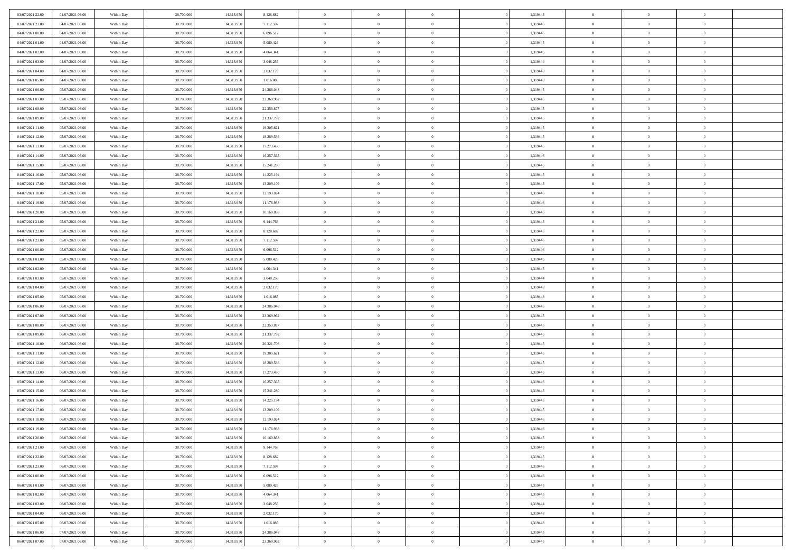| 03/07/2021 22.00 | 04/07/2021 06:00 | Within Day | 38,700,000 | 14.313.950 | 8.128.682  | $\overline{0}$ | $\overline{0}$ | $\Omega$       | 1,319445 | $\bf{0}$       | $\mathbf{0}$   | $\bf{0}$       |  |
|------------------|------------------|------------|------------|------------|------------|----------------|----------------|----------------|----------|----------------|----------------|----------------|--|
| 03/07/2021 23:00 | 04/07/2021 06:00 | Within Day | 38.700.000 | 14.313.950 | 7.112.597  | $\overline{0}$ | $\overline{0}$ | $\overline{0}$ | 1,319446 | $\overline{0}$ | $\overline{0}$ | $\overline{0}$ |  |
| 04/07/2021 00:00 | 04/07/2021 06:00 | Within Day | 38.700.000 | 14.313.950 | 6.096.512  | $\,$ 0         | $\overline{0}$ | $\bf{0}$       | 1,319446 | $\,$ 0         | $\overline{0}$ | $\,$ 0 $\,$    |  |
| 04/07/2021 01:00 | 04/07/2021 06:00 | Within Day | 38,700,000 | 14.313.950 | 5.080.426  | $\bf{0}$       | $\overline{0}$ | $\Omega$       | 1,319445 | $\bf{0}$       | $\mathbf{0}$   | $\theta$       |  |
| 04/07/2021 02:00 | 04/07/2021 06:00 | Within Dav | 38.700.000 | 14.313.950 | 4.064.341  | $\bf{0}$       | $\overline{0}$ | $\overline{0}$ | 1,319445 | $\overline{0}$ | $\overline{0}$ | $\overline{0}$ |  |
| 04/07/2021 03:00 | 04/07/2021 06:00 | Within Day | 38.700.000 | 14.313.950 | 3.048.256  | $\bf{0}$       | $\overline{0}$ | $\bf{0}$       | 1,319444 | $\,$ 0         | $\overline{0}$ | $\,$ 0 $\,$    |  |
| 04/07/2021 04:00 | 04/07/2021 06:00 | Within Day | 38,700,000 | 14.313.950 | 2.032.170  | $\bf{0}$       | $\overline{0}$ | $\Omega$       | 1,319448 | $\theta$       | $\overline{0}$ | $\theta$       |  |
| 04/07/2021 05:00 | 04/07/2021 06:00 | Within Day | 38.700.000 | 14.313.950 | 1.016.085  | $\overline{0}$ | $\overline{0}$ | $\overline{0}$ | 1,319448 | $\mathbf{0}$   | $\overline{0}$ | $\overline{0}$ |  |
| 04/07/2021 06:00 | 05/07/2021 06:00 | Within Day | 38.700.000 | 14.313.950 | 24.386.048 | $\bf{0}$       | $\overline{0}$ | $\bf{0}$       | 1,319445 | $\,$ 0         | $\overline{0}$ | $\,$ 0 $\,$    |  |
| 04/07/2021 07:00 | 05/07/2021 06:00 | Within Day | 38,700,000 | 14.313.950 | 23.369.962 | $\bf{0}$       | $\overline{0}$ | $\Omega$       | 1,319445 | $\theta$       | $\mathbf{0}$   | $\theta$       |  |
| 04/07/2021 08:00 | 05/07/2021 06:00 | Within Day | 38.700.000 | 14.313.950 | 22.353.877 | $\overline{0}$ | $\overline{0}$ | $\overline{0}$ | 1,319445 | $\mathbf{0}$   | $\overline{0}$ | $\overline{0}$ |  |
| 04/07/2021 09:00 | 05/07/2021 06:00 | Within Day | 38.700.000 | 14.313.950 | 21.337.792 | $\bf{0}$       | $\overline{0}$ | $\bf{0}$       | 1,319445 | $\,$ 0         | $\overline{0}$ | $\,$ 0 $\,$    |  |
| 04/07/2021 11:00 | 05/07/2021 06:00 | Within Day | 38,700,000 | 14.313.950 | 19.305.621 | $\bf{0}$       | $\overline{0}$ | $\Omega$       | 1,319445 | $\overline{0}$ | $\mathbf{0}$   | $\theta$       |  |
| 04/07/2021 12:00 | 05/07/2021 06:00 | Within Dav | 38.700.000 | 14.313.950 | 18.289.536 | $\overline{0}$ | $\overline{0}$ | $\overline{0}$ | 1,319445 | $\mathbf{0}$   | $\overline{0}$ | $\overline{0}$ |  |
| 04/07/2021 13:00 | 05/07/2021 06:00 | Within Day | 38.700.000 | 14.313.950 | 17.273.450 | $\bf{0}$       | $\overline{0}$ | $\bf{0}$       | 1,319445 | $\,$ 0         | $\overline{0}$ | $\,$ 0 $\,$    |  |
| 04/07/2021 14:00 | 05/07/2021 06:00 | Within Day | 38,700,000 | 14.313.950 | 16.257.365 | $\bf{0}$       | $\overline{0}$ | $\overline{0}$ | 1,319446 | $\theta$       | $\mathbf{0}$   | $\theta$       |  |
| 04/07/2021 15:00 | 05/07/2021 06:00 | Within Day | 38.700.000 | 14.313.950 | 15.241.280 | $\overline{0}$ | $\overline{0}$ | $\overline{0}$ | 1,319445 | $\mathbf{0}$   | $\overline{0}$ | $\overline{0}$ |  |
| 04/07/2021 16:00 | 05/07/2021 06:00 | Within Day | 38.700.000 | 14.313.950 | 14.225.194 | $\bf{0}$       | $\overline{0}$ | $\bf{0}$       | 1,319445 | $\,$ 0         | $\overline{0}$ | $\,$ 0 $\,$    |  |
| 04/07/2021 17:00 | 05/07/2021 06:00 | Within Day | 38,700,000 | 14.313.950 | 13.209.109 | $\bf{0}$       | $\overline{0}$ | $\Omega$       | 1,319445 | $\theta$       | $\mathbf{0}$   | $\theta$       |  |
| 04/07/2021 18:00 | 05/07/2021 06:00 | Within Day | 38.700.000 | 14.313.950 | 12.193.024 | $\overline{0}$ | $\overline{0}$ | $\overline{0}$ | 1,319446 | $\mathbf{0}$   | $\overline{0}$ | $\overline{0}$ |  |
| 04/07/2021 19:00 | 05/07/2021 06:00 | Within Day | 38.700.000 | 14.313.950 | 11.176.938 | $\bf{0}$       | $\overline{0}$ | $\bf{0}$       | 1,319446 | $\,$ 0         | $\overline{0}$ | $\,$ 0 $\,$    |  |
| 04/07/2021 20:00 | 05/07/2021 06:00 | Within Day | 38,700,000 | 14.313.950 | 10.160.853 | $\bf{0}$       | $\overline{0}$ | $\Omega$       | 1,319445 | $\bf{0}$       | $\mathbf{0}$   | $\theta$       |  |
| 04/07/2021 21:00 | 05/07/2021 06:00 | Within Day | 38.700.000 | 14.313.950 | 9.144.768  | $\overline{0}$ | $\overline{0}$ | $\overline{0}$ | 1,319445 | $\mathbf{0}$   | $\overline{0}$ | $\overline{0}$ |  |
| 04/07/2021 22.00 | 05/07/2021 06:00 | Within Day | 38.700.000 | 14.313.950 | 8.128.682  | $\bf{0}$       | $\overline{0}$ | $\bf{0}$       | 1,319445 | $\,$ 0         | $\overline{0}$ | $\,$ 0 $\,$    |  |
| 04/07/2021 23.00 | 05/07/2021 06:00 | Within Day | 38,700,000 | 14.313.950 | 7.112.597  | $\bf{0}$       | $\overline{0}$ | $\overline{0}$ | 1,319446 | $\bf{0}$       | $\overline{0}$ | $\bf{0}$       |  |
| 05/07/2021 00:00 | 05/07/2021 06:00 | Within Day | 38.700.000 | 14.313.950 | 6.096.512  | $\overline{0}$ | $\overline{0}$ | $\overline{0}$ | 1,319446 | $\mathbf{0}$   | $\overline{0}$ | $\overline{0}$ |  |
| 05/07/2021 01:00 | 05/07/2021 06:00 | Within Day | 38.700.000 | 14.313.950 | 5.080.426  | $\bf{0}$       | $\overline{0}$ | $\bf{0}$       | 1,319445 | $\,$ 0         | $\overline{0}$ | $\,$ 0 $\,$    |  |
| 05/07/2021 02:00 | 05/07/2021 06:00 | Within Day | 38,700,000 | 14.313.950 | 4.064.341  | $\bf{0}$       | $\overline{0}$ | $\Omega$       | 1,319445 | $\theta$       | $\mathbf{0}$   | $\theta$       |  |
| 05/07/2021 03:00 | 05/07/2021 06:00 | Within Day | 38.700.000 | 14.313.950 | 3.048.256  | $\overline{0}$ | $\overline{0}$ | $\overline{0}$ | 1,319444 | $\mathbf{0}$   | $\overline{0}$ | $\overline{0}$ |  |
| 05/07/2021 04:00 | 05/07/2021 06:00 | Within Day | 38.700.000 | 14.313.950 | 2.032.170  | $\bf{0}$       | $\overline{0}$ | $\bf{0}$       | 1,319448 | $\,$ 0         | $\overline{0}$ | $\,$ 0 $\,$    |  |
| 05/07/2021 05:00 | 05/07/2021 06:00 | Within Day | 38.700.000 | 14.313.950 | 1.016.085  | $\,$ 0         | $\bf{0}$       | $\overline{0}$ | 1,319448 | $\bf{0}$       | $\overline{0}$ | $\,0\,$        |  |
| 05/07/2021 06:00 | 06/07/2021 06:00 | Within Dav | 38.700.000 | 14.313.950 | 24.386.048 | $\overline{0}$ | $\overline{0}$ | $\overline{0}$ | 1,319445 | $\mathbf{0}$   | $\overline{0}$ | $\overline{0}$ |  |
| 05/07/2021 07:00 | 06/07/2021 06:00 | Within Day | 38.700.000 | 14.313.950 | 23.369.962 | $\bf{0}$       | $\overline{0}$ | $\bf{0}$       | 1,319445 | $\,$ 0         | $\overline{0}$ | $\,$ 0 $\,$    |  |
| 05/07/2021 08:00 | 06/07/2021 06:00 | Within Day | 38.700.000 | 14.313.950 | 22.353.877 | $\bf{0}$       | $\bf{0}$       | $\bf{0}$       | 1,319445 | $\bf{0}$       | $\overline{0}$ | $\,0\,$        |  |
| 05/07/2021 09:00 | 06/07/2021 06:00 | Within Day | 38.700.000 | 14.313.950 | 21.337.792 | $\overline{0}$ | $\overline{0}$ | $\overline{0}$ | 1,319445 | $\overline{0}$ | $\overline{0}$ | $\overline{0}$ |  |
| 05/07/2021 10:00 | 06/07/2021 06:00 | Within Day | 38.700.000 | 14.313.950 | 20.321.706 | $\bf{0}$       | $\overline{0}$ | $\bf{0}$       | 1,319445 | $\,$ 0         | $\overline{0}$ | $\,$ 0 $\,$    |  |
| 05/07/2021 11:00 | 06/07/2021 06:00 | Within Day | 38.700.000 | 14.313.950 | 19.305.621 | $\bf{0}$       | $\bf{0}$       | $\overline{0}$ | 1,319445 | $\bf{0}$       | $\overline{0}$ | $\,0\,$        |  |
| 05/07/2021 12:00 | 06/07/2021 06:00 | Within Day | 38.700.000 | 14.313.950 | 18.289.536 | $\overline{0}$ | $\overline{0}$ | $\overline{0}$ | 1,319445 | $\mathbf{0}$   | $\overline{0}$ | $\overline{0}$ |  |
| 05/07/2021 13:00 | 06/07/2021 06:00 | Within Day | 38.700.000 | 14.313.950 | 17.273.450 | $\bf{0}$       | $\overline{0}$ | $\bf{0}$       | 1,319445 | $\,$ 0         | $\overline{0}$ | $\,$ 0 $\,$    |  |
| 05/07/2021 14:00 | 06/07/2021 06:00 | Within Day | 38.700.000 | 14.313.950 | 16.257.365 | $\bf{0}$       | $\bf{0}$       | $\overline{0}$ | 1,319446 | $\bf{0}$       | $\overline{0}$ | $\,0\,$        |  |
| 05/07/2021 15:00 | 06/07/2021 06:00 | Within Dav | 38.700.000 | 14.313.950 | 15.241.280 | $\overline{0}$ | $\overline{0}$ | $\overline{0}$ | 1,319445 | $\overline{0}$ | $\overline{0}$ | $\overline{0}$ |  |
| 05/07/2021 16:00 | 06/07/2021 06:00 | Within Day | 38.700.000 | 14.313.950 | 14.225.194 | $\bf{0}$       | $\overline{0}$ | $\bf{0}$       | 1,319445 | $\,$ 0         | $\overline{0}$ | $\,$ 0 $\,$    |  |
| 05/07/2021 17:00 | 06/07/2021 06:00 | Within Day | 38.700.000 | 14.313.950 | 13.209.109 | $\bf{0}$       | $\bf{0}$       | $\bf{0}$       | 1,319445 | $\bf{0}$       | $\overline{0}$ | $\,0\,$        |  |
| 05/07/2021 18:00 | 06/07/2021 06:00 | Within Dav | 38.700.000 | 14.313.950 | 12.193.024 | $\mathbf{0}$   | $\overline{0}$ | $\overline{0}$ | 1,319446 | $\mathbf{0}$   | $\overline{0}$ | $\overline{0}$ |  |
| 05/07/2021 19:00 | 06/07/2021 06:00 | Within Day | 38.700.000 | 14.313.950 | 11.176.938 | $\bf{0}$       | $\overline{0}$ | $\theta$       | 1,319446 | $\overline{0}$ | $\theta$       | $\theta$       |  |
| 05/07/2021 20:00 | 06/07/2021 06:00 | Within Day | 38.700.000 | 14.313.950 | 10.160.853 | $\bf{0}$       | $\bf{0}$       | $\bf{0}$       | 1,319445 | $\bf{0}$       | $\overline{0}$ | $\,0\,$        |  |
| 05/07/2021 21:00 | 06/07/2021 06:00 | Within Day | 38.700.000 | 14.313.950 | 9.144.768  | $\overline{0}$ | $\overline{0}$ | $\overline{0}$ | 1,319445 | $\overline{0}$ | $\bf{0}$       | $\overline{0}$ |  |
| 05/07/2021 22.00 | 06/07/2021 06:00 | Within Day | 38.700.000 | 14.313.950 | 8.128.682  | $\,$ 0 $\,$    | $\overline{0}$ | $\overline{0}$ | 1,319445 | $\mathbf{0}$   | $\,$ 0 $\,$    | $\,$ 0 $\,$    |  |
| 05/07/2021 23:00 | 06/07/2021 06:00 | Within Day | 38.700.000 | 14.313.950 | 7.112.597  | $\bf{0}$       | $\bf{0}$       | $\overline{0}$ | 1,319446 | $\bf{0}$       | $\overline{0}$ | $\bf{0}$       |  |
| 06/07/2021 00:00 | 06/07/2021 06:00 | Within Day | 38.700.000 | 14.313.950 | 6.096.512  | $\bf{0}$       | $\overline{0}$ | $\overline{0}$ | 1,319446 | $\overline{0}$ | $\overline{0}$ | $\overline{0}$ |  |
| 06/07/2021 01:00 | 06/07/2021 06:00 | Within Day | 38.700.000 | 14.313.950 | 5.080.426  | $\,$ 0 $\,$    | $\overline{0}$ | $\overline{0}$ | 1,319445 | $\,$ 0 $\,$    | $\overline{0}$ | $\,$ 0 $\,$    |  |
| 06/07/2021 02:00 | 06/07/2021 06:00 | Within Day | 38.700.000 | 14.313.950 | 4.064.341  | $\bf{0}$       | $\overline{0}$ | $\overline{0}$ | 1,319445 | $\bf{0}$       | $\overline{0}$ | $\overline{0}$ |  |
| 06/07/2021 03:00 | 06/07/2021 06:00 | Within Day | 38.700.000 | 14.313.950 | 3.048.256  | $\overline{0}$ | $\overline{0}$ | $\overline{0}$ | 1,319444 | $\overline{0}$ | $\bf{0}$       | $\overline{0}$ |  |
| 06/07/2021 04:00 | 06/07/2021 06:00 | Within Day | 38.700.000 | 14.313.950 | 2.032.170  | $\,$ 0 $\,$    | $\overline{0}$ | $\overline{0}$ | 1,319448 | $\,$ 0 $\,$    | $\,$ 0 $\,$    | $\,$ 0 $\,$    |  |
| 06/07/2021 05:00 | 06/07/2021 06:00 | Within Day | 38.700.000 | 14.313.950 | 1.016.085  | $\bf{0}$       | $\bf{0}$       | $\overline{0}$ | 1,319448 | $\mathbf{0}$   | $\overline{0}$ | $\bf{0}$       |  |
| 06/07/2021 06:00 | 07/07/2021 06:00 | Within Day | 38.700.000 | 14.313.950 | 24.386.048 | $\bf{0}$       | $\overline{0}$ | $\overline{0}$ | 1,319445 | $\mathbf{0}$   | $\bf{0}$       | $\overline{0}$ |  |
| 06/07/2021 07:00 | 07/07/2021 06:00 | Within Day | 38.700.000 | 14.313.950 | 23.369.962 | $\,0\,$        | $\overline{0}$ | $\overline{0}$ | 1,319445 | $\,$ 0         | $\overline{0}$ | $\,$ 0 $\,$    |  |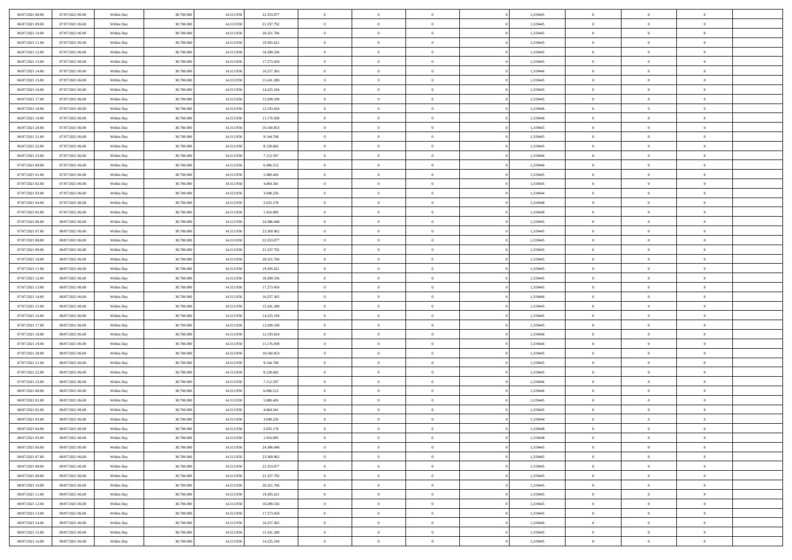| 06/07/2021 08:00                     | 07/07/2021 06:00 | Within Day               | 38.700.000 | 14.313.950               | 22.353.877             | $\,$ 0         | $\bf{0}$       | $\theta$                         |          | 1,319445             | $\bf{0}$       | $\overline{0}$                   | $\,0\,$        |  |
|--------------------------------------|------------------|--------------------------|------------|--------------------------|------------------------|----------------|----------------|----------------------------------|----------|----------------------|----------------|----------------------------------|----------------|--|
| 06/07/2021 09:00                     | 07/07/2021 06:00 | Within Day               | 38,700,000 | 14.313.950               | 21.337.792             | $\overline{0}$ | $\overline{0}$ | $\overline{0}$                   |          | 1,319445             | $\overline{0}$ | $\overline{0}$                   | $\theta$       |  |
| 06/07/2021 10:00                     | 07/07/2021 06:00 | Within Dav               | 38.700.000 | 14.313.950               | 20.321.706             | $\mathbf{0}$   | $\overline{0}$ | $\overline{0}$                   |          | 1,319445             | $\mathbf{0}$   | $\overline{0}$                   | $\overline{0}$ |  |
| 06/07/2021 11:00                     | 07/07/2021 06:00 | Within Day               | 38.700.000 | 14.313.950               | 19.305.621             | $\bf{0}$       | $\overline{0}$ | $\bf{0}$                         |          | 1,319445             | $\bf{0}$       | $\overline{0}$                   | $\bf{0}$       |  |
| 06/07/2021 12:00                     | 07/07/2021 06:00 | Within Day               | 38,700,000 | 14.313.950               | 18.289.536             | $\bf{0}$       | $\bf{0}$       | $\overline{0}$                   |          | 1,319445             | $\bf{0}$       | $\bf{0}$                         | $\,0\,$        |  |
| 06/07/2021 13:00                     | 07/07/2021 06:00 | Within Dav               | 38.700.000 | 14.313.950               | 17.273.450             | $\mathbf{0}$   | $\overline{0}$ | $\overline{0}$                   |          | 1,319445             | $\mathbf{0}$   | $\overline{0}$                   | $\overline{0}$ |  |
| 06/07/2021 14:00                     | 07/07/2021 06:00 | Within Day               | 38.700.000 | 14.313.950               | 16.257.365             | $\bf{0}$       | $\bf{0}$       | $\overline{0}$                   |          | 1,319446             | $\bf{0}$       | $\overline{0}$                   | $\,0\,$        |  |
| 06/07/2021 15:00                     | 07/07/2021 06:00 | Within Day               | 38,700,000 | 14.313.950               | 15.241.280             | $\overline{0}$ | $\overline{0}$ | $\overline{0}$                   |          | 1,319445             | $\,$ 0 $\,$    | $\overline{0}$                   | $\theta$       |  |
| 06/07/2021 16:00                     | 07/07/2021 06:00 | Within Day               | 38.700.000 | 14.313.950               | 14.225.194             | $\mathbf{0}$   | $\overline{0}$ | $\overline{0}$                   |          | 1,319445             | $\mathbf{0}$   | $\overline{0}$                   | $\overline{0}$ |  |
| 06/07/2021 17:00                     | 07/07/2021 06:00 | Within Day               | 38.700.000 | 14.313.950               | 13.209.109             | $\bf{0}$       | $\bf{0}$       | $\overline{0}$                   |          | 1,319445             | $\bf{0}$       | $\overline{0}$                   | $\,0\,$        |  |
| 06/07/2021 18:00                     | 07/07/2021 06:00 |                          | 38,700,000 | 14.313.950               | 12.193.024             | $\overline{0}$ | $\overline{0}$ | $\overline{0}$                   |          | 1,319446             | $\bf{0}$       | $\overline{0}$                   | $\theta$       |  |
| 06/07/2021 19:00                     | 07/07/2021 06:00 | Within Day<br>Within Dav | 38.700.000 | 14.313.950               | 11.176.938             | $\mathbf{0}$   | $\overline{0}$ | $\overline{0}$                   |          | 1,319446             | $\mathbf{0}$   | $\overline{0}$                   | $\overline{0}$ |  |
| 06/07/2021 20:00                     | 07/07/2021 06:00 |                          | 38.700.000 | 14.313.950               | 10.160.853             | $\bf{0}$       | $\overline{0}$ | $\bf{0}$                         |          | 1,319445             | $\bf{0}$       | $\overline{0}$                   | $\bf{0}$       |  |
|                                      | 07/07/2021 06:00 | Within Day               | 38.700.000 |                          |                        | $\bf{0}$       | $\overline{0}$ | $\overline{0}$                   |          |                      | $\bf{0}$       | $\mathbf{0}$                     | $\,0\,$        |  |
| 06/07/2021 21:00<br>06/07/2021 22:00 | 07/07/2021 06:00 | Within Day<br>Within Dav | 38.700.000 | 14.313.950<br>14.313.950 | 9.144.768<br>8.128.682 | $\overline{0}$ | $\overline{0}$ |                                  |          | 1,319445<br>1,319445 | $\mathbf{0}$   | $\overline{0}$                   | $\overline{0}$ |  |
|                                      |                  |                          |            |                          |                        |                |                | $\overline{0}$<br>$\overline{0}$ |          |                      |                | $\overline{0}$                   |                |  |
| 06/07/2021 23.00                     | 07/07/2021 06:00 | Within Day               | 38.700.000 | 14.313.950               | 7.112.597              | $\bf{0}$       | $\bf{0}$       |                                  |          | 1,319446             | $\bf{0}$       | $\overline{0}$                   | $\bf{0}$       |  |
| 07/07/2021 00:00                     | 07/07/2021 06:00 | Within Day               | 38,700,000 | 14.313.950               | 6.096.512              | $\overline{0}$ | $\overline{0}$ | $\overline{0}$                   |          | 1,319446             | $\bf{0}$       |                                  | $\theta$       |  |
| 07/07/2021 01:00                     | 07/07/2021 06:00 | Within Day               | 38.700.000 | 14.313.950               | 5.080.426              | $\mathbf{0}$   | $\overline{0}$ | $\overline{0}$                   |          | 1,319445             | $\mathbf{0}$   | $\overline{0}$                   | $\overline{0}$ |  |
| 07/07/2021 02.00                     | 07/07/2021 06:00 | Within Day               | 38.700.000 | 14.313.950               | 4.064.341              | $\bf{0}$       | $\bf{0}$       | $\overline{0}$                   |          | 1,319445             | $\bf{0}$       | $\overline{0}$<br>$\overline{0}$ | $\,0\,$        |  |
| 07/07/2021 03:00                     | 07/07/2021 06:00 | Within Day               | 38,700,000 | 14.313.950               | 3.048.256              | $\overline{0}$ | $\overline{0}$ | $\overline{0}$                   |          | 1,319444             | $\bf{0}$       |                                  | $\overline{0}$ |  |
| 07/07/2021 04:00                     | 07/07/2021 06:00 | Within Dav               | 38.700.000 | 14.313.950               | 2.032.170              | $\mathbf{0}$   | $\overline{0}$ | $\overline{0}$                   |          | 1,319448             | $\mathbf{0}$   | $\overline{0}$                   | $\overline{0}$ |  |
| 07/07/2021 05:00                     | 07/07/2021 06:00 | Within Day               | 38.700.000 | 14.313.950               | 1.016.085              | $\bf{0}$       | $\overline{0}$ | $\overline{0}$                   |          | 1,319448             | $\bf{0}$       | $\overline{0}$                   | $\bf{0}$       |  |
| 07/07/2021 06:00                     | 08/07/2021 06:00 | Within Day               | 38,700,000 | 14.313.950               | 24.386.048             | $\bf{0}$       | $\bf{0}$       | $\overline{0}$                   |          | 1,319445             | $\bf{0}$       | $\overline{0}$                   | $\,0\,$        |  |
| 07/07/2021 07:00                     | 08/07/2021 06:00 | Within Dav               | 38.700.000 | 14.313.950               | 23.369.962             | $\mathbf{0}$   | $\overline{0}$ | $\overline{0}$                   |          | 1,319445             | $\mathbf{0}$   | $\overline{0}$                   | $\overline{0}$ |  |
| 07/07/2021 08:00                     | 08/07/2021 06:00 | Within Day               | 38.700.000 | 14.313.950               | 22.353.877             | $\bf{0}$       | $\bf{0}$       | $\overline{0}$                   |          | 1,319445             | $\bf{0}$       | $\overline{0}$                   | $\,0\,$        |  |
| 07/07/2021 09:00                     | 08/07/2021 06:00 | Within Day               | 38,700,000 | 14.313.950               | 21.337.792             | $\overline{0}$ | $\overline{0}$ | $\overline{0}$                   |          | 1,319445             | $\bf{0}$       | $\mathbf{0}$                     | $\overline{0}$ |  |
| 07/07/2021 10:00                     | 08/07/2021 06:00 | Within Dav               | 38.700.000 | 14.313.950               | 20.321.706             | $\mathbf{0}$   | $\overline{0}$ | $\overline{0}$                   |          | 1,319445             | $\mathbf{0}$   | $\overline{0}$                   | $\overline{0}$ |  |
| 07/07/2021 11:00                     | 08/07/2021 06:00 | Within Day               | 38.700.000 | 14.313.950               | 19.305.621             | $\bf{0}$       | $\bf{0}$       | $\overline{0}$                   |          | 1,319445             | $\bf{0}$       | $\overline{0}$                   | $\,0\,$        |  |
| 07/07/2021 12:00                     | 08/07/2021 06:00 | Within Day               | 38,700,000 | 14.313.950               | 18.289.536             | $\bf{0}$       | $\bf{0}$       | $\overline{0}$                   |          | 1,319445             | $\bf{0}$       | $\overline{0}$                   | $\overline{0}$ |  |
| 07/07/2021 13:00                     | 08/07/2021 06:00 | Within Dav               | 38.700.000 | 14.313.950               | 17.273.450             | $\mathbf{0}$   | $\overline{0}$ | $\overline{0}$                   |          | 1,319445             | $\mathbf{0}$   | $\overline{0}$                   | $\overline{0}$ |  |
| 07/07/2021 14:00                     | 08/07/2021 06:00 | Within Day               | 38.700.000 | 14.313.950               | 16.257.365             | $\bf{0}$       | $\overline{0}$ | $\theta$                         |          | 1,319446             | $\,$ 0         | $\overline{0}$                   | $\theta$       |  |
| 07/07/2021 15:00                     | 08/07/2021 06:00 | Within Day               | 38.700.000 | 14.313.950               | 15.241.280             | $\bf{0}$       | $\bf{0}$       | $\overline{0}$                   |          | 1,319445             | $\bf{0}$       | $\overline{0}$                   | $\overline{0}$ |  |
| 07/07/2021 16:00                     | 08/07/2021 06:00 | Within Dav               | 38.700.000 | 14.313.950               | 14.225.194             | $\overline{0}$ | $\overline{0}$ | $\overline{0}$                   |          | 1,319445             | $\mathbf{0}$   | $\overline{0}$                   | $\overline{0}$ |  |
| 07/07/2021 17:00                     | 08/07/2021 06:00 | Within Day               | 38.700.000 | 14.313.950               | 13.209.109             | $\bf{0}$       | $\overline{0}$ | $\theta$                         |          | 1,319445             | $\,$ 0         | $\overline{0}$                   | $\theta$       |  |
| 07/07/2021 18:00                     | 08/07/2021 06:00 | Within Day               | 38,700,000 | 14.313.950               | 12.193.024             | $\bf{0}$       | $\overline{0}$ | $\overline{0}$                   |          | 1,319446             | $\bf{0}$       | $\overline{0}$                   | $\overline{0}$ |  |
| 07/07/2021 19:00                     | 08/07/2021 06:00 | Within Day               | 38.700.000 | 14.313.950               | 11.176.938             | $\mathbf{0}$   | $\overline{0}$ | $\overline{0}$                   |          | 1,319446             | $\mathbf{0}$   | $\overline{0}$                   | $\overline{0}$ |  |
| 07/07/2021 20:00                     | 08/07/2021 06:00 | Within Day               | 38.700.000 | 14.313.950               | 10.160.853             | $\bf{0}$       | $\overline{0}$ | $\theta$                         |          | 1,319445             | $\,$ 0         | $\overline{0}$                   | $\theta$       |  |
| 07/07/2021 21:00                     | 08/07/2021 06:00 | Within Day               | 38,700,000 | 14.313.950               | 9.144.768              | $\bf{0}$       | $\overline{0}$ | $\overline{0}$                   |          | 1,319445             | $\bf{0}$       | $\overline{0}$                   | $\bf{0}$       |  |
| 07/07/2021 22:00                     | 08/07/2021 06:00 | Within Dav               | 38.700.000 | 14.313.950               | 8.128.682              | $\mathbf{0}$   | $\overline{0}$ | $\overline{0}$                   |          | 1,319445             | $\mathbf{0}$   | $\overline{0}$                   | $\overline{0}$ |  |
| 07/07/2021 23:00                     | 08/07/2021 06:00 | Within Day               | 38.700.000 | 14.313.950               | 7.112.597              | $\,0\,$        | $\overline{0}$ | $\theta$                         |          | 1,319446             | $\,$ 0         | $\overline{0}$                   | $\theta$       |  |
| 08/07/2021 00:00                     | 08/07/2021 06:00 | Within Day               | 38,700,000 | 14.313.950               | 6.096.512              | $\bf{0}$       | $\bf{0}$       | $\overline{0}$                   |          | 1,319446             | $\bf{0}$       | $\overline{0}$                   | $\bf{0}$       |  |
| 08/07/2021 01:00                     | 08/07/2021 06:00 | Within Dav               | 38.700.000 | 14.313.950               | 5.080.426              | $\mathbf{0}$   | $\overline{0}$ | $\overline{0}$                   |          | 1,319445             | $\mathbf{0}$   | $\overline{0}$                   | $\overline{0}$ |  |
| 08/07/2021 02:00                     | 08/07/2021 06:00 | Within Day               | 38.700.000 | 14.313.950               | 4.064.341              | $\bf{0}$       | $\overline{0}$ | $\theta$                         |          | 1,319445             | $\,$ 0         | $\overline{0}$                   | $\theta$       |  |
| 08/07/2021 03:00                     | 08/07/2021 06:00 | Within Day               | 38,700,000 | 14.313.950               | 3.048.256              | $\bf{0}$       | $\overline{0}$ | $\overline{0}$                   |          | 1,319444             | $\bf{0}$       | $\overline{0}$                   | $\bf{0}$       |  |
| 08/07/2021 04:00                     | 08/07/2021 06:00 | Within Day               | 38.700.000 | 14.313.950               | 2.032.170              | $\bf{0}$       | $\overline{0}$ |                                  |          | 1,319448             | $\overline{0}$ | $\theta$                         | $\theta$       |  |
| 08/07/2021 05:00                     | 08/07/2021 06:00 | Within Day               | 38.700.000 | 14.313.950               | 1.016.085              | $\,0\,$        | $\overline{0}$ | $\theta$                         |          | 1,319448             | $\,$ 0 $\,$    | $\bf{0}$                         | $\theta$       |  |
| 08/07/2021 06:00                     | 09/07/2021 06:00 | Within Day               | 38.700.000 | 14.313.950               | 24.386.048             | $\overline{0}$ | $\overline{0}$ | $\overline{0}$                   |          | 1,319445             | $\overline{0}$ | $\overline{0}$                   | $\overline{0}$ |  |
| 08/07/2021 07:00                     | 09/07/2021 06:00 | Within Day               | 38.700.000 | 14.313.950               | 23.369.962             | $\bf{0}$       | $\overline{0}$ | $\overline{0}$                   |          | 1,319445             | $\overline{0}$ | $\bf{0}$                         | $\mathbf{0}$   |  |
| 08/07/2021 08:00                     | 09/07/2021 06:00 | Within Day               | 38.700.000 | 14.313.950               | 22.353.877             | $\bf{0}$       | $\overline{0}$ | $\overline{0}$                   | $\theta$ | 1,319445             | $\,$ 0 $\,$    | $\bf{0}$                         | $\,$ 0 $\,$    |  |
| 08/07/2021 09:00                     | 09/07/2021 06:00 | Within Day               | 38.700.000 | 14.313.950               | 21.337.792             | $\bf{0}$       | $\overline{0}$ | $\overline{0}$                   |          | 1,319445             | $\,$ 0 $\,$    | $\overline{0}$                   | $\overline{0}$ |  |
| 08/07/2021 10:00                     | 09/07/2021 06:00 | Within Day               | 38.700.000 | 14.313.950               | 20.321.706             | $\bf{0}$       | $\overline{0}$ | $\overline{0}$                   |          | 1,319445             | $\mathbf{0}$   | $\overline{0}$                   | $\overline{0}$ |  |
| 08/07/2021 11:00                     | 09/07/2021 06:00 | Within Day               | 38.700.000 | 14.313.950               | 19.305.621             | $\,0\,$        | $\overline{0}$ | $\overline{0}$                   | $\theta$ | 1,319445             | $\,$ 0 $\,$    | $\overline{0}$                   | $\overline{0}$ |  |
| 08/07/2021 12:00                     | 09/07/2021 06:00 | Within Day               | 38.700.000 | 14.313.950               | 18.289.536             | $\bf{0}$       | $\overline{0}$ | $\overline{0}$                   |          | 1,319445             | $\overline{0}$ | $\overline{0}$                   | $\overline{0}$ |  |
| 08/07/2021 13:00                     | 09/07/2021 06:00 | Within Day               | 38.700.000 | 14.313.950               | 17.273.450             | $\bf{0}$       | $\overline{0}$ | $\overline{0}$                   |          | 1,319445             | $\mathbf{0}$   | $\overline{0}$                   | $\overline{0}$ |  |
| 08/07/2021 14:00                     | 09/07/2021 06:00 | Within Day               | 38.700.000 | 14.313.950               | 16.257.365             | $\,0\,$        | $\overline{0}$ | $\overline{0}$                   |          | 1,319446             | $\,$ 0 $\,$    | $\mathbf{0}$                     | $\overline{0}$ |  |
| 08/07/2021 15:00                     | 09/07/2021 06:00 | Within Day               | 38,700,000 | 14.313.950               | 15.241.280             | $\bf{0}$       | $\overline{0}$ | $\overline{0}$                   |          | 1,319445             | $\bf{0}$       | $\mathbf{0}$                     | $\overline{0}$ |  |
| 08/07/2021 16:00                     | 09/07/2021 06:00 | Within Day               | 38.700.000 | 14.313.950               | 14.225.194             | $\overline{0}$ | $\overline{0}$ | $\overline{0}$                   |          | 1,319445             | $\mathbf{0}$   | $\overline{0}$                   | $\overline{0}$ |  |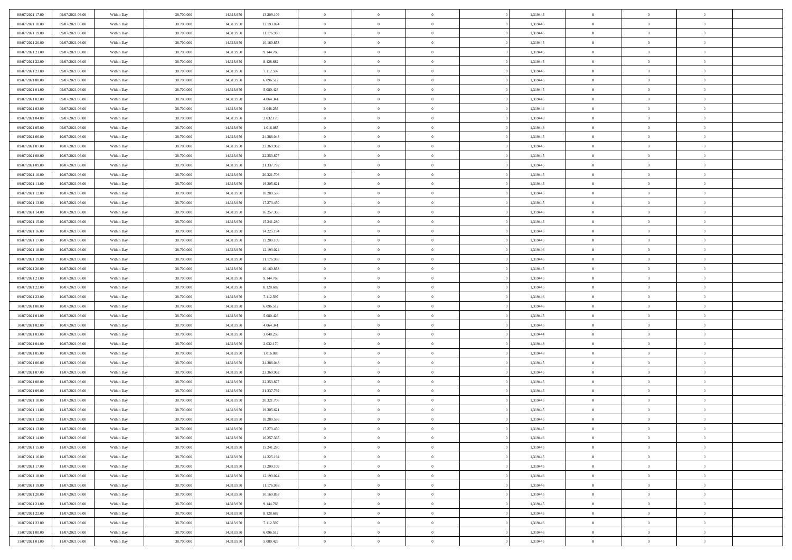| 08/07/2021 17:00 | 09/07/2021 06:00 | Within Day | 38,700,000 | 14.313.950 | 13.209.109 | $\overline{0}$ | $\overline{0}$ | $\Omega$       | 1,319445 | $\bf{0}$       | $\mathbf{0}$   | $\bf{0}$       |  |
|------------------|------------------|------------|------------|------------|------------|----------------|----------------|----------------|----------|----------------|----------------|----------------|--|
| 08/07/2021 18:00 | 09/07/2021 06:00 | Within Dav | 38.700.000 | 14.313.950 | 12.193.024 | $\mathbf{0}$   | $\overline{0}$ | $\overline{0}$ | 1,319446 | $\overline{0}$ | $\overline{0}$ | $\overline{0}$ |  |
| 08/07/2021 19:00 | 09/07/2021 06:00 | Within Day | 38.700.000 | 14.313.950 | 11.176.938 | $\,$ 0         | $\overline{0}$ | $\bf{0}$       | 1,319446 | $\,$ 0         | $\overline{0}$ | $\,$ 0 $\,$    |  |
| 08/07/2021 20:00 | 09/07/2021 06:00 | Within Day | 38,700,000 | 14.313.950 | 10.160.853 | $\bf{0}$       | $\overline{0}$ | $\Omega$       | 1,319445 | $\bf{0}$       | $\mathbf{0}$   | $\theta$       |  |
| 08/07/2021 21:00 | 09/07/2021 06:00 | Within Dav | 38.700.000 | 14.313.950 | 9.144.768  | $\bf{0}$       | $\overline{0}$ | $\overline{0}$ | 1,319445 | $\overline{0}$ | $\overline{0}$ | $\overline{0}$ |  |
| 08/07/2021 22:00 | 09/07/2021 06:00 | Within Day | 38.700.000 | 14.313.950 | 8.128.682  | $\bf{0}$       | $\overline{0}$ | $\bf{0}$       | 1,319445 | $\,$ 0         | $\overline{0}$ | $\,$ 0 $\,$    |  |
| 08/07/2021 23:00 | 09/07/2021 06:00 | Within Day | 38,700,000 | 14.313.950 | 7.112.597  | $\bf{0}$       | $\overline{0}$ | $\Omega$       | 1,319446 | $\bf{0}$       | $\overline{0}$ | $\theta$       |  |
| 09/07/2021 00:00 | 09/07/2021 06:00 | Within Day | 38.700.000 | 14.313.950 | 6.096.512  | $\overline{0}$ | $\overline{0}$ | $\overline{0}$ | 1,319446 | $\mathbf{0}$   | $\overline{0}$ | $\overline{0}$ |  |
| 09/07/2021 01:00 | 09/07/2021 06:00 | Within Day | 38.700.000 | 14.313.950 | 5.080.426  | $\bf{0}$       | $\overline{0}$ | $\bf{0}$       | 1,319445 | $\,$ 0         | $\overline{0}$ | $\,$ 0 $\,$    |  |
| 09/07/2021 02:00 | 09/07/2021 06:00 | Within Day | 38,700,000 | 14.313.950 | 4.064.341  | $\overline{0}$ | $\overline{0}$ | $\Omega$       | 1,319445 | $\theta$       | $\mathbf{0}$   | $\theta$       |  |
| 09/07/2021 03:00 | 09/07/2021 06:00 | Within Day | 38.700.000 | 14.313.950 | 3.048.256  | $\overline{0}$ | $\overline{0}$ | $\overline{0}$ | 1,319444 | $\mathbf{0}$   | $\overline{0}$ | $\overline{0}$ |  |
| 09/07/2021 04:00 | 09/07/2021 06:00 | Within Day | 38.700.000 | 14.313.950 | 2.032.170  | $\bf{0}$       | $\overline{0}$ | $\bf{0}$       | 1,319448 | $\,$ 0         | $\overline{0}$ | $\,$ 0 $\,$    |  |
| 09/07/2021 05:00 | 09/07/2021 06:00 | Within Day | 38,700,000 | 14.313.950 | 1.016.085  | $\bf{0}$       | $\overline{0}$ | $\Omega$       | 1,319448 | $\overline{0}$ | $\mathbf{0}$   | $\theta$       |  |
| 09/07/2021 06:00 | 10/07/2021 06:00 | Within Dav | 38.700.000 | 14.313.950 | 24.386.048 | $\overline{0}$ | $\overline{0}$ | $\overline{0}$ | 1,319445 | $\mathbf{0}$   | $\overline{0}$ | $\overline{0}$ |  |
| 09/07/2021 07:00 | 10/07/2021 06:00 | Within Day | 38.700.000 | 14.313.950 | 23.369.962 | $\bf{0}$       | $\overline{0}$ | $\bf{0}$       | 1,319445 | $\,$ 0         | $\overline{0}$ | $\,$ 0 $\,$    |  |
| 09/07/2021 08:00 | 10/07/2021 06:00 | Within Day | 38,700,000 | 14.313.950 | 22.353.877 | $\bf{0}$       | $\overline{0}$ | $\overline{0}$ | 1,319445 | $\bf{0}$       | $\mathbf{0}$   | $\theta$       |  |
| 09/07/2021 09:00 | 10/07/2021 06:00 | Within Day | 38.700.000 | 14.313.950 | 21.337.792 | $\overline{0}$ | $\overline{0}$ | $\overline{0}$ | 1,319445 | $\mathbf{0}$   | $\overline{0}$ | $\overline{0}$ |  |
| 09/07/2021 10:00 | 10/07/2021 06:00 | Within Day | 38.700.000 | 14.313.950 | 20.321.706 | $\bf{0}$       | $\overline{0}$ | $\bf{0}$       | 1,319445 | $\,$ 0         | $\overline{0}$ | $\,$ 0 $\,$    |  |
| 09/07/2021 11:00 | 10/07/2021 06:00 | Within Day | 38,700,000 | 14.313.950 | 19.305.621 | $\bf{0}$       | $\overline{0}$ | $\Omega$       | 1,319445 | $\theta$       | $\mathbf{0}$   | $\theta$       |  |
| 09/07/2021 12:00 | 10/07/2021 06:00 | Within Day | 38.700.000 | 14.313.950 | 18.289.536 | $\overline{0}$ | $\overline{0}$ | $\overline{0}$ | 1,319445 | $\mathbf{0}$   | $\overline{0}$ | $\overline{0}$ |  |
| 09/07/2021 13:00 | 10/07/2021 06:00 | Within Day | 38.700.000 | 14.313.950 | 17.273.450 | $\bf{0}$       | $\overline{0}$ | $\bf{0}$       | 1,319445 | $\,$ 0         | $\overline{0}$ | $\,$ 0 $\,$    |  |
| 09/07/2021 14:00 | 10/07/2021 06:00 | Within Day | 38,700,000 | 14.313.950 | 16.257.365 | $\bf{0}$       | $\overline{0}$ | $\Omega$       | 1,319446 | $\bf{0}$       | $\mathbf{0}$   | $\theta$       |  |
| 09/07/2021 15:00 | 10/07/2021 06:00 | Within Day | 38.700.000 | 14.313.950 | 15.241.280 | $\overline{0}$ | $\overline{0}$ | $\overline{0}$ | 1,319445 | $\mathbf{0}$   | $\overline{0}$ | $\overline{0}$ |  |
| 09/07/2021 16:00 | 10/07/2021 06:00 | Within Day | 38.700.000 | 14.313.950 | 14.225.194 | $\bf{0}$       | $\overline{0}$ | $\bf{0}$       | 1,319445 | $\,$ 0         | $\overline{0}$ | $\,$ 0 $\,$    |  |
| 09/07/2021 17:00 | 10/07/2021 06:00 | Within Day | 38,700,000 | 14.313.950 | 13.209.109 | $\bf{0}$       | $\overline{0}$ | $\overline{0}$ | 1,319445 | $\bf{0}$       | $\overline{0}$ | $\bf{0}$       |  |
| 09/07/2021 18:00 | 10/07/2021 06:00 | Within Day | 38.700.000 | 14.313.950 | 12.193.024 | $\overline{0}$ | $\overline{0}$ | $\overline{0}$ | 1,319446 | $\mathbf{0}$   | $\overline{0}$ | $\overline{0}$ |  |
| 09/07/2021 19:00 | 10/07/2021 06:00 | Within Day | 38.700.000 | 14.313.950 | 11.176.938 | $\bf{0}$       | $\overline{0}$ | $\bf{0}$       | 1,319446 | $\,$ 0         | $\overline{0}$ | $\,$ 0 $\,$    |  |
| 09/07/2021 20:00 | 10/07/2021 06:00 | Within Day | 38,700,000 | 14.313.950 | 10.160.853 | $\bf{0}$       | $\overline{0}$ | $\Omega$       | 1,319445 | $\theta$       | $\mathbf{0}$   | $\theta$       |  |
| 09/07/2021 21:00 | 10/07/2021 06:00 | Within Day | 38.700.000 | 14.313.950 | 9.144.768  | $\overline{0}$ | $\overline{0}$ | $\overline{0}$ | 1,319445 | $\mathbf{0}$   | $\overline{0}$ | $\overline{0}$ |  |
| 09/07/2021 22.00 | 10/07/2021 06:00 | Within Day | 38.700.000 | 14.313.950 | 8.128.682  | $\bf{0}$       | $\overline{0}$ | $\bf{0}$       | 1,319445 | $\,$ 0         | $\overline{0}$ | $\,$ 0 $\,$    |  |
| 09/07/2021 23.00 | 10/07/2021 06:00 | Within Day | 38.700.000 | 14.313.950 | 7.112.597  | $\bf{0}$       | $\bf{0}$       | $\overline{0}$ | 1,319446 | $\bf{0}$       | $\overline{0}$ | $\,0\,$        |  |
| 10/07/2021 00:00 | 10/07/2021 06:00 | Within Dav | 38.700.000 | 14.313.950 | 6.096.512  | $\overline{0}$ | $\overline{0}$ | $\overline{0}$ | 1,319446 | $\mathbf{0}$   | $\overline{0}$ | $\overline{0}$ |  |
| 10/07/2021 01:00 | 10/07/2021 06:00 | Within Day | 38.700.000 | 14.313.950 | 5.080.426  | $\bf{0}$       | $\overline{0}$ | $\bf{0}$       | 1,319445 | $\,$ 0         | $\overline{0}$ | $\,$ 0 $\,$    |  |
| 10/07/2021 02:00 | 10/07/2021 06:00 | Within Day | 38.700.000 | 14.313.950 | 4.064.341  | $\bf{0}$       | $\bf{0}$       | $\bf{0}$       | 1,319445 | $\bf{0}$       | $\overline{0}$ | $\,0\,$        |  |
| 10/07/2021 03:00 | 10/07/2021 06:00 | Within Day | 38.700.000 | 14.313.950 | 3.048.256  | $\overline{0}$ | $\overline{0}$ | $\overline{0}$ | 1,319444 | $\overline{0}$ | $\overline{0}$ | $\overline{0}$ |  |
| 10/07/2021 04:00 | 10/07/2021 06:00 | Within Day | 38.700.000 | 14.313.950 | 2.032.170  | $\bf{0}$       | $\overline{0}$ | $\bf{0}$       | 1,319448 | $\,$ 0         | $\overline{0}$ | $\,$ 0 $\,$    |  |
| 10/07/2021 05:00 | 10/07/2021 06:00 | Within Day | 38.700.000 | 14.313.950 | 1.016.085  | $\bf{0}$       | $\bf{0}$       | $\overline{0}$ | 1,319448 | $\bf{0}$       | $\overline{0}$ | $\,0\,$        |  |
| 10/07/2021 06:00 | 11/07/2021 06:00 | Within Day | 38.700.000 | 14.313.950 | 24.386.048 | $\overline{0}$ | $\overline{0}$ | $\overline{0}$ | 1,319445 | $\mathbf{0}$   | $\overline{0}$ | $\overline{0}$ |  |
| 10/07/2021 07:00 | 11/07/2021 06:00 | Within Day | 38.700.000 | 14.313.950 | 23.369.962 | $\bf{0}$       | $\overline{0}$ | $\bf{0}$       | 1,319445 | $\,$ 0         | $\overline{0}$ | $\,$ 0 $\,$    |  |
| 10/07/2021 08:00 | 11/07/2021 06:00 | Within Day | 38.700.000 | 14.313.950 | 22.353.877 | $\bf{0}$       | $\bf{0}$       | $\overline{0}$ | 1,319445 | $\bf{0}$       | $\overline{0}$ | $\,0\,$        |  |
| 10/07/2021 09:00 | 11/07/2021 06:00 | Within Dav | 38.700.000 | 14.313.950 | 21.337.792 | $\overline{0}$ | $\overline{0}$ | $\overline{0}$ | 1,319445 | $\overline{0}$ | $\overline{0}$ | $\overline{0}$ |  |
| 10/07/2021 10:00 | 11/07/2021 06:00 | Within Day | 38.700.000 | 14.313.950 | 20.321.706 | $\bf{0}$       | $\overline{0}$ | $\bf{0}$       | 1,319445 | $\,$ 0         | $\overline{0}$ | $\,$ 0 $\,$    |  |
| 10/07/2021 11:00 | 11/07/2021 06:00 | Within Day | 38.700.000 | 14.313.950 | 19.305.621 | $\bf{0}$       | $\bf{0}$       | $\bf{0}$       | 1,319445 | $\bf{0}$       | $\overline{0}$ | $\,0\,$        |  |
| 10/07/2021 12:00 | 11/07/2021 06:00 | Within Dav | 38.700.000 | 14.313.950 | 18.289.536 | $\mathbf{0}$   | $\overline{0}$ | $\overline{0}$ | 1,319445 | $\mathbf{0}$   | $\overline{0}$ | $\overline{0}$ |  |
| 10/07/2021 13:00 | 11/07/2021 06:00 | Within Day | 38.700.000 | 14.313.950 | 17.273.450 | $\bf{0}$       | $\overline{0}$ | $\theta$       | 1,319445 | $\overline{0}$ | $\theta$       | $\theta$       |  |
| 10/07/2021 14:00 | 11/07/2021 06:00 | Within Day | 38.700.000 | 14.313.950 | 16.257.365 | $\bf{0}$       | $\bf{0}$       | $\bf{0}$       | 1,319446 | $\bf{0}$       | $\overline{0}$ | $\bf{0}$       |  |
| 10/07/2021 15:00 | 11/07/2021 06:00 | Within Day | 38.700.000 | 14.313.950 | 15.241.280 | $\overline{0}$ | $\overline{0}$ | $\overline{0}$ | 1,319445 | $\overline{0}$ | $\overline{0}$ | $\overline{0}$ |  |
| 10/07/2021 16:00 | 11/07/2021 06:00 | Within Day | 38.700.000 | 14.313.950 | 14.225.194 | $\,$ 0 $\,$    | $\overline{0}$ | $\overline{0}$ | 1,319445 | $\mathbf{0}$   | $\,$ 0 $\,$    | $\,$ 0 $\,$    |  |
| 10/07/2021 17:00 | 11/07/2021 06:00 | Within Day | 38.700.000 | 14.313.950 | 13.209.109 | $\bf{0}$       | $\bf{0}$       | $\overline{0}$ | 1,319445 | $\bf{0}$       | $\overline{0}$ | $\bf{0}$       |  |
| 10/07/2021 18:00 | 11/07/2021 06:00 | Within Day | 38.700.000 | 14.313.950 | 12.193.024 | $\overline{0}$ | $\overline{0}$ | $\overline{0}$ | 1,319446 | $\overline{0}$ | $\bf{0}$       | $\overline{0}$ |  |
| 10/07/2021 19:00 | 11/07/2021 06:00 | Within Day | 38.700.000 | 14.313.950 | 11.176.938 | $\,$ 0 $\,$    | $\overline{0}$ | $\overline{0}$ | 1,319446 | $\,$ 0 $\,$    | $\overline{0}$ | $\,$ 0 $\,$    |  |
| 10/07/2021 20:00 | 11/07/2021 06:00 | Within Day | 38.700.000 | 14.313.950 | 10.160.853 | $\overline{0}$ | $\overline{0}$ | $\overline{0}$ | 1,319445 | $\bf{0}$       | $\overline{0}$ | $\overline{0}$ |  |
| 10/07/2021 21:00 | 11/07/2021 06:00 | Within Day | 38.700.000 | 14.313.950 | 9.144.768  | $\overline{0}$ | $\overline{0}$ | $\overline{0}$ | 1,319445 | $\overline{0}$ | $\bf{0}$       | $\overline{0}$ |  |
| 10/07/2021 22:00 | 11/07/2021 06:00 | Within Day | 38.700.000 | 14.313.950 | 8.128.682  | $\,$ 0 $\,$    | $\overline{0}$ | $\overline{0}$ | 1,319445 | $\mathbf{0}$   | $\,$ 0 $\,$    | $\,$ 0 $\,$    |  |
| 10/07/2021 23:00 | 11/07/2021 06:00 | Within Day | 38.700.000 | 14.313.950 | 7.112.597  | $\bf{0}$       | $\bf{0}$       | $\overline{0}$ | 1,319446 | $\bf{0}$       | $\overline{0}$ | $\bf{0}$       |  |
| 11/07/2021 00:00 | 11/07/2021 06:00 | Within Day | 38.700.000 | 14.313.950 | 6.096.512  | $\overline{0}$ | $\overline{0}$ | $\overline{0}$ | 1,319446 | $\mathbf{0}$   | $\bf{0}$       | $\overline{0}$ |  |
| 11/07/2021 01:00 | 11/07/2021 06:00 | Within Day | 38.700.000 | 14.313.950 | 5.080.426  | $\,0\,$        | $\overline{0}$ | $\overline{0}$ | 1,319445 | $\,$ 0         | $\overline{0}$ | $\,$ 0 $\,$    |  |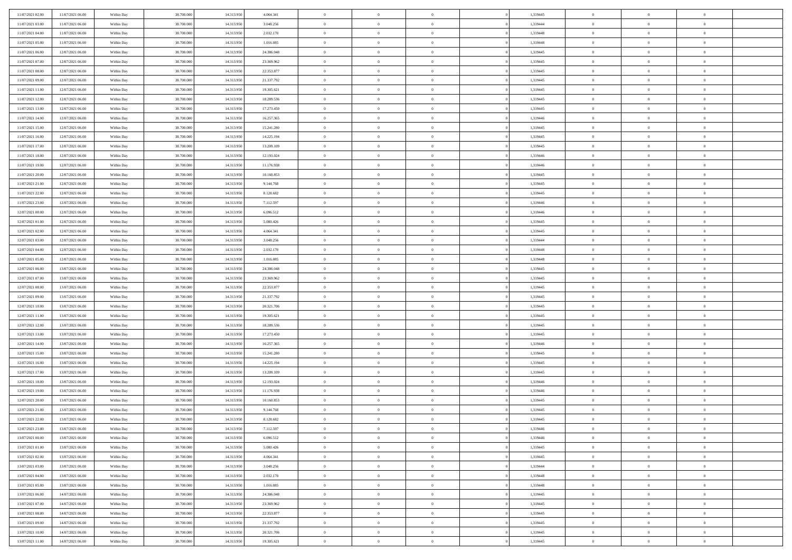| 11/07/2021 02:00 | 11/07/2021 06:00 | Within Day | 38,700,000 | 14.313.950 | 4.064.341  | $\bf{0}$       | $\overline{0}$ | $\Omega$       | 1,319445 | $\theta$       | $\overline{0}$ | $\overline{0}$ |  |
|------------------|------------------|------------|------------|------------|------------|----------------|----------------|----------------|----------|----------------|----------------|----------------|--|
| 11/07/2021 03:00 | 11/07/2021 06:00 | Within Day | 38.700.000 | 14.313.950 | 3.048.256  | $\mathbf{0}$   | $\overline{0}$ | $\overline{0}$ | 1,319444 | $\theta$       | $\overline{0}$ | $\theta$       |  |
| 11/07/2021 04:00 | 11/07/2021 06:00 | Within Day | 38.700.000 | 14.313.950 | 2.032.170  | $\,$ 0         | $\overline{0}$ | $\bf{0}$       | 1,319448 | $\,0\,$        | $\overline{0}$ | $\,$ 0 $\,$    |  |
| 11/07/2021 05:00 | 11/07/2021 06:00 | Within Day | 38,700,000 | 14.313.950 | 1.016.085  | $\bf{0}$       | $\overline{0}$ | $\overline{0}$ | 1,319448 | $\overline{0}$ | $\theta$       | $\theta$       |  |
| 11/07/2021 06:00 | 12/07/2021 06:00 | Within Dav | 38.700.000 | 14.313.950 | 24.386.048 | $\mathbf{0}$   | $\overline{0}$ | $\overline{0}$ | 1,319445 | $\overline{0}$ | $\overline{0}$ | $\overline{0}$ |  |
| 11/07/2021 07:00 | 12/07/2021 06:00 | Within Day | 38.700.000 | 14.313.950 | 23.369.962 | $\bf{0}$       | $\overline{0}$ | $\bf{0}$       | 1,319445 | $\,0\,$        | $\overline{0}$ | $\,$ 0 $\,$    |  |
| 11/07/2021 08:00 | 12/07/2021 06:00 | Within Day | 38,700,000 | 14.313.950 | 22.353.877 | $\bf{0}$       | $\overline{0}$ | $\overline{0}$ | 1,319445 | $\bf{0}$       | $\overline{0}$ | $\theta$       |  |
| 11/07/2021 09:00 | 12/07/2021 06:00 | Within Dav | 38.700.000 | 14.313.950 | 21.337.792 | $\overline{0}$ | $\overline{0}$ | $\overline{0}$ | 1,319445 | $\mathbf{0}$   | $\bf{0}$       | $\overline{0}$ |  |
| 11/07/2021 11:00 | 12/07/2021 06:00 | Within Day | 38.700.000 | 14.313.950 | 19.305.621 | $\bf{0}$       | $\overline{0}$ | $\bf{0}$       | 1,319445 | $\,0\,$        | $\overline{0}$ | $\,$ 0 $\,$    |  |
| 11/07/2021 12:00 | 12/07/2021 06:00 | Within Day | 38,700,000 | 14.313.950 | 18.289.536 | $\bf{0}$       | $\overline{0}$ | $\overline{0}$ | 1,319445 | $\theta$       | $\overline{0}$ | $\overline{0}$ |  |
| 11/07/2021 13:00 | 12/07/2021 06:00 | Within Dav | 38.700.000 | 14.313.950 | 17.273.450 | $\overline{0}$ | $\overline{0}$ | $\overline{0}$ | 1,319445 | $\mathbf{0}$   | $\bf{0}$       | $\overline{0}$ |  |
| 11/07/2021 14:00 | 12/07/2021 06:00 | Within Day | 38.700.000 | 14.313.950 | 16.257.365 | $\bf{0}$       | $\overline{0}$ | $\bf{0}$       | 1,319446 | $\,0\,$        | $\overline{0}$ | $\,$ 0 $\,$    |  |
| 11/07/2021 15:00 | 12/07/2021 06:00 | Within Day | 38,700,000 | 14.313.950 | 15.241.280 | $\bf{0}$       | $\overline{0}$ | $\Omega$       | 1,319445 | $\theta$       | $\theta$       | $\theta$       |  |
| 11/07/2021 16:00 | 12/07/2021 06:00 | Within Dav | 38.700.000 | 14.313.950 | 14.225.194 | $\overline{0}$ | $\overline{0}$ | $\overline{0}$ | 1,319445 | $\mathbf{0}$   | $\bf{0}$       | $\overline{0}$ |  |
| 11/07/2021 17:00 | 12/07/2021 06:00 | Within Day | 38.700.000 | 14.313.950 | 13.209.109 | $\bf{0}$       | $\overline{0}$ | $\bf{0}$       | 1,319445 | $\,0\,$        | $\overline{0}$ | $\,$ 0 $\,$    |  |
| 11/07/2021 18:00 | 12/07/2021 06:00 | Within Day | 38,700,000 | 14.313.950 | 12.193.024 | $\bf{0}$       | $\overline{0}$ | $\overline{0}$ | 1,319446 | $\bf{0}$       | $\overline{0}$ | $\bf{0}$       |  |
| 11/07/2021 19:00 | 12/07/2021 06:00 | Within Dav | 38.700.000 | 14.313.950 | 11.176.938 | $\overline{0}$ | $\overline{0}$ | $\overline{0}$ | 1,319446 | $\mathbf{0}$   | $\overline{0}$ | $\theta$       |  |
| 11/07/2021 20:00 | 12/07/2021 06:00 | Within Day | 38.700.000 | 14.313.950 | 10.160.853 | $\bf{0}$       | $\overline{0}$ | $\bf{0}$       | 1,319445 | $\,0\,$        | $\overline{0}$ | $\,$ 0 $\,$    |  |
| 11/07/2021 21:00 | 12/07/2021 06:00 | Within Day | 38,700,000 | 14.313.950 | 9.144.768  | $\bf{0}$       | $\overline{0}$ | $\overline{0}$ | 1,319445 | $\theta$       | $\overline{0}$ | $\overline{0}$ |  |
| 11/07/2021 22:00 | 12/07/2021 06:00 | Within Dav | 38.700.000 | 14.313.950 | 8.128.682  | $\overline{0}$ | $\overline{0}$ | $\overline{0}$ | 1,319445 | $\mathbf{0}$   | $\overline{0}$ | $\theta$       |  |
| 11/07/2021 23:00 | 12/07/2021 06:00 | Within Day | 38.700.000 | 14.313.950 | 7.112.597  | $\bf{0}$       | $\overline{0}$ | $\bf{0}$       | 1,319446 | $\,0\,$        | $\overline{0}$ | $\,$ 0 $\,$    |  |
| 12/07/2021 00:00 | 12/07/2021 06:00 | Within Day | 38.700.000 | 14.313.950 | 6.096.512  | $\bf{0}$       | $\overline{0}$ | $\Omega$       | 1,319446 | $\theta$       | $\theta$       | $\theta$       |  |
| 12/07/2021 01:00 | 12/07/2021 06:00 | Within Dav | 38.700.000 | 14.313.950 | 5.080.426  | $\overline{0}$ | $\overline{0}$ | $\overline{0}$ | 1,319445 | $\mathbf{0}$   | $\overline{0}$ | $\overline{0}$ |  |
| 12/07/2021 02:00 | 12/07/2021 06:00 | Within Day | 38.700.000 | 14.313.950 | 4.064.341  | $\bf{0}$       | $\overline{0}$ | $\bf{0}$       | 1,319445 | $\,0\,$        | $\overline{0}$ | $\,$ 0 $\,$    |  |
| 12/07/2021 03:00 | 12/07/2021 06:00 | Within Day | 38,700,000 | 14.313.950 | 3.048.256  | $\bf{0}$       | $\overline{0}$ | $\overline{0}$ | 1,319444 | $\bf{0}$       | $\overline{0}$ | $\overline{0}$ |  |
| 12/07/2021 04:00 | 12/07/2021 06:00 | Within Dav | 38.700.000 | 14.313.950 | 2.032.170  | $\overline{0}$ | $\overline{0}$ | $\overline{0}$ | 1,319448 | $\mathbf{0}$   | $\overline{0}$ | $\theta$       |  |
| 12/07/2021 05:00 | 12/07/2021 06:00 | Within Day | 38.700.000 | 14.313.950 | 1.016.085  | $\bf{0}$       | $\overline{0}$ | $\bf{0}$       | 1,319448 | $\,0\,$        | $\overline{0}$ | $\,$ 0 $\,$    |  |
| 12/07/2021 06:00 | 13/07/2021 06:00 | Within Day | 38,700,000 | 14.313.950 | 24,386,048 | $\bf{0}$       | $\overline{0}$ | $\overline{0}$ | 1,319445 | $\theta$       | $\theta$       | $\overline{0}$ |  |
| 12/07/2021 07:00 | 13/07/2021 06:00 | Within Dav | 38.700.000 | 14.313.950 | 23.369.962 | $\overline{0}$ | $\overline{0}$ | $\overline{0}$ | 1,319445 | $\mathbf{0}$   | $\overline{0}$ | $\overline{0}$ |  |
| 12/07/2021 08:00 | 13/07/2021 06:00 | Within Day | 38.700.000 | 14.313.950 | 22.353.877 | $\bf{0}$       | $\overline{0}$ | $\bf{0}$       | 1,319445 | $\,0\,$        | $\overline{0}$ | $\,$ 0 $\,$    |  |
| 12/07/2021 09:00 | 13/07/2021 06:00 | Within Day | 38.700.000 | 14.313.950 | 21.337.792 | $\bf{0}$       | $\bf{0}$       | $\overline{0}$ | 1,319445 | $\bf{0}$       | $\overline{0}$ | $\theta$       |  |
| 12/07/2021 10:00 | 13/07/2021 06:00 | Within Dav | 38.700.000 | 14.313.950 | 20.321.706 | $\overline{0}$ | $\overline{0}$ | $\overline{0}$ | 1,319445 | $\mathbf{0}$   | $\overline{0}$ | $\overline{0}$ |  |
| 12/07/2021 11:00 | 13/07/2021 06:00 | Within Day | 38.700.000 | 14.313.950 | 19.305.621 | $\bf{0}$       | $\overline{0}$ | $\bf{0}$       | 1,319445 | $\,0\,$        | $\overline{0}$ | $\theta$       |  |
| 12/07/2021 12:00 | 13/07/2021 06:00 | Within Day | 38.700.000 | 14.313.950 | 18.289.536 | $\bf{0}$       | $\bf{0}$       | $\bf{0}$       | 1,319445 | $\bf{0}$       | $\overline{0}$ | $\bf{0}$       |  |
| 12/07/2021 13:00 | 13/07/2021 06:00 | Within Dav | 38.700.000 | 14.313.950 | 17.273.450 | $\overline{0}$ | $\overline{0}$ | $\overline{0}$ | 1,319445 | $\mathbf{0}$   | $\overline{0}$ | $\theta$       |  |
| 12/07/2021 14:00 | 13/07/2021 06:00 | Within Day | 38.700.000 | 14.313.950 | 16.257.365 | $\bf{0}$       | $\overline{0}$ | $\bf{0}$       | 1,319446 | $\,0\,$        | $\overline{0}$ | $\,$ 0 $\,$    |  |
| 12/07/2021 15:00 | 13/07/2021 06:00 | Within Day | 38.700.000 | 14.313.950 | 15.241.280 | $\bf{0}$       | $\bf{0}$       | $\overline{0}$ | 1,319445 | $\bf{0}$       | $\overline{0}$ | $\theta$       |  |
| 12/07/2021 16:00 | 13/07/2021 06:00 | Within Dav | 38.700.000 | 14.313.950 | 14.225.194 | $\overline{0}$ | $\overline{0}$ | $\overline{0}$ | 1,319445 | $\mathbf{0}$   | $\overline{0}$ | $\overline{0}$ |  |
| 12/07/2021 17:00 | 13/07/2021 06:00 | Within Day | 38.700.000 | 14.313.950 | 13.209.109 | $\bf{0}$       | $\overline{0}$ | $\bf{0}$       | 1,319445 | $\,0\,$        | $\overline{0}$ | $\,$ 0         |  |
| 12/07/2021 18:00 | 13/07/2021 06:00 | Within Day | 38.700.000 | 14.313.950 | 12.193.024 | $\bf{0}$       | $\bf{0}$       | $\overline{0}$ | 1,319446 | $\bf{0}$       | $\overline{0}$ | $\theta$       |  |
| 12/07/2021 19:00 | 13/07/2021 06:00 | Within Dav | 38.700.000 | 14.313.950 | 11.176.938 | $\overline{0}$ | $\overline{0}$ | $\overline{0}$ | 1,319446 | $\theta$       | $\overline{0}$ | $\theta$       |  |
| 12/07/2021 20:00 | 13/07/2021 06:00 | Within Day | 38.700.000 | 14.313.950 | 10.160.853 | $\bf{0}$       | $\overline{0}$ | $\bf{0}$       | 1,319445 | $\,0\,$        | $\overline{0}$ | $\theta$       |  |
| 12/07/2021 21:00 | 13/07/2021 06:00 | Within Day | 38.700.000 | 14.313.950 | 9.144.768  | $\bf{0}$       | $\bf{0}$       | $\bf{0}$       | 1,319445 | $\bf{0}$       | $\overline{0}$ | $\bf{0}$       |  |
| 12/07/2021 22:00 | 13/07/2021 06:00 | Within Dav | 38.700.000 | 14.313.950 | 8.128.682  | $\mathbf{0}$   | $\overline{0}$ | $\overline{0}$ | 1,319445 | $\theta$       | $\bf{0}$       | $\theta$       |  |
| 12/07/2021 23:00 | 13/07/2021 06:00 | Within Day | 38.700.000 | 14.313.950 | 7.112.597  | $\bf{0}$       | $\overline{0}$ | $\theta$       | 1,319446 | $\bf{0}$       | $\overline{0}$ | $\theta$       |  |
| 13/07/2021 00:00 | 13/07/2021 06:00 | Within Day | 38.700.000 | 14.313.950 | 6.096.512  | $\bf{0}$       | $\bf{0}$       | $\bf{0}$       | 1,319446 | $\bf{0}$       | $\overline{0}$ | $\bf{0}$       |  |
| 13/07/2021 01:00 | 13/07/2021 06:00 | Within Day | 38.700.000 | 14.313.950 | 5.080.426  | $\overline{0}$ | $\overline{0}$ | $\overline{0}$ | 1,319445 | $\overline{0}$ | $\overline{0}$ | $\overline{0}$ |  |
| 13/07/2021 02:00 | 13/07/2021 06:00 | Within Day | 38.700.000 | 14.313.950 | 4.064.341  | $\,$ 0 $\,$    | $\overline{0}$ | $\overline{0}$ | 1,319445 | $\,$ 0 $\,$    | $\,$ 0 $\,$    | $\,0\,$        |  |
| 13/07/2021 03:00 | 13/07/2021 06:00 | Within Day | 38.700.000 | 14.313.950 | 3.048.256  | $\bf{0}$       | $\bf{0}$       | $\overline{0}$ | 1,319444 | $\mathbf{0}$   | $\overline{0}$ | $\bf{0}$       |  |
| 13/07/2021 04:00 | 13/07/2021 06:00 | Within Day | 38.700.000 | 14.313.950 | 2.032.170  | $\,$ 0 $\,$    | $\overline{0}$ | $\overline{0}$ | 1,319448 | $\mathbf{0}$   | $\bf{0}$       | $\overline{0}$ |  |
| 13/07/2021 05:00 | 13/07/2021 06:00 | Within Day | 38.700.000 | 14.313.950 | 1.016.085  | $\,$ 0 $\,$    | $\overline{0}$ | $\overline{0}$ | 1,319448 | $\,$ 0 $\,$    | $\bf{0}$       | $\,$ 0         |  |
| 13/07/2021 06:00 | 14/07/2021 06:00 | Within Day | 38.700.000 | 14.313.950 | 24.386.048 | $\overline{0}$ | $\overline{0}$ | $\overline{0}$ | 1,319445 | $\overline{0}$ | $\overline{0}$ | $\bf{0}$       |  |
| 13/07/2021 07:00 | 14/07/2021 06:00 | Within Day | 38.700.000 | 14.313.950 | 23.369.962 | $\,$ 0 $\,$    | $\overline{0}$ | $\overline{0}$ | 1,319445 | $\overline{0}$ | $\overline{0}$ | $\overline{0}$ |  |
| 13/07/2021 08:00 | 14/07/2021 06:00 | Within Day | 38.700.000 | 14.313.950 | 22.353.877 | $\,$ 0 $\,$    | $\overline{0}$ | $\overline{0}$ | 1,319445 | $\,$ 0 $\,$    | $\,$ 0 $\,$    | $\,0\,$        |  |
| 13/07/2021 09:00 | 14/07/2021 06:00 | Within Day | 38.700.000 | 14.313.950 | 21.337.792 | $\bf{0}$       | $\bf{0}$       | $\overline{0}$ | 1,319445 | $\mathbf{0}$   | $\overline{0}$ | $\bf{0}$       |  |
| 13/07/2021 10:00 | 14/07/2021 06:00 | Within Day | 38.700.000 | 14.313.950 | 20.321.706 | $\overline{0}$ | $\overline{0}$ | $\overline{0}$ | 1,319445 | $\overline{0}$ | $\overline{0}$ | $\overline{0}$ |  |
| 13/07/2021 11:00 | 14/07/2021 06:00 | Within Day | 38.700.000 | 14.313.950 | 19.305.621 | $\,0\,$        | $\overline{0}$ | $\overline{0}$ | 1,319445 | $\,0\,$        | $\overline{0}$ | $\,0\,$        |  |
|                  |                  |            |            |            |            |                |                |                |          |                |                |                |  |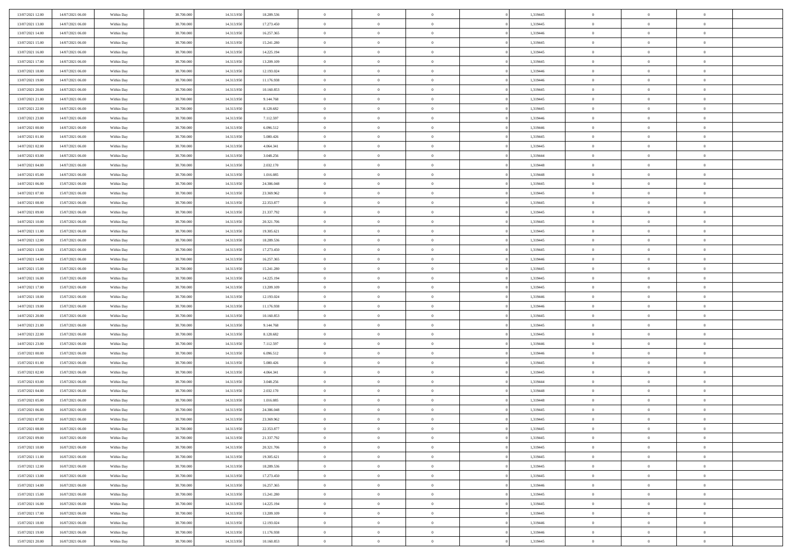| 13/07/2021 12:00 | 14/07/2021 06:00 | Within Day | 38.700.000 | 14.313.950 | 18.289.536 | $\,$ 0         | $\bf{0}$       | $\theta$       |                | 1,319445 | $\bf{0}$       | $\overline{0}$ | $\theta$       |  |
|------------------|------------------|------------|------------|------------|------------|----------------|----------------|----------------|----------------|----------|----------------|----------------|----------------|--|
| 13/07/2021 13:00 | 14/07/2021 06:00 | Within Day | 38,700,000 | 14.313.950 | 17.273.450 | $\overline{0}$ | $\overline{0}$ | $\overline{0}$ |                | 1,319445 | $\theta$       | $\theta$       | $\overline{0}$ |  |
| 13/07/2021 14:00 | 14/07/2021 06:00 | Within Dav | 38.700.000 | 14.313.950 | 16.257.365 | $\mathbf{0}$   | $\overline{0}$ | $\overline{0}$ |                | 1,319446 | $\theta$       | $\overline{0}$ | $\theta$       |  |
| 13/07/2021 15:00 | 14/07/2021 06:00 | Within Day | 38.700.000 | 14.313.950 | 15.241.280 | $\bf{0}$       | $\overline{0}$ | $\bf{0}$       |                | 1,319445 | $\bf{0}$       | $\overline{0}$ | $\bf{0}$       |  |
| 13/07/2021 16:00 | 14/07/2021 06:00 | Within Day | 38.700.000 | 14.313.950 | 14.225.194 | $\bf{0}$       | $\bf{0}$       | $\overline{0}$ |                | 1,319445 | $\bf{0}$       | $\Omega$       | $\bf{0}$       |  |
| 13/07/2021 17:00 | 14/07/2021 06:00 | Within Dav | 38.700.000 | 14.313.950 | 13.209.109 | $\overline{0}$ | $\overline{0}$ | $\overline{0}$ |                | 1,319445 | $\theta$       | $\overline{0}$ | $\theta$       |  |
| 13/07/2021 18:00 | 14/07/2021 06:00 | Within Day | 38.700.000 | 14.313.950 | 12.193.024 | $\bf{0}$       | $\bf{0}$       | $\overline{0}$ |                | 1,319446 | $\bf{0}$       | $\overline{0}$ | $\theta$       |  |
|                  |                  |            |            |            |            | $\overline{0}$ | $\overline{0}$ | $\overline{0}$ |                |          | $\,$ 0 $\,$    | $\overline{0}$ | $\overline{0}$ |  |
| 13/07/2021 19:00 | 14/07/2021 06:00 | Within Day | 38.700.000 | 14.313.950 | 11.176.938 |                |                |                |                | 1,319446 |                |                |                |  |
| 13/07/2021 20:00 | 14/07/2021 06:00 | Within Day | 38.700.000 | 14.313.950 | 10.160.853 | $\mathbf{0}$   | $\overline{0}$ | $\overline{0}$ |                | 1,319445 | $\theta$       | $\overline{0}$ | $\theta$       |  |
| 13/07/2021 21:00 | 14/07/2021 06:00 | Within Day | 38.700.000 | 14.313.950 | 9.144.768  | $\bf{0}$       | $\bf{0}$       | $\overline{0}$ |                | 1,319445 | $\bf{0}$       | $\overline{0}$ | $\theta$       |  |
| 13/07/2021 22:00 | 14/07/2021 06:00 | Within Day | 38,700,000 | 14.313.950 | 8.128.682  | $\bf{0}$       | $\overline{0}$ | $\overline{0}$ |                | 1,319445 | $\bf{0}$       | $\theta$       | $\overline{0}$ |  |
| 13/07/2021 23:00 | 14/07/2021 06:00 | Within Dav | 38.700.000 | 14.313.950 | 7.112.597  | $\mathbf{0}$   | $\overline{0}$ | $\overline{0}$ |                | 1,319446 | $\theta$       | $\overline{0}$ | $\theta$       |  |
| 14/07/2021 00:00 | 14/07/2021 06:00 | Within Day | 38.700.000 | 14.313.950 | 6.096.512  | $\bf{0}$       | $\overline{0}$ | $\bf{0}$       |                | 1,319446 | $\bf{0}$       | $\overline{0}$ | $\bf{0}$       |  |
| 14/07/2021 01:00 | 14/07/2021 06:00 | Within Day | 38.700.000 | 14.313.950 | 5.080.426  | $\bf{0}$       | $\overline{0}$ | $\overline{0}$ |                | 1,319445 | $\bf{0}$       | $\Omega$       | $\bf{0}$       |  |
| 14/07/2021 02:00 | 14/07/2021 06:00 | Within Dav | 38.700.000 | 14.313.950 | 4.064.341  | $\overline{0}$ | $\overline{0}$ | $\overline{0}$ |                | 1,319445 | $\theta$       | $\overline{0}$ | $\theta$       |  |
| 14/07/2021 03:00 | 14/07/2021 06:00 | Within Day | 38.700.000 | 14.313.950 | 3.048.256  | $\bf{0}$       | $\bf{0}$       | $\overline{0}$ |                | 1,319444 | $\bf{0}$       | $\overline{0}$ | $\theta$       |  |
| 14/07/2021 04:00 | 14/07/2021 06:00 | Within Day | 38,700,000 | 14.313.950 | 2.032.170  | $\bf{0}$       | $\overline{0}$ | $\overline{0}$ |                | 1,319448 | $\,$ 0 $\,$    | $\overline{0}$ | $\overline{0}$ |  |
| 14/07/2021 05:00 | 14/07/2021 06:00 | Within Day | 38.700.000 | 14.313.950 | 1.016.085  | $\mathbf{0}$   | $\overline{0}$ | $\overline{0}$ |                | 1,319448 | $\theta$       | $\overline{0}$ | $\theta$       |  |
| 14/07/2021 06:00 | 15/07/2021 06:00 | Within Day | 38.700.000 | 14.313.950 | 24.386.048 | $\bf{0}$       | $\bf{0}$       | $\overline{0}$ |                | 1,319445 | $\bf{0}$       | $\overline{0}$ | $\theta$       |  |
| 14/07/2021 07:00 | 15/07/2021 06:00 | Within Day | 38.700.000 | 14.313.950 | 23.369.962 | $\bf{0}$       | $\overline{0}$ | $\overline{0}$ |                | 1,319445 | $\bf{0}$       | $\theta$       | $\bf{0}$       |  |
| 14/07/2021 08:00 | 15/07/2021 06:00 | Within Dav | 38.700.000 | 14.313.950 | 22.353.877 | $\mathbf{0}$   | $\overline{0}$ | $\overline{0}$ |                | 1,319445 | $\theta$       | $\overline{0}$ | $\theta$       |  |
| 14/07/2021 09:00 | 15/07/2021 06:00 | Within Day | 38.700.000 | 14.313.950 | 21.337.792 | $\bf{0}$       | $\bf{0}$       | $\bf{0}$       |                | 1,319445 | $\bf{0}$       | $\overline{0}$ | $\bf{0}$       |  |
| 14/07/2021 10:00 | 15/07/2021 06:00 | Within Day | 38,700,000 | 14.313.950 | 20.321.706 | $\bf{0}$       | $\bf{0}$       | $\overline{0}$ |                | 1,319445 | $\bf{0}$       | $\overline{0}$ | $\bf{0}$       |  |
| 14/07/2021 11:00 | 15/07/2021 06:00 | Within Dav | 38.700.000 | 14.313.950 | 19.305.621 | $\mathbf{0}$   | $\overline{0}$ | $\overline{0}$ |                | 1,319445 | $\theta$       | $\overline{0}$ | $\theta$       |  |
| 14/07/2021 12:00 | 15/07/2021 06:00 | Within Day | 38.700.000 | 14.313.950 | 18.289.536 | $\bf{0}$       | $\bf{0}$       | $\overline{0}$ |                | 1,319445 | $\bf{0}$       | $\overline{0}$ | $\theta$       |  |
| 14/07/2021 13:00 | 15/07/2021 06:00 | Within Day | 38.700.000 | 14.313.950 | 17.273.450 | $\bf{0}$       | $\overline{0}$ | $\overline{0}$ |                | 1,319445 | $\,$ 0 $\,$    | $\overline{0}$ | $\bf{0}$       |  |
| 14/07/2021 14:00 | 15/07/2021 06:00 | Within Day | 38.700.000 | 14.313.950 | 16.257.365 | $\mathbf{0}$   | $\overline{0}$ | $\overline{0}$ |                | 1,319446 | $\theta$       | $\overline{0}$ | $\theta$       |  |
| 14/07/2021 15:00 | 15/07/2021 06:00 | Within Day | 38.700.000 | 14.313.950 | 15.241.280 | $\bf{0}$       | $\bf{0}$       | $\overline{0}$ |                | 1,319445 | $\bf{0}$       | $\overline{0}$ | $\theta$       |  |
| 14/07/2021 16:00 | 15/07/2021 06:00 | Within Day | 38,700,000 | 14.313.950 | 14.225.194 | $\bf{0}$       | $\overline{0}$ | $\overline{0}$ |                | 1,319445 | $\bf{0}$       | $\theta$       | $\bf{0}$       |  |
| 14/07/2021 17:00 | 15/07/2021 06:00 | Within Dav | 38.700.000 | 14.313.950 | 13.209.109 | $\mathbf{0}$   | $\overline{0}$ | $\overline{0}$ |                | 1,319445 | $\theta$       | $\overline{0}$ | $\theta$       |  |
|                  |                  |            |            |            |            | $\bf{0}$       | $\overline{0}$ | $\overline{0}$ |                |          | $\,0\,$        | $\overline{0}$ | $\theta$       |  |
| 14/07/2021 18:00 | 15/07/2021 06:00 | Within Day | 38.700.000 | 14.313.950 | 12.193.024 |                |                |                |                | 1,319446 |                |                |                |  |
| 14/07/2021 19:00 | 15/07/2021 06:00 | Within Day | 38.700.000 | 14.313.950 | 11.176.938 | $\bf{0}$       | $\bf{0}$       | $\overline{0}$ |                | 1,319446 | $\bf{0}$       | $\overline{0}$ | $\bf{0}$       |  |
| 14/07/2021 20:00 | 15/07/2021 06:00 | Within Dav | 38.700.000 | 14.313.950 | 10.160.853 | $\overline{0}$ | $\overline{0}$ | $\overline{0}$ |                | 1,319445 | $\theta$       | $\overline{0}$ | $\theta$       |  |
| 14/07/2021 21:00 | 15/07/2021 06:00 | Within Day | 38.700.000 | 14.313.950 | 9.144.768  | $\bf{0}$       | $\overline{0}$ | $\overline{0}$ |                | 1,319445 | $\,0\,$        | $\overline{0}$ | $\theta$       |  |
| 14/07/2021 22:00 | 15/07/2021 06:00 | Within Day | 38,700,000 | 14.313.950 | 8.128.682  | $\overline{0}$ | $\overline{0}$ | $\overline{0}$ |                | 1,319445 | $\bf{0}$       | $\overline{0}$ | $\bf{0}$       |  |
| 14/07/2021 23:00 | 15/07/2021 06:00 | Within Day | 38.700.000 | 14.313.950 | 7.112.597  | $\mathbf{0}$   | $\overline{0}$ | $\overline{0}$ |                | 1,319446 | $\theta$       | $\overline{0}$ | $\overline{0}$ |  |
| 15/07/2021 00:00 | 15/07/2021 06:00 | Within Day | 38.700.000 | 14.313.950 | 6.096.512  | $\bf{0}$       | $\overline{0}$ | $\overline{0}$ |                | 1,319446 | $\,0\,$        | $\overline{0}$ | $\theta$       |  |
| 15/07/2021 01:00 | 15/07/2021 06:00 | Within Day | 38.700.000 | 14.313.950 | 5.080.426  | $\bf{0}$       | $\overline{0}$ | $\overline{0}$ |                | 1,319445 | $\bf{0}$       | $\theta$       | $\bf{0}$       |  |
| 15/07/2021 02:00 | 15/07/2021 06:00 | Within Dav | 38.700.000 | 14.313.950 | 4.064.341  | $\mathbf{0}$   | $\overline{0}$ | $\overline{0}$ |                | 1,319445 | $\theta$       | $\overline{0}$ | $\theta$       |  |
| 15/07/2021 03:00 | 15/07/2021 06:00 | Within Day | 38.700.000 | 14.313.950 | 3.048.256  | $\,0\,$        | $\overline{0}$ | $\overline{0}$ |                | 1,319444 | $\,0\,$        | $\overline{0}$ | $\theta$       |  |
| 15/07/2021 04:00 | 15/07/2021 06:00 | Within Day | 38,700,000 | 14.313.950 | 2.032.170  | $\bf{0}$       | $\bf{0}$       | $\overline{0}$ |                | 1,319448 | $\bf{0}$       | $\overline{0}$ | $\bf{0}$       |  |
| 15/07/2021 05:00 | 15/07/2021 06:00 | Within Dav | 38.700.000 | 14.313.950 | 1.016.085  | $\mathbf{0}$   | $\overline{0}$ | $\overline{0}$ |                | 1,319448 | $\theta$       | $\overline{0}$ | $\overline{0}$ |  |
| 15/07/2021 06:00 | 16/07/2021 06:00 | Within Day | 38.700.000 | 14.313.950 | 24.386.048 | $\bf{0}$       | $\overline{0}$ | $\overline{0}$ |                | 1,319445 | $\,0\,$        | $\overline{0}$ | $\theta$       |  |
| 15/07/2021 07:00 | 16/07/2021 06:00 | Within Day | 38,700,000 | 14.313.950 | 23.369.962 | $\bf{0}$       | $\overline{0}$ | $\overline{0}$ |                | 1,319445 | $\,$ 0 $\,$    | $\overline{0}$ | $\bf{0}$       |  |
| 15/07/2021 08:00 | 16/07/2021 06:00 | Within Day | 38.700.000 | 14.313.950 | 22.353.877 | $\bf{0}$       | $\overline{0}$ |                |                | 1,319445 | $\bf{0}$       | $\Omega$       | $\theta$       |  |
| 15/07/2021 09:00 | 16/07/2021 06:00 | Within Day | 38.700.000 | 14.313.950 | 21.337.792 | $\,0\,$        | $\overline{0}$ | $\theta$       |                | 1,319445 | $\,$ 0 $\,$    | $\overline{0}$ | $\theta$       |  |
| 15/07/2021 10:00 | 16/07/2021 06:00 | Within Day | 38.700.000 | 14.313.950 | 20.321.706 | $\overline{0}$ | $\overline{0}$ | $\overline{0}$ |                | 1,319445 | $\overline{0}$ | $\overline{0}$ | $\overline{0}$ |  |
| 15/07/2021 11:00 | 16/07/2021 06:00 | Within Day | 38.700.000 | 14.313.950 | 19.305.621 | $\mathbf{0}$   | $\overline{0}$ | $\overline{0}$ |                | 1,319445 | $\mathbf{0}$   | $\overline{0}$ | $\overline{0}$ |  |
| 15/07/2021 12:00 | 16/07/2021 06:00 | Within Day | 38.700.000 | 14.313.950 | 18.289.536 | $\,$ 0 $\,$    | $\overline{0}$ | $\overline{0}$ | $\overline{0}$ | 1,319445 | $\,$ 0 $\,$    | $\mathbf{0}$   | $\,$ 0         |  |
| 15/07/2021 13:00 | 16/07/2021 06:00 | Within Day | 38.700.000 | 14.313.950 | 17.273.450 | $\,$ 0 $\,$    | $\overline{0}$ | $\overline{0}$ |                | 1,319445 | $\,$ 0 $\,$    | $\overline{0}$ | $\overline{0}$ |  |
| 15/07/2021 14:00 | 16/07/2021 06:00 | Within Day | 38.700.000 | 14.313.950 | 16.257.365 | $\mathbf{0}$   | $\overline{0}$ | $\overline{0}$ |                | 1,319446 | $\overline{0}$ | $\overline{0}$ | $\overline{0}$ |  |
| 15/07/2021 15:00 | 16/07/2021 06:00 | Within Day | 38.700.000 | 14.313.950 | 15.241.280 | $\,$ 0 $\,$    | $\overline{0}$ | $\overline{0}$ |                | 1,319445 | $\,$ 0 $\,$    | $\overline{0}$ | $\theta$       |  |
| 15/07/2021 16:00 | 16/07/2021 06:00 | Within Day | 38.700.000 | 14.313.950 | 14.225.194 | $\bf{0}$       | $\overline{0}$ | $\overline{0}$ |                | 1,319445 | $\overline{0}$ | $\overline{0}$ | $\overline{0}$ |  |
| 15/07/2021 17:00 | 16/07/2021 06:00 | Within Day | 38.700.000 | 14.313.950 | 13.209.109 | $\mathbf{0}$   | $\overline{0}$ | $\overline{0}$ |                | 1,319445 | $\mathbf{0}$   | $\overline{0}$ | $\overline{0}$ |  |
| 15/07/2021 18:00 | 16/07/2021 06:00 | Within Day | 38.700.000 | 14.313.950 | 12.193.024 | $\,0\,$        | $\overline{0}$ | $\overline{0}$ |                | 1,319446 | $\,$ 0 $\,$    | $\overline{0}$ | $\,$ 0         |  |
|                  |                  |            |            | 14.313.950 |            |                |                |                |                |          |                | $\overline{0}$ |                |  |
| 15/07/2021 19:00 | 16/07/2021 06:00 | Within Day | 38.700.000 |            | 11.176.938 | $\bf{0}$       | $\bf{0}$       | $\overline{0}$ |                | 1,319446 | $\bf{0}$       |                | $\overline{0}$ |  |
| 15/07/2021 20:00 | 16/07/2021 06:00 | Within Day | 38.700.000 | 14.313.950 | 10.160.853 | $\mathbf{0}$   | $\overline{0}$ | $\overline{0}$ |                | 1,319445 | $\mathbf{0}$   | $\overline{0}$ | $\overline{0}$ |  |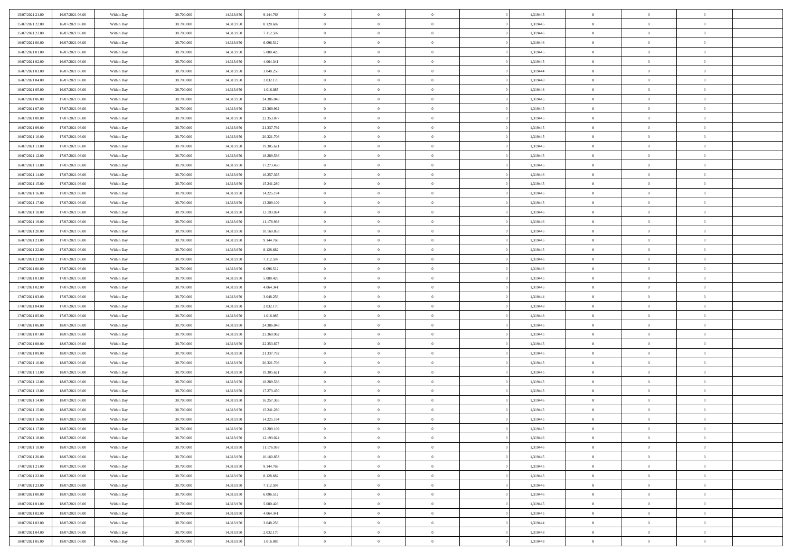| 15/07/2021 21:00 | 16/07/2021 06:00 | Within Day | 38,700,000 | 14.313.950 | 9.144.768  | $\overline{0}$ | $\overline{0}$ | $\Omega$       | 1,319445 | $\bf{0}$       | $\mathbf{0}$   | $\bf{0}$       |  |
|------------------|------------------|------------|------------|------------|------------|----------------|----------------|----------------|----------|----------------|----------------|----------------|--|
| 15/07/2021 22:00 | 16/07/2021 06:00 | Within Dav | 38.700.000 | 14.313.950 | 8.128.682  | $\overline{0}$ | $\overline{0}$ | $\overline{0}$ | 1,319445 | $\overline{0}$ | $\overline{0}$ | $\overline{0}$ |  |
| 15/07/2021 23:00 | 16/07/2021 06:00 | Within Day | 38.700.000 | 14.313.950 | 7.112.597  | $\,$ 0         | $\overline{0}$ | $\bf{0}$       | 1,319446 | $\,$ 0         | $\overline{0}$ | $\,$ 0 $\,$    |  |
| 16/07/2021 00:00 | 16/07/2021 06:00 | Within Day | 38,700,000 | 14.313.950 | 6.096.512  | $\bf{0}$       | $\overline{0}$ | $\Omega$       | 1,319446 | $\theta$       | $\mathbf{0}$   | $\theta$       |  |
| 16/07/2021 01:00 | 16/07/2021 06:00 | Within Day | 38.700.000 | 14.313.950 | 5.080.426  | $\bf{0}$       | $\overline{0}$ | $\overline{0}$ | 1,319445 | $\mathbf{0}$   | $\overline{0}$ | $\overline{0}$ |  |
| 16/07/2021 02:00 | 16/07/2021 06:00 | Within Day | 38.700.000 | 14.313.950 | 4.064.341  | $\bf{0}$       | $\overline{0}$ | $\bf{0}$       | 1,319445 | $\,$ 0         | $\overline{0}$ | $\,$ 0 $\,$    |  |
| 16/07/2021 03:00 | 16/07/2021 06:00 | Within Day | 38,700,000 | 14.313.950 | 3.048.256  | $\bf{0}$       | $\bf{0}$       | $\overline{0}$ | 1,319444 | $\bf{0}$       | $\overline{0}$ | $\theta$       |  |
| 16/07/2021 04:00 | 16/07/2021 06:00 | Within Day | 38.700.000 | 14.313.950 | 2.032.170  | $\overline{0}$ | $\overline{0}$ | $\overline{0}$ | 1,319448 | $\mathbf{0}$   | $\overline{0}$ | $\overline{0}$ |  |
| 16/07/2021 05:00 | 16/07/2021 06:00 | Within Day | 38.700.000 | 14.313.950 | 1.016.085  | $\bf{0}$       | $\overline{0}$ | $\bf{0}$       | 1,319448 | $\,$ 0         | $\overline{0}$ | $\,$ 0 $\,$    |  |
| 16/07/2021 06:00 | 17/07/2021 06:00 | Within Day | 38,700,000 | 14.313.950 | 24.386.048 | $\overline{0}$ | $\overline{0}$ | $\Omega$       | 1,319445 | $\theta$       | $\mathbf{0}$   | $\theta$       |  |
| 16/07/2021 07:00 | 17/07/2021 06:00 | Within Day | 38.700.000 | 14.313.950 | 23.369.962 | $\bf{0}$       | $\overline{0}$ | $\overline{0}$ | 1,319445 | $\mathbf{0}$   | $\overline{0}$ | $\overline{0}$ |  |
| 16/07/2021 08:00 | 17/07/2021 06:00 | Within Day | 38.700.000 | 14.313.950 | 22.353.877 | $\bf{0}$       | $\overline{0}$ | $\bf{0}$       | 1,319445 | $\,$ 0         | $\overline{0}$ | $\,$ 0 $\,$    |  |
| 16/07/2021 09:00 | 17/07/2021 06:00 | Within Day | 38,700,000 | 14.313.950 | 21.337.792 | $\bf{0}$       | $\overline{0}$ | $\Omega$       | 1,319445 | $\theta$       | $\mathbf{0}$   | $\theta$       |  |
| 16/07/2021 10:00 | 17/07/2021 06:00 | Within Day | 38.700.000 | 14.313.950 | 20.321.706 | $\overline{0}$ | $\overline{0}$ | $\overline{0}$ | 1,319445 | $\overline{0}$ | $\overline{0}$ | $\overline{0}$ |  |
| 16/07/2021 11:00 | 17/07/2021 06:00 | Within Day | 38.700.000 | 14.313.950 | 19.305.621 | $\bf{0}$       | $\overline{0}$ | $\bf{0}$       | 1,319445 | $\,$ 0         | $\overline{0}$ | $\,$ 0 $\,$    |  |
| 16/07/2021 12:00 | 17/07/2021 06:00 | Within Day | 38,700,000 | 14.313.950 | 18.289.536 | $\bf{0}$       | $\overline{0}$ | $\overline{0}$ | 1,319445 | $\bf{0}$       | $\overline{0}$ | $\theta$       |  |
| 16/07/2021 13:00 | 17/07/2021 06:00 | Within Day | 38.700.000 | 14.313.950 | 17.273.450 | $\overline{0}$ | $\overline{0}$ | $\overline{0}$ | 1,319445 | $\mathbf{0}$   | $\overline{0}$ | $\overline{0}$ |  |
| 16/07/2021 14:00 | 17/07/2021 06:00 | Within Day | 38.700.000 | 14.313.950 | 16.257.365 | $\bf{0}$       | $\overline{0}$ | $\bf{0}$       | 1,319446 | $\,$ 0         | $\overline{0}$ | $\,$ 0 $\,$    |  |
| 16/07/2021 15:00 | 17/07/2021 06:00 | Within Day | 38,700,000 | 14.313.950 | 15.241.280 | $\bf{0}$       | $\overline{0}$ | $\Omega$       | 1,319445 | $\theta$       | $\mathbf{0}$   | $\theta$       |  |
| 16/07/2021 16:00 | 17/07/2021 06:00 | Within Day | 38.700.000 | 14.313.950 | 14.225.194 | $\overline{0}$ | $\overline{0}$ | $\overline{0}$ | 1,319445 | $\mathbf{0}$   | $\overline{0}$ | $\overline{0}$ |  |
| 16/07/2021 17:00 | 17/07/2021 06:00 | Within Day | 38.700.000 | 14.313.950 | 13.209.109 | $\bf{0}$       | $\overline{0}$ | $\bf{0}$       | 1,319445 | $\,$ 0         | $\overline{0}$ | $\,$ 0 $\,$    |  |
| 16/07/2021 18:00 | 17/07/2021 06:00 | Within Day | 38,700,000 | 14.313.950 | 12.193.024 | $\bf{0}$       | $\overline{0}$ | $\Omega$       | 1,319446 | $\theta$       | $\mathbf{0}$   | $\theta$       |  |
| 16/07/2021 19:00 | 17/07/2021 06:00 | Within Day | 38.700.000 | 14.313.950 | 11.176.938 | $\overline{0}$ | $\overline{0}$ | $\overline{0}$ | 1,319446 | $\overline{0}$ | $\overline{0}$ | $\overline{0}$ |  |
| 16/07/2021 20:00 | 17/07/2021 06:00 | Within Day | 38.700.000 | 14.313.950 | 10.160.853 | $\bf{0}$       | $\overline{0}$ | $\bf{0}$       | 1,319445 | $\,$ 0         | $\overline{0}$ | $\,$ 0 $\,$    |  |
| 16/07/2021 21:00 | 17/07/2021 06:00 | Within Day | 38,700,000 | 14.313.950 | 9.144.768  | $\bf{0}$       | $\overline{0}$ | $\overline{0}$ | 1,319445 | $\bf{0}$       | $\overline{0}$ | $\bf{0}$       |  |
| 16/07/2021 22:00 | 17/07/2021 06:00 | Within Day | 38.700.000 | 14.313.950 | 8.128.682  | $\overline{0}$ | $\overline{0}$ | $\overline{0}$ | 1,319445 | $\mathbf{0}$   | $\overline{0}$ | $\overline{0}$ |  |
| 16/07/2021 23:00 | 17/07/2021 06:00 | Within Day | 38.700.000 | 14.313.950 | 7.112.597  | $\bf{0}$       | $\overline{0}$ | $\bf{0}$       | 1,319446 | $\,$ 0         | $\overline{0}$ | $\,$ 0 $\,$    |  |
| 17/07/2021 00:00 | 17/07/2021 06:00 | Within Day | 38,700,000 | 14.313.950 | 6.096.512  | $\bf{0}$       | $\overline{0}$ | $\Omega$       | 1,319446 | $\theta$       | $\mathbf{0}$   | $\theta$       |  |
| 17/07/2021 01:00 | 17/07/2021 06:00 | Within Day | 38.700.000 | 14.313.950 | 5.080.426  | $\bf{0}$       | $\overline{0}$ | $\overline{0}$ | 1,319445 | $\overline{0}$ | $\overline{0}$ | $\overline{0}$ |  |
| 17/07/2021 02:00 | 17/07/2021 06:00 | Within Day | 38.700.000 | 14.313.950 | 4.064.341  | $\bf{0}$       | $\overline{0}$ | $\bf{0}$       | 1,319445 | $\,$ 0         | $\overline{0}$ | $\,$ 0 $\,$    |  |
| 17/07/2021 03:00 | 17/07/2021 06:00 | Within Day | 38.700.000 | 14.313.950 | 3.048.256  | $\bf{0}$       | $\bf{0}$       | $\overline{0}$ | 1,319444 | $\bf{0}$       | $\overline{0}$ | $\,0\,$        |  |
| 17/07/2021 04:00 | 17/07/2021 06:00 | Within Day | 38.700.000 | 14.313.950 | 2.032.170  | $\overline{0}$ | $\overline{0}$ | $\overline{0}$ | 1,319448 | $\mathbf{0}$   | $\overline{0}$ | $\overline{0}$ |  |
| 17/07/2021 05:00 | 17/07/2021 06:00 | Within Day | 38.700.000 | 14.313.950 | 1.016.085  | $\bf{0}$       | $\overline{0}$ | $\bf{0}$       | 1,319448 | $\,$ 0         | $\overline{0}$ | $\,$ 0 $\,$    |  |
| 17/07/2021 06:00 | 18/07/2021 06:00 | Within Day | 38.700.000 | 14.313.950 | 24.386.048 | $\bf{0}$       | $\bf{0}$       | $\bf{0}$       | 1,319445 | $\bf{0}$       | $\overline{0}$ | $\bf{0}$       |  |
| 17/07/2021 07:00 | 18/07/2021 06:00 | Within Day | 38.700.000 | 14.313.950 | 23.369.962 | $\overline{0}$ | $\overline{0}$ | $\overline{0}$ | 1,319445 | $\mathbf{0}$   | $\overline{0}$ | $\overline{0}$ |  |
| 17/07/2021 08:00 | 18/07/2021 06:00 | Within Day | 38.700.000 | 14.313.950 | 22.353.877 | $\bf{0}$       | $\overline{0}$ | $\bf{0}$       | 1,319445 | $\,$ 0         | $\overline{0}$ | $\,$ 0 $\,$    |  |
| 17/07/2021 09:00 | 18/07/2021 06:00 | Within Day | 38.700.000 | 14.313.950 | 21.337.792 | $\bf{0}$       | $\bf{0}$       | $\overline{0}$ | 1,319445 | $\bf{0}$       | $\overline{0}$ | $\,0\,$        |  |
| 17/07/2021 10:00 | 18/07/2021 06:00 | Within Day | 38.700.000 | 14.313.950 | 20.321.706 | $\overline{0}$ | $\overline{0}$ | $\overline{0}$ | 1,319445 | $\mathbf{0}$   | $\overline{0}$ | $\overline{0}$ |  |
| 17/07/2021 11:00 | 18/07/2021 06:00 | Within Day | 38.700.000 | 14.313.950 | 19.305.621 | $\bf{0}$       | $\overline{0}$ | $\bf{0}$       | 1,319445 | $\,$ 0         | $\overline{0}$ | $\,$ 0 $\,$    |  |
| 17/07/2021 12:00 | 18/07/2021 06:00 | Within Day | 38.700.000 | 14.313.950 | 18.289.536 | $\bf{0}$       | $\bf{0}$       | $\overline{0}$ | 1,319445 | $\bf{0}$       | $\overline{0}$ | $\,0\,$        |  |
| 17/07/2021 13:00 | 18/07/2021 06:00 | Within Day | 38.700.000 | 14.313.950 | 17.273.450 | $\overline{0}$ | $\overline{0}$ | $\overline{0}$ | 1,319445 | $\mathbf{0}$   | $\overline{0}$ | $\overline{0}$ |  |
| 17/07/2021 14:00 | 18/07/2021 06:00 | Within Day | 38.700.000 | 14.313.950 | 16.257.365 | $\bf{0}$       | $\overline{0}$ | $\bf{0}$       | 1,319446 | $\,$ 0         | $\overline{0}$ | $\,$ 0 $\,$    |  |
| 17/07/2021 15:00 | 18/07/2021 06:00 | Within Day | 38.700.000 | 14.313.950 | 15.241.280 | $\bf{0}$       | $\bf{0}$       | $\bf{0}$       | 1,319445 | $\bf{0}$       | $\overline{0}$ | $\bf{0}$       |  |
| 17/07/2021 16:00 | 18/07/2021 06:00 | Within Dav | 38.700.000 | 14.313.950 | 14.225.194 | $\mathbf{0}$   | $\overline{0}$ | $\overline{0}$ | 1,319445 | $\mathbf{0}$   | $\overline{0}$ | $\overline{0}$ |  |
| 17/07/2021 17:00 | 18/07/2021 06:00 | Within Day | 38.700.000 | 14.313.950 | 13.209.109 | $\bf{0}$       | $\overline{0}$ | $\overline{0}$ | 1,319445 | $\overline{0}$ | $\overline{0}$ | $\theta$       |  |
| 17/07/2021 18:00 | 18/07/2021 06:00 | Within Day | 38.700.000 | 14.313.950 | 12.193.024 | $\bf{0}$       | $\bf{0}$       | $\bf{0}$       | 1,319446 | $\bf{0}$       | $\overline{0}$ | $\bf{0}$       |  |
| 17/07/2021 19:00 | 18/07/2021 06:00 | Within Day | 38.700.000 | 14.313.950 | 11.176.938 | $\overline{0}$ | $\overline{0}$ | $\overline{0}$ | 1,319446 | $\overline{0}$ | $\bf{0}$       | $\overline{0}$ |  |
| 17/07/2021 20:00 | 18/07/2021 06:00 | Within Day | 38.700.000 | 14.313.950 | 10.160.853 | $\,$ 0 $\,$    | $\overline{0}$ | $\overline{0}$ | 1,319445 | $\mathbf{0}$   | $\,$ 0 $\,$    | $\,$ 0 $\,$    |  |
| 17/07/2021 21:00 | 18/07/2021 06:00 | Within Day | 38.700.000 | 14.313.950 | 9.144.768  | $\bf{0}$       | $\bf{0}$       | $\overline{0}$ | 1,319445 | $\bf{0}$       | $\overline{0}$ | $\bf{0}$       |  |
| 17/07/2021 22:00 | 18/07/2021 06:00 | Within Day | 38.700.000 | 14.313.950 | 8.128.682  | $\bf{0}$       | $\overline{0}$ | $\overline{0}$ | 1,319445 | $\overline{0}$ | $\bf{0}$       | $\overline{0}$ |  |
| 17/07/2021 23:00 | 18/07/2021 06:00 | Within Day | 38.700.000 | 14.313.950 | 7.112.597  | $\,$ 0 $\,$    | $\overline{0}$ | $\overline{0}$ | 1,319446 | $\,$ 0 $\,$    | $\overline{0}$ | $\,$ 0 $\,$    |  |
| 18/07/2021 00:00 | 18/07/2021 06:00 | Within Day | 38.700.000 | 14.313.950 | 6.096.512  | $\overline{0}$ | $\overline{0}$ | $\overline{0}$ | 1,319446 | $\bf{0}$       | $\overline{0}$ | $\overline{0}$ |  |
| 18/07/2021 01:00 | 18/07/2021 06:00 | Within Day | 38.700.000 | 14.313.950 | 5.080.426  | $\overline{0}$ | $\overline{0}$ | $\overline{0}$ | 1,319445 | $\overline{0}$ | $\bf{0}$       | $\overline{0}$ |  |
| 18/07/2021 02:00 | 18/07/2021 06:00 | Within Day | 38.700.000 | 14.313.950 | 4.064.341  | $\,$ 0 $\,$    | $\overline{0}$ | $\overline{0}$ | 1,319445 | $\mathbf{0}$   | $\,$ 0 $\,$    | $\,$ 0 $\,$    |  |
| 18/07/2021 03:00 | 18/07/2021 06:00 | Within Day | 38.700.000 | 14.313.950 | 3.048.256  | $\bf{0}$       | $\bf{0}$       | $\overline{0}$ | 1,319444 | $\bf{0}$       | $\overline{0}$ | $\bf{0}$       |  |
| 18/07/2021 04:00 | 18/07/2021 06:00 | Within Day | 38.700.000 | 14.313.950 | 2.032.170  | $\overline{0}$ | $\overline{0}$ | $\overline{0}$ | 1,319448 | $\mathbf{0}$   | $\bf{0}$       | $\overline{0}$ |  |
| 18/07/2021 05:00 | 18/07/2021 06:00 | Within Day | 38.700.000 | 14.313.950 | 1.016.085  | $\,0\,$        | $\overline{0}$ | $\overline{0}$ | 1,319448 | $\,$ 0         | $\overline{0}$ | $\,$ 0 $\,$    |  |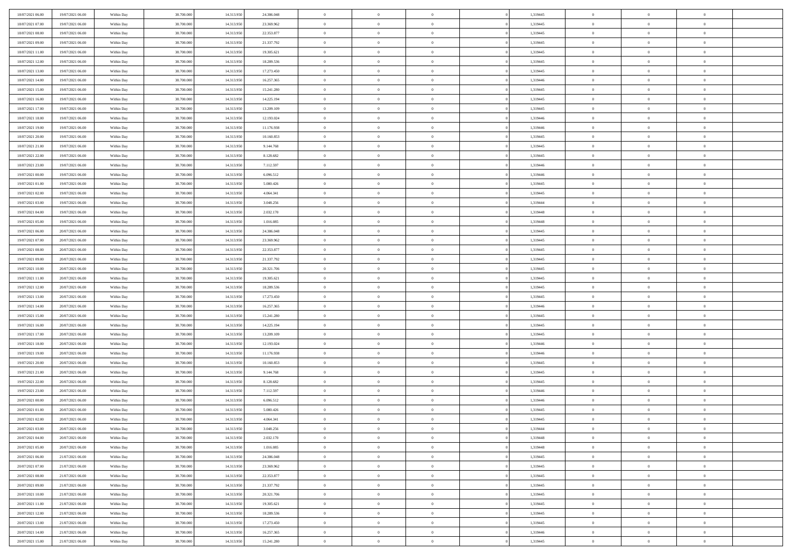| 18/07/2021 06:00 | 19/07/2021 06:00 | Within Day | 38.700.000               | 14.313.950 | 24.386.048 | $\,$ 0         | $\bf{0}$       | $\overline{0}$ |                | 1,319445 | $\bf{0}$       | $\overline{0}$ | $\theta$       |  |
|------------------|------------------|------------|--------------------------|------------|------------|----------------|----------------|----------------|----------------|----------|----------------|----------------|----------------|--|
| 18/07/2021 07:00 | 19/07/2021 06:00 | Within Day | 38,700,000               | 14.313.950 | 23.369.962 | $\overline{0}$ | $\overline{0}$ | $\overline{0}$ |                | 1,319445 | $\theta$       | $\theta$       | $\overline{0}$ |  |
| 18/07/2021 08:00 | 19/07/2021 06:00 | Within Dav | 38.700.000               | 14.313.950 | 22.353.877 | $\mathbf{0}$   | $\overline{0}$ | $\overline{0}$ |                | 1,319445 | $\theta$       | $\overline{0}$ | $\theta$       |  |
| 18/07/2021 09:00 | 19/07/2021 06:00 | Within Day | 38.700.000               | 14.313.950 | 21.337.792 | $\bf{0}$       | $\overline{0}$ | $\bf{0}$       |                | 1,319445 | $\bf{0}$       | $\overline{0}$ | $\bf{0}$       |  |
| 18/07/2021 11:00 | 19/07/2021 06:00 | Within Day | 38.700.000               | 14.313.950 | 19.305.621 | $\bf{0}$       | $\bf{0}$       | $\overline{0}$ |                | 1,319445 | $\bf{0}$       | $\Omega$       | $\bf{0}$       |  |
| 18/07/2021 12:00 | 19/07/2021 06:00 | Within Dav | 38.700.000               | 14.313.950 | 18.289.536 | $\overline{0}$ | $\overline{0}$ |                |                | 1,319445 | $\theta$       |                | $\theta$       |  |
|                  |                  |            |                          |            |            |                |                | $\overline{0}$ |                |          |                | $\overline{0}$ |                |  |
| 18/07/2021 13:00 | 19/07/2021 06:00 | Within Day | 38.700.000               | 14.313.950 | 17.273.450 | $\bf{0}$       | $\bf{0}$       | $\overline{0}$ |                | 1,319445 | $\bf{0}$       | $\overline{0}$ | $\theta$       |  |
| 18/07/2021 14:00 | 19/07/2021 06:00 | Within Day | 38.700.000               | 14.313.950 | 16.257.365 | $\overline{0}$ | $\overline{0}$ | $\overline{0}$ |                | 1,319446 | $\,$ 0 $\,$    | $\overline{0}$ | $\overline{0}$ |  |
| 18/07/2021 15:00 | 19/07/2021 06:00 | Within Day | 38.700.000               | 14.313.950 | 15.241.280 | $\mathbf{0}$   | $\overline{0}$ | $\overline{0}$ |                | 1,319445 | $\theta$       | $\overline{0}$ | $\theta$       |  |
| 18/07/2021 16:00 | 19/07/2021 06:00 | Within Day | 38.700.000               | 14.313.950 | 14.225.194 | $\bf{0}$       | $\bf{0}$       | $\overline{0}$ |                | 1,319445 | $\bf{0}$       | $\overline{0}$ | $\theta$       |  |
| 18/07/2021 17:00 | 19/07/2021 06:00 | Within Day | 38,700,000               | 14.313.950 | 13.209.109 | $\bf{0}$       | $\overline{0}$ | $\overline{0}$ |                | 1,319445 | $\bf{0}$       | $\theta$       | $\overline{0}$ |  |
| 18/07/2021 18:00 | 19/07/2021 06:00 | Within Dav | 38.700.000               | 14.313.950 | 12.193.024 | $\mathbf{0}$   | $\overline{0}$ | $\overline{0}$ |                | 1,319446 | $\theta$       | $\overline{0}$ | $\theta$       |  |
| 18/07/2021 19:00 | 19/07/2021 06:00 | Within Day | 38.700.000               | 14.313.950 | 11.176.938 | $\bf{0}$       | $\overline{0}$ | $\bf{0}$       |                | 1,319446 | $\bf{0}$       | $\overline{0}$ | $\bf{0}$       |  |
| 18/07/2021 20:00 | 19/07/2021 06:00 | Within Day | 38.700.000               | 14.313.950 | 10.160.853 | $\bf{0}$       | $\overline{0}$ | $\overline{0}$ |                | 1,319445 | $\bf{0}$       | $\Omega$       | $\bf{0}$       |  |
| 18/07/2021 21:00 | 19/07/2021 06:00 | Within Dav | 38.700.000               | 14.313.950 | 9.144.768  | $\overline{0}$ | $\overline{0}$ | $\overline{0}$ |                | 1,319445 | $\theta$       | $\overline{0}$ | $\theta$       |  |
| 18/07/2021 22:00 | 19/07/2021 06:00 | Within Day | 38.700.000               | 14.313.950 | 8.128.682  | $\bf{0}$       | $\bf{0}$       | $\overline{0}$ |                | 1,319445 | $\bf{0}$       | $\overline{0}$ | $\theta$       |  |
| 18/07/2021 23:00 | 19/07/2021 06:00 | Within Day | 38,700,000               | 14.313.950 | 7.112.597  | $\bf{0}$       | $\overline{0}$ | $\overline{0}$ |                | 1,319446 | $\,$ 0 $\,$    | $\overline{0}$ | $\overline{0}$ |  |
| 19/07/2021 00:00 | 19/07/2021 06:00 | Within Day | 38.700.000               | 14.313.950 | 6.096.512  | $\mathbf{0}$   | $\overline{0}$ | $\overline{0}$ |                | 1,319446 | $\theta$       | $\overline{0}$ | $\theta$       |  |
| 19/07/2021 01:00 | 19/07/2021 06:00 | Within Day | 38.700.000               | 14.313.950 | 5.080.426  | $\bf{0}$       | $\bf{0}$       | $\overline{0}$ |                | 1,319445 | $\bf{0}$       | $\overline{0}$ | $\theta$       |  |
| 19/07/2021 02:00 | 19/07/2021 06:00 | Within Day | 38.700.000               | 14.313.950 | 4.064.341  | $\bf{0}$       | $\overline{0}$ | $\overline{0}$ |                | 1,319445 | $\bf{0}$       | $\theta$       | $\overline{0}$ |  |
| 19/07/2021 03:00 | 19/07/2021 06:00 | Within Dav | 38.700.000               | 14.313.950 | 3.048.256  | $\mathbf{0}$   | $\overline{0}$ | $\overline{0}$ |                | 1,319444 | $\theta$       | $\overline{0}$ | $\theta$       |  |
| 19/07/2021 04:00 | 19/07/2021 06:00 | Within Day | 38.700.000               | 14.313.950 | 2.032.170  | $\bf{0}$       | $\bf{0}$       | $\bf{0}$       |                | 1,319448 | $\bf{0}$       | $\overline{0}$ | $\bf{0}$       |  |
| 19/07/2021 05:00 | 19/07/2021 06:00 | Within Day | 38,700,000               | 14.313.950 | 1.016.085  | $\bf{0}$       | $\bf{0}$       | $\overline{0}$ |                | 1,319448 | $\bf{0}$       | $\overline{0}$ | $\bf{0}$       |  |
| 19/07/2021 06:00 | 20/07/2021 06:00 | Within Dav | 38.700.000               | 14.313.950 | 24.386.048 | $\mathbf{0}$   | $\overline{0}$ | $\overline{0}$ |                | 1,319445 | $\theta$       | $\overline{0}$ | $\theta$       |  |
| 19/07/2021 07:00 | 20/07/2021 06:00 | Within Day | 38.700.000               | 14.313.950 | 23.369.962 | $\bf{0}$       | $\bf{0}$       | $\overline{0}$ |                | 1,319445 | $\bf{0}$       | $\overline{0}$ | $\theta$       |  |
| 19/07/2021 08:00 | 20/07/2021 06:00 | Within Day | 38.700.000               | 14.313.950 | 22.353.877 | $\bf{0}$       | $\overline{0}$ | $\overline{0}$ |                | 1,319445 | $\,$ 0 $\,$    | $\overline{0}$ | $\overline{0}$ |  |
| 19/07/2021 09:00 | 20/07/2021 06:00 | Within Day | 38.700.000               | 14.313.950 | 21.337.792 | $\mathbf{0}$   | $\overline{0}$ | $\overline{0}$ |                | 1,319445 | $\theta$       | $\overline{0}$ | $\theta$       |  |
| 19/07/2021 10:00 | 20/07/2021 06:00 | Within Day | 38.700.000               | 14.313.950 | 20.321.706 | $\bf{0}$       | $\bf{0}$       | $\overline{0}$ |                | 1,319445 | $\bf{0}$       | $\overline{0}$ | $\theta$       |  |
| 19/07/2021 11:00 | 20/07/2021 06:00 | Within Day | 38,700,000               | 14.313.950 | 19.305.621 | $\bf{0}$       | $\overline{0}$ | $\overline{0}$ |                | 1,319445 | $\bf{0}$       | $\theta$       | $\bf{0}$       |  |
| 19/07/2021 12:00 | 20/07/2021 06:00 | Within Dav | 38.700.000               | 14.313.950 | 18.289.536 | $\mathbf{0}$   | $\overline{0}$ | $\overline{0}$ |                | 1,319445 | $\theta$       | $\overline{0}$ | $\theta$       |  |
| 19/07/2021 13:00 | 20/07/2021 06:00 | Within Day | 38.700.000               | 14.313.950 | 17.273.450 | $\bf{0}$       | $\overline{0}$ | $\overline{0}$ |                | 1,319445 | $\,0\,$        | $\overline{0}$ | $\theta$       |  |
| 19/07/2021 14:00 | 20/07/2021 06:00 | Within Day | 38.700.000               | 14.313.950 | 16.257.365 | $\bf{0}$       | $\bf{0}$       | $\overline{0}$ |                | 1,319446 | $\bf{0}$       | $\overline{0}$ | $\bf{0}$       |  |
| 19/07/2021 15:00 | 20/07/2021 06:00 | Within Dav | 38.700.000               | 14.313.950 | 15.241.280 | $\mathbf{0}$   | $\overline{0}$ | $\overline{0}$ |                | 1,319445 | $\theta$       | $\overline{0}$ | $\theta$       |  |
| 19/07/2021 16:00 | 20/07/2021 06:00 | Within Day | 38.700.000               | 14.313.950 | 14.225.194 | $\bf{0}$       | $\overline{0}$ | $\theta$       |                | 1,319445 | $\,0\,$        | $\overline{0}$ | $\theta$       |  |
| 19/07/2021 17:00 | 20/07/2021 06:00 | Within Day | 38,700,000               | 14.313.950 | 13.209.109 | $\bf{0}$       | $\overline{0}$ | $\overline{0}$ |                | 1,319445 | $\bf{0}$       | $\overline{0}$ | $\bf{0}$       |  |
| 19/07/2021 18:00 | 20/07/2021 06:00 | Within Day | 38.700.000               | 14.313.950 | 12.193.024 | $\mathbf{0}$   | $\overline{0}$ | $\overline{0}$ |                | 1,319446 | $\theta$       | $\overline{0}$ | $\theta$       |  |
| 19/07/2021 19:00 | 20/07/2021 06:00 | Within Day | 38.700.000               | 14.313.950 | 11.176.938 | $\bf{0}$       | $\overline{0}$ | $\theta$       |                | 1,319446 | $\,0\,$        | $\overline{0}$ | $\theta$       |  |
| 19/07/2021 20:00 | 20/07/2021 06:00 | Within Day | 38.700.000               | 14.313.950 | 10.160.853 | $\bf{0}$       | $\overline{0}$ | $\overline{0}$ |                | 1,319445 | $\bf{0}$       | $\theta$       | $\bf{0}$       |  |
| 19/07/2021 21:00 | 20/07/2021 06:00 | Within Dav | 38.700.000               | 14.313.950 | 9.144.768  | $\mathbf{0}$   | $\overline{0}$ | $\overline{0}$ |                | 1,319445 | $\theta$       | $\overline{0}$ | $\theta$       |  |
|                  |                  |            |                          |            |            |                |                |                |                |          |                |                | $\theta$       |  |
| 19/07/2021 22:00 | 20/07/2021 06:00 | Within Day | 38.700.000<br>38,700,000 | 14.313.950 | 8.128.682  | $\,0\,$        | $\overline{0}$ | $\theta$       |                | 1,319445 | $\,0\,$        | $\overline{0}$ |                |  |
| 19/07/2021 23:00 | 20/07/2021 06:00 | Within Day |                          | 14.313.950 | 7.112.597  | $\bf{0}$       | $\bf{0}$       | $\overline{0}$ |                | 1,319446 | $\bf{0}$       | $\overline{0}$ | $\bf{0}$       |  |
| 20/07/2021 00:00 | 20/07/2021 06:00 | Within Dav | 38.700.000               | 14.313.950 | 6.096.512  | $\mathbf{0}$   | $\overline{0}$ | $\overline{0}$ |                | 1,319446 | $\theta$       | $\overline{0}$ | $\overline{0}$ |  |
| 20/07/2021 01:00 | 20/07/2021 06:00 | Within Day | 38.700.000               | 14.313.950 | 5.080.426  | $\bf{0}$       | $\overline{0}$ | $\theta$       |                | 1,319445 | $\,0\,$        | $\overline{0}$ | $\theta$       |  |
| 20/07/2021 02:00 | 20/07/2021 06:00 | Within Day | 38,700,000               | 14.313.950 | 4.064.341  | $\bf{0}$       | $\overline{0}$ | $\overline{0}$ |                | 1,319445 | $\,$ 0 $\,$    | $\overline{0}$ | $\bf{0}$       |  |
| 20/07/2021 03:00 | 20/07/2021 06:00 | Within Day | 38.700.000               | 14.313.950 | 3.048.256  | $\bf{0}$       | $\overline{0}$ |                |                | 1,319444 | $\bf{0}$       | $\Omega$       | $\Omega$       |  |
| 20/07/2021 04:00 | 20/07/2021 06:00 | Within Day | 38.700.000               | 14.313.950 | 2.032.170  | $\,0\,$        | $\overline{0}$ | $\theta$       |                | 1,319448 | $\,$ 0 $\,$    | $\overline{0}$ | $\theta$       |  |
| 20/07/2021 05:00 | 20/07/2021 06:00 | Within Day | 38,700,000               | 14.313.950 | 1.016.085  | $\overline{0}$ | $\overline{0}$ | $\overline{0}$ |                | 1,319448 | $\overline{0}$ | $\overline{0}$ | $\overline{0}$ |  |
| 20/07/2021 06:00 | 21/07/2021 06:00 | Within Day | 38.700.000               | 14.313.950 | 24.386.048 | $\mathbf{0}$   | $\overline{0}$ | $\overline{0}$ |                | 1,319445 | $\mathbf{0}$   | $\overline{0}$ | $\overline{0}$ |  |
| 20/07/2021 07:00 | 21/07/2021 06:00 | Within Day | 38.700.000               | 14.313.950 | 23.369.962 | $\,$ 0 $\,$    | $\overline{0}$ | $\overline{0}$ | $\overline{0}$ | 1,319445 | $\,$ 0 $\,$    | $\mathbf{0}$   | $\,$ 0         |  |
| 20/07/2021 08:00 | 21/07/2021 06:00 | Within Day | 38.700.000               | 14.313.950 | 22.353.877 | $\,$ 0 $\,$    | $\overline{0}$ | $\overline{0}$ |                | 1,319445 | $\,$ 0 $\,$    | $\overline{0}$ | $\overline{0}$ |  |
| 20/07/2021 09:00 | 21/07/2021 06:00 | Within Day | 38.700.000               | 14.313.950 | 21.337.792 | $\mathbf{0}$   | $\overline{0}$ | $\overline{0}$ |                | 1,319445 | $\overline{0}$ | $\overline{0}$ | $\mathbf{0}$   |  |
| 20/07/2021 10:00 | 21/07/2021 06:00 | Within Day | 38.700.000               | 14.313.950 | 20.321.706 | $\,$ 0 $\,$    | $\overline{0}$ | $\overline{0}$ |                | 1,319445 | $\,$ 0 $\,$    | $\overline{0}$ | $\theta$       |  |
| 20/07/2021 11:00 | 21/07/2021 06:00 | Within Day | 38.700.000               | 14.313.950 | 19.305.621 | $\bullet$      | $\overline{0}$ | $\overline{0}$ |                | 1,319445 | $\overline{0}$ | $\overline{0}$ | $\overline{0}$ |  |
| 20/07/2021 12:00 | 21/07/2021 06:00 | Within Day | 38.700.000               | 14.313.950 | 18.289.536 | $\,$ 0 $\,$    | $\overline{0}$ | $\overline{0}$ |                | 1,319445 | $\mathbf{0}$   | $\overline{0}$ | $\overline{0}$ |  |
| 20/07/2021 13:00 | 21/07/2021 06:00 | Within Day | 38.700.000               | 14.313.950 | 17.273.450 | $\,$ 0 $\,$    | $\overline{0}$ | $\overline{0}$ |                | 1,319445 | $\,$ 0 $\,$    | $\overline{0}$ | $\,$ 0         |  |
| 20/07/2021 14:00 | 21/07/2021 06:00 | Within Day | 38.700.000               | 14.313.950 | 16.257.365 | $\bf{0}$       | $\bf{0}$       | $\overline{0}$ |                | 1,319446 | $\,$ 0 $\,$    | $\overline{0}$ | $\overline{0}$ |  |
| 20/07/2021 15:00 | 21/07/2021 06:00 | Within Day | 38.700.000               | 14.313.950 | 15.241.280 | $\overline{0}$ | $\overline{0}$ | $\overline{0}$ |                | 1,319445 | $\mathbf{0}$   | $\overline{0}$ | $\overline{0}$ |  |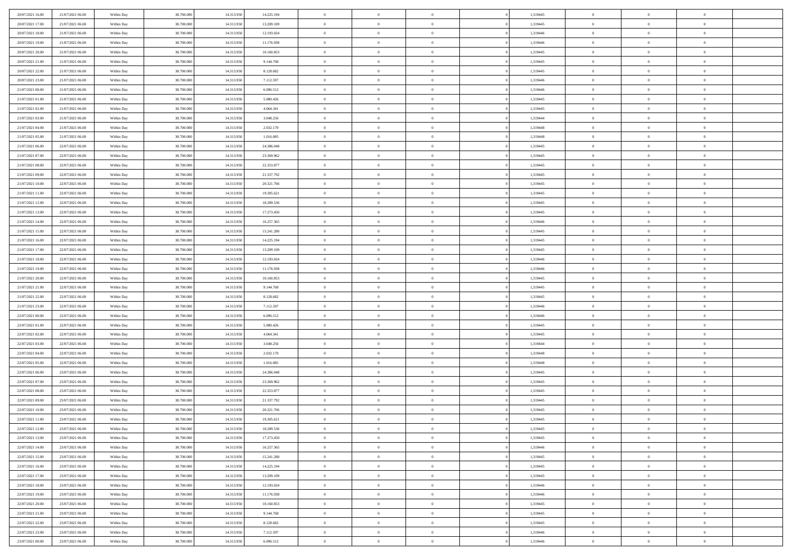| 20/07/2021 16:00 | 21/07/2021 06:00 | Within Day | 38,700,000 | 14.313.950 | 14.225.194 | $\overline{0}$ | $\overline{0}$ | $\Omega$       | 1,319445 | $\bf{0}$       | $\mathbf{0}$   | $\bf{0}$       |  |
|------------------|------------------|------------|------------|------------|------------|----------------|----------------|----------------|----------|----------------|----------------|----------------|--|
| 20/07/2021 17:00 | 21/07/2021 06:00 | Within Day | 38.700.000 | 14.313.950 | 13.209.109 | $\mathbf{0}$   | $\overline{0}$ | $\overline{0}$ | 1,319445 | $\mathbf{0}$   | $\overline{0}$ | $\overline{0}$ |  |
| 20/07/2021 18:00 | 21/07/2021 06:00 | Within Day | 38.700.000 | 14.313.950 | 12.193.024 | $\,$ 0         | $\overline{0}$ | $\bf{0}$       | 1,319446 | $\,$ 0         | $\overline{0}$ | $\,$ 0 $\,$    |  |
| 20/07/2021 19:00 | 21/07/2021 06:00 | Within Day | 38,700,000 | 14.313.950 | 11.176.938 | $\bf{0}$       | $\overline{0}$ | $\Omega$       | 1,319446 | $\bf{0}$       | $\mathbf{0}$   | $\theta$       |  |
| 20/07/2021 20:00 | 21/07/2021 06:00 | Within Day | 38.700.000 | 14.313.950 | 10.160.853 | $\bf{0}$       | $\overline{0}$ | $\overline{0}$ | 1,319445 | $\mathbf{0}$   | $\bf{0}$       | $\overline{0}$ |  |
| 20/07/2021 21:00 | 21/07/2021 06:00 | Within Day | 38.700.000 | 14.313.950 | 9.144.768  | $\bf{0}$       | $\overline{0}$ | $\bf{0}$       | 1,319445 | $\,$ 0         | $\overline{0}$ | $\,$ 0 $\,$    |  |
| 20/07/2021 22:00 | 21/07/2021 06:00 | Within Day | 38,700,000 | 14.313.950 | 8.128.682  | $\bf{0}$       | $\overline{0}$ | $\overline{0}$ | 1,319445 | $\bf{0}$       | $\overline{0}$ | $\theta$       |  |
| 20/07/2021 23:00 | 21/07/2021 06:00 | Within Day | 38.700.000 | 14.313.950 | 7.112.597  | $\overline{0}$ | $\overline{0}$ | $\overline{0}$ | 1,319446 | $\mathbf{0}$   | $\overline{0}$ | $\overline{0}$ |  |
| 21/07/2021 00:00 | 21/07/2021 06:00 | Within Day | 38.700.000 | 14.313.950 | 6.096.512  | $\bf{0}$       | $\overline{0}$ | $\bf{0}$       | 1,319446 | $\,$ 0         | $\overline{0}$ | $\,$ 0 $\,$    |  |
| 21/07/2021 01:00 | 21/07/2021 06:00 | Within Day | 38,700,000 | 14.313.950 | 5.080.426  | $\overline{0}$ | $\overline{0}$ | $\Omega$       | 1,319445 | $\theta$       | $\mathbf{0}$   | $\theta$       |  |
| 21/07/2021 02:00 | 21/07/2021 06:00 | Within Day | 38.700.000 | 14.313.950 | 4.064.341  | $\bf{0}$       | $\overline{0}$ | $\overline{0}$ | 1,319445 | $\mathbf{0}$   | $\overline{0}$ | $\overline{0}$ |  |
| 21/07/2021 03:00 | 21/07/2021 06:00 | Within Day | 38.700.000 | 14.313.950 | 3.048.256  | $\bf{0}$       | $\overline{0}$ | $\bf{0}$       | 1,319444 | $\,$ 0         | $\overline{0}$ | $\,$ 0 $\,$    |  |
| 21/07/2021 04:00 | 21/07/2021 06:00 | Within Day | 38,700,000 | 14.313.950 | 2.032.170  | $\bf{0}$       | $\overline{0}$ | $\Omega$       | 1,319448 | $\bf{0}$       | $\mathbf{0}$   | $\theta$       |  |
| 21/07/2021 05:00 | 21/07/2021 06:00 | Within Day | 38.700.000 | 14.313.950 | 1.016.085  | $\overline{0}$ | $\overline{0}$ | $\overline{0}$ | 1,319448 | $\overline{0}$ | $\overline{0}$ | $\overline{0}$ |  |
| 21/07/2021 06:00 | 22/07/2021 06:00 | Within Day | 38.700.000 | 14.313.950 | 24.386.048 | $\bf{0}$       | $\overline{0}$ | $\bf{0}$       | 1,319445 | $\,$ 0         | $\overline{0}$ | $\,$ 0 $\,$    |  |
| 21/07/2021 07:00 | 22/07/2021 06:00 | Within Day | 38,700,000 | 14.313.950 | 23.369.962 | $\bf{0}$       | $\overline{0}$ | $\overline{0}$ | 1,319445 | $\bf{0}$       | $\overline{0}$ | $\theta$       |  |
| 21/07/2021 08:00 | 22/07/2021 06:00 | Within Day | 38.700.000 | 14.313.950 | 22.353.877 | $\overline{0}$ | $\overline{0}$ | $\overline{0}$ | 1,319445 | $\mathbf{0}$   | $\overline{0}$ | $\overline{0}$ |  |
| 21/07/2021 09:00 | 22/07/2021 06:00 | Within Day | 38.700.000 | 14.313.950 | 21.337.792 | $\bf{0}$       | $\overline{0}$ | $\bf{0}$       | 1,319445 | $\,$ 0         | $\overline{0}$ | $\,$ 0 $\,$    |  |
| 21/07/2021 10:00 | 22/07/2021 06:00 | Within Day | 38,700,000 | 14.313.950 | 20.321.706 | $\bf{0}$       | $\overline{0}$ | $\Omega$       | 1,319445 | $\theta$       | $\mathbf{0}$   | $\theta$       |  |
| 21/07/2021 11:00 | 22/07/2021 06:00 | Within Day | 38.700.000 | 14.313.950 | 19.305.621 | $\overline{0}$ | $\overline{0}$ | $\overline{0}$ | 1,319445 | $\mathbf{0}$   | $\overline{0}$ | $\overline{0}$ |  |
| 21/07/2021 12:00 | 22/07/2021 06:00 | Within Day | 38.700.000 | 14.313.950 | 18.289.536 | $\bf{0}$       | $\overline{0}$ | $\bf{0}$       | 1,319445 | $\,$ 0         | $\overline{0}$ | $\,$ 0 $\,$    |  |
| 21/07/2021 13:00 | 22/07/2021 06:00 | Within Day | 38,700,000 | 14.313.950 | 17.273.450 | $\bf{0}$       | $\overline{0}$ | $\Omega$       | 1,319445 | $\theta$       | $\mathbf{0}$   | $\theta$       |  |
| 21/07/2021 14:00 | 22/07/2021 06:00 | Within Day | 38.700.000 | 14.313.950 | 16.257.365 | $\overline{0}$ | $\overline{0}$ | $\overline{0}$ | 1,319446 | $\mathbf{0}$   | $\overline{0}$ | $\overline{0}$ |  |
| 21/07/2021 15:00 | 22/07/2021 06:00 | Within Day | 38.700.000 | 14.313.950 | 15.241.280 | $\bf{0}$       | $\overline{0}$ | $\bf{0}$       | 1,319445 | $\,$ 0         | $\overline{0}$ | $\,$ 0 $\,$    |  |
| 21/07/2021 16:00 | 22/07/2021 06:00 | Within Day | 38,700,000 | 14.313.950 | 14.225.194 | $\bf{0}$       | $\overline{0}$ | $\overline{0}$ | 1,319445 | $\bf{0}$       | $\overline{0}$ | $\bf{0}$       |  |
| 21/07/2021 17:00 | 22/07/2021 06:00 | Within Day | 38.700.000 | 14.313.950 | 13.209.109 | $\overline{0}$ | $\overline{0}$ | $\overline{0}$ | 1,319445 | $\mathbf{0}$   | $\overline{0}$ | $\overline{0}$ |  |
| 21/07/2021 18:00 | 22/07/2021 06:00 | Within Day | 38.700.000 | 14.313.950 | 12.193.024 | $\bf{0}$       | $\overline{0}$ | $\bf{0}$       | 1,319446 | $\,$ 0         | $\overline{0}$ | $\,$ 0 $\,$    |  |
| 21/07/2021 19:00 | 22/07/2021 06:00 | Within Day | 38,700,000 | 14.313.950 | 11.176.938 | $\bf{0}$       | $\overline{0}$ | $\Omega$       | 1,319446 | $\theta$       | $\mathbf{0}$   | $\theta$       |  |
| 21/07/2021 20:00 | 22/07/2021 06:00 | Within Day | 38.700.000 | 14.313.950 | 10.160.853 | $\overline{0}$ | $\overline{0}$ | $\overline{0}$ | 1,319445 | $\mathbf{0}$   | $\overline{0}$ | $\overline{0}$ |  |
| 21/07/2021 21:00 | 22/07/2021 06:00 | Within Day | 38.700.000 | 14.313.950 | 9.144.768  | $\bf{0}$       | $\overline{0}$ | $\bf{0}$       | 1,319445 | $\,$ 0         | $\overline{0}$ | $\,$ 0 $\,$    |  |
| 21/07/2021 22.00 | 22/07/2021 06:00 | Within Day | 38.700.000 | 14.313.950 | 8.128.682  | $\bf{0}$       | $\bf{0}$       | $\overline{0}$ | 1,319445 | $\bf{0}$       | $\overline{0}$ | $\,0\,$        |  |
| 21/07/2021 23:00 | 22/07/2021 06:00 | Within Day | 38.700.000 | 14.313.950 | 7.112.597  | $\overline{0}$ | $\overline{0}$ | $\overline{0}$ | 1,319446 | $\mathbf{0}$   | $\overline{0}$ | $\overline{0}$ |  |
| 22/07/2021 00:00 | 22/07/2021 06:00 | Within Day | 38.700.000 | 14.313.950 | 6.096.512  | $\bf{0}$       | $\overline{0}$ | $\bf{0}$       | 1,319446 | $\,$ 0         | $\overline{0}$ | $\,$ 0 $\,$    |  |
| 22/07/2021 01:00 | 22/07/2021 06:00 | Within Day | 38.700.000 | 14.313.950 | 5.080.426  | $\bf{0}$       | $\bf{0}$       | $\bf{0}$       | 1,319445 | $\bf{0}$       | $\overline{0}$ | $\bf{0}$       |  |
| 22/07/2021 02:00 | 22/07/2021 06:00 | Within Day | 38.700.000 | 14.313.950 | 4.064.341  | $\overline{0}$ | $\overline{0}$ | $\overline{0}$ | 1,319445 | $\mathbf{0}$   | $\overline{0}$ | $\overline{0}$ |  |
| 22/07/2021 03:00 | 22/07/2021 06:00 | Within Day | 38.700.000 | 14.313.950 | 3.048.256  | $\bf{0}$       | $\overline{0}$ | $\bf{0}$       | 1,319444 | $\,$ 0         | $\overline{0}$ | $\,$ 0 $\,$    |  |
| 22/07/2021 04:00 | 22/07/2021 06:00 | Within Day | 38.700.000 | 14.313.950 | 2.032.170  | $\bf{0}$       | $\bf{0}$       | $\overline{0}$ | 1,319448 | $\bf{0}$       | $\overline{0}$ | $\,0\,$        |  |
| 22/07/2021 05:00 | 22/07/2021 06:00 | Within Day | 38.700.000 | 14.313.950 | 1.016.085  | $\overline{0}$ | $\overline{0}$ | $\overline{0}$ | 1,319448 | $\mathbf{0}$   | $\overline{0}$ | $\overline{0}$ |  |
| 22/07/2021 06:00 | 23/07/2021 06:00 | Within Day | 38.700.000 | 14.313.950 | 24.386.048 | $\bf{0}$       | $\overline{0}$ | $\bf{0}$       | 1,319445 | $\,$ 0         | $\overline{0}$ | $\,$ 0 $\,$    |  |
| 22/07/2021 07:00 | 23/07/2021 06:00 | Within Day | 38.700.000 | 14.313.950 | 23.369.962 | $\bf{0}$       | $\bf{0}$       | $\overline{0}$ | 1,319445 | $\bf{0}$       | $\overline{0}$ | $\,0\,$        |  |
| 22/07/2021 08:00 | 23/07/2021 06:00 | Within Day | 38.700.000 | 14.313.950 | 22.353.877 | $\overline{0}$ | $\overline{0}$ | $\overline{0}$ | 1,319445 | $\mathbf{0}$   | $\overline{0}$ | $\overline{0}$ |  |
| 22/07/2021 09:00 | 23/07/2021 06:00 | Within Day | 38.700.000 | 14.313.950 | 21.337.792 | $\bf{0}$       | $\overline{0}$ | $\bf{0}$       | 1,319445 | $\,$ 0         | $\overline{0}$ | $\,$ 0 $\,$    |  |
| 22/07/2021 10:00 | 23/07/2021 06:00 | Within Day | 38.700.000 | 14.313.950 | 20.321.706 | $\bf{0}$       | $\bf{0}$       | $\bf{0}$       | 1,319445 | $\bf{0}$       | $\overline{0}$ | $\bf{0}$       |  |
| 22/07/2021 11:00 | 23/07/2021 06:00 | Within Dav | 38.700.000 | 14.313.950 | 19.305.621 | $\mathbf{0}$   | $\overline{0}$ | $\overline{0}$ | 1,319445 | $\mathbf{0}$   | $\overline{0}$ | $\overline{0}$ |  |
| 22/07/2021 12:00 | 23/07/2021 06:00 | Within Day | 38.700.000 | 14.313.950 | 18.289.536 | $\bf{0}$       | $\overline{0}$ | $\theta$       | 1,319445 | $\overline{0}$ | $\theta$       | $\theta$       |  |
| 22/07/2021 13:00 | 23/07/2021 06:00 | Within Day | 38.700.000 | 14.313.950 | 17.273.450 | $\bf{0}$       | $\bf{0}$       | $\bf{0}$       | 1,319445 | $\bf{0}$       | $\overline{0}$ | $\bf{0}$       |  |
| 22/07/2021 14:00 | 23/07/2021 06:00 | Within Day | 38.700.000 | 14.313.950 | 16.257.365 | $\overline{0}$ | $\overline{0}$ | $\overline{0}$ | 1,319446 | $\overline{0}$ | $\overline{0}$ | $\overline{0}$ |  |
| 22/07/2021 15:00 | 23/07/2021 06:00 | Within Day | 38.700.000 | 14.313.950 | 15.241.280 | $\,$ 0 $\,$    | $\overline{0}$ | $\overline{0}$ | 1,319445 | $\mathbf{0}$   | $\,$ 0 $\,$    | $\,$ 0 $\,$    |  |
| 22/07/2021 16:00 | 23/07/2021 06:00 | Within Day | 38.700.000 | 14.313.950 | 14.225.194 | $\bf{0}$       | $\bf{0}$       | $\overline{0}$ | 1,319445 | $\bf{0}$       | $\overline{0}$ | $\bf{0}$       |  |
| 22/07/2021 17:00 | 23/07/2021 06:00 | Within Day | 38.700.000 | 14.313.950 | 13.209.109 | $\bf{0}$       | $\overline{0}$ | $\overline{0}$ | 1,319445 | $\overline{0}$ | $\bf{0}$       | $\overline{0}$ |  |
| 22/07/2021 18:00 | 23/07/2021 06:00 | Within Day | 38.700.000 | 14.313.950 | 12.193.024 | $\,$ 0 $\,$    | $\overline{0}$ | $\overline{0}$ | 1,319446 | $\mathbf{0}$   | $\overline{0}$ | $\,$ 0 $\,$    |  |
| 22/07/2021 19:00 | 23/07/2021 06:00 | Within Day | 38.700.000 | 14.313.950 | 11.176.938 | $\overline{0}$ | $\overline{0}$ | $\overline{0}$ | 1,319446 | $\bf{0}$       | $\overline{0}$ | $\overline{0}$ |  |
| 22/07/2021 20:00 | 23/07/2021 06:00 | Within Day | 38.700.000 | 14.313.950 | 10.160.853 | $\overline{0}$ | $\overline{0}$ | $\overline{0}$ | 1,319445 | $\overline{0}$ | $\bf{0}$       | $\overline{0}$ |  |
| 22/07/2021 21:00 | 23/07/2021 06:00 | Within Day | 38.700.000 | 14.313.950 | 9.144.768  | $\,$ 0 $\,$    | $\overline{0}$ | $\overline{0}$ | 1,319445 | $\mathbf{0}$   | $\,$ 0 $\,$    | $\,$ 0 $\,$    |  |
| 22/07/2021 22:00 | 23/07/2021 06:00 | Within Day | 38.700.000 | 14.313.950 | 8.128.682  | $\bf{0}$       | $\overline{0}$ | $\overline{0}$ | 1,319445 | $\bf{0}$       | $\overline{0}$ | $\bf{0}$       |  |
| 22/07/2021 23:00 | 23/07/2021 06:00 | Within Day | 38.700.000 | 14.313.950 | 7.112.597  | $\overline{0}$ | $\overline{0}$ | $\overline{0}$ | 1,319446 | $\mathbf{0}$   | $\bf{0}$       | $\overline{0}$ |  |
| 23/07/2021 00:00 | 23/07/2021 06:00 | Within Day | 38.700.000 | 14.313.950 | 6.096.512  | $\,0\,$        | $\overline{0}$ | $\overline{0}$ | 1,319446 | $\,$ 0         | $\overline{0}$ | $\,$ 0 $\,$    |  |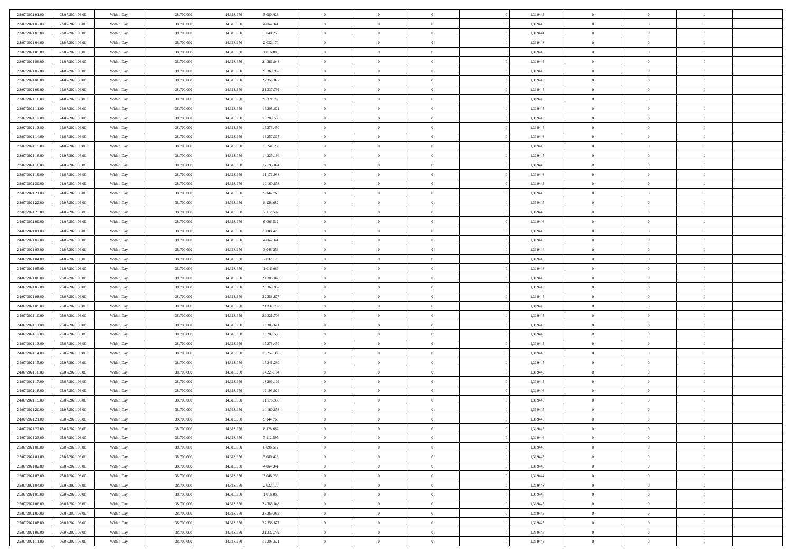| 23/07/2021 01:00                     | 23/07/2021 06:00                     | Within Day               | 38,700,000               | 14.313.950               | 5.080.426                | $\overline{0}$             | $\overline{0}$             | $\Omega$                         | 1,319445             | $\bf{0}$                 | $\mathbf{0}$                     | $\bf{0}$                  |  |
|--------------------------------------|--------------------------------------|--------------------------|--------------------------|--------------------------|--------------------------|----------------------------|----------------------------|----------------------------------|----------------------|--------------------------|----------------------------------|---------------------------|--|
| 23/07/2021 02:00                     | 23/07/2021 06:00                     | Within Day               | 38.700.000               | 14.313.950               | 4.064.341                | $\mathbf{0}$               | $\overline{0}$             | $\overline{0}$                   | 1,319445             | $\overline{0}$           | $\overline{0}$                   | $\overline{0}$            |  |
| 23/07/2021 03:00                     | 23/07/2021 06:00                     | Within Day               | 38.700.000               | 14.313.950               | 3.048.256                | $\,$ 0                     | $\overline{0}$             | $\bf{0}$                         | 1,319444             | $\,$ 0                   | $\overline{0}$                   | $\,$ 0 $\,$               |  |
| 23/07/2021 04:00                     | 23/07/2021 06:00                     | Within Day               | 38,700,000               | 14.313.950               | 2.032.170                | $\bf{0}$                   | $\overline{0}$             | $\Omega$                         | 1,319448             | $\bf{0}$                 | $\mathbf{0}$                     | $\theta$                  |  |
| 23/07/2021 05:00                     | 23/07/2021 06:00                     | Within Day               | 38.700.000               | 14.313.950               | 1.016.085                | $\bf{0}$                   | $\overline{0}$             | $\overline{0}$                   | 1,319448             | $\mathbf{0}$             | $\overline{0}$                   | $\overline{0}$            |  |
| 23/07/2021 06:00                     | 24/07/2021 06:00                     | Within Day               | 38.700.000               | 14.313.950               | 24.386.048               | $\bf{0}$                   | $\overline{0}$             | $\bf{0}$                         | 1,319445             | $\,$ 0                   | $\overline{0}$                   | $\,$ 0 $\,$               |  |
| 23/07/2021 07:00                     | 24/07/2021 06:00                     | Within Day               | 38,700,000               | 14.313.950               | 23.369.962               | $\bf{0}$                   | $\overline{0}$             | $\overline{0}$                   | 1,319445             | $\bf{0}$                 | $\overline{0}$                   | $\theta$                  |  |
| 23/07/2021 08:00                     | 24/07/2021 06:00                     | Within Day               | 38.700.000               | 14.313.950               | 22.353.877               | $\overline{0}$             | $\overline{0}$             | $\overline{0}$                   | 1,319445             | $\mathbf{0}$             | $\overline{0}$                   | $\overline{0}$            |  |
| 23/07/2021 09:00                     | 24/07/2021 06:00                     | Within Day               | 38.700.000               | 14.313.950               | 21.337.792               | $\bf{0}$                   | $\overline{0}$             | $\bf{0}$                         | 1,319445             | $\,$ 0                   | $\overline{0}$                   | $\,$ 0 $\,$               |  |
| 23/07/2021 10:00                     | 24/07/2021 06:00                     | Within Day               | 38,700,000               | 14.313.950               | 20.321.706               | $\overline{0}$             | $\overline{0}$             | $\Omega$                         | 1,319445             | $\theta$                 | $\mathbf{0}$                     | $\theta$                  |  |
| 23/07/2021 11:00                     | 24/07/2021 06:00                     | Within Day               | 38.700.000               | 14.313.950               | 19.305.621               | $\bf{0}$                   | $\overline{0}$             | $\overline{0}$                   | 1,319445             | $\mathbf{0}$             | $\overline{0}$                   | $\overline{0}$            |  |
| 23/07/2021 12:00                     | 24/07/2021 06:00                     | Within Day               | 38.700.000               | 14.313.950               | 18.289.536               | $\bf{0}$                   | $\overline{0}$             | $\bf{0}$                         | 1,319445             | $\,$ 0                   | $\overline{0}$                   | $\,$ 0 $\,$               |  |
| 23/07/2021 13:00                     | 24/07/2021 06:00                     | Within Day               | 38,700,000               | 14.313.950               | 17.273.450               | $\bf{0}$                   | $\overline{0}$             | $\Omega$                         | 1,319445             | $\bf{0}$                 | $\mathbf{0}$                     | $\theta$                  |  |
| 23/07/2021 14:00                     | 24/07/2021 06:00                     | Within Day               | 38.700.000               | 14.313.950               | 16.257.365               | $\overline{0}$             | $\overline{0}$             | $\overline{0}$                   | 1,319446             | $\overline{0}$           | $\overline{0}$                   | $\overline{0}$            |  |
| 23/07/2021 15:00                     | 24/07/2021 06:00                     | Within Day               | 38.700.000               | 14.313.950               | 15.241.280               | $\bf{0}$                   | $\overline{0}$             | $\bf{0}$                         | 1,319445             | $\,$ 0                   | $\overline{0}$                   | $\,$ 0 $\,$               |  |
| 23/07/2021 16:00                     | 24/07/2021 06:00                     | Within Day               | 38,700,000               | 14.313.950               | 14.225.194               | $\bf{0}$                   | $\overline{0}$             | $\overline{0}$                   | 1,319445             | $\bf{0}$                 | $\overline{0}$                   | $\theta$                  |  |
| 23/07/2021 18:00                     | 24/07/2021 06:00                     | Within Day               | 38.700.000               | 14.313.950               | 12.193.024               | $\overline{0}$             | $\overline{0}$             | $\overline{0}$                   | 1,319446             | $\mathbf{0}$             | $\overline{0}$                   | $\overline{0}$            |  |
| 23/07/2021 19:00                     | 24/07/2021 06:00                     | Within Day               | 38.700.000               | 14.313.950               | 11.176.938               | $\bf{0}$                   | $\overline{0}$             | $\bf{0}$                         | 1,319446             | $\,$ 0                   | $\overline{0}$                   | $\,$ 0 $\,$               |  |
| 23/07/2021 20:00                     | 24/07/2021 06:00                     | Within Day               | 38,700,000               | 14.313.950               | 10.160.853               | $\bf{0}$                   | $\overline{0}$             | $\Omega$                         | 1,319445             | $\theta$                 | $\mathbf{0}$                     | $\theta$                  |  |
| 23/07/2021 21:00                     | 24/07/2021 06:00                     | Within Day               | 38.700.000               | 14.313.950               | 9.144.768                | $\overline{0}$             | $\overline{0}$             | $\overline{0}$                   | 1,319445             | $\mathbf{0}$             | $\overline{0}$                   | $\overline{0}$            |  |
| 23/07/2021 22:00                     | 24/07/2021 06:00                     | Within Day               | 38.700.000               | 14.313.950               | 8.128.682                | $\bf{0}$                   | $\overline{0}$             | $\bf{0}$                         | 1,319445             | $\,$ 0                   | $\overline{0}$                   | $\,$ 0 $\,$               |  |
| 23/07/2021 23:00                     | 24/07/2021 06:00                     | Within Day               | 38,700,000               | 14.313.950               | 7.112.597                | $\bf{0}$                   | $\overline{0}$             | $\Omega$                         | 1,319446             | $\theta$                 | $\mathbf{0}$                     | $\theta$                  |  |
| 24/07/2021 00:00                     | 24/07/2021 06:00                     | Within Day               | 38.700.000               | 14.313.950               | 6.096.512                | $\overline{0}$             | $\overline{0}$             | $\overline{0}$                   | 1,319446             | $\overline{0}$           | $\overline{0}$                   | $\overline{0}$            |  |
| 24/07/2021 01:00                     | 24/07/2021 06:00                     | Within Day               | 38.700.000               | 14.313.950               | 5.080.426                | $\bf{0}$                   | $\overline{0}$             | $\bf{0}$                         | 1,319445             | $\,$ 0                   | $\overline{0}$                   | $\,$ 0 $\,$               |  |
| 24/07/2021 02.00                     | 24/07/2021 06:00                     | Within Day               | 38,700,000               | 14.313.950               | 4.064.341                | $\bf{0}$                   | $\overline{0}$             | $\overline{0}$                   | 1,319445             | $\bf{0}$                 | $\overline{0}$                   | $\bf{0}$                  |  |
| 24/07/2021 03:00                     | 24/07/2021 06:00                     | Within Day               | 38.700.000               | 14.313.950               | 3.048.256                | $\overline{0}$             | $\overline{0}$             | $\overline{0}$                   | 1,319444             | $\mathbf{0}$             | $\overline{0}$                   | $\overline{0}$            |  |
| 24/07/2021 04:00                     | 24/07/2021 06:00                     | Within Day               | 38.700.000               | 14.313.950               | 2.032.170                | $\bf{0}$                   | $\overline{0}$             | $\bf{0}$                         | 1,319448             | $\,$ 0                   | $\overline{0}$                   | $\,$ 0 $\,$               |  |
| 24/07/2021 05:00                     | 24/07/2021 06:00                     | Within Day               | 38,700,000               | 14.313.950               | 1.016.085                | $\bf{0}$                   | $\overline{0}$             | $\Omega$                         | 1,319448             | $\theta$                 | $\mathbf{0}$                     | $\theta$                  |  |
| 24/07/2021 06:00                     | 25/07/2021 06:00                     | Within Day               | 38.700.000               | 14.313.950               | 24.386.048               | $\overline{0}$             | $\overline{0}$             | $\overline{0}$                   | 1,319445             | $\mathbf{0}$             | $\overline{0}$                   | $\overline{0}$            |  |
| 24/07/2021 07:00                     | 25/07/2021 06:00                     | Within Day               | 38.700.000               | 14.313.950               | 23.369.962               | $\bf{0}$                   | $\overline{0}$             | $\bf{0}$                         | 1,319445             | $\,$ 0                   | $\overline{0}$                   | $\,$ 0 $\,$               |  |
| 24/07/2021 08:00                     | 25/07/2021 06:00                     | Within Day               | 38.700.000               | 14.313.950               | 22.353.877               | $\bf{0}$                   | $\bf{0}$                   | $\overline{0}$                   | 1,319445             | $\bf{0}$                 | $\overline{0}$                   | $\,0\,$                   |  |
| 24/07/2021 09:00                     | 25/07/2021 06:00                     | Within Day               | 38.700.000               | 14.313.950               | 21.337.792               | $\overline{0}$             | $\overline{0}$             | $\overline{0}$                   | 1,319445             | $\mathbf{0}$             | $\overline{0}$                   | $\overline{0}$            |  |
| 24/07/2021 10:00                     | 25/07/2021 06:00                     | Within Day               | 38.700.000               | 14.313.950               | 20.321.706               | $\bf{0}$                   | $\overline{0}$             | $\bf{0}$                         | 1,319445             | $\,$ 0                   | $\overline{0}$                   | $\,$ 0 $\,$               |  |
| 24/07/2021 11:00                     | 25/07/2021 06:00                     | Within Day               | 38.700.000               | 14.313.950               | 19.305.621               | $\bf{0}$                   | $\bf{0}$                   | $\bf{0}$                         | 1,319445             | $\bf{0}$                 | $\overline{0}$                   | $\bf{0}$                  |  |
| 24/07/2021 12:00                     | 25/07/2021 06:00                     | Within Day               | 38.700.000               | 14.313.950               | 18.289.536               | $\overline{0}$             | $\overline{0}$             | $\overline{0}$                   | 1,319445             | $\mathbf{0}$             | $\overline{0}$                   | $\overline{0}$            |  |
| 24/07/2021 13:00                     | 25/07/2021 06:00                     | Within Day               | 38.700.000               | 14.313.950               | 17.273.450               | $\bf{0}$                   | $\overline{0}$             | $\bf{0}$                         | 1,319445             | $\,$ 0                   | $\overline{0}$                   | $\,$ 0 $\,$               |  |
| 24/07/2021 14:00<br>24/07/2021 15:00 | 25/07/2021 06:00<br>25/07/2021 06:00 | Within Day               | 38.700.000<br>38.700.000 | 14.313.950<br>14.313.950 | 16.257.365<br>15.241.280 | $\bf{0}$<br>$\overline{0}$ | $\bf{0}$<br>$\overline{0}$ | $\overline{0}$<br>$\overline{0}$ | 1,319446<br>1,319445 | $\bf{0}$<br>$\mathbf{0}$ | $\overline{0}$<br>$\overline{0}$ | $\,0\,$<br>$\overline{0}$ |  |
| 24/07/2021 16:00                     | 25/07/2021 06:00                     | Within Day<br>Within Day | 38.700.000               | 14.313.950               | 14.225.194               | $\bf{0}$                   | $\overline{0}$             |                                  | 1,319445             | $\,$ 0                   | $\overline{0}$                   | $\,$ 0 $\,$               |  |
|                                      | 25/07/2021 06:00                     |                          |                          |                          |                          | $\bf{0}$                   |                            | $\bf{0}$<br>$\overline{0}$       |                      | $\bf{0}$                 | $\overline{0}$                   | $\,0\,$                   |  |
| 24/07/2021 17.00<br>24/07/2021 18:00 | 25/07/2021 06:00                     | Within Day<br>Within Day | 38.700.000<br>38.700.000 | 14.313.950<br>14.313.950 | 13.209.109<br>12.193.024 | $\overline{0}$             | $\bf{0}$<br>$\overline{0}$ | $\overline{0}$                   | 1,319445<br>1,319446 | $\mathbf{0}$             | $\overline{0}$                   | $\overline{0}$            |  |
| 24/07/2021 19:00                     | 25/07/2021 06:00                     | Within Day               | 38.700.000               | 14.313.950               | 11.176.938               | $\bf{0}$                   | $\overline{0}$             | $\bf{0}$                         | 1,319446             | $\,$ 0                   | $\overline{0}$                   | $\,$ 0 $\,$               |  |
| 24/07/2021 20:00                     | 25/07/2021 06:00                     | Within Day               | 38.700.000               | 14.313.950               | 10.160.853               | $\bf{0}$                   | $\bf{0}$                   | $\bf{0}$                         | 1,319445             | $\bf{0}$                 | $\overline{0}$                   | $\,0\,$                   |  |
| 24/07/2021 21:00                     | 25/07/2021 06:00                     | Within Dav               | 38.700.000               | 14.313.950               | 9.144.768                | $\mathbf{0}$               | $\overline{0}$             | $\overline{0}$                   | 1,319445             | $\mathbf{0}$             | $\overline{0}$                   | $\overline{0}$            |  |
| 24/07/2021 22.00                     | 25/07/2021 06:00                     | Within Day               | 38.700.000               | 14.313.950               | 8.128.682                | $\bf{0}$                   | $\overline{0}$             | $\theta$                         | 1,319445             | $\overline{0}$           | $\overline{0}$                   | $\theta$                  |  |
| 24/07/2021 23.00                     | 25/07/2021 06:00                     | Within Day               | 38.700.000               | 14.313.950               | 7.112.597                | $\bf{0}$                   | $\bf{0}$                   | $\bf{0}$                         | 1,319446             | $\bf{0}$                 | $\overline{0}$                   | $\bf{0}$                  |  |
| 25/07/2021 00:00                     | 25/07/2021 06:00                     | Within Day               | 38.700.000               | 14.313.950               | 6.096.512                | $\overline{0}$             | $\overline{0}$             | $\overline{0}$                   | 1,319446             | $\overline{0}$           | $\bf{0}$                         | $\overline{0}$            |  |
| 25/07/2021 01:00                     | 25/07/2021 06:00                     | Within Day               | 38.700.000               | 14.313.950               | 5.080.426                | $\,$ 0 $\,$                | $\overline{0}$             | $\overline{0}$                   | 1,319445             | $\mathbf{0}$             | $\,$ 0 $\,$                      | $\,$ 0 $\,$               |  |
| 25/07/2021 02:00                     | 25/07/2021 06:00                     | Within Day               | 38.700.000               | 14.313.950               | 4.064.341                | $\bf{0}$                   | $\bf{0}$                   | $\overline{0}$                   | 1,319445             | $\bf{0}$                 | $\overline{0}$                   | $\bf{0}$                  |  |
| 25/07/2021 03:00                     | 25/07/2021 06:00                     | Within Day               | 38.700.000               | 14.313.950               | 3.048.256                | $\bf{0}$                   | $\overline{0}$             | $\overline{0}$                   | 1,319444             | $\overline{0}$           | $\bf{0}$                         | $\overline{0}$            |  |
| 25/07/2021 04:00                     | 25/07/2021 06:00                     | Within Day               | 38.700.000               | 14.313.950               | 2.032.170                | $\,$ 0 $\,$                | $\overline{0}$             | $\overline{0}$                   | 1,319448             | $\,$ 0 $\,$              | $\overline{0}$                   | $\,$ 0 $\,$               |  |
| 25/07/2021 05:00                     | 25/07/2021 06:00                     | Within Day               | 38.700.000               | 14.313.950               | 1.016.085                | $\bf{0}$                   | $\overline{0}$             | $\overline{0}$                   | 1,319448             | $\bf{0}$                 | $\overline{0}$                   | $\overline{0}$            |  |
| 25/07/2021 06:00                     | 26/07/2021 06:00                     | Within Day               | 38.700.000               | 14.313.950               | 24.386.048               | $\overline{0}$             | $\overline{0}$             | $\overline{0}$                   | 1,319445             | $\overline{0}$           | $\bf{0}$                         | $\overline{0}$            |  |
| 25/07/2021 07:00                     | 26/07/2021 06:00                     | Within Day               | 38.700.000               | 14.313.950               | 23.369.962               | $\,$ 0 $\,$                | $\overline{0}$             | $\overline{0}$                   | 1,319445             | $\mathbf{0}$             | $\,$ 0 $\,$                      | $\,$ 0 $\,$               |  |
| 25/07/2021 08:00                     | 26/07/2021 06:00                     | Within Day               | 38.700.000               | 14.313.950               | 22.353.877               | $\bf{0}$                   | $\bf{0}$                   | $\overline{0}$                   | 1,319445             | $\mathbf{0}$             | $\overline{0}$                   | $\bf{0}$                  |  |
| 25/07/2021 09:00                     | 26/07/2021 06:00                     | Within Day               | 38.700.000               | 14.313.950               | 21.337.792               | $\bf{0}$                   | $\overline{0}$             | $\overline{0}$                   | 1,319445             | $\mathbf{0}$             | $\bf{0}$                         | $\overline{0}$            |  |
| 25/07/2021 11:00                     | 26/07/2021 06:00                     | Within Day               | 38.700.000               | 14.313.950               | 19.305.621               | $\,0\,$                    | $\overline{0}$             | $\overline{0}$                   | 1,319445             | $\,$ 0                   | $\overline{0}$                   | $\,$ 0 $\,$               |  |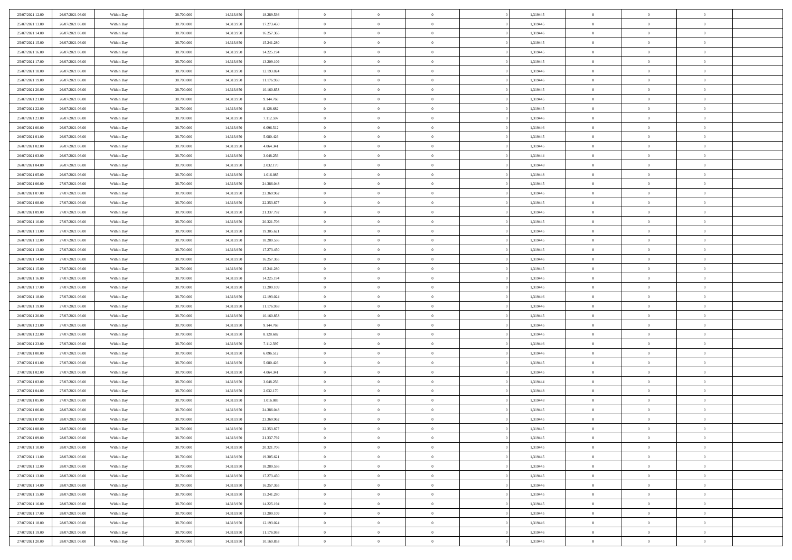| 25/07/2021 12:00 | 26/07/2021 06:00 | Within Day | 38,700,000 | 14.313.950 | 18.289.536 | $\overline{0}$ | $\overline{0}$ | $\Omega$       | 1,319445 | $\bf{0}$       | $\mathbf{0}$   | $\bf{0}$       |  |
|------------------|------------------|------------|------------|------------|------------|----------------|----------------|----------------|----------|----------------|----------------|----------------|--|
| 25/07/2021 13:00 | 26/07/2021 06:00 | Within Day | 38.700.000 | 14.313.950 | 17.273.450 | $\mathbf{0}$   | $\overline{0}$ | $\overline{0}$ | 1,319445 | $\overline{0}$ | $\overline{0}$ | $\overline{0}$ |  |
| 25/07/2021 14:00 | 26/07/2021 06:00 | Within Day | 38.700.000 | 14.313.950 | 16.257.365 | $\,$ 0         | $\overline{0}$ | $\bf{0}$       | 1,319446 | $\,$ 0         | $\overline{0}$ | $\,$ 0 $\,$    |  |
| 25/07/2021 15:00 | 26/07/2021 06:00 | Within Day | 38,700,000 | 14.313.950 | 15.241.280 | $\bf{0}$       | $\overline{0}$ | $\Omega$       | 1,319445 | $\bf{0}$       | $\mathbf{0}$   | $\theta$       |  |
| 25/07/2021 16:00 | 26/07/2021 06:00 | Within Day | 38.700.000 | 14.313.950 | 14.225.194 | $\bf{0}$       | $\overline{0}$ | $\overline{0}$ | 1,319445 | $\mathbf{0}$   | $\bf{0}$       | $\overline{0}$ |  |
| 25/07/2021 17:00 | 26/07/2021 06:00 | Within Day | 38.700.000 | 14.313.950 | 13.209.109 | $\bf{0}$       | $\overline{0}$ | $\bf{0}$       | 1,319445 | $\,$ 0         | $\overline{0}$ | $\,$ 0 $\,$    |  |
| 25/07/2021 18:00 | 26/07/2021 06:00 | Within Day | 38,700,000 | 14.313.950 | 12.193.024 | $\bf{0}$       | $\overline{0}$ | $\overline{0}$ | 1,319446 | $\bf{0}$       | $\overline{0}$ | $\theta$       |  |
| 25/07/2021 19:00 | 26/07/2021 06:00 | Within Day | 38.700.000 | 14.313.950 | 11.176.938 | $\overline{0}$ | $\overline{0}$ | $\overline{0}$ | 1,319446 | $\mathbf{0}$   | $\overline{0}$ | $\overline{0}$ |  |
| 25/07/2021 20:00 | 26/07/2021 06:00 | Within Day | 38.700.000 | 14.313.950 | 10.160.853 | $\bf{0}$       | $\overline{0}$ | $\bf{0}$       | 1,319445 | $\,$ 0         | $\overline{0}$ | $\,$ 0 $\,$    |  |
| 25/07/2021 21:00 | 26/07/2021 06:00 | Within Day | 38,700,000 | 14.313.950 | 9.144.768  | $\overline{0}$ | $\overline{0}$ | $\Omega$       | 1,319445 | $\theta$       | $\mathbf{0}$   | $\theta$       |  |
| 25/07/2021 22:00 | 26/07/2021 06:00 | Within Day | 38.700.000 | 14.313.950 | 8.128.682  | $\bf{0}$       | $\overline{0}$ | $\overline{0}$ | 1,319445 | $\mathbf{0}$   | $\overline{0}$ | $\overline{0}$ |  |
| 25/07/2021 23:00 | 26/07/2021 06:00 | Within Day | 38.700.000 | 14.313.950 | 7.112.597  | $\bf{0}$       | $\overline{0}$ | $\bf{0}$       | 1,319446 | $\,$ 0         | $\overline{0}$ | $\,$ 0 $\,$    |  |
| 26/07/2021 00:00 | 26/07/2021 06:00 | Within Day | 38,700,000 | 14.313.950 | 6.096.512  | $\bf{0}$       | $\overline{0}$ | $\Omega$       | 1,319446 | $\bf{0}$       | $\mathbf{0}$   | $\theta$       |  |
| 26/07/2021 01:00 | 26/07/2021 06:00 | Within Day | 38.700.000 | 14.313.950 | 5.080.426  | $\bf{0}$       | $\overline{0}$ | $\overline{0}$ | 1,319445 | $\overline{0}$ | $\overline{0}$ | $\overline{0}$ |  |
| 26/07/2021 02:00 | 26/07/2021 06:00 | Within Day | 38.700.000 | 14.313.950 | 4.064.341  | $\bf{0}$       | $\overline{0}$ | $\bf{0}$       | 1,319445 | $\,$ 0         | $\overline{0}$ | $\,$ 0 $\,$    |  |
| 26/07/2021 03:00 | 26/07/2021 06:00 | Within Day | 38,700,000 | 14.313.950 | 3.048.256  | $\bf{0}$       | $\overline{0}$ | $\overline{0}$ | 1,319444 | $\bf{0}$       | $\overline{0}$ | $\theta$       |  |
| 26/07/2021 04:00 | 26/07/2021 06:00 | Within Day | 38.700.000 | 14.313.950 | 2.032.170  | $\overline{0}$ | $\overline{0}$ | $\overline{0}$ | 1,319448 | $\mathbf{0}$   | $\overline{0}$ | $\overline{0}$ |  |
| 26/07/2021 05:00 | 26/07/2021 06:00 | Within Day | 38.700.000 | 14.313.950 | 1.016.085  | $\bf{0}$       | $\overline{0}$ | $\bf{0}$       | 1,319448 | $\,$ 0         | $\overline{0}$ | $\,$ 0 $\,$    |  |
| 26/07/2021 06:00 | 27/07/2021 06:00 | Within Day | 38,700,000 | 14.313.950 | 24.386.048 | $\bf{0}$       | $\overline{0}$ | $\Omega$       | 1,319445 | $\theta$       | $\mathbf{0}$   | $\theta$       |  |
| 26/07/2021 07:00 | 27/07/2021 06:00 | Within Day | 38.700.000 | 14.313.950 | 23.369.962 | $\overline{0}$ | $\overline{0}$ | $\overline{0}$ | 1,319445 | $\mathbf{0}$   | $\overline{0}$ | $\overline{0}$ |  |
| 26/07/2021 08:00 | 27/07/2021 06:00 | Within Day | 38.700.000 | 14.313.950 | 22.353.877 | $\bf{0}$       | $\overline{0}$ | $\bf{0}$       | 1,319445 | $\,$ 0         | $\overline{0}$ | $\,$ 0 $\,$    |  |
| 26/07/2021 09:00 | 27/07/2021 06:00 | Within Day | 38,700,000 | 14.313.950 | 21.337.792 | $\bf{0}$       | $\overline{0}$ | $\Omega$       | 1,319445 | $\theta$       | $\mathbf{0}$   | $\theta$       |  |
| 26/07/2021 10:00 | 27/07/2021 06:00 | Within Day | 38.700.000 | 14.313.950 | 20.321.706 | $\overline{0}$ | $\overline{0}$ | $\overline{0}$ | 1,319445 | $\overline{0}$ | $\overline{0}$ | $\overline{0}$ |  |
| 26/07/2021 11:00 | 27/07/2021 06:00 | Within Day | 38.700.000 | 14.313.950 | 19.305.621 | $\bf{0}$       | $\overline{0}$ | $\bf{0}$       | 1,319445 | $\,$ 0         | $\overline{0}$ | $\,$ 0 $\,$    |  |
| 26/07/2021 12:00 | 27/07/2021 06:00 | Within Day | 38,700,000 | 14.313.950 | 18.289.536 | $\bf{0}$       | $\overline{0}$ | $\overline{0}$ | 1,319445 | $\bf{0}$       | $\overline{0}$ | $\bf{0}$       |  |
| 26/07/2021 13:00 | 27/07/2021 06:00 | Within Day | 38.700.000 | 14.313.950 | 17.273.450 | $\overline{0}$ | $\overline{0}$ | $\overline{0}$ | 1,319445 | $\mathbf{0}$   | $\overline{0}$ | $\overline{0}$ |  |
| 26/07/2021 14:00 | 27/07/2021 06:00 | Within Day | 38.700.000 | 14.313.950 | 16.257.365 | $\bf{0}$       | $\overline{0}$ | $\bf{0}$       | 1,319446 | $\,$ 0         | $\overline{0}$ | $\,$ 0 $\,$    |  |
| 26/07/2021 15:00 | 27/07/2021 06:00 | Within Day | 38,700,000 | 14.313.950 | 15.241.280 | $\bf{0}$       | $\overline{0}$ | $\Omega$       | 1,319445 | $\theta$       | $\mathbf{0}$   | $\theta$       |  |
| 26/07/2021 16:00 | 27/07/2021 06:00 | Within Day | 38.700.000 | 14.313.950 | 14.225.194 | $\bf{0}$       | $\overline{0}$ | $\overline{0}$ | 1,319445 | $\overline{0}$ | $\overline{0}$ | $\overline{0}$ |  |
| 26/07/2021 17:00 | 27/07/2021 06:00 | Within Day | 38.700.000 | 14.313.950 | 13.209.109 | $\bf{0}$       | $\overline{0}$ | $\bf{0}$       | 1,319445 | $\,$ 0         | $\overline{0}$ | $\,$ 0 $\,$    |  |
| 26/07/2021 18:00 | 27/07/2021 06:00 | Within Day | 38.700.000 | 14.313.950 | 12.193.024 | $\bf{0}$       | $\bf{0}$       | $\overline{0}$ | 1,319446 | $\bf{0}$       | $\overline{0}$ | $\,0\,$        |  |
| 26/07/2021 19:00 | 27/07/2021 06:00 | Within Day | 38.700.000 | 14.313.950 | 11.176.938 | $\overline{0}$ | $\overline{0}$ | $\overline{0}$ | 1,319446 | $\mathbf{0}$   | $\overline{0}$ | $\overline{0}$ |  |
| 26/07/2021 20:00 | 27/07/2021 06:00 | Within Day | 38.700.000 | 14.313.950 | 10.160.853 | $\bf{0}$       | $\overline{0}$ | $\bf{0}$       | 1,319445 | $\,$ 0         | $\overline{0}$ | $\,$ 0 $\,$    |  |
| 26/07/2021 21:00 | 27/07/2021 06:00 | Within Day | 38.700.000 | 14.313.950 | 9.144.768  | $\bf{0}$       | $\overline{0}$ | $\bf{0}$       | 1,319445 | $\bf{0}$       | $\overline{0}$ | $\bf{0}$       |  |
| 26/07/2021 22:00 | 27/07/2021 06:00 | Within Day | 38.700.000 | 14.313.950 | 8.128.682  | $\overline{0}$ | $\overline{0}$ | $\overline{0}$ | 1,319445 | $\mathbf{0}$   | $\overline{0}$ | $\overline{0}$ |  |
| 26/07/2021 23:00 | 27/07/2021 06:00 | Within Day | 38.700.000 | 14.313.950 | 7.112.597  | $\bf{0}$       | $\overline{0}$ | $\bf{0}$       | 1,319446 | $\,$ 0         | $\overline{0}$ | $\,$ 0 $\,$    |  |
| 27/07/2021 00:00 | 27/07/2021 06:00 | Within Day | 38.700.000 | 14.313.950 | 6.096.512  | $\bf{0}$       | $\overline{0}$ | $\overline{0}$ | 1,319446 | $\bf{0}$       | $\overline{0}$ | $\,0\,$        |  |
| 27/07/2021 01:00 | 27/07/2021 06:00 | Within Day | 38.700.000 | 14.313.950 | 5.080.426  | $\overline{0}$ | $\overline{0}$ | $\overline{0}$ | 1,319445 | $\mathbf{0}$   | $\overline{0}$ | $\overline{0}$ |  |
| 27/07/2021 02:00 | 27/07/2021 06:00 | Within Day | 38.700.000 | 14.313.950 | 4.064.341  | $\bf{0}$       | $\overline{0}$ | $\bf{0}$       | 1,319445 | $\,$ 0         | $\overline{0}$ | $\,$ 0 $\,$    |  |
| 27/07/2021 03:00 | 27/07/2021 06:00 | Within Day | 38.700.000 | 14.313.950 | 3.048.256  | $\bf{0}$       | $\overline{0}$ | $\overline{0}$ | 1,319444 | $\bf{0}$       | $\overline{0}$ | $\,0\,$        |  |
| 27/07/2021 04:00 | 27/07/2021 06:00 | Within Day | 38.700.000 | 14.313.950 | 2.032.170  | $\overline{0}$ | $\overline{0}$ | $\overline{0}$ | 1,319448 | $\mathbf{0}$   | $\overline{0}$ | $\overline{0}$ |  |
| 27/07/2021 05:00 | 27/07/2021 06:00 | Within Day | 38.700.000 | 14.313.950 | 1.016.085  | $\bf{0}$       | $\overline{0}$ | $\bf{0}$       | 1,319448 | $\,$ 0         | $\overline{0}$ | $\,$ 0 $\,$    |  |
| 27/07/2021 06:00 | 28/07/2021 06:00 | Within Day | 38.700.000 | 14.313.950 | 24.386.048 | $\bf{0}$       | $\overline{0}$ | $\bf{0}$       | 1,319445 | $\bf{0}$       | $\overline{0}$ | $\,0\,$        |  |
| 27/07/2021 07:00 | 28/07/2021 06:00 | Within Dav | 38.700.000 | 14.313.950 | 23.369.962 | $\mathbf{0}$   | $\overline{0}$ | $\overline{0}$ | 1,319445 | $\mathbf{0}$   | $\overline{0}$ | $\overline{0}$ |  |
| 27/07/2021 08:00 | 28/07/2021 06:00 | Within Day | 38.700.000 | 14.313.950 | 22.353.877 | $\bf{0}$       | $\overline{0}$ | $\theta$       | 1,319445 | $\overline{0}$ | $\overline{0}$ | $\theta$       |  |
| 27/07/2021 09:00 | 28/07/2021 06:00 | Within Day | 38.700.000 | 14.313.950 | 21.337.792 | $\bf{0}$       | $\overline{0}$ | $\bf{0}$       | 1,319445 | $\bf{0}$       | $\overline{0}$ | $\bf{0}$       |  |
| 27/07/2021 10:00 | 28/07/2021 06:00 | Within Day | 38.700.000 | 14.313.950 | 20.321.706 | $\overline{0}$ | $\overline{0}$ | $\overline{0}$ | 1,319445 | $\overline{0}$ | $\overline{0}$ | $\overline{0}$ |  |
| 27/07/2021 11:00 | 28/07/2021 06:00 | Within Day | 38.700.000 | 14.313.950 | 19.305.621 | $\,$ 0 $\,$    | $\overline{0}$ | $\overline{0}$ | 1,319445 | $\mathbf{0}$   | $\,$ 0 $\,$    | $\,$ 0 $\,$    |  |
| 27/07/2021 12:00 | 28/07/2021 06:00 | Within Day | 38.700.000 | 14.313.950 | 18.289.536 | $\bf{0}$       | $\overline{0}$ | $\overline{0}$ | 1,319445 | $\bf{0}$       | $\overline{0}$ | $\bf{0}$       |  |
| 27/07/2021 13:00 | 28/07/2021 06:00 | Within Day | 38.700.000 | 14.313.950 | 17.273.450 | $\bf{0}$       | $\overline{0}$ | $\overline{0}$ | 1,319445 | $\overline{0}$ | $\bf{0}$       | $\overline{0}$ |  |
| 27/07/2021 14:00 | 28/07/2021 06:00 | Within Day | 38.700.000 | 14.313.950 | 16.257.365 | $\,$ 0 $\,$    | $\overline{0}$ | $\overline{0}$ | 1,319446 | $\,$ 0 $\,$    | $\overline{0}$ | $\,$ 0 $\,$    |  |
| 27/07/2021 15:00 | 28/07/2021 06:00 | Within Day | 38.700.000 | 14.313.950 | 15.241.280 | $\overline{0}$ | $\overline{0}$ | $\overline{0}$ | 1,319445 | $\bf{0}$       | $\overline{0}$ | $\overline{0}$ |  |
| 27/07/2021 16:00 | 28/07/2021 06:00 | Within Day | 38.700.000 | 14.313.950 | 14.225.194 | $\overline{0}$ | $\overline{0}$ | $\overline{0}$ | 1,319445 | $\overline{0}$ | $\bf{0}$       | $\overline{0}$ |  |
| 27/07/2021 17:00 | 28/07/2021 06:00 | Within Day | 38.700.000 | 14.313.950 | 13.209.109 | $\,$ 0 $\,$    | $\overline{0}$ | $\overline{0}$ | 1,319445 | $\mathbf{0}$   | $\,$ 0 $\,$    | $\,$ 0 $\,$    |  |
| 27/07/2021 18:00 | 28/07/2021 06:00 | Within Day | 38.700.000 | 14.313.950 | 12.193.024 | $\bf{0}$       | $\bf{0}$       | $\overline{0}$ | 1,319446 | $\mathbf{0}$   | $\overline{0}$ | $\bf{0}$       |  |
| 27/07/2021 19:00 | 28/07/2021 06:00 | Within Day | 38.700.000 | 14.313.950 | 11.176.938 | $\bf{0}$       | $\overline{0}$ | $\overline{0}$ | 1,319446 | $\mathbf{0}$   | $\bf{0}$       | $\overline{0}$ |  |
| 27/07/2021 20:00 | 28/07/2021 06:00 | Within Day | 38.700.000 | 14.313.950 | 10.160.853 | $\,0\,$        | $\overline{0}$ | $\overline{0}$ | 1,319445 | $\,$ 0         | $\overline{0}$ | $\,$ 0 $\,$    |  |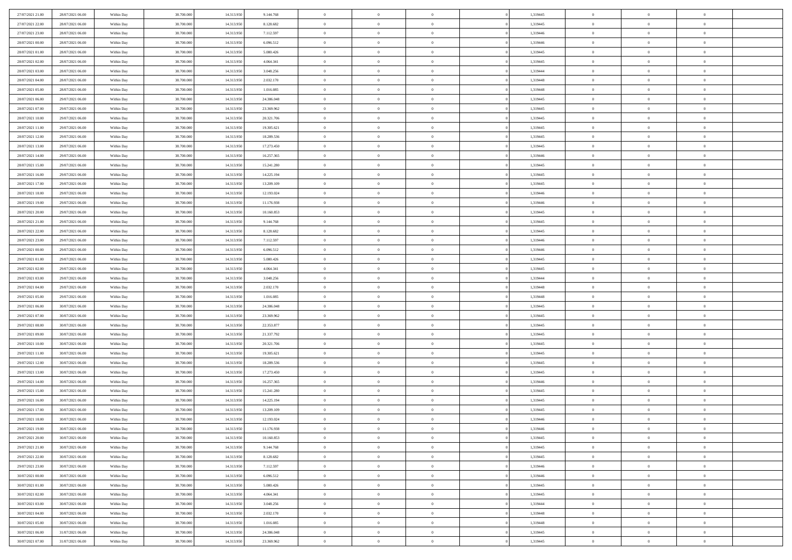| 27/07/2021 21:00 | 28/07/2021 06:00 | Within Day | 38,700,000 | 14.313.950 | 9.144.768  | $\overline{0}$ | $\overline{0}$ | $\Omega$       | 1,319445 | $\bf{0}$       | $\mathbf{0}$   | $\bf{0}$       |  |
|------------------|------------------|------------|------------|------------|------------|----------------|----------------|----------------|----------|----------------|----------------|----------------|--|
| 27/07/2021 22:00 | 28/07/2021 06:00 | Within Dav | 38.700.000 | 14.313.950 | 8.128.682  | $\mathbf{0}$   | $\overline{0}$ | $\overline{0}$ | 1,319445 | $\overline{0}$ | $\overline{0}$ | $\overline{0}$ |  |
| 27/07/2021 23:00 | 28/07/2021 06:00 | Within Day | 38.700.000 | 14.313.950 | 7.112.597  | $\,$ 0         | $\overline{0}$ | $\bf{0}$       | 1,319446 | $\,$ 0         | $\overline{0}$ | $\,$ 0 $\,$    |  |
| 28/07/2021 00:00 | 28/07/2021 06:00 | Within Day | 38,700,000 | 14.313.950 | 6.096.512  | $\bf{0}$       | $\overline{0}$ | $\Omega$       | 1,319446 | $\bf{0}$       | $\mathbf{0}$   | $\theta$       |  |
| 28/07/2021 01:00 | 28/07/2021 06:00 | Within Day | 38.700.000 | 14.313.950 | 5.080.426  | $\bf{0}$       | $\overline{0}$ | $\overline{0}$ | 1,319445 | $\mathbf{0}$   | $\overline{0}$ | $\overline{0}$ |  |
| 28/07/2021 02:00 | 28/07/2021 06:00 | Within Day | 38.700.000 | 14.313.950 | 4.064.341  | $\bf{0}$       | $\overline{0}$ | $\bf{0}$       | 1,319445 | $\,$ 0         | $\overline{0}$ | $\,$ 0 $\,$    |  |
| 28/07/2021 03:00 | 28/07/2021 06:00 | Within Day | 38,700,000 | 14.313.950 | 3.048.256  | $\bf{0}$       | $\overline{0}$ | $\Omega$       | 1,319444 | $\theta$       | $\overline{0}$ | $\theta$       |  |
| 28/07/2021 04:00 | 28/07/2021 06:00 | Within Day | 38.700.000 | 14.313.950 | 2.032.170  | $\overline{0}$ | $\overline{0}$ | $\overline{0}$ | 1,319448 | $\mathbf{0}$   | $\overline{0}$ | $\overline{0}$ |  |
| 28/07/2021 05:00 | 28/07/2021 06:00 | Within Day | 38.700.000 | 14.313.950 | 1.016.085  | $\bf{0}$       | $\overline{0}$ | $\bf{0}$       | 1,319448 | $\,$ 0         | $\overline{0}$ | $\,$ 0 $\,$    |  |
| 28/07/2021 06:00 | 29/07/2021 06:00 | Within Day | 38,700,000 | 14.313.950 | 24.386.048 | $\bf{0}$       | $\overline{0}$ | $\Omega$       | 1,319445 | $\theta$       | $\mathbf{0}$   | $\theta$       |  |
| 28/07/2021 07:00 | 29/07/2021 06:00 | Within Day | 38.700.000 | 14.313.950 | 23.369.962 | $\overline{0}$ | $\overline{0}$ | $\overline{0}$ | 1,319445 | $\mathbf{0}$   | $\overline{0}$ | $\overline{0}$ |  |
| 28/07/2021 10:00 | 29/07/2021 06:00 | Within Day | 38.700.000 | 14.313.950 | 20.321.706 | $\bf{0}$       | $\overline{0}$ | $\bf{0}$       | 1,319445 | $\,$ 0         | $\overline{0}$ | $\,$ 0 $\,$    |  |
| 28/07/2021 11:00 | 29/07/2021 06:00 | Within Day | 38,700,000 | 14.313.950 | 19.305.621 | $\bf{0}$       | $\overline{0}$ | $\Omega$       | 1,319445 | $\bf{0}$       | $\mathbf{0}$   | $\theta$       |  |
| 28/07/2021 12:00 | 29/07/2021 06:00 | Within Day | 38.700.000 | 14.313.950 | 18.289.536 | $\overline{0}$ | $\overline{0}$ | $\overline{0}$ | 1,319445 | $\overline{0}$ | $\overline{0}$ | $\overline{0}$ |  |
| 28/07/2021 13:00 | 29/07/2021 06:00 | Within Day | 38.700.000 | 14.313.950 | 17.273.450 | $\bf{0}$       | $\overline{0}$ | $\bf{0}$       | 1,319445 | $\,$ 0         | $\overline{0}$ | $\,$ 0 $\,$    |  |
| 28/07/2021 14:00 | 29/07/2021 06:00 | Within Day | 38,700,000 | 14.313.950 | 16.257.365 | $\bf{0}$       | $\overline{0}$ | $\overline{0}$ | 1,319446 | $\bf{0}$       | $\overline{0}$ | $\theta$       |  |
| 28/07/2021 15:00 | 29/07/2021 06:00 | Within Day | 38.700.000 | 14.313.950 | 15.241.280 | $\overline{0}$ | $\overline{0}$ | $\overline{0}$ | 1,319445 | $\mathbf{0}$   | $\overline{0}$ | $\overline{0}$ |  |
| 28/07/2021 16:00 | 29/07/2021 06:00 | Within Day | 38.700.000 | 14.313.950 | 14.225.194 | $\bf{0}$       | $\overline{0}$ | $\bf{0}$       | 1,319445 | $\,$ 0         | $\overline{0}$ | $\,$ 0 $\,$    |  |
| 28/07/2021 17:00 | 29/07/2021 06:00 | Within Day | 38,700,000 | 14.313.950 | 13.209.109 | $\bf{0}$       | $\overline{0}$ | $\Omega$       | 1,319445 | $\theta$       | $\mathbf{0}$   | $\theta$       |  |
| 28/07/2021 18:00 | 29/07/2021 06:00 | Within Day | 38.700.000 | 14.313.950 | 12.193.024 | $\overline{0}$ | $\overline{0}$ | $\overline{0}$ | 1,319446 | $\mathbf{0}$   | $\overline{0}$ | $\overline{0}$ |  |
| 28/07/2021 19:00 | 29/07/2021 06:00 | Within Day | 38.700.000 | 14.313.950 | 11.176.938 | $\bf{0}$       | $\overline{0}$ | $\bf{0}$       | 1,319446 | $\,$ 0         | $\overline{0}$ | $\,$ 0 $\,$    |  |
| 28/07/2021 20:00 | 29/07/2021 06:00 | Within Day | 38,700,000 | 14.313.950 | 10.160.853 | $\bf{0}$       | $\overline{0}$ | $\Omega$       | 1,319445 | $\bf{0}$       | $\mathbf{0}$   | $\theta$       |  |
| 28/07/2021 21:00 | 29/07/2021 06:00 | Within Day | 38.700.000 | 14.313.950 | 9.144.768  | $\overline{0}$ | $\overline{0}$ | $\overline{0}$ | 1,319445 | $\overline{0}$ | $\overline{0}$ | $\overline{0}$ |  |
| 28/07/2021 22:00 | 29/07/2021 06:00 | Within Day | 38.700.000 | 14.313.950 | 8.128.682  | $\bf{0}$       | $\overline{0}$ | $\bf{0}$       | 1,319445 | $\,$ 0         | $\overline{0}$ | $\,$ 0 $\,$    |  |
| 28/07/2021 23:00 | 29/07/2021 06:00 | Within Day | 38,700,000 | 14.313.950 | 7.112.597  | $\bf{0}$       | $\overline{0}$ | $\overline{0}$ | 1,319446 | $\bf{0}$       | $\overline{0}$ | $\bf{0}$       |  |
| 29/07/2021 00:00 | 29/07/2021 06:00 | Within Day | 38.700.000 | 14.313.950 | 6.096.512  | $\overline{0}$ | $\overline{0}$ | $\overline{0}$ | 1,319446 | $\mathbf{0}$   | $\overline{0}$ | $\overline{0}$ |  |
| 29/07/2021 01:00 | 29/07/2021 06:00 | Within Day | 38.700.000 | 14.313.950 | 5.080.426  | $\bf{0}$       | $\overline{0}$ | $\bf{0}$       | 1,319445 | $\,$ 0         | $\overline{0}$ | $\,$ 0 $\,$    |  |
| 29/07/2021 02:00 | 29/07/2021 06:00 | Within Day | 38,700,000 | 14.313.950 | 4.064.341  | $\bf{0}$       | $\overline{0}$ | $\Omega$       | 1,319445 | $\theta$       | $\mathbf{0}$   | $\theta$       |  |
| 29/07/2021 03:00 | 29/07/2021 06:00 | Within Day | 38.700.000 | 14.313.950 | 3.048.256  | $\overline{0}$ | $\overline{0}$ | $\overline{0}$ | 1,319444 | $\overline{0}$ | $\overline{0}$ | $\overline{0}$ |  |
| 29/07/2021 04:00 | 29/07/2021 06:00 | Within Day | 38.700.000 | 14.313.950 | 2.032.170  | $\bf{0}$       | $\overline{0}$ | $\bf{0}$       | 1,319448 | $\,$ 0         | $\overline{0}$ | $\,$ 0 $\,$    |  |
| 29/07/2021 05:00 | 29/07/2021 06:00 | Within Day | 38.700.000 | 14.313.950 | 1.016.085  | $\bf{0}$       | $\bf{0}$       | $\overline{0}$ | 1,319448 | $\bf{0}$       | $\overline{0}$ | $\,0\,$        |  |
| 29/07/2021 06:00 | 30/07/2021 06:00 | Within Dav | 38.700.000 | 14.313.950 | 24.386.048 | $\overline{0}$ | $\overline{0}$ | $\overline{0}$ | 1,319445 | $\mathbf{0}$   | $\overline{0}$ | $\overline{0}$ |  |
| 29/07/2021 07:00 | 30/07/2021 06:00 | Within Day | 38.700.000 | 14.313.950 | 23.369.962 | $\bf{0}$       | $\overline{0}$ | $\bf{0}$       | 1,319445 | $\,$ 0         | $\overline{0}$ | $\,$ 0 $\,$    |  |
| 29/07/2021 08:00 | 30/07/2021 06:00 | Within Day | 38.700.000 | 14.313.950 | 22.353.877 | $\bf{0}$       | $\bf{0}$       | $\bf{0}$       | 1,319445 | $\bf{0}$       | $\overline{0}$ | $\bf{0}$       |  |
| 29/07/2021 09:00 | 30/07/2021 06:00 | Within Day | 38.700.000 | 14.313.950 | 21.337.792 | $\overline{0}$ | $\overline{0}$ | $\overline{0}$ | 1,319445 | $\mathbf{0}$   | $\overline{0}$ | $\overline{0}$ |  |
| 29/07/2021 10:00 | 30/07/2021 06:00 | Within Day | 38.700.000 | 14.313.950 | 20.321.706 | $\bf{0}$       | $\overline{0}$ | $\bf{0}$       | 1,319445 | $\,$ 0         | $\overline{0}$ | $\,$ 0 $\,$    |  |
| 29/07/2021 11:00 | 30/07/2021 06:00 | Within Day | 38.700.000 | 14.313.950 | 19.305.621 | $\bf{0}$       | $\bf{0}$       | $\overline{0}$ | 1,319445 | $\bf{0}$       | $\overline{0}$ | $\,0\,$        |  |
| 29/07/2021 12:00 | 30/07/2021 06:00 | Within Day | 38.700.000 | 14.313.950 | 18.289.536 | $\overline{0}$ | $\overline{0}$ | $\overline{0}$ | 1,319445 | $\mathbf{0}$   | $\overline{0}$ | $\overline{0}$ |  |
| 29/07/2021 13:00 | 30/07/2021 06:00 | Within Day | 38.700.000 | 14.313.950 | 17.273.450 | $\bf{0}$       | $\overline{0}$ | $\bf{0}$       | 1,319445 | $\,$ 0         | $\overline{0}$ | $\,$ 0 $\,$    |  |
| 29/07/2021 14:00 | 30/07/2021 06:00 | Within Day | 38.700.000 | 14.313.950 | 16.257.365 | $\bf{0}$       | $\bf{0}$       | $\overline{0}$ | 1,319446 | $\bf{0}$       | $\overline{0}$ | $\,0\,$        |  |
| 29/07/2021 15:00 | 30/07/2021 06:00 | Within Day | 38.700.000 | 14.313.950 | 15.241.280 | $\overline{0}$ | $\overline{0}$ | $\overline{0}$ | 1,319445 | $\mathbf{0}$   | $\overline{0}$ | $\overline{0}$ |  |
| 29/07/2021 16:00 | 30/07/2021 06:00 | Within Day | 38.700.000 | 14.313.950 | 14.225.194 | $\bf{0}$       | $\overline{0}$ | $\bf{0}$       | 1,319445 | $\,$ 0         | $\overline{0}$ | $\,$ 0 $\,$    |  |
| 29/07/2021 17:00 | 30/07/2021 06:00 | Within Day | 38.700.000 | 14.313.950 | 13.209.109 | $\bf{0}$       | $\bf{0}$       | $\bf{0}$       | 1,319445 | $\bf{0}$       | $\overline{0}$ | $\,0\,$        |  |
| 29/07/2021 18:00 | 30/07/2021 06:00 | Within Dav | 38.700.000 | 14.313.950 | 12.193.024 | $\mathbf{0}$   | $\overline{0}$ | $\overline{0}$ | 1,319446 | $\mathbf{0}$   | $\overline{0}$ | $\overline{0}$ |  |
| 29/07/2021 19:00 | 30/07/2021 06:00 | Within Day | 38.700.000 | 14.313.950 | 11.176.938 | $\bf{0}$       | $\overline{0}$ | $\theta$       | 1,319446 | $\overline{0}$ | $\overline{0}$ | $\theta$       |  |
| 29/07/2021 20:00 | 30/07/2021 06:00 | Within Day | 38.700.000 | 14.313.950 | 10.160.853 | $\bf{0}$       | $\bf{0}$       | $\bf{0}$       | 1,319445 | $\bf{0}$       | $\overline{0}$ | $\bf{0}$       |  |
| 29/07/2021 21:00 | 30/07/2021 06:00 | Within Day | 38.700.000 | 14.313.950 | 9.144.768  | $\overline{0}$ | $\overline{0}$ | $\overline{0}$ | 1,319445 | $\overline{0}$ | $\bf{0}$       | $\overline{0}$ |  |
| 29/07/2021 22:00 | 30/07/2021 06:00 | Within Day | 38.700.000 | 14.313.950 | 8.128.682  | $\,$ 0 $\,$    | $\overline{0}$ | $\overline{0}$ | 1,319445 | $\mathbf{0}$   | $\,$ 0 $\,$    | $\,$ 0 $\,$    |  |
| 29/07/2021 23:00 | 30/07/2021 06:00 | Within Day | 38.700.000 | 14.313.950 | 7.112.597  | $\bf{0}$       | $\bf{0}$       | $\overline{0}$ | 1,319446 | $\bf{0}$       | $\overline{0}$ | $\bf{0}$       |  |
| 30/07/2021 00:00 | 30/07/2021 06:00 | Within Day | 38.700.000 | 14.313.950 | 6.096.512  | $\bf{0}$       | $\overline{0}$ | $\overline{0}$ | 1,319446 | $\overline{0}$ | $\overline{0}$ | $\overline{0}$ |  |
| 30/07/2021 01:00 | 30/07/2021 06:00 | Within Day | 38.700.000 | 14.313.950 | 5.080.426  | $\,$ 0 $\,$    | $\overline{0}$ | $\overline{0}$ | 1,319445 | $\,$ 0 $\,$    | $\overline{0}$ | $\,$ 0 $\,$    |  |
| 30/07/2021 02:00 | 30/07/2021 06:00 | Within Day | 38.700.000 | 14.313.950 | 4.064.341  | $\overline{0}$ | $\overline{0}$ | $\overline{0}$ | 1,319445 | $\bf{0}$       | $\overline{0}$ | $\overline{0}$ |  |
| 30/07/2021 03:00 | 30/07/2021 06:00 | Within Day | 38.700.000 | 14.313.950 | 3.048.256  | $\overline{0}$ | $\overline{0}$ | $\overline{0}$ | 1,319444 | $\overline{0}$ | $\bf{0}$       | $\overline{0}$ |  |
| 30/07/2021 04:00 | 30/07/2021 06:00 | Within Day | 38.700.000 | 14.313.950 | 2.032.170  | $\,$ 0 $\,$    | $\overline{0}$ | $\overline{0}$ | 1,319448 | $\,$ 0 $\,$    | $\,$ 0 $\,$    | $\,$ 0 $\,$    |  |
| 30/07/2021 05:00 | 30/07/2021 06:00 | Within Day | 38.700.000 | 14.313.950 | 1.016.085  | $\bf{0}$       | $\bf{0}$       | $\overline{0}$ | 1,319448 | $\mathbf{0}$   | $\overline{0}$ | $\bf{0}$       |  |
| 30/07/2021 06:00 | 31/07/2021 06:00 | Within Day | 38.700.000 | 14.313.950 | 24.386.048 | $\bf{0}$       | $\overline{0}$ | $\overline{0}$ | 1,319445 | $\mathbf{0}$   | $\bf{0}$       | $\overline{0}$ |  |
| 30/07/2021 07:00 | 31/07/2021 06:00 | Within Day | 38.700.000 | 14.313.950 | 23.369.962 | $\,0\,$        | $\overline{0}$ | $\overline{0}$ | 1,319445 | $\,$ 0         | $\overline{0}$ | $\,$ 0 $\,$    |  |
|                  |                  |            |            |            |            |                |                |                |          |                |                |                |  |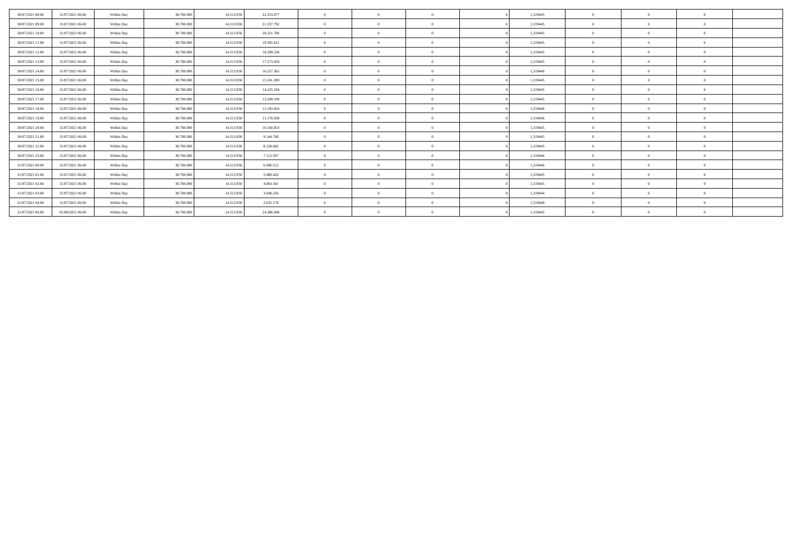| 30/07/2021 08:00 | 31/07/2021 06:00 | Within Day | 38,700,000 | 14.313.950 | 22.353.877 | $\sqrt{2}$     | $\Omega$       |          | 1,319445 |              |          |          |  |
|------------------|------------------|------------|------------|------------|------------|----------------|----------------|----------|----------|--------------|----------|----------|--|
| 30/07/2021 09:00 | 31/07/2021 06:00 | Within Day | 38,700,000 | 14.313.950 | 21.337.792 | $\theta$       | $\Omega$       | $\Omega$ | 1,319445 |              |          |          |  |
| 30/07/2021 10:00 | 31/07/2021 06:00 | Within Day | 38,700,000 | 14.313.950 | 20.321.706 | $\overline{0}$ | $\Omega$       | $\Omega$ | 1.319445 | $\Omega$     |          | $\Omega$ |  |
| 30/07/2021 11:00 | 31/07/2021 06:00 | Within Day | 38,700,000 | 14.313.950 | 19.305.621 | $\Omega$       | $\overline{0}$ | $\Omega$ | 1,319445 | $\Omega$     | $\theta$ | $\Omega$ |  |
| 30/07/2021 12:00 | 31/07/2021 06:00 | Within Day | 38,700,000 | 14.313.950 | 18.289.536 | $\theta$       | $\Omega$       | $\Omega$ | 1,319445 |              |          |          |  |
| 30/07/2021 13:00 | 31/07/2021 06:00 | Within Day | 38.700.000 | 14.313.950 | 17.273.450 | $\mathbf{0}$   | $\Omega$       | $\Omega$ | 1,319445 | $\Omega$     |          | $\Omega$ |  |
| 30/07/2021 14:00 | 31/07/2021 06:00 | Within Day | 38.700.000 | 14.313.950 | 16.257.365 | $\theta$       | $\Omega$       | $\Omega$ | 1,319446 | $\Omega$     |          | $\Omega$ |  |
| 30/07/2021 15:00 | 31/07/2021 06:00 | Within Day | 38,700,000 | 14.313.950 | 15.241.280 | $\theta$       | $\Omega$       | $\Omega$ | 1,319445 | $\Omega$     |          | $\Omega$ |  |
| 30/07/2021 16:00 | 31/07/2021 06:00 | Within Day | 38.700.000 | 14.313.950 | 14.225.194 | $\mathbf{0}$   | $\Omega$       | $\Omega$ | 1,319445 | $\Omega$     |          | $\Omega$ |  |
| 30/07/2021 17:00 | 31/07/2021 06:00 | Within Day | 38.700.000 | 14.313.950 | 13.209.109 | $\Omega$       | $\Omega$       | $\Omega$ | 1,319445 | $\Omega$     | - 0      | $\Omega$ |  |
| 30/07/2021 18:00 | 31/07/2021 06:00 | Within Day | 38.700.000 | 14.313.950 | 12.193.024 | $\theta$       | $^{\circ}$     | $\Omega$ | 1,319446 |              |          |          |  |
| 30/07/2021 19:00 | 31/07/2021 06:00 | Within Day | 38,700,000 | 14.313.950 | 11.176.938 | $\mathbf{0}$   | $\Omega$       | $\Omega$ | 1,319446 | $\Omega$     |          | $\Omega$ |  |
| 30/07/2021 20:00 | 31/07/2021 06:00 | Within Day | 38,700,000 | 14.313.950 | 10.160.853 | $\theta$       | $\Omega$       | $\Omega$ | 1,319445 | $\Omega$     | $\theta$ | $\Omega$ |  |
| 30/07/2021 21:00 | 31/07/2021 06:00 | Within Day | 38,700,000 | 14.313.950 | 9.144.768  | $\theta$       | $\Omega$       | $\Omega$ | 1.319445 | $\mathbf{0}$ |          | $\Omega$ |  |
| 30/07/2021 22:00 | 31/07/2021 06:00 | Within Day | 38.700.000 | 14.313.950 | 8.128.682  | $\theta$       | $\Omega$       | $\Omega$ | 1,319445 | $\Omega$     |          | $\Omega$ |  |
| 30/07/2021 23:00 | 31/07/2021 06:00 | Within Day | 38.700.000 | 14.313.950 | 7.112.597  | $\theta$       | $\Omega$       | $\Omega$ | 1,319446 | $\Omega$     | $\theta$ | $\Omega$ |  |
| 31/07/2021 00:00 | 31/07/2021 06:00 | Within Day | 38,700,000 | 14.313.950 | 6.096.512  | $\theta$       | $\Omega$       | $\Omega$ | 1,319446 | $\Omega$     |          | $\Omega$ |  |
| 31/07/2021 01:00 | 31/07/2021 06:00 | Within Day | 38,700,000 | 14.313.950 | 5.080.426  | $\mathbf{0}$   | $\Omega$       | $\Omega$ | 1,319445 | $\bf{0}$     |          | $\Omega$ |  |
| 31/07/2021 02:00 | 31/07/2021 06:00 | Within Day | 38,700,000 | 14.313.950 | 4.064.341  | $\overline{0}$ | $\Omega$       | $\Omega$ | 1,319445 | $\Omega$     | $\Omega$ | $\theta$ |  |
| 31/07/2021 03:00 | 31/07/2021 06:00 | Within Day | 38.700.000 | 14.313.950 | 3.048.256  | $\theta$       | $^{\circ}$     | $\theta$ | 1,319444 | $\bf{0}$     |          | $\Omega$ |  |
| 31/07/2021 04:00 | 31/07/2021 06:00 | Within Day | 38.700.000 | 14.313.950 | 2.032.170  | $\theta$       |                |          | 1,319448 |              |          |          |  |
| 31/07/2021 06:00 | 01/08/2021 06:00 | Within Day | 38.700.000 | 14.313.950 | 24.386.048 |                | $\Omega$       |          | 1,319445 |              |          |          |  |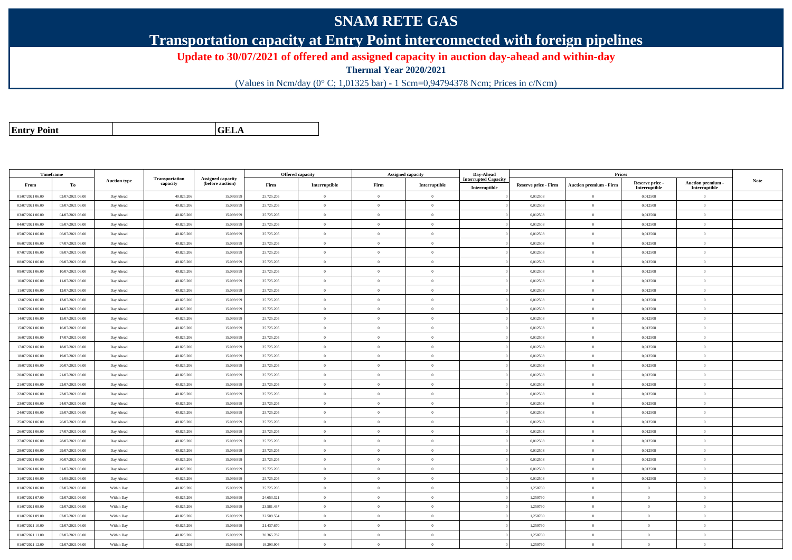## **SNAM RETE GAS**

**Transportation capacity at Entry Point interconnected with foreign pipelines**

**Update to 30/07/2021 of offered and assigned capacity in auction day-ahead and within-day**

**Thermal Year 2020/2021**

(Values in Ncm/day (0° C; 1,01325 bar) - 1 Scm=0,94794378 Ncm; Prices in c/Ncm)

| <b>Entry Point</b> |  |
|--------------------|--|
|                    |  |

**GELA**

| Timeframe        |                  |                     |                            |                                       |            | Offered capacity |                | Assigned capacity | Day-Ahead                   |                             | Prices                        |                           |                                 |             |
|------------------|------------------|---------------------|----------------------------|---------------------------------------|------------|------------------|----------------|-------------------|-----------------------------|-----------------------------|-------------------------------|---------------------------|---------------------------------|-------------|
| From             | To               | <b>Auction type</b> | Transportation<br>capacity | Assigned capacity<br>(before auction) | Firm       | Interruptible    | Firm           | Interruptible     | <b>Interrupted Capacity</b> | <b>Reserve price - Firm</b> | <b>Auction premium - Firm</b> | Reserve price -           | Auction premium -               | <b>Note</b> |
| 01/07/2021 06:00 | 02/07/2021 06:00 | Day Ahead           | 40.825.206                 | 15.099.99                             | 25.725.205 | $\mathbf{0}$     | $\theta$       | $\overline{0}$    | Interruptible               | 0,012508                    | $\theta$                      | Interruptible<br>0,012508 | Interruptible<br>$\overline{0}$ |             |
| 02/07/2021 06:00 | 03/07/2021 06:00 | Day Ahead           | 40.825.206                 | 15.099.99                             | 25.725.205 | $\overline{0}$   | $\Omega$       | $\Omega$          |                             | 0,012508                    | $\theta$                      | 0,012508                  | $\overline{0}$                  |             |
| 03/07/2021 06:00 | 04/07/2021 06:00 | Day Ahead           | 40.825.20                  | 15.099.99                             | 25.725.205 | $\overline{0}$   | $\overline{0}$ | $\Omega$          |                             | 0,012508                    | $\theta$                      | 0,012508                  | $\overline{0}$                  |             |
| 04/07/2021 06:00 | 05/07/2021 06:00 | Day Ahead           | 40.825.206                 | 15.099.99                             | 25.725.205 | $\overline{0}$   | $\overline{0}$ | $\Omega$          |                             | 0,012508                    | $\theta$                      | 0,012508                  | $\overline{0}$                  |             |
| 05/07/2021 06:00 | 06/07/2021 06:00 |                     | 40.825.20                  | 15,099.99                             | 25.725.205 | $\overline{0}$   | $\theta$       | $\Omega$          |                             | 0.012508                    | $\theta$                      | 0.012508                  | $\mathbf{0}$                    |             |
| 06/07/2021 06:00 | 07/07/2021 06:00 | Day Ahead           | 40.825.20                  | 15.099.99                             | 25.725.205 | $\overline{0}$   | $\Omega$       | $^{\circ}$        |                             | 0,012508                    | $\theta$                      | 0,012508                  | $\mathbf{0}$                    |             |
|                  |                  | Day Ahead           |                            |                                       |            |                  |                |                   |                             |                             |                               |                           |                                 |             |
| 07/07/2021 06:00 | 08/07/2021 06:00 | Day Ahead           | 40.825.206                 | 15.099.99                             | 25.725.205 | $\overline{0}$   | $\overline{0}$ | $\Omega$          |                             | 0,012508                    | $\theta$                      | 0,012508                  | $\overline{0}$                  |             |
| 08/07/2021 06:00 | 09/07/2021 06:00 | Day Ahead           | 40.825.20                  | 15,099,999                            | 25.725.205 | $\theta$         | $\theta$       | $\Omega$          |                             | 0.012508                    | $\bf{0}$                      | 0.012508                  | $\theta$                        |             |
| 09/07/2021 06:00 | 10/07/2021 06:00 | Day Ahead           | 40.825.206                 | 15.099.99                             | 25.725.205 | $\overline{0}$   | $\Omega$       | $\overline{0}$    |                             | 0,012508                    | $\overline{0}$                | 0,012508                  | $\overline{0}$                  |             |
| 10/07/2021 06:00 | 11/07/2021 06:00 | Day Ahead           | 40.825.206                 | 15.099.99                             | 25.725.205 | $\bf{0}$         | $\overline{0}$ | $\Omega$          |                             | 0,012508                    | $\,$ 0 $\,$                   | 0,012508                  | $\overline{0}$                  |             |
| 11/07/2021 06:00 | 12/07/2021 06:00 | Day Ahead           | 40.825.20                  | 15.099.99                             | 25.725.205 | $\mathbf{0}$     | $\theta$       | $\Omega$          |                             | 0,012508                    | $\theta$                      | 0,012508                  | $\Omega$                        |             |
| 12/07/2021 06:00 | 13/07/2021 06:00 | Day Ahead           | 40.825.206                 | 15.099.99                             | 25.725.205 | $\overline{0}$   | $\theta$       | $\Omega$          |                             | 0,012508                    | $\theta$                      | 0,012508                  | $\Omega$                        |             |
| 13/07/2021 06:00 | 14/07/2021 06:00 | Day Ahead           | 40.825.206                 | 15.099.99                             | 25.725.205 | $\theta$         | $\theta$       | $\Omega$          |                             | 0,012508                    | $\theta$                      | 0,012508                  | $\Omega$                        |             |
| 14/07/2021 06:00 | 15/07/2021 06:00 | Day Ahead           | 40.825.20                  | 15.099.99                             | 25.725.205 | $\theta$         | $\Omega$       | $\Omega$          |                             | 0,012508                    | $\theta$                      | 0,012508                  | $\Omega$                        |             |
| 15/07/2021 06:00 | 16/07/2021 06:00 | Day Ahead           | 40.825.20                  | 15.099.99                             | 25.725.205 | $\mathbf{0}$     | $\theta$       | $\Omega$          |                             | 0,012508                    | $\theta$                      | 0,012508                  | $\mathbf{0}$                    |             |
| 16/07/2021 06:00 | 17/07/2021 06:00 | Day Ahead           | 40.825.20                  | 15.099.99                             | 25.725.205 | $\overline{0}$   | $\theta$       | $\Omega$          |                             | 0,012508                    | $\theta$                      | 0,012508                  | $\overline{0}$                  |             |
| 17/07/2021 06:00 | 18/07/2021 06:00 | Day Ahead           | 40.825.206                 | 15.099.99                             | 25.725.205 | $\overline{0}$   | $\Omega$       | $\Omega$          |                             | 0.012508                    | $\theta$                      | 0,012508                  | $\overline{0}$                  |             |
| 18/07/2021 06:00 | 19/07/2021 06:00 | Day Ahead           | 40.825.206                 | 15.099.99                             | 25.725.205 | $\overline{0}$   | $\theta$       | $\Omega$          |                             | 0,012508                    | $\theta$                      | 0,012508                  | $\overline{0}$                  |             |
| 19/07/2021 06:00 | 20/07/2021 06:00 | Day Ahead           | 40.825.20                  | 15.099.99                             | 25.725.205 | $\overline{0}$   | $\overline{0}$ | $\Omega$          |                             | 0,012508                    | $\,$ 0 $\,$                   | 0,012508                  | $\overline{0}$                  |             |
| 20/07/2021 06:00 | 21/07/2021 06:00 | Day Ahead           | 40.825.206                 | 15,099.99                             | 25.725.205 | $\overline{0}$   | $\Omega$       | $\theta$          |                             | 0.012508                    | $\theta$                      | 0,012508                  | $\theta$                        |             |
| 21/07/2021 06:00 | 22/07/2021 06:00 | Day Ahead           | 40.825.206                 | 15.099.99                             | 25.725.205 | $\bf{0}$         | $\overline{0}$ | $\Omega$          |                             | 0,012508                    | $\theta$                      | 0,012508                  | $\overline{0}$                  |             |
| 22/07/2021 06:00 | 23/07/2021 06:00 | Day Ahead           | 40.825.206                 | 15.099.99                             | 25.725.205 | $\overline{0}$   | $\theta$       | $\Omega$          |                             | 0,012508                    | $\bf{0}$                      | 0,012508                  | $\overline{0}$                  |             |
| 23/07/2021 06:00 | 24/07/2021 06:00 | Day Ahead           | 40.825.206                 | 15.099.999                            | 25.725.205 | $\mathbf{0}$     | $\theta$       | $\Omega$          |                             | 0,012508                    | $\theta$                      | 0,012508                  | $\theta$                        |             |
| 24/07/2021 06:00 | 25/07/2021 06:00 | Day Ahead           | 40.825.206                 | 15.099.99                             | 25.725.205 | $\theta$         | $\theta$       | $\Omega$          |                             | 0.012508                    | $\theta$                      | 0.012508                  | $\Omega$                        |             |
| 25/07/2021 06:00 | 26/07/2021 06:00 | Day Ahead           | 40.825.206                 | 15.099.99                             | 25.725.205 | $\mathbf{0}$     | $\overline{0}$ | $\overline{0}$    |                             | 0,012508                    | $\mathbf{0}$                  | 0,012508                  | $\overline{0}$                  |             |
| 26/07/2021 06:00 | 27/07/2021 06:00 | Day Ahead           | 40.825.206                 | 15.099.99                             | 25.725.205 | $\overline{0}$   | $\overline{0}$ | $\Omega$          |                             | 0,012508                    | $\theta$                      | 0,012508                  | $\overline{0}$                  |             |
| 27/07/2021 06:00 | 28/07/2021 06:00 | Day Ahead           | 40.825.20                  | 15.099.99                             | 25.725.205 | $\overline{0}$   | $\theta$       | $\Omega$          |                             | 0,012508                    | $\theta$                      | 0,012508                  | $\overline{0}$                  |             |
| 28/07/2021 06:00 | 29/07/2021 06:00 | Day Ahead           | 40.825.206                 | 15.099.999                            | 25.725.205 | $\mathbf{0}$     | $\theta$       | $\theta$          |                             | 0,012508                    | $\theta$                      | 0,012508                  | $\mathbf{0}$                    |             |
| 29/07/2021 06:00 | 30/07/2021 06:00 | Day Ahead           | 40.825.206                 | 15.099.99                             | 25.725.205 | $\theta$         | $\Omega$       | $\Omega$          |                             | 0.012508                    | $\theta$                      | 0.012508                  | $\theta$                        |             |
| 30/07/2021 06:00 | 31/07/2021 06:00 | Day Ahead           | 40.825.20                  | 15.099.99                             | 25.725.205 | $\overline{0}$   | $\theta$       | $\Omega$          |                             | 0,012508                    | $\theta$                      | 0,012508                  | $\overline{0}$                  |             |
| 31/07/2021 06:00 | 01/08/2021 06:00 | Day Ahead           | 40.825.20                  | 15.099.99                             | 25.725.205 | $\mathbf{0}$     | $\theta$       | $\overline{0}$    |                             | 0,012508                    | $\,$ 0 $\,$                   | 0,012508                  | $\mathbf{0}$                    |             |
| 01/07/2021 06:00 | 02/07/2021 06:00 | Within Day          | 40.825.20                  | 15,099.99                             | 25.725.205 | $\overline{0}$   | $\theta$       | $\Omega$          |                             | 1.250760                    | $\theta$                      | $\theta$                  | $\Omega$                        |             |
| 01/07/2021 07:00 | 02/07/2021 06:00 | Within Day          | 40.825.206                 | 15.099.99                             | 24.653.321 | $\overline{0}$   | $\theta$       | $\overline{0}$    |                             | 1,250760                    | $\theta$                      | $\Omega$                  | $\overline{0}$                  |             |
| 01/07/2021 08:00 | 02/07/2021 06:00 | Within Day          | 40.825.206                 | 15.099.99                             | 23.581.437 | $\overline{0}$   | $\overline{0}$ | $\Omega$          |                             | 1,250760                    | $\theta$                      | $\theta$                  | $\overline{0}$                  |             |
| 01/07/2021 09:00 | 02/07/2021 06:00 | Within Day          | 40.825.20                  | 15.099.99                             | 22.509.554 | $\theta$         | $\theta$       | $\Omega$          |                             | 1,250760                    | $\theta$                      | $\Omega$                  | $\theta$                        |             |
| 01/07/2021 10:00 | 02/07/2021 06:00 | Within Day          | 40.825.206                 | 15.099.99                             | 21.437.670 | $\overline{0}$   | $\Omega$       | $\theta$          |                             | 1,250760                    | $\theta$                      | $\theta$                  | $\overline{0}$                  |             |
| 01/07/2021 11:00 | 02/07/2021 06:00 | Within Day          | 40.825.20                  | 15,099.99                             | 20.365.787 | $\overline{0}$   | $\theta$       | $\Omega$          |                             | 1.250760                    | $\theta$                      | $\mathbf{0}$              | $\mathbf{0}$                    |             |
| 01/07/2021 12:00 | 02/07/2021 06:00 | Within Day          | 40.825.20                  | 15.099.99                             | 19.293.904 | $\overline{0}$   | $\theta$       | $\Omega$          |                             | 1,250760                    | $\bf{0}$                      | $\Omega$                  | $\overline{0}$                  |             |
|                  |                  |                     |                            |                                       |            |                  |                |                   |                             |                             |                               |                           |                                 |             |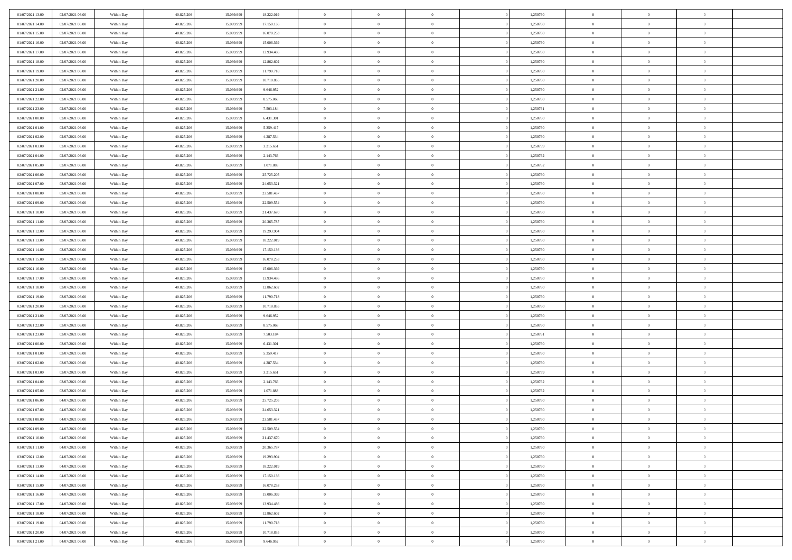| 01/07/2021 13:00                     | 02/07/2021 06:00                     | Within Day               | 40.825.206               | 15.099.999               | 18.222.019             | $\,0\,$                  | $\overline{0}$                   | $\bf{0}$                         |                | 1,250760             | $\,$ 0 $\,$          | $\overline{0}$                   | $\bf{0}$                         |  |
|--------------------------------------|--------------------------------------|--------------------------|--------------------------|--------------------------|------------------------|--------------------------|----------------------------------|----------------------------------|----------------|----------------------|----------------------|----------------------------------|----------------------------------|--|
| 01/07/2021 14:00                     | 02/07/2021 06:00                     | Within Day               | 40.825.206               | 15.099.99                | 17.150.136             | $\overline{0}$           | $\overline{0}$                   | $\overline{0}$                   |                | 1,250760             | $\theta$             | $\overline{0}$                   | $\overline{0}$                   |  |
| 01/07/2021 15:00                     | 02/07/2021 06:00                     | Within Day               | 40.825.206               | 15.099.999               | 16.078.253             | $\mathbf{0}$             | $\overline{0}$                   | $\overline{0}$                   |                | 1,250760             | $\theta$             | $\overline{0}$                   | $\overline{0}$                   |  |
| 01/07/2021 16:00                     | 02/07/2021 06:00                     | Within Day               | 40.825.206               | 15.099.999               | 15.006.369             | $\bf{0}$                 | $\overline{0}$                   | $\overline{0}$                   |                | 1,250760             | $\bf{0}$             | $\overline{0}$                   | $\bf{0}$                         |  |
| 01/07/2021 17:00                     | 02/07/2021 06:00                     | Within Day               | 40.825.206               | 15.099.999               | 13.934.486             | $\bf{0}$                 | $\overline{0}$                   | $\overline{0}$                   |                | 1,250760             | $\bf{0}$             | $\bf{0}$                         | $\bf{0}$                         |  |
| 01/07/2021 18:00                     | 02/07/2021 06:00                     | Within Day               | 40.825.206               | 15.099.999               | 12.862.602             | $\mathbf{0}$             | $\overline{0}$                   | $\overline{0}$                   |                | 1,250760             | $\theta$             | $\bf{0}$                         | $\theta$                         |  |
| 01/07/2021 19:00                     | 02/07/2021 06:00                     | Within Day               | 40.825.206               | 15.099.999               | 11.790.718             | $\mathbf{0}$             | $\overline{0}$                   | $\overline{0}$                   |                | 1,250760             | $\bf{0}$             | $\overline{0}$                   | $\theta$                         |  |
| 01/07/2021 20:00                     | 02/07/2021 06:00                     | Within Day               | 40.825.206               | 15.099.999               | 10.718.835             | $\overline{0}$           | $\mathbf{0}$                     | $\overline{0}$                   |                | 1,250760             | $\,$ 0 $\,$          | $\overline{0}$                   | $\theta$                         |  |
| 01/07/2021 21:00                     | 02/07/2021 06:00                     | Within Day               | 40.825.206               | 15.099.999               | 9.646.952              | $\mathbf{0}$             | $\overline{0}$                   | $\overline{0}$                   |                | 1,250760             | $\theta$             | $\overline{0}$                   | $\overline{0}$                   |  |
| 01/07/2021 22.00                     | 02/07/2021 06:00                     | Within Day               | 40.825.206               | 15.099.999               | 8.575.068              | $\bf{0}$                 | $\overline{0}$                   | $\overline{0}$                   |                | 1,250760             | $\mathbf{0}$         | $\overline{0}$                   | $\bf{0}$                         |  |
| 01/07/2021 23:00                     | 02/07/2021 06:00                     | Within Day               | 40.825.206               | 15.099.999               | 7.503.184              | $\bf{0}$                 | $\overline{0}$                   | $\overline{0}$                   |                | 1,250761             | $\bf{0}$             | $\theta$                         | $\theta$                         |  |
| 02/07/2021 00:00                     | 02/07/2021 06:00                     | Within Day               | 40.825.206               | 15.099.999               | 6.431.301              | $\mathbf{0}$             | $\overline{0}$                   | $\overline{0}$                   |                | 1,250760             | $\theta$             | $\overline{0}$                   | $\overline{0}$                   |  |
| 02/07/2021 01:00                     | 02/07/2021 06:00                     | Within Day               | 40.825.206               | 15.099.999               | 5.359.417              | $\,0\,$                  | $\overline{0}$                   | $\overline{0}$                   |                | 1,250760             | $\bf{0}$             | $\overline{0}$                   | $\bf{0}$                         |  |
| 02/07/2021 02:00                     | 02/07/2021 06:00                     | Within Day               | 40.825.206               | 15.099.999               | 4.287.534              | $\bf{0}$                 | $\overline{0}$                   | $\overline{0}$                   |                | 1,250760             | $\,$ 0 $\,$          | $\overline{0}$                   | $\theta$                         |  |
| 02/07/2021 03:00                     | 02/07/2021 06:00                     | Within Day               | 40.825.206               | 15.099.999               | 3.215.651              | $\mathbf{0}$             | $\overline{0}$                   | $\overline{0}$                   |                | 1,250759             | $\theta$             | $\overline{0}$                   | $\overline{0}$                   |  |
| 02/07/2021 04:00                     | 02/07/2021 06:00                     | Within Day               | 40.825.206               | 15.099.999               | 2.143.766              | $\,0\,$                  | $\overline{0}$                   | $\overline{0}$                   |                | 1,250762             | $\bf{0}$             | $\overline{0}$                   | $\bf{0}$                         |  |
| 02/07/2021 05:00                     | 02/07/2021 06:00                     | Within Day               | 40.825.206               | 15.099.999               | 1.071.883              | $\bf{0}$                 | $\overline{0}$                   | $\overline{0}$                   |                | 1,250762             | $\bf{0}$             | $\bf{0}$                         | $\overline{0}$                   |  |
| 02/07/2021 06:00                     | 03/07/2021 06:00                     | Within Day               | 40.825.206               | 15.099.999               | 25.725.205             | $\mathbf{0}$             | $\overline{0}$                   | $\overline{0}$                   |                | 1,250760             | $\theta$             | $\overline{0}$                   | $\overline{0}$                   |  |
| 02/07/2021 07:00                     | 03/07/2021 06:00                     | Within Day               | 40.825.206               | 15.099.999               | 24.653.321             | $\bf{0}$                 | $\overline{0}$                   | $\bf{0}$                         |                | 1,250760             | $\bf{0}$             | $\overline{0}$                   | $\bf{0}$                         |  |
| 02/07/2021 08:00                     | 03/07/2021 06:00                     | Within Day               | 40.825.206               | 15.099.999               | 23.581.437             | $\bf{0}$                 | $\overline{0}$                   | $\overline{0}$                   |                | 1,250760             | $\bf{0}$             | $\overline{0}$                   | $\bf{0}$                         |  |
| 02/07/2021 09:00                     | 03/07/2021 06:00                     | Within Day               | 40.825.206               | 15.099.999               | 22.509.554             | $\overline{0}$           | $\overline{0}$                   | $\overline{0}$                   |                | 1,250760             | $\theta$             | $\bf{0}$                         | $\overline{0}$                   |  |
| 02/07/2021 10:00                     | 03/07/2021 06:00                     | Within Day               | 40.825.206               | 15.099.999               | 21.437.670             | $\mathbf{0}$             | $\overline{0}$                   | $\overline{0}$                   |                | 1,250760             | $\bf{0}$             | $\overline{0}$                   | $\theta$                         |  |
| 02/07/2021 11:00                     | 03/07/2021 06:00                     | Within Day               | 40.825.206               | 15.099.999               | 20.365.787             | $\bf{0}$                 | $\overline{0}$                   | $\overline{0}$                   |                | 1,250760             | $\bf{0}$             | $\overline{0}$                   | $\overline{0}$                   |  |
| 02/07/2021 12:00                     | 03/07/2021 06:00                     | Within Day               | 40.825.206               | 15.099.999               | 19.293.904             | $\mathbf{0}$             | $\overline{0}$                   | $\overline{0}$                   |                | 1,250760             | $\theta$             | $\overline{0}$                   | $\overline{0}$                   |  |
| 02/07/2021 13:00                     | 03/07/2021 06:00                     | Within Day               | 40.825.206               | 15.099.999               | 18.222.019             | $\bf{0}$                 | $\overline{0}$                   | $\overline{0}$                   |                | 1,250760             | $\bf{0}$             | $\overline{0}$                   | $\bf{0}$                         |  |
| 02/07/2021 14:00                     | 03/07/2021 06:00                     | Within Day               | 40.825.206               | 15.099.999               | 17.150.136             | $\bf{0}$                 | $\overline{0}$                   | $\overline{0}$                   |                | 1,250760             | $\bf{0}$             | $\overline{0}$                   | $\bf{0}$                         |  |
| 02/07/2021 15:00                     | 03/07/2021 06:00                     | Within Day               | 40.825.206               | 15.099.999               | 16.078.253             | $\mathbf{0}$             | $\overline{0}$                   | $\overline{0}$                   |                | 1,250760             | $\theta$             | $\overline{0}$                   | $\overline{0}$                   |  |
| 02/07/2021 16:00                     | 03/07/2021 06:00                     | Within Day               | 40.825.206               | 15.099.999               | 15.006.369             | $\,0\,$                  | $\overline{0}$                   | $\bf{0}$                         |                | 1,250760             | $\bf{0}$             | $\overline{0}$                   | $\bf{0}$                         |  |
| 02/07/2021 17:00                     | 03/07/2021 06:00                     | Within Day               | 40.825.206               | 15.099.999               | 13.934.486             | $\overline{0}$           | $\overline{0}$                   | $\overline{0}$                   |                | 1,250760             | $\,$ 0 $\,$          | $\overline{0}$                   | $\overline{0}$                   |  |
| 02/07/2021 18:00                     | 03/07/2021 06:00                     | Within Day               | 40.825.206               | 15.099.999               | 12.862.602             | $\mathbf{0}$             | $\overline{0}$                   | $\overline{0}$                   |                | 1,250760             | $\theta$             | $\overline{0}$                   | $\overline{0}$                   |  |
| 02/07/2021 19:00                     | 03/07/2021 06:00                     | Within Day               | 40.825.206               | 15.099.999               | 11.790.718             | $\mathbf{0}$             | $\overline{0}$                   | $\overline{0}$                   |                | 1,250760             | $\,$ 0 $\,$          | $\overline{0}$                   | $\theta$                         |  |
| 02/07/2021 20:00                     | 03/07/2021 06:00                     | Within Day               | 40.825.206               | 15.099.999               | 10.718.835             | $\bf{0}$<br>$\mathbf{0}$ | $\overline{0}$                   | $\overline{0}$                   |                | 1,250760             | $\bf{0}$<br>$\theta$ | $\bf{0}$                         | $\overline{0}$<br>$\overline{0}$ |  |
| 02/07/2021 21:00                     | 03/07/2021 06:00                     | Within Day               | 40.825.206               | 15.099.999               | 9.646.952              | $\mathbf{0}$             | $\overline{0}$<br>$\overline{0}$ | $\overline{0}$<br>$\overline{0}$ |                | 1,250760             | $\,$ 0 $\,$          | $\overline{0}$<br>$\overline{0}$ | $\theta$                         |  |
| 02/07/2021 22:00<br>02/07/2021 23:00 | 03/07/2021 06:00<br>03/07/2021 06:00 | Within Day               | 40.825.206<br>40.825.206 | 15.099.999<br>15.099.999 | 8.575.068<br>7.503.184 | $\overline{0}$           | $\overline{0}$                   | $\overline{0}$                   |                | 1,250760<br>1,250761 | $\,$ 0 $\,$          | $\overline{0}$                   | $\overline{0}$                   |  |
| 03/07/2021 00:00                     | 03/07/2021 06:00                     | Within Day<br>Within Day | 40.825.206               | 15.099.999               | 6.431.301              | $\mathbf{0}$             | $\overline{0}$                   | $\overline{0}$                   |                | 1,250760             | $\theta$             | $\overline{0}$                   | $\overline{0}$                   |  |
| 03/07/2021 01:00                     | 03/07/2021 06:00                     | Within Day               | 40.825.206               | 15.099.999               | 5.359.417              | $\mathbf{0}$             | $\overline{0}$                   | $\theta$                         |                | 1,250760             | $\,$ 0 $\,$          | $\overline{0}$                   | $\theta$                         |  |
| 03/07/2021 02:00                     | 03/07/2021 06:00                     | Within Day               | 40.825.206               | 15.099.999               | 4.287.534              | $\bf{0}$                 | $\overline{0}$                   | $\overline{0}$                   |                | 1,250760             | $\bf{0}$             | $\overline{0}$                   | $\overline{0}$                   |  |
| 03/07/2021 03:00                     | 03/07/2021 06:00                     | Within Day               | 40.825.206               | 15.099.999               | 3.215.651              | $\mathbf{0}$             | $\overline{0}$                   | $\overline{0}$                   |                | 1,250759             | $\theta$             | $\overline{0}$                   | $\overline{0}$                   |  |
| 03/07/2021 04:00                     | 03/07/2021 06:00                     | Within Day               | 40.825.206               | 15.099.999               | 2.143.766              | $\,$ 0 $\,$              | $\overline{0}$                   | $\bf{0}$                         |                | 1,250762             | $\,$ 0 $\,$          | $\overline{0}$                   | $\theta$                         |  |
| 03/07/2021 05:00                     | 03/07/2021 06:00                     | Within Day               | 40.825.206               | 15.099.999               | 1.071.883              | $\bf{0}$                 | $\overline{0}$                   | $\overline{0}$                   |                | 1,250762             | $\bf{0}$             | $\overline{0}$                   | $\overline{0}$                   |  |
| 03/07/2021 06:00                     | 04/07/2021 06:00                     | Within Day               | 40.825.206               | 15.099.999               | 25.725.205             | $\mathbf{0}$             | $\overline{0}$                   | $\overline{0}$                   |                | 1,250760             | $\theta$             | $\overline{0}$                   | $\overline{0}$                   |  |
| 03/07/2021 07:00                     | 04/07/2021 06:00                     | Within Day               | 40.825.206               | 15.099.999               | 24.653.321             | $\mathbf{0}$             | $\overline{0}$                   | $\overline{0}$                   |                | 1,250760             | $\,$ 0 $\,$          | $\overline{0}$                   | $\theta$                         |  |
| 03/07/2021 08:00                     | 04/07/2021 06:00                     | Within Day               | 40.825.206               | 15.099.999               | 23.581.437             | $\bf{0}$                 | $\overline{0}$                   | $\overline{0}$                   |                | 1,250760             | $\,$ 0 $\,$          | $\overline{0}$                   | $\overline{0}$                   |  |
| 03/07/2021 09:00                     | 04/07/2021 06:00                     | Within Day               | 40.825.206               | 15.099.999               | 22.509.554             | $\bf{0}$                 | $\overline{0}$                   | $\overline{0}$                   |                | 1,250760             | $\overline{0}$       | $^{\circ}$                       | $\theta$                         |  |
| 03/07/2021 10:00                     | 04/07/2021 06:00                     | Within Day               | 40.825.206               | 15.099.999               | 21.437.670             | $\,$ 0 $\,$              | $\overline{0}$                   | $\overline{0}$                   |                | 1,250760             | $\,$ 0 $\,$          | $\bf{0}$                         | $\theta$                         |  |
| 03/07/2021 11:00                     | 04/07/2021 06:00                     | Within Day               | 40.825.206               | 15.099.999               | 20.365.787             | $\bf{0}$                 | $\overline{0}$                   | $\overline{0}$                   |                | 1,250760             | $\overline{0}$       | $\overline{0}$                   | $\overline{0}$                   |  |
| 03/07/2021 12:00                     | 04/07/2021 06:00                     | Within Day               | 40.825.206               | 15.099.999               | 19.293.904             | $\mathbf{0}$             | $\overline{0}$                   | $\overline{0}$                   |                | 1,250760             | $\mathbf{0}$         | $\overline{0}$                   | $\overline{0}$                   |  |
| 03/07/2021 13:00                     | 04/07/2021 06:00                     | Within Day               | 40.825.206               | 15.099.999               | 18.222.019             | $\,$ 0                   | $\overline{0}$                   | $\overline{0}$                   | $\overline{0}$ | 1,250760             | $\,$ 0 $\,$          | $\bf{0}$                         | $\,$ 0 $\,$                      |  |
| 03/07/2021 14:00                     | 04/07/2021 06:00                     | Within Day               | 40.825.206               | 15.099.999               | 17.150.136             | $\hspace{0.1mm}\bm{0}$   | $\overline{0}$                   | $\overline{0}$                   |                | 1,250760             | $\,$ 0 $\,$          | $\overline{0}$                   | $\overline{0}$                   |  |
| 03/07/2021 15:00                     | 04/07/2021 06:00                     | Within Day               | 40.825.206               | 15.099.999               | 16.078.253             | $\mathbf{0}$             | $\overline{0}$                   | $\overline{0}$                   |                | 1,250760             | $\overline{0}$       | $\overline{0}$                   | $\overline{0}$                   |  |
| 03/07/2021 16:00                     | 04/07/2021 06:00                     | Within Day               | 40.825.206               | 15.099.999               | 15.006.369             | $\,$ 0 $\,$              | $\overline{0}$                   | $\overline{0}$                   |                | 1,250760             | $\,$ 0 $\,$          | $\bf{0}$                         | $\,$ 0 $\,$                      |  |
| 03/07/2021 17:00                     | 04/07/2021 06:00                     | Within Day               | 40.825.206               | 15.099.999               | 13.934.486             | $\overline{0}$           | $\overline{0}$                   | $\overline{0}$                   |                | 1,250760             | $\overline{0}$       | $\overline{0}$                   | $\overline{0}$                   |  |
| 03/07/2021 18:00                     | 04/07/2021 06:00                     | Within Day               | 40.825.206               | 15.099.999               | 12.862.602             | $\mathbf{0}$             | $\overline{0}$                   | $\overline{0}$                   |                | 1,250760             | $\mathbf{0}$         | $\overline{0}$                   | $\overline{0}$                   |  |
| 03/07/2021 19:00                     | 04/07/2021 06:00                     | Within Day               | 40.825.206               | 15.099.999               | 11.790.718             | $\,$ 0 $\,$              | $\overline{0}$                   | $\overline{0}$                   |                | 1,250760             | $\,$ 0 $\,$          | $\bf{0}$                         | $\,$ 0 $\,$                      |  |
| 03/07/2021 20:00                     | 04/07/2021 06:00                     | Within Day               | 40.825.206               | 15.099.999               | 10.718.835             | $\bf{0}$                 | $\overline{0}$                   | $\overline{0}$                   |                | 1,250760             | $\,$ 0 $\,$          | $\mathbf{0}$                     | $\overline{0}$                   |  |
| 03/07/2021 21:00                     | 04/07/2021 06:00                     | Within Day               | 40.825.206               | 15.099.999               | 9.646.952              | $\mathbf{0}$             | $\overline{0}$                   | $\overline{0}$                   |                | 1,250760             | $\mathbf{0}$         | $\overline{0}$                   | $\overline{0}$                   |  |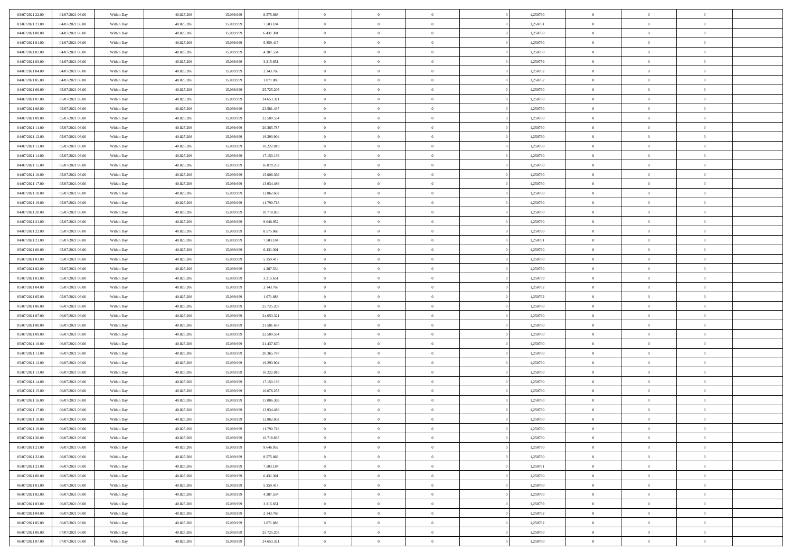| 03/07/2021 22.00 | 04/07/2021 06:00 | Within Day               | 40.825.206 | 15.099.999 | 8.575.068  | $\,$ 0         | $\bf{0}$       | $\theta$       |          | 1,250760 | $\bf{0}$       | $\overline{0}$ | $\,0\,$        |  |
|------------------|------------------|--------------------------|------------|------------|------------|----------------|----------------|----------------|----------|----------|----------------|----------------|----------------|--|
| 03/07/2021 23:00 | 04/07/2021 06:00 | Within Day               | 40.825.206 | 15.099.999 | 7.503.184  | $\overline{0}$ | $\overline{0}$ | $\overline{0}$ |          | 1,250761 | $\overline{0}$ | $\overline{0}$ | $\theta$       |  |
| 04/07/2021 00:00 | 04/07/2021 06:00 | Within Dav               | 40.825.206 | 15.099.999 | 6.431.301  | $\mathbf{0}$   | $\overline{0}$ | $\overline{0}$ |          | 1,250760 | $\mathbf{0}$   | $\overline{0}$ | $\overline{0}$ |  |
| 04/07/2021 01:00 | 04/07/2021 06:00 | Within Day               | 40.825.206 | 15.099.999 | 5.359.417  | $\bf{0}$       | $\overline{0}$ | $\bf{0}$       |          | 1,250760 | $\bf{0}$       | $\overline{0}$ | $\bf{0}$       |  |
| 04/07/2021 02.00 | 04/07/2021 06:00 | Within Day               | 40.825.206 | 15.099.999 | 4.287.534  | $\bf{0}$       | $\bf{0}$       | $\overline{0}$ |          | 1,250760 | $\bf{0}$       | $\bf{0}$       | $\,0\,$        |  |
| 04/07/2021 03:00 | 04/07/2021 06:00 | Within Dav               | 40.825.206 | 15.099.999 | 3.215.651  | $\mathbf{0}$   | $\overline{0}$ | $\overline{0}$ |          | 1,250759 | $\mathbf{0}$   | $\overline{0}$ | $\overline{0}$ |  |
| 04/07/2021 04:00 | 04/07/2021 06:00 | Within Day               | 40.825.206 | 15.099.999 | 2.143.766  | $\bf{0}$       | $\bf{0}$       | $\overline{0}$ |          | 1,250762 | $\bf{0}$       | $\overline{0}$ | $\,0\,$        |  |
| 04/07/2021 05:00 | 04/07/2021 06:00 | Within Day               | 40.825.206 | 15.099.999 | 1.071.883  | $\overline{0}$ | $\overline{0}$ | $\overline{0}$ |          | 1,250762 | $\,$ 0 $\,$    | $\overline{0}$ | $\theta$       |  |
| 04/07/2021 06:00 | 05/07/2021 06:00 | Within Day               | 40.825.206 | 15.099.999 | 25.725.205 | $\mathbf{0}$   | $\overline{0}$ | $\overline{0}$ |          | 1,250760 | $\mathbf{0}$   | $\overline{0}$ | $\overline{0}$ |  |
| 04/07/2021 07:00 | 05/07/2021 06:00 | Within Day               | 40.825.206 | 15.099.999 | 24.653.321 | $\bf{0}$       | $\bf{0}$       | $\overline{0}$ |          | 1,250760 | $\bf{0}$       | $\overline{0}$ | $\,0\,$        |  |
| 04/07/2021 08:00 | 05/07/2021 06:00 |                          | 40.825.206 | 15.099.999 | 23.581.437 | $\overline{0}$ | $\overline{0}$ | $\overline{0}$ |          | 1,250760 | $\bf{0}$       | $\overline{0}$ | $\theta$       |  |
| 04/07/2021 09:00 | 05/07/2021 06:00 | Within Day<br>Within Dav | 40.825.206 | 15.099.999 | 22.509.554 | $\mathbf{0}$   | $\overline{0}$ | $\overline{0}$ |          | 1,250760 | $\mathbf{0}$   | $\overline{0}$ | $\overline{0}$ |  |
|                  |                  |                          |            |            |            | $\bf{0}$       |                |                |          |          | $\bf{0}$       |                | $\bf{0}$       |  |
| 04/07/2021 11:00 | 05/07/2021 06:00 | Within Day               | 40.825.206 | 15.099.999 | 20.365.787 |                | $\overline{0}$ | $\bf{0}$       |          | 1,250760 |                | $\overline{0}$ |                |  |
| 04/07/2021 12:00 | 05/07/2021 06:00 | Within Day               | 40.825.206 | 15.099.999 | 19.293.904 | $\bf{0}$       | $\overline{0}$ | $\overline{0}$ |          | 1,250760 | $\bf{0}$       | $\theta$       | $\,0\,$        |  |
| 04/07/2021 13:00 | 05/07/2021 06:00 | Within Dav               | 40.825.206 | 15.099.999 | 18.222.019 | $\overline{0}$ | $\overline{0}$ | $\overline{0}$ |          | 1,250760 | $\mathbf{0}$   | $\overline{0}$ | $\overline{0}$ |  |
| 04/07/2021 14:00 | 05/07/2021 06:00 | Within Day               | 40.825.206 | 15.099.999 | 17.150.136 | $\bf{0}$       | $\bf{0}$       | $\overline{0}$ |          | 1,250760 | $\bf{0}$       | $\overline{0}$ | $\bf{0}$       |  |
| 04/07/2021 15:00 | 05/07/2021 06:00 | Within Day               | 40.825.206 | 15.099.999 | 16.078.253 | $\overline{0}$ | $\overline{0}$ | $\overline{0}$ |          | 1,250760 | $\bf{0}$       | $\overline{0}$ | $\theta$       |  |
| 04/07/2021 16:00 | 05/07/2021 06:00 | Within Day               | 40.825.206 | 15.099.999 | 15.006.369 | $\mathbf{0}$   | $\overline{0}$ | $\overline{0}$ |          | 1,250760 | $\mathbf{0}$   | $\overline{0}$ | $\overline{0}$ |  |
| 04/07/2021 17.00 | 05/07/2021 06:00 | Within Day               | 40.825.206 | 15.099.999 | 13.934.486 | $\bf{0}$       | $\bf{0}$       | $\overline{0}$ |          | 1,250760 | $\bf{0}$       | $\overline{0}$ | $\,0\,$        |  |
| 04/07/2021 18:00 | 05/07/2021 06:00 | Within Day               | 40.825.206 | 15.099.999 | 12.862.602 | $\overline{0}$ | $\overline{0}$ | $\overline{0}$ |          | 1,250760 | $\bf{0}$       | $\overline{0}$ | $\overline{0}$ |  |
| 04/07/2021 19:00 | 05/07/2021 06:00 | Within Dav               | 40.825.206 | 15.099.999 | 11.790.718 | $\mathbf{0}$   | $\overline{0}$ | $\overline{0}$ |          | 1,250760 | $\mathbf{0}$   | $\overline{0}$ | $\overline{0}$ |  |
| 04/07/2021 20:00 | 05/07/2021 06:00 | Within Day               | 40.825.206 | 15.099.999 | 10.718.835 | $\bf{0}$       | $\overline{0}$ | $\overline{0}$ |          | 1,250760 | $\bf{0}$       | $\overline{0}$ | $\bf{0}$       |  |
| 04/07/2021 21:00 | 05/07/2021 06:00 | Within Day               | 40.825.206 | 15.099.999 | 9.646.952  | $\bf{0}$       | $\bf{0}$       | $\overline{0}$ |          | 1,250760 | $\bf{0}$       | $\overline{0}$ | $\,0\,$        |  |
| 04/07/2021 22:00 | 05/07/2021 06:00 | Within Dav               | 40.825.206 | 15.099.999 | 8.575.068  | $\mathbf{0}$   | $\overline{0}$ | $\overline{0}$ |          | 1,250760 | $\mathbf{0}$   | $\overline{0}$ | $\overline{0}$ |  |
| 04/07/2021 23.00 | 05/07/2021 06:00 | Within Day               | 40.825.206 | 15.099.999 | 7.503.184  | $\bf{0}$       | $\bf{0}$       | $\overline{0}$ |          | 1,250761 | $\bf{0}$       | $\overline{0}$ | $\,0\,$        |  |
| 05/07/2021 00:00 | 05/07/2021 06:00 | Within Day               | 40.825.206 | 15.099.999 | 6.431.301  | $\overline{0}$ | $\overline{0}$ | $\overline{0}$ |          | 1,250760 | $\bf{0}$       | $\overline{0}$ | $\overline{0}$ |  |
| 05/07/2021 01:00 | 05/07/2021 06:00 | Within Day               | 40.825.206 | 15.099.999 | 5.359.417  | $\mathbf{0}$   | $\overline{0}$ | $\overline{0}$ |          | 1,250760 | $\mathbf{0}$   | $\overline{0}$ | $\overline{0}$ |  |
| 05/07/2021 02:00 | 05/07/2021 06:00 | Within Day               | 40.825.206 | 15.099.999 | 4.287.534  | $\bf{0}$       | $\bf{0}$       | $\overline{0}$ |          | 1,250760 | $\bf{0}$       | $\overline{0}$ | $\,0\,$        |  |
| 05/07/2021 03:00 | 05/07/2021 06:00 | Within Day               | 40.825.206 | 15.099.999 | 3.215.651  | $\bf{0}$       | $\bf{0}$       | $\overline{0}$ |          | 1,250759 | $\bf{0}$       | $\bf{0}$       | $\overline{0}$ |  |
| 05/07/2021 04:00 | 05/07/2021 06:00 | Within Dav               | 40.825.206 | 15.099.999 | 2.143.766  | $\mathbf{0}$   | $\overline{0}$ | $\overline{0}$ |          | 1,250762 | $\mathbf{0}$   | $\overline{0}$ | $\overline{0}$ |  |
| 05/07/2021 05:00 | 05/07/2021 06:00 | Within Day               | 40.825.206 | 15.099.999 | 1.071.883  | $\bf{0}$       | $\overline{0}$ | $\theta$       |          | 1,250762 | $\,$ 0         | $\overline{0}$ | $\theta$       |  |
| 05/07/2021 06:00 | 06/07/2021 06:00 | Within Day               | 40.825.206 | 15.099.999 | 25.725.205 | $\bf{0}$       | $\bf{0}$       | $\overline{0}$ |          | 1,250760 | $\bf{0}$       | $\bf{0}$       | $\overline{0}$ |  |
| 05/07/2021 07:00 | 06/07/2021 06:00 | Within Dav               | 40.825.206 | 15.099.999 | 24.653.321 | $\mathbf{0}$   | $\overline{0}$ | $\overline{0}$ |          | 1,250760 | $\mathbf{0}$   | $\overline{0}$ | $\overline{0}$ |  |
| 05/07/2021 08:00 | 06/07/2021 06:00 | Within Day               | 40.825.206 | 15.099.999 | 23.581.437 | $\bf{0}$       | $\overline{0}$ | $\theta$       |          | 1,250760 | $\,$ 0         | $\overline{0}$ | $\theta$       |  |
| 05/07/2021 09:00 | 06/07/2021 06:00 | Within Day               | 40.825.206 | 15.099.999 | 22.509.554 | $\overline{0}$ | $\overline{0}$ | $\overline{0}$ |          | 1,250760 | $\bf{0}$       | $\overline{0}$ | $\overline{0}$ |  |
| 05/07/2021 10:00 | 06/07/2021 06:00 | Within Day               | 40.825.206 | 15.099.999 | 21.437.670 | $\mathbf{0}$   | $\overline{0}$ | $\overline{0}$ |          | 1,250760 | $\mathbf{0}$   | $\overline{0}$ | $\overline{0}$ |  |
| 05/07/2021 11:00 | 06/07/2021 06:00 | Within Day               | 40.825.206 | 15.099.999 | 20.365.787 | $\bf{0}$       | $\overline{0}$ | $\theta$       |          | 1,250760 | $\,$ 0         | $\overline{0}$ | $\theta$       |  |
| 05/07/2021 12:00 | 06/07/2021 06:00 | Within Day               | 40.825.206 | 15.099.999 | 19.293.904 | $\bf{0}$       | $\overline{0}$ | $\overline{0}$ |          | 1,250760 | $\bf{0}$       | $\mathbf{0}$   | $\bf{0}$       |  |
| 05/07/2021 13:00 | 06/07/2021 06:00 | Within Dav               | 40.825.206 | 15.099.999 | 18.222.019 | $\mathbf{0}$   | $\overline{0}$ | $\overline{0}$ |          | 1,250760 | $\mathbf{0}$   | $\overline{0}$ | $\overline{0}$ |  |
| 05/07/2021 14:00 | 06/07/2021 06:00 | Within Day               | 40.825.206 | 15.099.999 | 17.150.136 | $\,0\,$        | $\overline{0}$ | $\overline{0}$ |          | 1,250760 | $\,$ 0         | $\overline{0}$ | $\theta$       |  |
| 05/07/2021 15:00 | 06/07/2021 06:00 | Within Day               | 40.825.206 | 15.099.999 | 16.078.253 | $\bf{0}$       | $\bf{0}$       | $\overline{0}$ |          | 1,250760 | $\bf{0}$       | $\overline{0}$ | $\bf{0}$       |  |
| 05/07/2021 16:00 | 06/07/2021 06:00 | Within Dav               | 40.825.206 | 15.099.999 | 15.006.369 | $\mathbf{0}$   | $\overline{0}$ | $\overline{0}$ |          | 1,250760 | $\mathbf{0}$   | $\overline{0}$ | $\overline{0}$ |  |
| 05/07/2021 17:00 | 06/07/2021 06:00 | Within Day               | 40.825.206 | 15.099.999 | 13.934.486 | $\bf{0}$       | $\overline{0}$ | $\overline{0}$ |          | 1,250760 | $\,$ 0         | $\overline{0}$ | $\theta$       |  |
| 05/07/2021 18:00 | 06/07/2021 06:00 | Within Day               | 40.825.206 | 15.099.999 | 12.862.602 | $\bf{0}$       | $\overline{0}$ | $\overline{0}$ |          | 1,250760 | $\bf{0}$       | $\overline{0}$ | $\bf{0}$       |  |
| 05/07/2021 19:00 | 06/07/2021 06:00 | Within Day               | 40.825.206 | 15.099.999 | 11.790.718 | $\bf{0}$       | $\overline{0}$ |                |          | 1,250760 | $\overline{0}$ | $\theta$       | $\theta$       |  |
| 05/07/2021 20:00 | 06/07/2021 06:00 | Within Day               | 40.825.206 | 15.099.999 | 10.718.835 | $\,0\,$        | $\overline{0}$ | $\overline{0}$ |          | 1,250760 | $\,$ 0 $\,$    | $\bf{0}$       | $\theta$       |  |
| 05/07/2021 21:00 | 06/07/2021 06:00 | Within Day               | 40.825.206 | 15.099.999 | 9.646.952  | $\overline{0}$ | $\overline{0}$ | $\overline{0}$ |          | 1,250760 | $\overline{0}$ | $\overline{0}$ | $\overline{0}$ |  |
| 05/07/2021 22:00 | 06/07/2021 06:00 | Within Day               | 40.825.206 | 15.099.999 | 8.575.068  | $\bf{0}$       | $\overline{0}$ | $\overline{0}$ |          | 1,250760 | $\overline{0}$ | $\bf{0}$       | $\mathbf{0}$   |  |
| 05/07/2021 23:00 | 06/07/2021 06:00 | Within Day               | 40.825.206 | 15.099.999 | 7.503.184  | $\bf{0}$       | $\overline{0}$ | $\overline{0}$ | $\theta$ | 1,250761 | $\mathbf{0}$   | $\bf{0}$       | $\,$ 0 $\,$    |  |
| 06/07/2021 00:00 | 06/07/2021 06:00 | Within Day               | 40.825.206 | 15.099.999 | 6.431.301  | $\bf{0}$       | $\overline{0}$ | $\overline{0}$ |          | 1,250760 | $\,$ 0 $\,$    | $\overline{0}$ | $\overline{0}$ |  |
| 06/07/2021 01:00 | 06/07/2021 06:00 | Within Day               | 40.825.206 | 15.099.999 | 5.359.417  | $\bf{0}$       | $\overline{0}$ | $\overline{0}$ |          | 1,250760 | $\mathbf{0}$   | $\overline{0}$ | $\overline{0}$ |  |
| 06/07/2021 02:00 | 06/07/2021 06:00 |                          | 40.825.206 | 15.099.999 | 4.287.534  | $\,$ 0 $\,$    | $\overline{0}$ | $\overline{0}$ | $\theta$ | 1,250760 | $\,$ 0 $\,$    | $\mathbf{0}$   | $\overline{0}$ |  |
|                  |                  | Within Day               | 40.825.206 |            |            | $\bf{0}$       | $\overline{0}$ | $\overline{0}$ |          |          | $\overline{0}$ | $\overline{0}$ |                |  |
| 06/07/2021 03:00 | 06/07/2021 06:00 | Within Day               |            | 15.099.999 | 3.215.651  |                |                |                |          | 1,250759 |                |                | $\overline{0}$ |  |
| 06/07/2021 04:00 | 06/07/2021 06:00 | Within Day               | 40.825.206 | 15.099.999 | 2.143.766  | $\bf{0}$       | $\overline{0}$ | $\overline{0}$ |          | 1,250762 | $\mathbf{0}$   | $\bf{0}$       | $\overline{0}$ |  |
| 06/07/2021 05:00 | 06/07/2021 06:00 | Within Day               | 40.825.206 | 15.099.999 | 1.071.883  | $\,0\,$        | $\overline{0}$ | $\overline{0}$ |          | 1,250762 | $\,$ 0 $\,$    | $\mathbf{0}$   | $\overline{0}$ |  |
| 06/07/2021 06:00 | 07/07/2021 06:00 | Within Day               | 40.825.206 | 15.099.999 | 25.725.205 | $\bf{0}$       | $\overline{0}$ | $\overline{0}$ |          | 1,250760 | $\bf{0}$       | $\mathbf{0}$   | $\overline{0}$ |  |
| 06/07/2021 07:00 | 07/07/2021 06:00 | Within Day               | 40.825.206 | 15.099.999 | 24.653.321 | $\overline{0}$ | $\overline{0}$ | $\overline{0}$ |          | 1,250760 | $\mathbf{0}$   | $\overline{0}$ | $\overline{0}$ |  |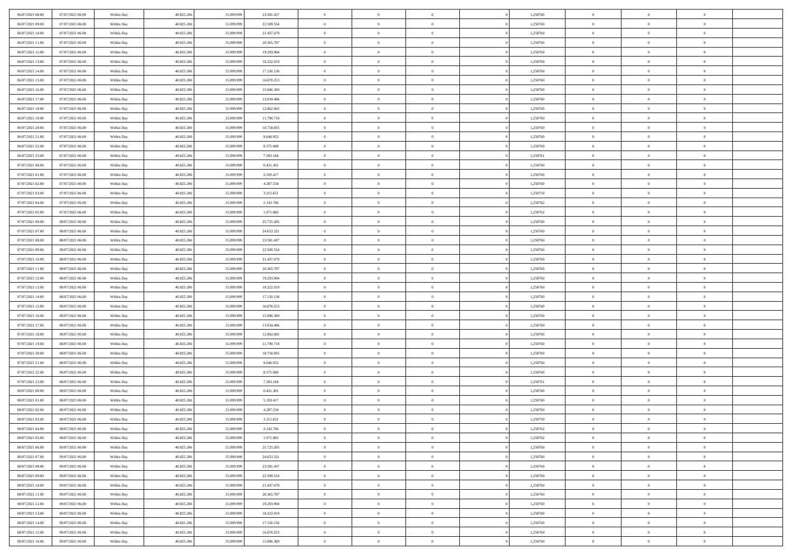| 06/07/2021 08:00 | 07/07/2021 06:00 | Within Day               | 40.825.206 | 15.099.999 | 23.581.437 | $\,$ 0         | $\bf{0}$       | $\overline{0}$ |          | 1,250760 | $\bf{0}$       | $\overline{0}$ | $\,0\,$        |  |
|------------------|------------------|--------------------------|------------|------------|------------|----------------|----------------|----------------|----------|----------|----------------|----------------|----------------|--|
| 06/07/2021 09:00 | 07/07/2021 06:00 | Within Day               | 40.825.206 | 15.099.999 | 22.509.554 | $\overline{0}$ | $\overline{0}$ | $\overline{0}$ |          | 1,250760 | $\overline{0}$ | $\overline{0}$ | $\theta$       |  |
| 06/07/2021 10:00 | 07/07/2021 06:00 | Within Dav               | 40.825.206 | 15.099.999 | 21.437.670 | $\mathbf{0}$   | $\overline{0}$ | $\overline{0}$ |          | 1,250760 | $\mathbf{0}$   | $\overline{0}$ | $\overline{0}$ |  |
| 06/07/2021 11:00 | 07/07/2021 06:00 | Within Day               | 40.825.206 | 15.099.999 | 20.365.787 | $\bf{0}$       | $\overline{0}$ | $\bf{0}$       |          | 1,250760 | $\bf{0}$       | $\overline{0}$ | $\bf{0}$       |  |
| 06/07/2021 12:00 | 07/07/2021 06:00 | Within Day               | 40.825.206 | 15.099.999 | 19.293.904 | $\bf{0}$       | $\bf{0}$       | $\overline{0}$ |          | 1,250760 | $\bf{0}$       | $\bf{0}$       | $\,0\,$        |  |
| 06/07/2021 13:00 | 07/07/2021 06:00 | Within Dav               | 40.825.206 | 15.099.999 | 18.222.019 | $\mathbf{0}$   | $\overline{0}$ | $\overline{0}$ |          | 1,250760 | $\mathbf{0}$   | $\overline{0}$ | $\overline{0}$ |  |
| 06/07/2021 14:00 | 07/07/2021 06:00 | Within Day               | 40.825.206 | 15.099.999 | 17.150.136 | $\bf{0}$       | $\bf{0}$       | $\overline{0}$ |          | 1,250760 | $\bf{0}$       | $\overline{0}$ | $\,0\,$        |  |
| 06/07/2021 15:00 | 07/07/2021 06:00 | Within Day               | 40.825.206 | 15.099.999 | 16.078.253 | $\overline{0}$ | $\overline{0}$ | $\overline{0}$ |          | 1,250760 | $\,$ 0 $\,$    | $\overline{0}$ | $\theta$       |  |
| 06/07/2021 16:00 | 07/07/2021 06:00 | Within Day               | 40.825.206 | 15.099.999 | 15.006.369 | $\mathbf{0}$   | $\overline{0}$ | $\overline{0}$ |          | 1,250760 | $\mathbf{0}$   | $\overline{0}$ | $\overline{0}$ |  |
| 06/07/2021 17:00 | 07/07/2021 06:00 | Within Day               | 40.825.206 | 15.099.999 | 13.934.486 | $\bf{0}$       | $\bf{0}$       | $\overline{0}$ |          | 1,250760 | $\bf{0}$       | $\overline{0}$ | $\,0\,$        |  |
| 06/07/2021 18:00 | 07/07/2021 06:00 |                          | 40.825.206 | 15,099,999 | 12.862.602 | $\overline{0}$ | $\overline{0}$ | $\overline{0}$ |          | 1,250760 | $\bf{0}$       | $\overline{0}$ | $\theta$       |  |
| 06/07/2021 19:00 | 07/07/2021 06:00 | Within Day<br>Within Dav | 40.825.206 | 15.099.999 | 11.790.718 | $\mathbf{0}$   | $\overline{0}$ | $\overline{0}$ |          | 1,250760 | $\mathbf{0}$   | $\overline{0}$ | $\overline{0}$ |  |
|                  |                  |                          |            |            |            | $\bf{0}$       |                |                |          |          | $\bf{0}$       |                | $\bf{0}$       |  |
| 06/07/2021 20:00 | 07/07/2021 06:00 | Within Day               | 40.825.206 | 15.099.999 | 10.718.835 |                | $\overline{0}$ | $\bf{0}$       |          | 1,250760 |                | $\overline{0}$ |                |  |
| 06/07/2021 21:00 | 07/07/2021 06:00 | Within Day               | 40.825.206 | 15.099.999 | 9.646.952  | $\bf{0}$       | $\overline{0}$ | $\overline{0}$ |          | 1,250760 | $\bf{0}$       | $\mathbf{0}$   | $\,0\,$        |  |
| 06/07/2021 22:00 | 07/07/2021 06:00 | Within Dav               | 40.825.206 | 15.099.999 | 8.575.068  | $\overline{0}$ | $\overline{0}$ | $\overline{0}$ |          | 1,250760 | $\mathbf{0}$   | $\overline{0}$ | $\overline{0}$ |  |
| 06/07/2021 23.00 | 07/07/2021 06:00 | Within Day               | 40.825.206 | 15.099.999 | 7.503.184  | $\bf{0}$       | $\bf{0}$       | $\overline{0}$ |          | 1,250761 | $\bf{0}$       | $\overline{0}$ | $\bf{0}$       |  |
| 07/07/2021 00:00 | 07/07/2021 06:00 | Within Day               | 40.825.206 | 15.099.999 | 6.431.301  | $\overline{0}$ | $\overline{0}$ | $\overline{0}$ |          | 1,250760 | $\bf{0}$       | $\overline{0}$ | $\theta$       |  |
| 07/07/2021 01:00 | 07/07/2021 06:00 | Within Day               | 40.825.206 | 15.099.999 | 5.359.417  | $\mathbf{0}$   | $\overline{0}$ | $\overline{0}$ |          | 1,250760 | $\mathbf{0}$   | $\overline{0}$ | $\overline{0}$ |  |
| 07/07/2021 02.00 | 07/07/2021 06:00 | Within Day               | 40.825.206 | 15.099.999 | 4.287.534  | $\bf{0}$       | $\bf{0}$       | $\overline{0}$ |          | 1,250760 | $\bf{0}$       | $\overline{0}$ | $\,0\,$        |  |
| 07/07/2021 03:00 | 07/07/2021 06:00 | Within Day               | 40.825.206 | 15.099.999 | 3.215.651  | $\overline{0}$ | $\overline{0}$ | $\overline{0}$ |          | 1,250759 | $\bf{0}$       | $\overline{0}$ | $\overline{0}$ |  |
| 07/07/2021 04:00 | 07/07/2021 06:00 | Within Dav               | 40.825.206 | 15.099.999 | 2.143.766  | $\mathbf{0}$   | $\overline{0}$ | $\overline{0}$ |          | 1,250762 | $\mathbf{0}$   | $\overline{0}$ | $\overline{0}$ |  |
| 07/07/2021 05:00 | 07/07/2021 06:00 | Within Day               | 40.825.206 | 15.099.999 | 1.071.883  | $\bf{0}$       | $\overline{0}$ | $\overline{0}$ |          | 1,250762 | $\bf{0}$       | $\overline{0}$ | $\bf{0}$       |  |
| 07/07/2021 06:00 | 08/07/2021 06:00 | Within Day               | 40.825.206 | 15.099.999 | 25.725.205 | $\bf{0}$       | $\bf{0}$       | $\overline{0}$ |          | 1,250760 | $\bf{0}$       | $\bf{0}$       | $\,0\,$        |  |
| 07/07/2021 07:00 | 08/07/2021 06:00 | Within Dav               | 40.825.206 | 15.099.999 | 24.653.321 | $\mathbf{0}$   | $\overline{0}$ | $\overline{0}$ |          | 1,250760 | $\mathbf{0}$   | $\overline{0}$ | $\overline{0}$ |  |
| 07/07/2021 08:00 | 08/07/2021 06:00 | Within Day               | 40.825.206 | 15.099.999 | 23.581.437 | $\bf{0}$       | $\bf{0}$       | $\overline{0}$ |          | 1,250760 | $\bf{0}$       | $\overline{0}$ | $\,0\,$        |  |
| 07/07/2021 09:00 | 08/07/2021 06:00 | Within Day               | 40.825.206 | 15.099.999 | 22.509.554 | $\overline{0}$ | $\overline{0}$ | $\overline{0}$ |          | 1,250760 | $\bf{0}$       | $\mathbf{0}$   | $\overline{0}$ |  |
| 07/07/2021 10:00 | 08/07/2021 06:00 | Within Dav               | 40.825.206 | 15.099.999 | 21.437.670 | $\mathbf{0}$   | $\overline{0}$ | $\overline{0}$ |          | 1,250760 | $\mathbf{0}$   | $\overline{0}$ | $\overline{0}$ |  |
| 07/07/2021 11:00 | 08/07/2021 06:00 | Within Day               | 40.825.206 | 15.099.999 | 20.365.787 | $\bf{0}$       | $\bf{0}$       | $\overline{0}$ |          | 1,250760 | $\bf{0}$       | $\overline{0}$ | $\,0\,$        |  |
| 07/07/2021 12:00 | 08/07/2021 06:00 | Within Day               | 40.825.206 | 15.099.999 | 19.293.904 | $\bf{0}$       | $\bf{0}$       | $\overline{0}$ |          | 1,250760 | $\bf{0}$       | $\mathbf{0}$   | $\overline{0}$ |  |
| 07/07/2021 13:00 | 08/07/2021 06:00 | Within Dav               | 40.825.206 | 15.099.999 | 18.222.019 | $\mathbf{0}$   | $\overline{0}$ | $\overline{0}$ |          | 1,250760 | $\mathbf{0}$   | $\overline{0}$ | $\overline{0}$ |  |
| 07/07/2021 14:00 | 08/07/2021 06:00 | Within Day               | 40.825.206 | 15.099.999 | 17.150.136 | $\bf{0}$       | $\overline{0}$ | $\theta$       |          | 1,250760 | $\,$ 0         | $\overline{0}$ | $\theta$       |  |
| 07/07/2021 15:00 | 08/07/2021 06:00 | Within Day               | 40.825.206 | 15.099.999 | 16.078.253 | $\bf{0}$       | $\bf{0}$       | $\overline{0}$ |          | 1,250760 | $\bf{0}$       | $\overline{0}$ | $\bf{0}$       |  |
| 07/07/2021 16:00 | 08/07/2021 06:00 | Within Dav               | 40.825.206 | 15.099.999 | 15.006.369 | $\mathbf{0}$   | $\overline{0}$ | $\overline{0}$ |          | 1,250760 | $\mathbf{0}$   | $\overline{0}$ | $\overline{0}$ |  |
| 07/07/2021 17:00 | 08/07/2021 06:00 | Within Day               | 40.825.206 | 15.099.999 | 13.934.486 | $\bf{0}$       | $\overline{0}$ | $\theta$       |          | 1,250760 | $\,$ 0         | $\overline{0}$ | $\theta$       |  |
| 07/07/2021 18:00 | 08/07/2021 06:00 | Within Day               | 40.825.206 | 15.099.999 | 12.862.602 | $\overline{0}$ | $\overline{0}$ | $\overline{0}$ |          | 1,250760 | $\bf{0}$       | $\overline{0}$ | $\overline{0}$ |  |
| 07/07/2021 19:00 | 08/07/2021 06:00 | Within Day               | 40.825.206 | 15.099.999 | 11.790.718 | $\mathbf{0}$   | $\overline{0}$ | $\overline{0}$ |          | 1,250760 | $\mathbf{0}$   | $\overline{0}$ | $\overline{0}$ |  |
| 07/07/2021 20:00 | 08/07/2021 06:00 | Within Day               | 40.825.206 | 15.099.999 | 10.718.835 | $\bf{0}$       | $\overline{0}$ | $\theta$       |          | 1,250760 | $\,$ 0         | $\overline{0}$ | $\theta$       |  |
| 07/07/2021 21:00 | 08/07/2021 06:00 | Within Day               | 40.825.206 | 15.099.999 | 9.646.952  | $\bf{0}$       | $\overline{0}$ | $\overline{0}$ |          | 1,250760 | $\bf{0}$       | $\overline{0}$ | $\bf{0}$       |  |
| 07/07/2021 22:00 | 08/07/2021 06:00 | Within Dav               | 40.825.206 | 15.099.999 | 8.575.068  | $\mathbf{0}$   | $\overline{0}$ | $\overline{0}$ |          | 1,250760 | $\mathbf{0}$   | $\overline{0}$ | $\overline{0}$ |  |
| 07/07/2021 23:00 | 08/07/2021 06:00 | Within Day               | 40.825.206 | 15.099.999 | 7.503.184  | $\,0\,$        | $\overline{0}$ | $\theta$       |          | 1,250761 | $\,$ 0         | $\overline{0}$ | $\theta$       |  |
| 08/07/2021 00:00 | 08/07/2021 06:00 | Within Day               | 40.825.206 | 15.099.999 | 6.431.301  | $\bf{0}$       | $\overline{0}$ | $\overline{0}$ |          | 1,250760 | $\bf{0}$       | $\overline{0}$ | $\bf{0}$       |  |
| 08/07/2021 01:00 | 08/07/2021 06:00 | Within Dav               | 40.825.206 | 15.099.999 | 5.359.417  | $\mathbf{0}$   | $\overline{0}$ | $\overline{0}$ |          | 1,250760 | $\mathbf{0}$   | $\overline{0}$ | $\overline{0}$ |  |
| 08/07/2021 02:00 | 08/07/2021 06:00 | Within Day               | 40.825.206 | 15.099.999 | 4.287.534  | $\bf{0}$       | $\overline{0}$ | $\theta$       |          | 1,250760 | $\,$ 0         | $\overline{0}$ | $\theta$       |  |
| 08/07/2021 03:00 | 08/07/2021 06:00 | Within Day               | 40.825.206 | 15.099.999 | 3.215.651  | $\bf{0}$       | $\overline{0}$ | $\overline{0}$ |          | 1,250759 | $\bf{0}$       | $\overline{0}$ | $\bf{0}$       |  |
| 08/07/2021 04:00 | 08/07/2021 06:00 | Within Day               | 40.825.206 | 15.099.999 | 2.143.766  | $\bf{0}$       | $\overline{0}$ |                |          | 1,250762 | $\overline{0}$ | $\theta$       | $\theta$       |  |
| 08/07/2021 05:00 | 08/07/2021 06:00 | Within Day               | 40.825.206 | 15.099.999 | 1.071.883  | $\,0\,$        | $\overline{0}$ | $\theta$       |          | 1,250762 | $\,$ 0 $\,$    | $\bf{0}$       | $\theta$       |  |
| 08/07/2021 06:00 | 09/07/2021 06:00 | Within Day               | 40.825.206 | 15.099.999 | 25.725.205 | $\overline{0}$ | $\overline{0}$ | $\overline{0}$ |          | 1,250760 | $\overline{0}$ | $\overline{0}$ | $\overline{0}$ |  |
| 08/07/2021 07:00 | 09/07/2021 06:00 | Within Day               | 40.825.206 | 15.099.999 | 24.653.321 | $\bf{0}$       | $\overline{0}$ | $\overline{0}$ |          | 1,250760 | $\overline{0}$ | $\bf{0}$       | $\mathbf{0}$   |  |
| 08/07/2021 08:00 | 09/07/2021 06:00 | Within Day               | 40.825.206 | 15.099.999 | 23.581.437 | $\bf{0}$       | $\overline{0}$ | $\overline{0}$ | $\theta$ | 1,250760 | $\mathbf{0}$   | $\bf{0}$       | $\,$ 0 $\,$    |  |
| 08/07/2021 09:00 | 09/07/2021 06:00 | Within Day               | 40.825.206 | 15.099.999 | 22.509.554 | $\bf{0}$       | $\overline{0}$ | $\overline{0}$ |          | 1,250760 | $\,$ 0 $\,$    | $\overline{0}$ | $\overline{0}$ |  |
| 08/07/2021 10:00 | 09/07/2021 06:00 | Within Day               | 40.825.206 | 15.099.999 | 21.437.670 | $\bf{0}$       | $\overline{0}$ | $\overline{0}$ |          | 1,250760 | $\mathbf{0}$   | $\overline{0}$ | $\overline{0}$ |  |
| 08/07/2021 11:00 | 09/07/2021 06:00 | Within Day               | 40.825.206 | 15.099.999 | 20.365.787 | $\,0\,$        | $\overline{0}$ | $\overline{0}$ | $\theta$ | 1,250760 | $\,$ 0 $\,$    | $\mathbf{0}$   | $\overline{0}$ |  |
|                  |                  |                          | 40.825.206 |            |            | $\bf{0}$       | $\overline{0}$ | $\overline{0}$ |          |          | $\overline{0}$ | $\overline{0}$ |                |  |
| 08/07/2021 12:00 | 09/07/2021 06:00 | Within Day               |            | 15.099.999 | 19.293.904 |                |                |                |          | 1,250760 |                |                | $\overline{0}$ |  |
| 08/07/2021 13:00 | 09/07/2021 06:00 | Within Day               | 40.825.206 | 15.099.999 | 18.222.019 | $\bf{0}$       | $\overline{0}$ | $\overline{0}$ |          | 1,250760 | $\mathbf{0}$   | $\bf{0}$       | $\overline{0}$ |  |
| 08/07/2021 14:00 | 09/07/2021 06:00 | Within Day               | 40.825.206 | 15.099.999 | 17.150.136 | $\,0\,$        | $\overline{0}$ | $\overline{0}$ |          | 1,250760 | $\,$ 0 $\,$    | $\mathbf{0}$   | $\overline{0}$ |  |
| 08/07/2021 15:00 | 09/07/2021 06:00 | Within Day               | 40.825.206 | 15.099.999 | 16.078.253 | $\bf{0}$       | $\overline{0}$ | $\overline{0}$ |          | 1,250760 | $\bf{0}$       | $\mathbf{0}$   | $\overline{0}$ |  |
| 08/07/2021 16:00 | 09/07/2021 06:00 | Within Day               | 40.825.206 | 15.099.999 | 15.006.369 | $\overline{0}$ | $\overline{0}$ | $\overline{0}$ |          | 1,250760 | $\mathbf{0}$   | $\overline{0}$ | $\overline{0}$ |  |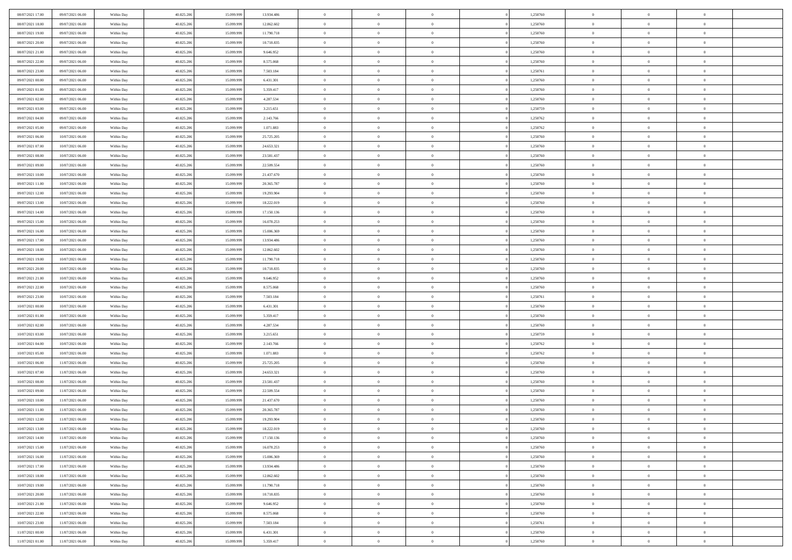| 08/07/2021 17:00                     | 09/07/2021 06:00                     | Within Day               | 40.825.206               | 15.099.999               | 13.934.486             | $\,0\,$                        | $\overline{0}$                   | $\overline{0}$                   |                | 1,250760             | $\,$ 0 $\,$             | $\overline{0}$                   | $\bf{0}$                   |  |
|--------------------------------------|--------------------------------------|--------------------------|--------------------------|--------------------------|------------------------|--------------------------------|----------------------------------|----------------------------------|----------------|----------------------|-------------------------|----------------------------------|----------------------------|--|
| 08/07/2021 18:00                     | 09/07/2021 06:00                     | Within Day               | 40.825.206               | 15.099.99                | 12.862.602             | $\overline{0}$                 | $\overline{0}$                   | $\overline{0}$                   |                | 1,250760             | $\theta$                | $\overline{0}$                   | $\overline{0}$             |  |
| 08/07/2021 19:00                     | 09/07/2021 06:00                     | Within Day               | 40.825.206               | 15.099.999               | 11.790.718             | $\mathbf{0}$                   | $\overline{0}$                   | $\overline{0}$                   |                | 1,250760             | $\theta$                | $\overline{0}$                   | $\overline{0}$             |  |
| 08/07/2021 20:00                     | 09/07/2021 06:00                     | Within Day               | 40.825.206               | 15.099.999               | 10.718.835             | $\bf{0}$                       | $\overline{0}$                   | $\overline{0}$                   |                | 1,250760             | $\bf{0}$                | $\overline{0}$                   | $\bf{0}$                   |  |
| 08/07/2021 21:00                     | 09/07/2021 06:00                     | Within Day               | 40.825.206               | 15.099.999               | 9.646.952              | $\overline{0}$                 | $\overline{0}$                   | $\overline{0}$                   |                | 1,250760             | $\bf{0}$                | $\bf{0}$                         | $\bf{0}$                   |  |
| 08/07/2021 22:00                     | 09/07/2021 06:00                     | Within Day               | 40.825.206               | 15.099.999               | 8.575.068              | $\mathbf{0}$                   | $\overline{0}$                   | $\overline{0}$                   |                | 1,250760             | $\theta$                | $\bf{0}$                         | $\theta$                   |  |
| 08/07/2021 23:00                     | 09/07/2021 06:00                     | Within Day               | 40.825.206               | 15.099.999               | 7.503.184              | $\mathbf{0}$                   | $\overline{0}$                   | $\overline{0}$                   |                | 1,250761             | $\bf{0}$                | $\overline{0}$                   | $\theta$                   |  |
| 09/07/2021 00:00                     | 09/07/2021 06:00                     | Within Day               | 40.825.206               | 15.099.999               | 6.431.301              | $\overline{0}$                 | $\mathbf{0}$                     | $\overline{0}$                   |                | 1,250760             | $\,$ 0 $\,$             | $\overline{0}$                   | $\theta$                   |  |
| 09/07/2021 01:00                     | 09/07/2021 06:00                     | Within Day               | 40.825.206               | 15.099.999               | 5.359.417              | $\mathbf{0}$                   | $\overline{0}$                   | $\overline{0}$                   |                | 1,250760             | $\theta$                | $\overline{0}$                   | $\overline{0}$             |  |
| 09/07/2021 02:00                     | 09/07/2021 06:00                     | Within Day               | 40.825.206               | 15.099.999               | 4.287.534              | $\bf{0}$                       | $\overline{0}$                   | $\overline{0}$                   |                | 1,250760             | $\bf{0}$                | $\overline{0}$                   | $\bf{0}$                   |  |
| 09/07/2021 03:00                     | 09/07/2021 06:00                     | Within Day               | 40.825.206               | 15.099.999               | 3.215.651              | $\bf{0}$                       | $\overline{0}$                   | $\overline{0}$                   |                | 1,250759             | $\bf{0}$                | $\theta$                         | $\theta$                   |  |
| 09/07/2021 04:00                     | 09/07/2021 06:00                     | Within Day               | 40.825.206               | 15.099.999               | 2.143.766              | $\mathbf{0}$                   | $\overline{0}$                   | $\overline{0}$                   |                | 1,250762             | $\theta$                | $\overline{0}$                   | $\overline{0}$             |  |
| 09/07/2021 05:00                     | 09/07/2021 06:00                     | Within Day               | 40.825.206               | 15.099.999               | 1.071.883              | $\,0\,$                        | $\overline{0}$                   | $\overline{0}$                   |                | 1,250762             | $\bf{0}$                | $\overline{0}$                   | $\bf{0}$                   |  |
| 09/07/2021 06:00                     | 10/07/2021 06:00                     | Within Day               | 40.825.206               | 15.099.999               | 25.725.205             | $\bf{0}$                       | $\overline{0}$                   | $\overline{0}$                   |                | 1,250760             | $\,$ 0 $\,$             | $\overline{0}$                   | $\theta$                   |  |
| 09/07/2021 07:00                     | 10/07/2021 06:00                     | Within Day               | 40.825.206               | 15.099.999               | 24.653.321             | $\mathbf{0}$                   | $\overline{0}$                   | $\overline{0}$                   |                | 1,250760             | $\theta$                | $\overline{0}$                   | $\overline{0}$             |  |
| 09/07/2021 08:00                     | 10/07/2021 06:00                     | Within Day               | 40.825.206               | 15.099.999               | 23.581.437             | $\,0\,$                        | $\overline{0}$                   | $\overline{0}$                   |                | 1,250760             | $\bf{0}$                | $\overline{0}$                   | $\bf{0}$                   |  |
| 09/07/2021 09:00                     | 10/07/2021 06:00                     | Within Day               | 40.825.206               | 15.099.999               | 22.509.554             | $\bf{0}$                       | $\overline{0}$                   | $\overline{0}$                   |                | 1,250760             | $\bf{0}$                | $\overline{0}$                   | $\overline{0}$             |  |
| 09/07/2021 10:00                     | 10/07/2021 06:00                     | Within Day               | 40.825.206               | 15.099.999               | 21.437.670             | $\mathbf{0}$                   | $\overline{0}$                   | $\overline{0}$                   |                | 1,250760             | $\theta$                | $\overline{0}$                   | $\overline{0}$             |  |
| 09/07/2021 11:00                     | 10/07/2021 06:00                     | Within Day               | 40.825.206               | 15.099.999               | 20.365.787             | $\,0\,$                        | $\overline{0}$                   | $\bf{0}$                         |                | 1,250760             | $\bf{0}$                | $\overline{0}$                   | $\bf{0}$                   |  |
| 09/07/2021 12:00                     | 10/07/2021 06:00                     | Within Day               | 40.825.206               | 15.099.999               | 19.293.904             | $\bf{0}$                       | $\overline{0}$                   | $\overline{0}$                   |                | 1,250760             | $\bf{0}$                | $\overline{0}$                   | $\bf{0}$                   |  |
| 09/07/2021 13:00                     | 10/07/2021 06:00                     | Within Day               | 40.825.206               | 15.099.999               | 18.222.019             | $\overline{0}$                 | $\overline{0}$                   | $\overline{0}$                   |                | 1,250760             | $\theta$                | $\overline{0}$                   | $\overline{0}$             |  |
| 09/07/2021 14:00                     | 10/07/2021 06:00                     | Within Day               | 40.825.206               | 15.099.999               | 17.150.136             | $\mathbf{0}$                   | $\overline{0}$                   | $\overline{0}$                   |                | 1,250760             | $\bf{0}$                | $\overline{0}$                   | $\theta$                   |  |
| 09/07/2021 15:00                     | 10/07/2021 06:00                     | Within Day               | 40.825.206               | 15.099.999               | 16.078.253             | $\bf{0}$                       | $\overline{0}$                   | $\overline{0}$                   |                | 1,250760             | $\bf{0}$                | $\overline{0}$                   | $\overline{0}$             |  |
| 09/07/2021 16:00                     | 10/07/2021 06:00                     | Within Day               | 40.825.206               | 15.099.999               | 15.006.369             | $\mathbf{0}$                   | $\overline{0}$                   | $\overline{0}$                   |                | 1,250760             | $\theta$                | $\overline{0}$                   | $\overline{0}$             |  |
| 09/07/2021 17:00                     | 10/07/2021 06:00                     | Within Day               | 40.825.206               | 15.099.999               | 13.934.486             | $\bf{0}$                       | $\overline{0}$                   | $\overline{0}$                   |                | 1,250760             | $\bf{0}$                | $\overline{0}$                   | $\bf{0}$                   |  |
| 09/07/2021 18:00                     | 10/07/2021 06:00                     | Within Day               | 40.825.206               | 15.099.999               | 12.862.602             | $\bf{0}$                       | $\overline{0}$                   | $\overline{0}$                   |                | 1,250760             | $\bf{0}$                | $\overline{0}$                   | $\bf{0}$                   |  |
| 09/07/2021 19:00                     | 10/07/2021 06:00                     | Within Day               | 40.825.206               | 15.099.999               | 11.790.718             | $\overline{0}$                 | $\overline{0}$                   | $\overline{0}$                   |                | 1,250760             | $\theta$                | $\overline{0}$                   | $\overline{0}$             |  |
| 09/07/2021 20:00                     | 10/07/2021 06:00                     | Within Day               | 40.825.206               | 15.099.999               | 10.718.835             | $\,0\,$                        | $\overline{0}$                   | $\bf{0}$                         |                | 1,250760             | $\bf{0}$                | $\overline{0}$                   | $\bf{0}$                   |  |
| 09/07/2021 21:00                     | 10/07/2021 06:00                     | Within Day               | 40.825.206               | 15.099.999               | 9.646.952              | $\overline{0}$                 | $\overline{0}$                   | $\overline{0}$                   |                | 1,250760             | $\,$ 0 $\,$             | $\overline{0}$                   | $\overline{0}$             |  |
| 09/07/2021 22:00                     | 10/07/2021 06:00                     | Within Day               | 40.825.206               | 15.099.999               | 8.575.068              | $\mathbf{0}$                   | $\overline{0}$                   | $\overline{0}$                   |                | 1,250760             | $\theta$                | $\overline{0}$                   | $\overline{0}$             |  |
| 09/07/2021 23:00                     | 10/07/2021 06:00                     | Within Day               | 40.825.206               | 15.099.999               | 7.503.184              | $\mathbf{0}$                   | $\overline{0}$                   | $\overline{0}$                   |                | 1,250761             | $\,$ 0 $\,$             | $\overline{0}$                   | $\theta$                   |  |
| 10/07/2021 00:00                     | 10/07/2021 06:00                     | Within Day               | 40.825.206               | 15.099.999               | 6.431.301              | $\bf{0}$                       | $\overline{0}$                   | $\overline{0}$                   |                | 1,250760             | $\bf{0}$                | $\bf{0}$                         | $\bf{0}$                   |  |
| 10/07/2021 01:00                     | 10/07/2021 06:00                     | Within Day               | 40.825.206               | 15.099.999               | 5.359.417              | $\mathbf{0}$                   | $\overline{0}$                   | $\overline{0}$                   |                | 1,250760             | $\theta$                | $\overline{0}$                   | $\overline{0}$             |  |
| 10/07/2021 02:00                     | 10/07/2021 06:00                     | Within Day               | 40.825.206               | 15.099.999               | 4.287.534              | $\mathbf{0}$                   | $\overline{0}$                   | $\overline{0}$                   |                | 1,250760             | $\,$ 0 $\,$             | $\overline{0}$<br>$\overline{0}$ | $\theta$                   |  |
| 10/07/2021 03:00<br>10/07/2021 04:00 | 10/07/2021 06:00<br>10/07/2021 06:00 | Within Day<br>Within Day | 40.825.206<br>40.825.206 | 15.099.999<br>15.099.999 | 3.215.651<br>2.143.766 | $\overline{0}$<br>$\mathbf{0}$ | $\overline{0}$<br>$\overline{0}$ | $\overline{0}$<br>$\overline{0}$ |                | 1,250759<br>1,250762 | $\,$ 0 $\,$<br>$\theta$ | $\overline{0}$                   | $\bf{0}$<br>$\overline{0}$ |  |
| 10/07/2021 05:00                     | 10/07/2021 06:00                     | Within Day               | 40.825.206               | 15.099.999               | 1.071.883              | $\mathbf{0}$                   | $\overline{0}$                   | $\theta$                         |                | 1,250762             | $\,$ 0 $\,$             | $\overline{0}$                   | $\theta$                   |  |
| 10/07/2021 06:00                     | 11/07/2021 06:00                     | Within Day               | 40.825.206               | 15.099.999               | 25.725.205             | $\bf{0}$                       | $\overline{0}$                   | $\overline{0}$                   |                | 1,250760             | $\bf{0}$                | $\overline{0}$                   | $\overline{0}$             |  |
| 10/07/2021 07:00                     | 11/07/2021 06:00                     | Within Day               | 40.825.206               | 15.099.999               | 24.653.321             | $\mathbf{0}$                   | $\overline{0}$                   | $\overline{0}$                   |                | 1,250760             | $\theta$                | $\overline{0}$                   | $\overline{0}$             |  |
| 10/07/2021 08:00                     | 11/07/2021 06:00                     | Within Day               | 40.825.206               | 15.099.999               | 23.581.437             | $\,$ 0 $\,$                    | $\overline{0}$                   | $\bf{0}$                         |                | 1,250760             | $\,$ 0 $\,$             | $\overline{0}$                   | $\theta$                   |  |
| 10/07/2021 09:00                     | 11/07/2021 06:00                     | Within Day               | 40.825.206               | 15.099.999               | 22.509.554             | $\bf{0}$                       | $\overline{0}$                   | $\overline{0}$                   |                | 1,250760             | $\bf{0}$                | $\overline{0}$                   | $\bf{0}$                   |  |
| 10/07/2021 10:00                     | 11/07/2021 06:00                     | Within Day               | 40.825.206               | 15.099.999               | 21.437.670             | $\mathbf{0}$                   | $\overline{0}$                   | $\overline{0}$                   |                | 1,250760             | $\theta$                | $\overline{0}$                   | $\overline{0}$             |  |
| 10/07/2021 11:00                     | 11/07/2021 06:00                     | Within Day               | 40.825.206               | 15.099.999               | 20.365.787             | $\mathbf{0}$                   | $\overline{0}$                   | $\overline{0}$                   |                | 1,250760             | $\,$ 0 $\,$             | $\overline{0}$                   | $\theta$                   |  |
| 10/07/2021 12:00                     | 11/07/2021 06:00                     | Within Day               | 40.825.206               | 15.099.999               | 19.293.904             | $\bf{0}$                       | $\overline{0}$                   | $\overline{0}$                   |                | 1,250760             | $\,$ 0 $\,$             | $\overline{0}$                   | $\bf{0}$                   |  |
| 10/07/2021 13:00                     | 11/07/2021 06:00                     | Within Day               | 40.825.206               | 15.099.999               | 18.222.019             | $\mathbf{0}$                   | $\overline{0}$                   | $\Omega$                         |                | 1,250760             | $\overline{0}$          | $^{\circ}$                       | $\theta$                   |  |
| 10/07/2021 14:00                     | 11/07/2021 06:00                     | Within Day               | 40.825.206               | 15.099.999               | 17.150.136             | $\,$ 0                         | $\overline{0}$                   | $\bf{0}$                         |                | 1,250760             | $\,$ 0 $\,$             | $\overline{0}$                   | $\theta$                   |  |
| 10/07/2021 15:00                     | 11/07/2021 06:00                     | Within Day               | 40.825.206               | 15.099.999               | 16.078.253             | $\mathbf{0}$                   | $\overline{0}$                   | $\overline{0}$                   |                | 1,250760             | $\mathbf{0}$            | $\overline{0}$                   | $\overline{0}$             |  |
| 10/07/2021 16:00                     | 11/07/2021 06:00                     | Within Day               | 40.825.206               | 15.099.999               | 15.006.369             | $\mathbf{0}$                   | $\overline{0}$                   | $\overline{0}$                   |                | 1,250760             | $\mathbf{0}$            | $\overline{0}$                   | $\overline{0}$             |  |
| 10/07/2021 17:00                     | 11/07/2021 06:00                     | Within Day               | 40.825.206               | 15.099.999               | 13.934.486             | $\,$ 0                         | $\overline{0}$                   | $\overline{0}$                   | $\overline{0}$ | 1,250760             | $\,$ 0 $\,$             | $\overline{0}$                   | $\,$ 0 $\,$                |  |
| 10/07/2021 18:00                     | 11/07/2021 06:00                     | Within Day               | 40.825.206               | 15.099.999               | 12.862.602             | $\bf{0}$                       | $\overline{0}$                   | $\overline{0}$                   |                | 1,250760             | $\,$ 0 $\,$             | $\overline{0}$                   | $\mathbf{0}$               |  |
| 10/07/2021 19:00                     | 11/07/2021 06:00                     | Within Day               | 40.825.206               | 15.099.999               | 11.790.718             | $\mathbf{0}$                   | $\overline{0}$                   | $\overline{0}$                   |                | 1,250760             | $\overline{0}$          | $\overline{0}$                   | $\overline{0}$             |  |
| 10/07/2021 20:00                     | 11/07/2021 06:00                     | Within Day               | 40.825.206               | 15.099.999               | 10.718.835             | $\,$ 0 $\,$                    | $\overline{0}$                   | $\overline{0}$                   |                | 1,250760             | $\,$ 0 $\,$             | $\bf{0}$                         | $\,$ 0 $\,$                |  |
| 10/07/2021 21:00                     | 11/07/2021 06:00                     | Within Day               | 40.825.206               | 15.099.999               | 9.646.952              | $\overline{0}$                 | $\overline{0}$                   | $\overline{0}$                   |                | 1,250760             | $\overline{0}$          | $\overline{0}$                   | $\overline{0}$             |  |
| 10/07/2021 22:00                     | 11/07/2021 06:00                     | Within Day               | 40.825.206               | 15.099.999               | 8.575.068              | $\mathbf{0}$                   | $\overline{0}$                   | $\overline{0}$                   |                | 1,250760             | $\mathbf{0}$            | $\overline{0}$                   | $\overline{0}$             |  |
| 10/07/2021 23:00                     | 11/07/2021 06:00                     | Within Day               | 40.825.206               | 15.099.999               | 7.503.184              | $\,$ 0 $\,$                    | $\overline{0}$                   | $\overline{0}$                   | $\overline{0}$ | 1,250761             | $\,$ 0 $\,$             | $\bf{0}$                         | $\,$ 0 $\,$                |  |
| 11/07/2021 00:00                     | 11/07/2021 06:00                     | Within Day               | 40.825.206               | 15.099.999               | 6.431.301              | $\,$ 0 $\,$                    | $\overline{0}$                   | $\overline{0}$                   |                | 1,250760             | $\,$ 0 $\,$             | $\overline{0}$                   | $\overline{0}$             |  |
| 11/07/2021 01:00                     | 11/07/2021 06:00                     | Within Day               | 40.825.206               | 15.099.999               | 5.359.417              | $\mathbf{0}$                   | $\overline{0}$                   | $\overline{0}$                   |                | 1,250760             | $\overline{0}$          | $\overline{0}$                   | $\overline{0}$             |  |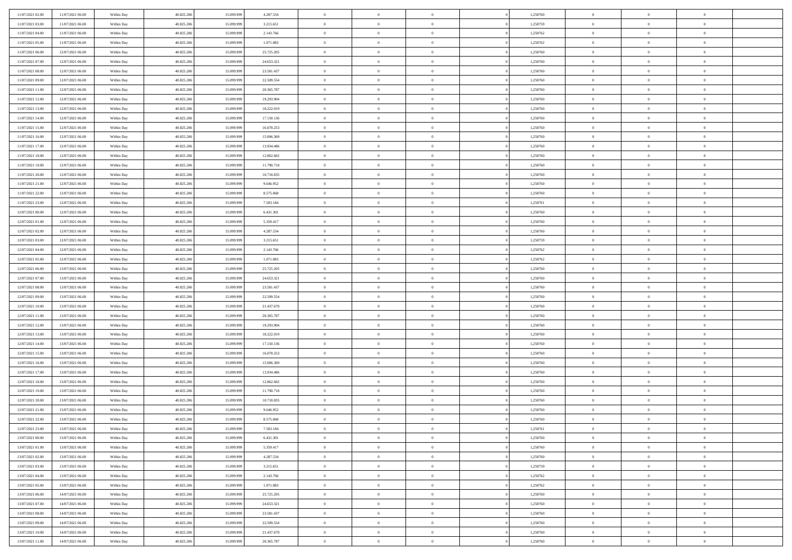| 11/07/2021 02:00 | 11/07/2021 06:00 | Within Day | 40.825.206 | 15.099.999 | 4.287.534  | $\,$ 0 $\,$    | $\overline{0}$ | $\overline{0}$ |          | 1,250760 | $\bf{0}$       | $\overline{0}$ | $\,0\,$        |  |
|------------------|------------------|------------|------------|------------|------------|----------------|----------------|----------------|----------|----------|----------------|----------------|----------------|--|
| 11/07/2021 03:00 | 11/07/2021 06:00 | Within Day | 40.825.206 | 15,099,999 | 3.215.651  | $\overline{0}$ | $\overline{0}$ | $\mathbf{0}$   |          | 1,250759 | $\theta$       | $\overline{0}$ | $\theta$       |  |
| 11/07/2021 04:00 | 11/07/2021 06:00 | Within Dav | 40.825.206 | 15.099.999 | 2.143.766  | $\theta$       | $\overline{0}$ | $\overline{0}$ |          | 1,250762 | $\mathbf{0}$   | $\overline{0}$ | $\overline{0}$ |  |
| 11/07/2021 05:00 | 11/07/2021 06:00 | Within Day | 40.825.206 | 15.099.999 | 1.071.883  | $\,$ 0 $\,$    | $\overline{0}$ | $\overline{0}$ |          | 1,250762 | $\bf{0}$       | $\overline{0}$ | $\bf{0}$       |  |
| 11/07/2021 06:00 | 12/07/2021 06:00 | Within Day | 40.825.206 | 15.099.999 | 25.725.205 | $\bf{0}$       | $\overline{0}$ | $\mathbf{0}$   |          | 1,250760 | $\bf{0}$       | $\theta$       | $\,0\,$        |  |
| 11/07/2021 07:00 | 12/07/2021 06:00 | Within Dav | 40.825.206 | 15.099.999 | 24.653.321 | $\theta$       | $\overline{0}$ | $\mathbf{0}$   |          | 1,250760 | $\mathbf{0}$   | $\overline{0}$ | $\overline{0}$ |  |
| 11/07/2021 08:00 | 12/07/2021 06:00 | Within Day | 40.825.206 | 15.099.999 | 23.581.437 | $\,$ 0 $\,$    | $\overline{0}$ | $\overline{0}$ |          | 1,250760 | $\bf{0}$       | $\overline{0}$ | $\bf{0}$       |  |
| 11/07/2021 09:00 | 12/07/2021 06:00 | Within Day | 40.825.206 | 15.099.999 | 22.509.554 | $\overline{0}$ | $\overline{0}$ | $\mathbf{0}$   |          | 1,250760 | $\,$ 0 $\,$    | $\overline{0}$ | $\theta$       |  |
| 11/07/2021 11:00 | 12/07/2021 06:00 | Within Day | 40.825.206 | 15.099.999 | 20.365.787 | $\theta$       | $\overline{0}$ | $\mathbf{0}$   |          | 1,250760 | $\mathbf{0}$   | $\overline{0}$ | $\overline{0}$ |  |
| 11/07/2021 12:00 | 12/07/2021 06:00 | Within Day | 40.825.206 | 15.099.999 | 19.293.904 | $\,$ 0 $\,$    | $\overline{0}$ | $\Omega$       |          | 1,250760 | $\bf{0}$       | $\overline{0}$ | $\bf{0}$       |  |
| 11/07/2021 13:00 | 12/07/2021 06:00 | Within Day | 40.825.206 | 15.099.999 | 18.222.019 | $\bf{0}$       | $\overline{0}$ | $\mathbf{0}$   |          | 1,250760 | $\bf{0}$       | $\mathbf{0}$   | $\theta$       |  |
| 11/07/2021 14:00 | 12/07/2021 06:00 | Within Dav | 40.825.206 | 15.099.999 | 17.150.136 | $\theta$       | $\overline{0}$ | $\overline{0}$ |          | 1,250760 | $\mathbf{0}$   | $\overline{0}$ | $\overline{0}$ |  |
| 11/07/2021 15:00 | 12/07/2021 06:00 | Within Day | 40.825.206 | 15.099.999 | 16.078.253 | $\,$ 0 $\,$    | $\overline{0}$ | $\overline{0}$ |          | 1,250760 | $\bf{0}$       | $\overline{0}$ | $\bf{0}$       |  |
| 11/07/2021 16:00 | 12/07/2021 06:00 | Within Day | 40.825.206 | 15.099.999 | 15.006.369 | $\bf{0}$       | $\overline{0}$ | $\mathbf{0}$   |          | 1,250760 | $\bf{0}$       | $\theta$       | $\,0\,$        |  |
| 11/07/2021 17:00 | 12/07/2021 06:00 | Within Dav | 40.825.206 | 15.099.999 | 13.934.486 | $\theta$       | $\overline{0}$ | $\overline{0}$ |          | 1,250760 | $\mathbf{0}$   | $\overline{0}$ | $\overline{0}$ |  |
| 11/07/2021 18:00 | 12/07/2021 06:00 | Within Day | 40.825.206 | 15.099.999 | 12.862.602 | $\,$ 0 $\,$    | $\overline{0}$ | $\Omega$       |          | 1,250760 | $\bf{0}$       | $\overline{0}$ | $\bf{0}$       |  |
| 11/07/2021 19:00 | 12/07/2021 06:00 | Within Day | 40.825.206 | 15.099.999 | 11.790.718 | $\,$ 0 $\,$    | $\overline{0}$ | $\mathbf{0}$   |          | 1,250760 | $\bf{0}$       | $\overline{0}$ | $\theta$       |  |
| 11/07/2021 20:00 | 12/07/2021 06:00 | Within Day | 40.825.206 | 15.099.999 | 10.718.835 | $\theta$       | $\overline{0}$ | $\mathbf{0}$   |          | 1,250760 | $\mathbf{0}$   | $\overline{0}$ | $\overline{0}$ |  |
| 11/07/2021 21:00 | 12/07/2021 06:00 | Within Day | 40.825.206 | 15.099.999 | 9.646.952  | $\,$ 0 $\,$    | $\overline{0}$ | $\Omega$       |          | 1,250760 | $\bf{0}$       | $\overline{0}$ | $\,0\,$        |  |
| 11/07/2021 22.00 | 12/07/2021 06:00 | Within Day | 40.825.206 | 15.099.999 | 8.575.068  | $\bf{0}$       | $\overline{0}$ | $\mathbf{0}$   |          | 1,250760 | $\bf{0}$       | $\mathbf{0}$   | $\overline{0}$ |  |
| 11/07/2021 23:00 | 12/07/2021 06:00 | Within Dav | 40.825.206 | 15.099.999 | 7.503.184  | $\theta$       | $\overline{0}$ | $\overline{0}$ |          | 1,250761 | $\mathbf{0}$   | $\overline{0}$ | $\overline{0}$ |  |
| 12/07/2021 00:00 | 12/07/2021 06:00 | Within Day | 40.825.206 | 15.099.999 | 6.431.301  | $\,$ 0 $\,$    | $\overline{0}$ | $\overline{0}$ |          | 1,250760 | $\bf{0}$       | $\overline{0}$ | $\bf{0}$       |  |
| 12/07/2021 01:00 | 12/07/2021 06:00 | Within Day | 40.825.206 | 15.099.999 | 5.359.417  | $\,$ 0         | $\overline{0}$ | $\mathbf{0}$   |          | 1,250760 | $\bf{0}$       | $\bf{0}$       | $\,0\,$        |  |
| 12/07/2021 02:00 | 12/07/2021 06:00 | Within Dav | 40.825.206 | 15.099.999 | 4.287.534  | $\theta$       | $\overline{0}$ | $\mathbf{0}$   |          | 1,250760 | $\mathbf{0}$   | $\overline{0}$ | $\overline{0}$ |  |
| 12/07/2021 03:00 | 12/07/2021 06:00 | Within Day | 40.825.206 | 15.099.999 | 3.215.651  | $\,$ 0 $\,$    | $\overline{0}$ | $\overline{0}$ |          | 1,250759 | $\bf{0}$       | $\overline{0}$ | $\bf{0}$       |  |
| 12/07/2021 04:00 | 12/07/2021 06:00 | Within Day | 40.825.206 | 15.099.999 | 2.143.766  | $\,$ 0 $\,$    | $\overline{0}$ | $\mathbf{0}$   |          | 1,250762 | $\mathbf{0}$   | $\overline{0}$ | $\overline{0}$ |  |
| 12/07/2021 05:00 | 12/07/2021 06:00 | Within Day | 40.825.206 | 15.099.999 | 1.071.883  | $\theta$       | $\overline{0}$ | $\mathbf{0}$   |          | 1,250762 | $\mathbf{0}$   | $\overline{0}$ | $\overline{0}$ |  |
| 12/07/2021 06:00 | 13/07/2021 06:00 | Within Day | 40.825.206 | 15.099.999 | 25.725.205 | $\,$ 0 $\,$    | $\overline{0}$ | $\Omega$       |          | 1,250760 | $\bf{0}$       | $\overline{0}$ | $\bf{0}$       |  |
| 12/07/2021 07:00 | 13/07/2021 06:00 | Within Day | 40.825.206 | 15.099.999 | 24.653.321 | $\bf{0}$       | $\overline{0}$ | $\mathbf{0}$   |          | 1,250760 | $\bf{0}$       | $\mathbf{0}$   | $\overline{0}$ |  |
| 12/07/2021 08:00 | 13/07/2021 06:00 | Within Dav | 40.825.206 | 15.099.999 | 23.581.437 | $\theta$       | $\overline{0}$ | $\overline{0}$ |          | 1,250760 | $\mathbf{0}$   | $\overline{0}$ | $\overline{0}$ |  |
| 12/07/2021 09:00 | 13/07/2021 06:00 | Within Day | 40.825.206 | 15.099.999 | 22.509.554 | $\,$ 0 $\,$    | $\overline{0}$ | $\overline{0}$ |          | 1,250760 | $\,$ 0         | $\overline{0}$ | $\,$ 0 $\,$    |  |
| 12/07/2021 10:00 | 13/07/2021 06:00 | Within Day | 40.825.206 | 15.099.999 | 21.437.670 | $\bf{0}$       | $\overline{0}$ | $\mathbf{0}$   |          | 1,250760 | $\bf{0}$       | $\mathbf{0}$   | $\bf{0}$       |  |
| 12/07/2021 11:00 | 13/07/2021 06:00 | Within Dav | 40.825.206 | 15.099.999 | 20.365.787 | $\theta$       | $\overline{0}$ | $\overline{0}$ |          | 1,250760 | $\mathbf{0}$   | $\overline{0}$ | $\overline{0}$ |  |
| 12/07/2021 12:00 | 13/07/2021 06:00 | Within Day | 40.825.206 | 15.099.999 | 19.293.904 | $\theta$       | $\overline{0}$ | $\overline{0}$ |          | 1,250760 | $\,$ 0         | $\overline{0}$ | $\theta$       |  |
| 12/07/2021 13:00 | 13/07/2021 06:00 | Within Day | 40.825.206 | 15.099.999 | 18.222.019 | $\bf{0}$       | $\overline{0}$ | $\mathbf{0}$   |          | 1,250760 | $\mathbf{0}$   | $\overline{0}$ | $\overline{0}$ |  |
| 12/07/2021 14:00 | 13/07/2021 06:00 | Within Day | 40.825.206 | 15.099.999 | 17.150.136 | $\theta$       | $\overline{0}$ | $\mathbf{0}$   |          | 1,250760 | $\mathbf{0}$   | $\overline{0}$ | $\overline{0}$ |  |
| 12/07/2021 15:00 | 13/07/2021 06:00 | Within Day | 40.825.206 | 15.099.999 | 16.078.253 | $\theta$       | $\overline{0}$ | $\overline{0}$ |          | 1,250760 | $\,$ 0         | $\overline{0}$ | $\theta$       |  |
| 12/07/2021 16:00 | 13/07/2021 06:00 | Within Day | 40.825.206 | 15.099.999 | 15.006.369 | $\bf{0}$       | $\overline{0}$ | $\mathbf{0}$   |          | 1,250760 | $\bf{0}$       | $\mathbf{0}$   | $\bf{0}$       |  |
| 12/07/2021 17:00 | 13/07/2021 06:00 | Within Dav | 40.825.206 | 15.099.999 | 13.934.486 | $\theta$       | $\overline{0}$ | $\overline{0}$ |          | 1,250760 | $\mathbf{0}$   | $\overline{0}$ | $\overline{0}$ |  |
| 12/07/2021 18:00 | 13/07/2021 06:00 | Within Day | 40.825.206 | 15.099.999 | 12.862.602 | $\,$ 0 $\,$    | $\overline{0}$ | $\overline{0}$ |          | 1,250760 | $\,$ 0         | $\overline{0}$ | $\,$ 0 $\,$    |  |
| 12/07/2021 19:00 | 13/07/2021 06:00 | Within Day | 40.825.206 | 15.099.999 | 11.790.718 | $\bf{0}$       | $\,$ 0 $\,$    | $\overline{0}$ |          | 1,250760 | $\,$ 0 $\,$    | $\overline{0}$ | $\bf{0}$       |  |
| 12/07/2021 20:00 | 13/07/2021 06:00 | Within Dav | 40.825.206 | 15.099.999 | 10.718.835 | $\theta$       | $\overline{0}$ | $\mathbf{0}$   |          | 1,250760 | $\mathbf{0}$   | $\overline{0}$ | $\theta$       |  |
| 12/07/2021 21:00 | 13/07/2021 06:00 | Within Day | 40.825.206 | 15.099.999 | 9.646.952  | $\overline{0}$ | $\overline{0}$ | $\overline{0}$ |          | 1,250760 | $\,$ 0         | $\overline{0}$ | $\theta$       |  |
| 12/07/2021 22:00 | 13/07/2021 06:00 | Within Day | 40.825.206 | 15.099.999 | 8.575.068  | $\bf{0}$       | $\overline{0}$ | $\mathbf{0}$   |          | 1,250760 | $\mathbf{0}$   | $\overline{0}$ | $\bf{0}$       |  |
| 12/07/2021 23:00 | 13/07/2021 06:00 | Within Day | 40.825.206 | 15.099.999 | 7.503.184  | $\overline{0}$ | $\theta$       |                |          | 1,250761 | $\overline{0}$ | $\theta$       | $\theta$       |  |
| 13/07/2021 00:00 | 13/07/2021 06:00 | Within Day | 40.825.206 | 15.099.999 | 6.431.301  | $\,$ 0 $\,$    | $\overline{0}$ | $\overline{0}$ |          | 1,250760 | $\,$ 0 $\,$    | $\bf{0}$       | $\theta$       |  |
| 13/07/2021 01:00 | 13/07/2021 06:00 | Within Day | 40.825.206 | 15.099.999 | 5.359.417  | $\overline{0}$ | $\,$ 0 $\,$    | $\overline{0}$ |          | 1,250760 | $\,$ 0 $\,$    | $\overline{0}$ | $\overline{0}$ |  |
| 13/07/2021 02:00 | 13/07/2021 06:00 | Within Day | 40.825.206 | 15.099.999 | 4.287.534  | $\mathbf{0}$   | $\overline{0}$ | $\overline{0}$ |          | 1,250760 | $\,$ 0 $\,$    | $\bf{0}$       | $\overline{0}$ |  |
| 13/07/2021 03:00 | 13/07/2021 06:00 | Within Day | 40.825.206 | 15.099.999 | 3.215.651  | $\,$ 0 $\,$    | $\overline{0}$ | $\overline{0}$ | $\theta$ | 1,250759 | $\,$ 0 $\,$    | $\bf{0}$       | $\,$ 0 $\,$    |  |
| 13/07/2021 04:00 | 13/07/2021 06:00 | Within Day | 40.825.206 | 15.099.999 | 2.143.766  | $\,$ 0 $\,$    | $\,$ 0 $\,$    | $\overline{0}$ |          | 1,250762 | $\,$ 0 $\,$    | $\overline{0}$ | $\overline{0}$ |  |
| 13/07/2021 05:00 | 13/07/2021 06:00 | Within Day | 40.825.206 | 15.099.999 | 1.071.883  | $\mathbf{0}$   | $\overline{0}$ | $\overline{0}$ |          | 1,250762 | $\mathbf{0}$   | $\bf{0}$       | $\overline{0}$ |  |
| 13/07/2021 06:00 | 14/07/2021 06:00 | Within Day | 40.825.206 | 15.099.999 | 25.725.205 | $\,$ 0 $\,$    | $\overline{0}$ | $\overline{0}$ |          | 1,250760 | $\,$ 0 $\,$    | $\bf{0}$       | $\,$ 0 $\,$    |  |
| 13/07/2021 07:00 | 14/07/2021 06:00 | Within Day | 40.825.206 | 15.099.999 | 24.653.321 | $\overline{0}$ | $\,$ 0 $\,$    | $\overline{0}$ |          | 1,250760 | $\,$ 0 $\,$    | $\overline{0}$ | $\overline{0}$ |  |
| 13/07/2021 08:00 | 14/07/2021 06:00 | Within Day | 40.825.206 | 15.099.999 | 23.581.437 | $\,$ 0 $\,$    | $\overline{0}$ | $\overline{0}$ |          | 1,250760 | $\,$ 0 $\,$    | $\bf{0}$       | $\overline{0}$ |  |
| 13/07/2021 09:00 | 14/07/2021 06:00 | Within Day | 40.825.206 | 15.099.999 | 22.509.554 | $\,$ 0 $\,$    | $\overline{0}$ | $\overline{0}$ |          | 1,250760 | $\,$ 0 $\,$    | $\mathbf{0}$   | $\,$ 0 $\,$    |  |
| 13/07/2021 10:00 | 14/07/2021 06:00 | Within Day | 40.825.206 | 15.099.999 | 21.437.670 | $\,$ 0 $\,$    | $\,$ 0 $\,$    | $\overline{0}$ |          | 1,250760 | $\,$ 0 $\,$    | $\overline{0}$ | $\overline{0}$ |  |
| 13/07/2021 11:00 | 14/07/2021 06:00 | Within Day | 40.825.206 | 15.099.999 | 20.365.787 | $\theta$       | $\overline{0}$ | $\overline{0}$ |          | 1,250760 | $\,$ 0 $\,$    | $\mathbf{0}$   | $\overline{0}$ |  |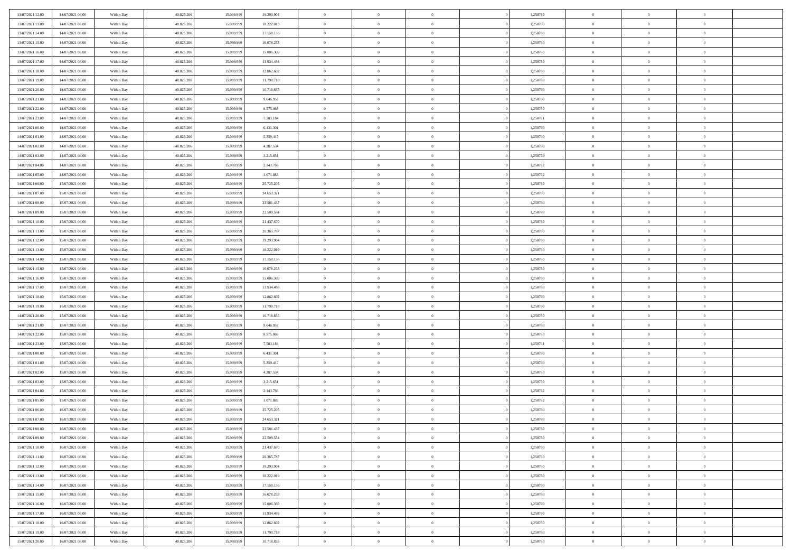| 13/07/2021 12:00                     | 14/07/2021 06:00 | Within Day | 40.825.206 | 15.099.999 | 19.293.904 | $\bf{0}$       | $\bf{0}$       | $\theta$       |          | 1,250760 | $\bf{0}$       | $\overline{0}$ | $\,0\,$        |  |
|--------------------------------------|------------------|------------|------------|------------|------------|----------------|----------------|----------------|----------|----------|----------------|----------------|----------------|--|
| 13/07/2021 13:00                     | 14/07/2021 06:00 | Within Day | 40.825.206 | 15.099.999 | 18.222.019 | $\overline{0}$ | $\overline{0}$ | $\overline{0}$ |          | 1,250760 | $\overline{0}$ | $\overline{0}$ | $\theta$       |  |
| 13/07/2021 14:00                     | 14/07/2021 06:00 | Within Dav | 40.825.206 | 15.099.999 | 17.150.136 | $\mathbf{0}$   | $\overline{0}$ | $\overline{0}$ |          | 1,250760 | $\mathbf{0}$   | $\overline{0}$ | $\overline{0}$ |  |
| 13/07/2021 15:00                     | 14/07/2021 06:00 | Within Day | 40.825.206 | 15.099.999 | 16.078.253 | $\bf{0}$       | $\overline{0}$ | $\overline{0}$ |          | 1,250760 | $\bf{0}$       | $\overline{0}$ | $\bf{0}$       |  |
| 13/07/2021 16:00                     | 14/07/2021 06:00 | Within Day | 40.825.206 | 15.099.999 | 15.006.369 | $\bf{0}$       | $\bf{0}$       | $\overline{0}$ |          | 1,250760 | $\bf{0}$       | $\bf{0}$       | $\,0\,$        |  |
| 13/07/2021 17:00                     | 14/07/2021 06:00 | Within Dav | 40.825.206 | 15.099.999 | 13.934.486 | $\overline{0}$ | $\overline{0}$ | $\overline{0}$ |          | 1,250760 | $\mathbf{0}$   | $\overline{0}$ | $\overline{0}$ |  |
| 13/07/2021 18:00                     | 14/07/2021 06:00 | Within Day | 40.825.206 | 15.099.999 | 12.862.602 | $\bf{0}$       | $\bf{0}$       | $\overline{0}$ |          | 1,250760 | $\bf{0}$       | $\overline{0}$ | $\,0\,$        |  |
| 13/07/2021 19:00                     | 14/07/2021 06:00 | Within Day | 40.825.206 | 15.099.999 | 11.790.718 | $\overline{0}$ | $\overline{0}$ | $\overline{0}$ |          | 1,250760 | $\,$ 0 $\,$    | $\overline{0}$ | $\overline{0}$ |  |
| 13/07/2021 20:00                     | 14/07/2021 06:00 | Within Day | 40.825.206 | 15.099.999 | 10.718.835 | $\mathbf{0}$   | $\overline{0}$ | $\overline{0}$ |          | 1,250760 | $\mathbf{0}$   | $\overline{0}$ | $\overline{0}$ |  |
| 13/07/2021 21:00                     | 14/07/2021 06:00 |            | 40.825.206 | 15.099.999 | 9.646.952  | $\bf{0}$       | $\bf{0}$       | $\overline{0}$ |          | 1,250760 | $\bf{0}$       | $\overline{0}$ | $\,0\,$        |  |
|                                      |                  | Within Day |            | 15.099.999 |            | $\bf{0}$       | $\overline{0}$ | $\overline{0}$ |          |          | $\bf{0}$       | $\overline{0}$ | $\overline{0}$ |  |
| 13/07/2021 22.00<br>13/07/2021 23:00 | 14/07/2021 06:00 | Within Day | 40.825.206 |            | 8.575.068  | $\mathbf{0}$   |                |                |          | 1,250760 | $\mathbf{0}$   |                | $\overline{0}$ |  |
|                                      | 14/07/2021 06:00 | Within Dav | 40.825.206 | 15.099.999 | 7.503.184  |                | $\overline{0}$ | $\overline{0}$ |          | 1,250761 |                | $\overline{0}$ |                |  |
| 14/07/2021 00:00                     | 14/07/2021 06:00 | Within Day | 40.825.206 | 15.099.999 | 6.431.301  | $\bf{0}$       | $\overline{0}$ | $\bf{0}$       |          | 1,250760 | $\bf{0}$       | $\overline{0}$ | $\bf{0}$       |  |
| 14/07/2021 01:00                     | 14/07/2021 06:00 | Within Day | 40.825.206 | 15.099.999 | 5.359.417  | $\bf{0}$       | $\overline{0}$ | $\overline{0}$ |          | 1,250760 | $\bf{0}$       | $\mathbf{0}$   | $\,0\,$        |  |
| 14/07/2021 02:00                     | 14/07/2021 06:00 | Within Dav | 40.825.206 | 15.099.999 | 4.287.534  | $\overline{0}$ | $\overline{0}$ | $\overline{0}$ |          | 1,250760 | $\mathbf{0}$   | $\overline{0}$ | $\overline{0}$ |  |
| 14/07/2021 03:00                     | 14/07/2021 06:00 | Within Day | 40.825.206 | 15.099.999 | 3.215.651  | $\bf{0}$       | $\bf{0}$       | $\overline{0}$ |          | 1,250759 | $\bf{0}$       | $\overline{0}$ | $\bf{0}$       |  |
| 14/07/2021 04:00                     | 14/07/2021 06:00 | Within Day | 40.825.206 | 15.099.999 | 2.143.766  | $\overline{0}$ | $\overline{0}$ | $\overline{0}$ |          | 1,250762 | $\,$ 0 $\,$    | $\overline{0}$ | $\overline{0}$ |  |
| 14/07/2021 05:00                     | 14/07/2021 06:00 | Within Day | 40.825.206 | 15.099.999 | 1.071.883  | $\mathbf{0}$   | $\overline{0}$ | $\overline{0}$ |          | 1,250762 | $\mathbf{0}$   | $\overline{0}$ | $\overline{0}$ |  |
| 14/07/2021 06:00                     | 15/07/2021 06:00 | Within Day | 40.825.206 | 15.099.999 | 25.725.205 | $\bf{0}$       | $\bf{0}$       | $\overline{0}$ |          | 1,250760 | $\bf{0}$       | $\overline{0}$ | $\,0\,$        |  |
| 14/07/2021 07:00                     | 15/07/2021 06:00 | Within Day | 40.825.206 | 15.099.999 | 24.653.321 | $\overline{0}$ | $\overline{0}$ | $\overline{0}$ |          | 1,250760 | $\bf{0}$       | $\overline{0}$ | $\bf{0}$       |  |
| 14/07/2021 08:00                     | 15/07/2021 06:00 | Within Dav | 40.825.206 | 15.099.999 | 23.581.437 | $\mathbf{0}$   | $\overline{0}$ | $\overline{0}$ |          | 1,250760 | $\mathbf{0}$   | $\overline{0}$ | $\overline{0}$ |  |
| 14/07/2021 09:00                     | 15/07/2021 06:00 | Within Day | 40.825.206 | 15.099.999 | 22.509.554 | $\bf{0}$       | $\overline{0}$ | $\overline{0}$ |          | 1,250760 | $\bf{0}$       | $\overline{0}$ | $\bf{0}$       |  |
| 14/07/2021 10:00                     | 15/07/2021 06:00 | Within Day | 40.825.206 | 15.099.999 | 21.437.670 | $\bf{0}$       | $\bf{0}$       | $\overline{0}$ |          | 1,250760 | $\bf{0}$       | $\overline{0}$ | $\,0\,$        |  |
| 14/07/2021 11:00                     | 15/07/2021 06:00 | Within Dav | 40.825.206 | 15.099.999 | 20.365.787 | $\mathbf{0}$   | $\overline{0}$ | $\overline{0}$ |          | 1,250760 | $\mathbf{0}$   | $\overline{0}$ | $\overline{0}$ |  |
| 14/07/2021 12:00                     | 15/07/2021 06:00 | Within Day | 40.825.206 | 15.099.999 | 19.293.904 | $\bf{0}$       | $\bf{0}$       | $\overline{0}$ |          | 1,250760 | $\bf{0}$       | $\overline{0}$ | $\bf{0}$       |  |
| 14/07/2021 13:00                     | 15/07/2021 06:00 | Within Day | 40.825.206 | 15.099.999 | 18.222.019 | $\overline{0}$ | $\overline{0}$ | $\overline{0}$ |          | 1,250760 | $\bf{0}$       | $\mathbf{0}$   | $\overline{0}$ |  |
| 14/07/2021 14:00                     | 15/07/2021 06:00 | Within Dav | 40.825.206 | 15.099.999 | 17.150.136 | $\mathbf{0}$   | $\overline{0}$ | $\overline{0}$ |          | 1,250760 | $\mathbf{0}$   | $\overline{0}$ | $\overline{0}$ |  |
| 14/07/2021 15:00                     | 15/07/2021 06:00 | Within Day | 40.825.206 | 15.099.999 | 16.078.253 | $\bf{0}$       | $\bf{0}$       | $\overline{0}$ |          | 1,250760 | $\bf{0}$       | $\overline{0}$ | $\,0\,$        |  |
| 14/07/2021 16:00                     | 15/07/2021 06:00 | Within Day | 40.825.206 | 15,099,999 | 15.006.369 | $\bf{0}$       | $\bf{0}$       | $\overline{0}$ |          | 1,250760 | $\bf{0}$       | $\bf{0}$       | $\bf{0}$       |  |
| 14/07/2021 17:00                     | 15/07/2021 06:00 | Within Dav | 40.825.206 | 15.099.999 | 13.934.486 | $\mathbf{0}$   | $\overline{0}$ | $\overline{0}$ |          | 1,250760 | $\mathbf{0}$   | $\overline{0}$ | $\overline{0}$ |  |
| 14/07/2021 18:00                     | 15/07/2021 06:00 | Within Day | 40.825.206 | 15.099.999 | 12.862.602 | $\bf{0}$       | $\overline{0}$ | $\theta$       |          | 1,250760 | $\,$ 0         | $\overline{0}$ | $\theta$       |  |
| 14/07/2021 19:00                     | 15/07/2021 06:00 | Within Day | 40.825.206 | 15.099.999 | 11.790.718 | $\bf{0}$       | $\bf{0}$       | $\overline{0}$ |          | 1,250760 | $\bf{0}$       | $\overline{0}$ | $\overline{0}$ |  |
| 14/07/2021 20:00                     | 15/07/2021 06:00 | Within Dav | 40.825.206 | 15.099.999 | 10.718.835 | $\overline{0}$ | $\overline{0}$ | $\overline{0}$ |          | 1,250760 | $\mathbf{0}$   | $\overline{0}$ | $\overline{0}$ |  |
| 14/07/2021 21:00                     | 15/07/2021 06:00 | Within Day | 40.825.206 | 15.099.999 | 9.646.952  | $\bf{0}$       | $\overline{0}$ | $\theta$       |          | 1,250760 | $\,$ 0         | $\overline{0}$ | $\theta$       |  |
| 14/07/2021 22:00                     | 15/07/2021 06:00 | Within Day | 40.825.206 | 15.099.999 | 8.575.068  | $\overline{0}$ | $\overline{0}$ | $\overline{0}$ |          | 1,250760 | $\bf{0}$       | $\overline{0}$ | $\overline{0}$ |  |
| 14/07/2021 23:00                     | 15/07/2021 06:00 | Within Day | 40.825.206 | 15.099.999 | 7.503.184  | $\mathbf{0}$   | $\overline{0}$ | $\overline{0}$ |          | 1,250761 | $\mathbf{0}$   | $\overline{0}$ | $\overline{0}$ |  |
| 15/07/2021 00:00                     | 15/07/2021 06:00 | Within Day | 40.825.206 | 15.099.999 | 6.431.301  | $\bf{0}$       | $\overline{0}$ | $\theta$       |          | 1,250760 | $\,$ 0         | $\overline{0}$ | $\theta$       |  |
| 15/07/2021 01:00                     | 15/07/2021 06:00 | Within Day | 40.825.206 | 15.099.999 | 5.359.417  | $\bf{0}$       | $\overline{0}$ | $\overline{0}$ |          | 1,250760 | $\bf{0}$       | $\bf{0}$       | $\overline{0}$ |  |
| 15/07/2021 02:00                     | 15/07/2021 06:00 | Within Dav | 40.825.206 | 15.099.999 | 4.287.534  | $\mathbf{0}$   | $\overline{0}$ | $\overline{0}$ |          | 1,250760 | $\mathbf{0}$   | $\overline{0}$ | $\overline{0}$ |  |
| 15/07/2021 03:00                     | 15/07/2021 06:00 | Within Day | 40.825.206 | 15.099.999 | 3.215.651  | $\,0\,$        | $\overline{0}$ | $\theta$       |          | 1,250759 | $\,$ 0         | $\overline{0}$ | $\theta$       |  |
| 15/07/2021 04:00                     | 15/07/2021 06:00 | Within Day | 40.825.206 | 15.099.999 | 2.143.766  | $\bf{0}$       | $\overline{0}$ | $\overline{0}$ |          | 1,250762 | $\bf{0}$       | $\overline{0}$ | $\bf{0}$       |  |
| 15/07/2021 05:00                     | 15/07/2021 06:00 | Within Dav | 40.825.206 | 15.099.999 | 1.071.883  | $\mathbf{0}$   | $\overline{0}$ | $\overline{0}$ |          | 1,250762 | $\mathbf{0}$   | $\overline{0}$ | $\overline{0}$ |  |
| 15/07/2021 06:00                     | 16/07/2021 06:00 | Within Day | 40.825.206 | 15.099.999 | 25.725.205 | $\bf{0}$       | $\overline{0}$ | $\theta$       |          | 1,250760 | $\,$ 0         | $\overline{0}$ | $\theta$       |  |
| 15/07/2021 07:00                     | 16/07/2021 06:00 | Within Day | 40.825.206 | 15.099.999 | 24.653.321 | $\bf{0}$       | $\overline{0}$ | $\overline{0}$ |          | 1,250760 | $\bf{0}$       | $\overline{0}$ | $\bf{0}$       |  |
| 15/07/2021 08:00                     | 16/07/2021 06:00 | Within Day | 40.825.206 | 15.099.999 | 23.581.437 | $\bf{0}$       | $\overline{0}$ | $\Omega$       |          | 1,250760 | $\overline{0}$ | $\theta$       | $\theta$       |  |
| 15/07/2021 09:00                     | 16/07/2021 06:00 | Within Day | 40.825.206 | 15.099.999 | 22.509.554 | $\,0\,$        | $\overline{0}$ | $\theta$       |          | 1,250760 | $\,$ 0 $\,$    | $\bf{0}$       | $\theta$       |  |
| 15/07/2021 10:00                     | 16/07/2021 06:00 | Within Day | 40.825.206 | 15.099.999 | 21.437.670 | $\overline{0}$ | $\overline{0}$ | $\overline{0}$ |          | 1,250760 | $\overline{0}$ | $\overline{0}$ | $\overline{0}$ |  |
| 15/07/2021 11:00                     | 16/07/2021 06:00 | Within Day | 40.825.206 | 15.099.999 | 20.365.787 | $\bf{0}$       | $\overline{0}$ | $\overline{0}$ |          | 1,250760 | $\overline{0}$ | $\bf{0}$       | $\overline{0}$ |  |
| 15/07/2021 12:00                     | 16/07/2021 06:00 | Within Day | 40.825.206 | 15.099.999 | 19.293.904 | $\bf{0}$       | $\overline{0}$ | $\overline{0}$ | $\theta$ | 1,250760 | $\mathbf{0}$   | $\bf{0}$       | $\,$ 0 $\,$    |  |
| 15/07/2021 13:00                     | 16/07/2021 06:00 | Within Day | 40.825.206 | 15.099.999 | 18.222.019 | $\bf{0}$       | $\overline{0}$ | $\overline{0}$ |          | 1,250760 | $\,$ 0 $\,$    | $\overline{0}$ | $\overline{0}$ |  |
| 15/07/2021 14:00                     | 16/07/2021 06:00 | Within Day | 40.825.206 | 15.099.999 | 17.150.136 | $\bf{0}$       | $\overline{0}$ | $\overline{0}$ |          | 1,250760 | $\mathbf{0}$   | $\overline{0}$ | $\overline{0}$ |  |
| 15/07/2021 15:00                     | 16/07/2021 06:00 | Within Day | 40.825.206 | 15.099.999 | 16.078.253 | $\,$ 0 $\,$    | $\overline{0}$ | $\overline{0}$ | $\theta$ | 1,250760 | $\,$ 0 $\,$    | $\mathbf{0}$   | $\overline{0}$ |  |
| 15/07/2021 16:00                     | 16/07/2021 06:00 | Within Day | 40.825.206 | 15.099.999 | 15.006.369 | $\bf{0}$       | $\overline{0}$ | $\overline{0}$ |          | 1,250760 | $\overline{0}$ | $\overline{0}$ | $\overline{0}$ |  |
| 15/07/2021 17:00                     | 16/07/2021 06:00 | Within Day | 40.825.206 | 15.099.999 | 13.934.486 | $\bf{0}$       | $\overline{0}$ | $\overline{0}$ |          | 1,250760 | $\mathbf{0}$   | $\bf{0}$       | $\overline{0}$ |  |
| 15/07/2021 18:00                     | 16/07/2021 06:00 | Within Day | 40.825.206 | 15.099.999 | 12.862.602 | $\,0\,$        | $\overline{0}$ | $\overline{0}$ |          | 1,250760 | $\mathbf{0}$   | $\mathbf{0}$   | $\overline{0}$ |  |
| 15/07/2021 19:00                     | 16/07/2021 06:00 | Within Day | 40.825.206 | 15.099.999 | 11.790.718 | $\overline{0}$ | $\overline{0}$ | $\overline{0}$ |          | 1,250760 |                | $\mathbf{0}$   | $\overline{0}$ |  |
|                                      |                  |            |            |            |            |                |                |                |          |          | $\bf{0}$       |                |                |  |
| 15/07/2021 20:00                     | 16/07/2021 06:00 | Within Day | 40.825.206 | 15.099.999 | 10.718.835 | $\overline{0}$ | $\overline{0}$ | $\overline{0}$ |          | 1,250760 | $\mathbf{0}$   | $\overline{0}$ | $\overline{0}$ |  |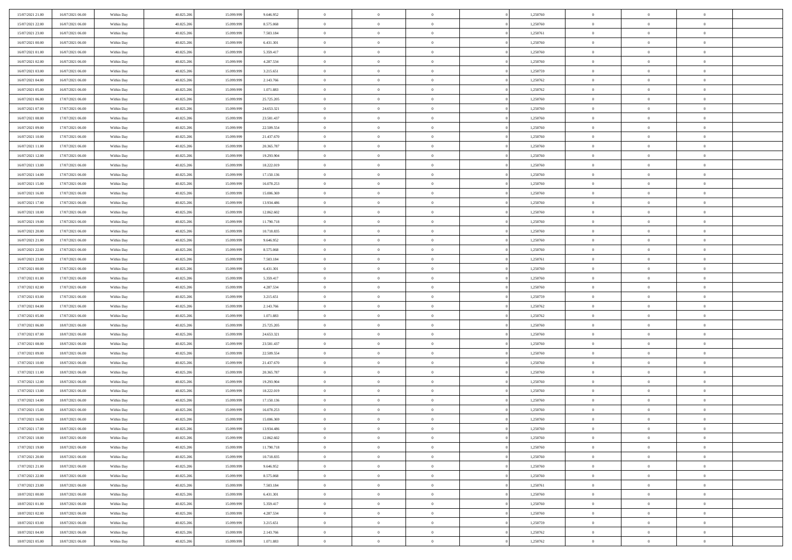| 15/07/2021 21:00 | 16/07/2021 06:00 | Within Day               | 40.825.206 | 15.099.999 | 9.646.952  | $\bf{0}$       | $\bf{0}$                         | $\theta$       |          | 1,250760 | $\bf{0}$       | $\overline{0}$ | $\,0\,$        |  |
|------------------|------------------|--------------------------|------------|------------|------------|----------------|----------------------------------|----------------|----------|----------|----------------|----------------|----------------|--|
| 15/07/2021 22:00 | 16/07/2021 06:00 | Within Day               | 40.825.206 | 15.099.999 | 8.575.068  | $\overline{0}$ | $\overline{0}$                   | $\overline{0}$ |          | 1,250760 | $\overline{0}$ | $\overline{0}$ | $\theta$       |  |
| 15/07/2021 23:00 | 16/07/2021 06:00 | Within Dav               | 40.825.206 | 15.099.999 | 7.503.184  | $\mathbf{0}$   | $\overline{0}$                   | $\overline{0}$ |          | 1,250761 | $\mathbf{0}$   | $\overline{0}$ | $\overline{0}$ |  |
| 16/07/2021 00:00 | 16/07/2021 06:00 | Within Day               | 40.825.206 | 15.099.999 | 6.431.301  | $\bf{0}$       | $\overline{0}$                   | $\overline{0}$ |          | 1,250760 | $\bf{0}$       | $\overline{0}$ | $\bf{0}$       |  |
| 16/07/2021 01:00 | 16/07/2021 06:00 | Within Day               | 40.825.206 | 15.099.999 | 5.359.417  | $\bf{0}$       | $\bf{0}$                         | $\overline{0}$ |          | 1,250760 | $\bf{0}$       | $\bf{0}$       | $\,0\,$        |  |
| 16/07/2021 02:00 | 16/07/2021 06:00 | Within Dav               | 40.825.206 | 15.099.999 | 4.287.534  | $\overline{0}$ | $\overline{0}$                   | $\overline{0}$ |          | 1,250760 | $\mathbf{0}$   | $\overline{0}$ | $\overline{0}$ |  |
| 16/07/2021 03:00 | 16/07/2021 06:00 | Within Day               | 40.825.206 | 15.099.999 | 3.215.651  | $\bf{0}$       | $\bf{0}$                         | $\overline{0}$ |          | 1,250759 | $\bf{0}$       | $\overline{0}$ | $\,0\,$        |  |
| 16/07/2021 04:00 | 16/07/2021 06:00 | Within Day               | 40.825.206 | 15.099.999 | 2.143.766  | $\overline{0}$ | $\overline{0}$                   | $\overline{0}$ |          | 1,250762 | $\,$ 0 $\,$    | $\overline{0}$ | $\overline{0}$ |  |
| 16/07/2021 05:00 | 16/07/2021 06:00 | Within Day               | 40.825.206 | 15.099.999 | 1.071.883  | $\mathbf{0}$   | $\overline{0}$                   | $\overline{0}$ |          | 1,250762 | $\mathbf{0}$   | $\overline{0}$ | $\overline{0}$ |  |
| 16/07/2021 06:00 | 17/07/2021 06:00 | Within Day               | 40.825.206 | 15.099.999 | 25.725.205 | $\bf{0}$       | $\bf{0}$                         | $\overline{0}$ |          | 1,250760 | $\bf{0}$       | $\overline{0}$ | $\,0\,$        |  |
| 16/07/2021 07:00 | 17/07/2021 06:00 |                          | 40.825.206 | 15,099,999 | 24.653.321 | $\bf{0}$       | $\overline{0}$                   | $\overline{0}$ |          | 1,250760 | $\bf{0}$       | $\overline{0}$ | $\overline{0}$ |  |
| 16/07/2021 08:00 | 17/07/2021 06:00 | Within Day<br>Within Dav | 40.825.206 | 15.099.999 | 23.581.437 | $\mathbf{0}$   | $\overline{0}$                   | $\overline{0}$ |          | 1,250760 | $\mathbf{0}$   | $\overline{0}$ | $\overline{0}$ |  |
|                  | 17/07/2021 06:00 |                          |            |            |            | $\bf{0}$       |                                  |                |          |          | $\bf{0}$       |                |                |  |
| 16/07/2021 09:00 |                  | Within Day               | 40.825.206 | 15.099.999 | 22.509.554 |                | $\overline{0}$<br>$\overline{0}$ | $\bf{0}$       |          | 1,250760 |                | $\overline{0}$ | $\bf{0}$       |  |
| 16/07/2021 10:00 | 17/07/2021 06:00 | Within Day               | 40.825.206 | 15.099.999 | 21.437.670 | $\bf{0}$       |                                  | $\overline{0}$ |          | 1,250760 | $\bf{0}$       | $\bf{0}$       | $\,0\,$        |  |
| 16/07/2021 11:00 | 17/07/2021 06:00 | Within Dav               | 40.825.206 | 15.099.999 | 20.365.787 | $\overline{0}$ | $\overline{0}$                   | $\overline{0}$ |          | 1,250760 | $\mathbf{0}$   | $\overline{0}$ | $\overline{0}$ |  |
| 16/07/2021 12:00 | 17/07/2021 06:00 | Within Day               | 40.825.206 | 15.099.999 | 19.293.904 | $\bf{0}$       | $\bf{0}$                         | $\overline{0}$ |          | 1,250760 | $\bf{0}$       | $\overline{0}$ | $\bf{0}$       |  |
| 16/07/2021 13:00 | 17/07/2021 06:00 | Within Day               | 40.825.206 | 15.099.999 | 18.222.019 | $\overline{0}$ | $\overline{0}$                   | $\overline{0}$ |          | 1,250760 | $\bf{0}$       | $\overline{0}$ | $\theta$       |  |
| 16/07/2021 14:00 | 17/07/2021 06:00 | Within Day               | 40.825.206 | 15.099.999 | 17.150.136 | $\mathbf{0}$   | $\overline{0}$                   | $\overline{0}$ |          | 1,250760 | $\mathbf{0}$   | $\overline{0}$ | $\overline{0}$ |  |
| 16/07/2021 15:00 | 17/07/2021 06:00 | Within Day               | 40.825.206 | 15.099.999 | 16.078.253 | $\bf{0}$       | $\bf{0}$                         | $\overline{0}$ |          | 1,250760 | $\bf{0}$       | $\overline{0}$ | $\,0\,$        |  |
| 16/07/2021 16:00 | 17/07/2021 06:00 | Within Day               | 40.825.206 | 15.099.999 | 15.006.369 | $\overline{0}$ | $\overline{0}$                   | $\overline{0}$ |          | 1,250760 | $\bf{0}$       | $\overline{0}$ | $\overline{0}$ |  |
| 16/07/2021 17:00 | 17/07/2021 06:00 | Within Dav               | 40.825.206 | 15.099.999 | 13.934.486 | $\mathbf{0}$   | $\overline{0}$                   | $\overline{0}$ |          | 1,250760 | $\mathbf{0}$   | $\overline{0}$ | $\overline{0}$ |  |
| 16/07/2021 18:00 | 17/07/2021 06:00 | Within Day               | 40.825.206 | 15.099.999 | 12.862.602 | $\bf{0}$       | $\overline{0}$                   | $\overline{0}$ |          | 1,250760 | $\bf{0}$       | $\overline{0}$ | $\bf{0}$       |  |
| 16/07/2021 19:00 | 17/07/2021 06:00 | Within Day               | 40.825.206 | 15.099.999 | 11.790.718 | $\bf{0}$       | $\bf{0}$                         | $\overline{0}$ |          | 1,250760 | $\bf{0}$       | $\bf{0}$       | $\,0\,$        |  |
| 16/07/2021 20:00 | 17/07/2021 06:00 | Within Dav               | 40.825.206 | 15.099.999 | 10.718.835 | $\mathbf{0}$   | $\overline{0}$                   | $\overline{0}$ |          | 1,250760 | $\mathbf{0}$   | $\overline{0}$ | $\overline{0}$ |  |
| 16/07/2021 21:00 | 17/07/2021 06:00 | Within Day               | 40.825.206 | 15.099.999 | 9.646.952  | $\bf{0}$       | $\bf{0}$                         | $\overline{0}$ |          | 1,250760 | $\bf{0}$       | $\overline{0}$ | $\bf{0}$       |  |
| 16/07/2021 22:00 | 17/07/2021 06:00 | Within Day               | 40.825.206 | 15.099.999 | 8.575.068  | $\overline{0}$ | $\overline{0}$                   | $\overline{0}$ |          | 1,250760 | $\bf{0}$       | $\mathbf{0}$   | $\overline{0}$ |  |
| 16/07/2021 23:00 | 17/07/2021 06:00 | Within Dav               | 40.825.206 | 15.099.999 | 7.503.184  | $\mathbf{0}$   | $\overline{0}$                   | $\overline{0}$ |          | 1,250761 | $\mathbf{0}$   | $\overline{0}$ | $\overline{0}$ |  |
| 17/07/2021 00:00 | 17/07/2021 06:00 | Within Day               | 40.825.206 | 15.099.999 | 6.431.301  | $\bf{0}$       | $\bf{0}$                         | $\overline{0}$ |          | 1,250760 | $\bf{0}$       | $\overline{0}$ | $\,0\,$        |  |
| 17/07/2021 01:00 | 17/07/2021 06:00 | Within Day               | 40.825.206 | 15,099,999 | 5.359.417  | $\bf{0}$       | $\bf{0}$                         | $\overline{0}$ |          | 1,250760 | $\bf{0}$       | $\bf{0}$       | $\overline{0}$ |  |
| 17/07/2021 02:00 | 17/07/2021 06:00 | Within Dav               | 40.825.206 | 15.099.999 | 4.287.534  | $\mathbf{0}$   | $\overline{0}$                   | $\overline{0}$ |          | 1,250760 | $\mathbf{0}$   | $\overline{0}$ | $\overline{0}$ |  |
| 17/07/2021 03:00 | 17/07/2021 06:00 | Within Day               | 40.825.206 | 15.099.999 | 3.215.651  | $\bf{0}$       | $\overline{0}$                   | $\theta$       |          | 1,250759 | $\,$ 0         | $\overline{0}$ | $\theta$       |  |
| 17/07/2021 04:00 | 17/07/2021 06:00 | Within Day               | 40.825.206 | 15.099.999 | 2.143.766  | $\bf{0}$       | $\bf{0}$                         | $\overline{0}$ |          | 1,250762 | $\bf{0}$       | $\overline{0}$ | $\overline{0}$ |  |
| 17/07/2021 05:00 | 17/07/2021 06:00 | Within Dav               | 40.825.206 | 15.099.999 | 1.071.883  | $\overline{0}$ | $\overline{0}$                   | $\overline{0}$ |          | 1,250762 | $\mathbf{0}$   | $\overline{0}$ | $\overline{0}$ |  |
| 17/07/2021 06:00 | 18/07/2021 06:00 | Within Day               | 40.825.206 | 15.099.999 | 25.725.205 | $\bf{0}$       | $\overline{0}$                   | $\theta$       |          | 1,250760 | $\,$ 0         | $\overline{0}$ | $\theta$       |  |
| 17/07/2021 07:00 | 18/07/2021 06:00 | Within Day               | 40.825.206 | 15.099.999 | 24.653.321 | $\bf{0}$       | $\overline{0}$                   | $\overline{0}$ |          | 1,250760 | $\bf{0}$       | $\overline{0}$ | $\overline{0}$ |  |
| 17/07/2021 08:00 | 18/07/2021 06:00 | Within Day               | 40.825.206 | 15.099.999 | 23.581.437 | $\mathbf{0}$   | $\overline{0}$                   | $\overline{0}$ |          | 1,250760 | $\mathbf{0}$   | $\overline{0}$ | $\overline{0}$ |  |
| 17/07/2021 09:00 | 18/07/2021 06:00 | Within Day               | 40.825.206 | 15.099.999 | 22.509.554 | $\bf{0}$       | $\overline{0}$                   | $\overline{0}$ |          | 1,250760 | $\,$ 0         | $\overline{0}$ | $\theta$       |  |
| 17/07/2021 10:00 | 18/07/2021 06:00 | Within Day               | 40.825.206 | 15.099.999 | 21.437.670 | $\bf{0}$       | $\overline{0}$                   | $\overline{0}$ |          | 1,250760 | $\bf{0}$       | $\overline{0}$ | $\overline{0}$ |  |
| 17/07/2021 11:00 | 18/07/2021 06:00 | Within Dav               | 40.825.206 | 15.099.999 | 20.365.787 | $\mathbf{0}$   | $\overline{0}$                   | $\overline{0}$ |          | 1,250760 | $\mathbf{0}$   | $\overline{0}$ | $\overline{0}$ |  |
| 17/07/2021 12:00 | 18/07/2021 06:00 | Within Day               | 40.825.206 | 15.099.999 | 19.293.904 | $\,0\,$        | $\overline{0}$                   | $\overline{0}$ |          | 1,250760 | $\,$ 0         | $\overline{0}$ | $\theta$       |  |
| 17/07/2021 13:00 | 18/07/2021 06:00 | Within Day               | 40.825.206 | 15.099.999 | 18.222.019 | $\bf{0}$       | $\overline{0}$                   | $\overline{0}$ |          | 1,250760 | $\bf{0}$       | $\overline{0}$ | $\overline{0}$ |  |
| 17/07/2021 14:00 | 18/07/2021 06:00 | Within Dav               | 40.825.206 | 15.099.999 | 17.150.136 | $\mathbf{0}$   | $\overline{0}$                   | $\overline{0}$ |          | 1,250760 | $\mathbf{0}$   | $\overline{0}$ | $\overline{0}$ |  |
| 17/07/2021 15:00 | 18/07/2021 06:00 | Within Day               | 40.825.206 | 15.099.999 | 16.078.253 | $\bf{0}$       | $\overline{0}$                   | $\overline{0}$ |          | 1,250760 | $\,$ 0         | $\overline{0}$ | $\theta$       |  |
| 17/07/2021 16:00 | 18/07/2021 06:00 | Within Day               | 40.825.206 | 15.099.999 | 15.006.369 | $\bf{0}$       | $\overline{0}$                   | $\overline{0}$ |          | 1,250760 | $\bf{0}$       | $\overline{0}$ | $\overline{0}$ |  |
| 17/07/2021 17:00 | 18/07/2021 06:00 | Within Day               | 40.825.206 | 15.099.999 | 13.934.486 | $\bf{0}$       | $\overline{0}$                   | $\Omega$       |          | 1,250760 | $\overline{0}$ | $\theta$       | $\theta$       |  |
| 17/07/2021 18:00 | 18/07/2021 06:00 | Within Day               | 40.825.206 | 15.099.999 | 12.862.602 | $\,0\,$        | $\overline{0}$                   | $\overline{0}$ |          | 1,250760 | $\,$ 0 $\,$    | $\bf{0}$       | $\theta$       |  |
| 17/07/2021 19:00 | 18/07/2021 06:00 | Within Day               | 40.825.206 | 15.099.999 | 11.790.718 | $\overline{0}$ | $\overline{0}$                   | $\overline{0}$ |          | 1,250760 | $\overline{0}$ | $\overline{0}$ | $\overline{0}$ |  |
| 17/07/2021 20:00 | 18/07/2021 06:00 | Within Day               | 40.825.206 | 15.099.999 | 10.718.835 | $\bf{0}$       | $\overline{0}$                   | $\overline{0}$ |          | 1,250760 | $\overline{0}$ | $\bf{0}$       | $\overline{0}$ |  |
| 17/07/2021 21:00 | 18/07/2021 06:00 | Within Day               | 40.825.206 | 15.099.999 | 9.646.952  | $\bf{0}$       | $\overline{0}$                   | $\overline{0}$ | $\theta$ | 1,250760 | $\mathbf{0}$   | $\bf{0}$       | $\,$ 0 $\,$    |  |
| 17/07/2021 22:00 | 18/07/2021 06:00 | Within Day               | 40.825.206 | 15.099.999 | 8.575.068  | $\overline{0}$ | $\overline{0}$                   | $\overline{0}$ |          | 1,250760 | $\,$ 0 $\,$    | $\overline{0}$ | $\overline{0}$ |  |
| 17/07/2021 23:00 | 18/07/2021 06:00 | Within Day               | 40.825.206 | 15.099.999 | 7.503.184  | $\bf{0}$       | $\overline{0}$                   | $\overline{0}$ |          | 1,250761 | $\mathbf{0}$   | $\overline{0}$ | $\overline{0}$ |  |
| 18/07/2021 00:00 | 18/07/2021 06:00 | Within Day               | 40.825.206 | 15.099.999 | 6.431.301  | $\,$ 0 $\,$    | $\overline{0}$                   | $\overline{0}$ | $\theta$ | 1,250760 | $\,$ 0 $\,$    | $\mathbf{0}$   | $\overline{0}$ |  |
| 18/07/2021 01:00 | 18/07/2021 06:00 | Within Day               | 40.825.206 | 15.099.999 | 5.359.417  | $\bf{0}$       | $\overline{0}$                   | $\overline{0}$ |          | 1,250760 | $\overline{0}$ | $\overline{0}$ | $\overline{0}$ |  |
| 18/07/2021 02:00 | 18/07/2021 06:00 | Within Day               | 40.825.206 | 15.099.999 | 4.287.534  | $\bf{0}$       | $\overline{0}$                   | $\overline{0}$ |          | 1,250760 | $\mathbf{0}$   | $\bf{0}$       | $\overline{0}$ |  |
| 18/07/2021 03:00 | 18/07/2021 06:00 | Within Day               | 40.825.206 | 15.099.999 | 3.215.651  | $\,$ 0 $\,$    | $\overline{0}$                   | $\overline{0}$ |          | 1,250759 | $\,$ 0 $\,$    | $\mathbf{0}$   | $\overline{0}$ |  |
|                  |                  | Within Day               |            |            |            |                |                                  |                |          |          |                | $\mathbf{0}$   |                |  |
| 18/07/2021 04:00 | 18/07/2021 06:00 |                          | 40.825.206 | 15.099.999 | 2.143.766  | $\overline{0}$ | $\overline{0}$                   | $\overline{0}$ |          | 1,250762 | $\bf{0}$       |                | $\overline{0}$ |  |
| 18/07/2021 05:00 | 18/07/2021 06:00 | Within Day               | 40.825.206 | 15.099.999 | 1.071.883  | $\bf{0}$       | $\overline{0}$                   | $\overline{0}$ |          | 1,250762 | $\mathbf{0}$   | $\overline{0}$ | $\overline{0}$ |  |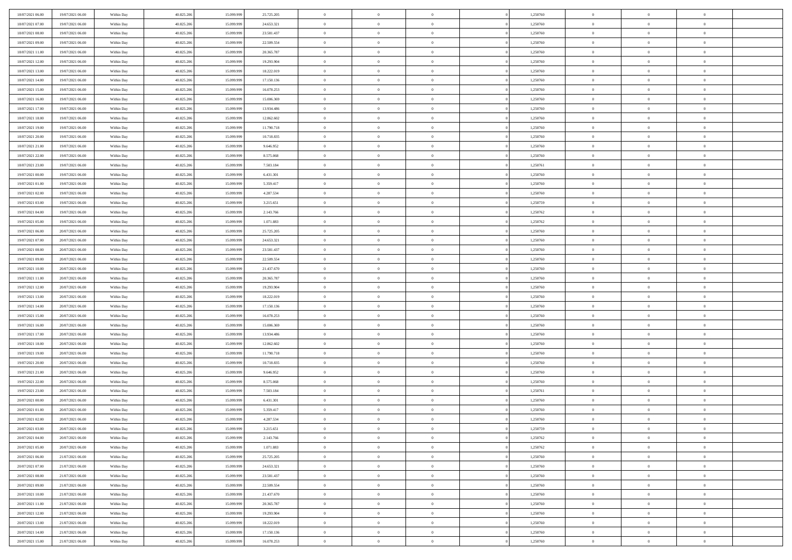| 18/07/2021 06:00 | 19/07/2021 06:00 | Within Day               | 40.825.206 | 15.099.999 | 25.725.205 | $\bf{0}$       | $\bf{0}$                         | $\overline{0}$ |          | 1,250760 | $\bf{0}$       | $\overline{0}$                 | $\,0\,$        |  |
|------------------|------------------|--------------------------|------------|------------|------------|----------------|----------------------------------|----------------|----------|----------|----------------|--------------------------------|----------------|--|
| 18/07/2021 07:00 | 19/07/2021 06:00 | Within Day               | 40.825.206 | 15.099.999 | 24.653.321 | $\overline{0}$ | $\overline{0}$                   | $\overline{0}$ |          | 1,250760 | $\overline{0}$ | $\overline{0}$                 | $\theta$       |  |
| 18/07/2021 08:00 | 19/07/2021 06:00 | Within Dav               | 40.825.206 | 15.099.999 | 23.581.437 | $\mathbf{0}$   | $\overline{0}$                   | $\overline{0}$ |          | 1,250760 | $\mathbf{0}$   | $\overline{0}$                 | $\overline{0}$ |  |
| 18/07/2021 09:00 | 19/07/2021 06:00 | Within Day               | 40.825.206 | 15.099.999 | 22.509.554 | $\bf{0}$       | $\overline{0}$                   | $\overline{0}$ |          | 1,250760 | $\bf{0}$       | $\overline{0}$                 | $\bf{0}$       |  |
| 18/07/2021 11:00 | 19/07/2021 06:00 | Within Day               | 40.825.206 | 15.099.999 | 20.365.787 | $\bf{0}$       | $\bf{0}$                         | $\overline{0}$ |          | 1,250760 | $\bf{0}$       | $\bf{0}$                       | $\,0\,$        |  |
| 18/07/2021 12:00 | 19/07/2021 06:00 | Within Dav               | 40.825.206 | 15.099.999 | 19.293.904 | $\mathbf{0}$   | $\overline{0}$                   | $\overline{0}$ |          | 1,250760 | $\mathbf{0}$   | $\overline{0}$                 | $\overline{0}$ |  |
| 18/07/2021 13:00 | 19/07/2021 06:00 | Within Day               | 40.825.206 | 15.099.999 | 18.222.019 | $\bf{0}$       | $\bf{0}$                         | $\overline{0}$ |          | 1,250760 | $\bf{0}$       | $\overline{0}$                 | $\,0\,$        |  |
| 18/07/2021 14:00 | 19/07/2021 06:00 | Within Day               | 40.825.206 | 15.099.999 | 17.150.136 | $\overline{0}$ | $\overline{0}$                   | $\overline{0}$ |          | 1,250760 | $\,$ 0 $\,$    | $\overline{0}$                 | $\theta$       |  |
| 18/07/2021 15:00 | 19/07/2021 06:00 | Within Dav               | 40.825.206 | 15.099.999 | 16.078.253 | $\mathbf{0}$   | $\overline{0}$                   | $\overline{0}$ |          | 1,250760 | $\mathbf{0}$   | $\overline{0}$                 | $\overline{0}$ |  |
| 18/07/2021 16:00 | 19/07/2021 06:00 | Within Day               | 40.825.206 | 15.099.999 | 15.006.369 | $\bf{0}$       | $\bf{0}$                         | $\overline{0}$ |          | 1,250760 | $\bf{0}$       | $\overline{0}$                 | $\,0\,$        |  |
| 18/07/2021 17:00 | 19/07/2021 06:00 |                          | 40.825.206 | 15.099.999 | 13.934.486 | $\overline{0}$ | $\overline{0}$                   | $\overline{0}$ |          | 1,250760 | $\bf{0}$       | $\mathbf{0}$                   | $\theta$       |  |
| 18/07/2021 18:00 | 19/07/2021 06:00 | Within Day<br>Within Dav | 40.825.206 | 15.099.999 | 12.862.602 | $\mathbf{0}$   | $\overline{0}$                   | $\overline{0}$ |          | 1,250760 | $\mathbf{0}$   | $\overline{0}$                 | $\overline{0}$ |  |
|                  |                  |                          |            |            |            | $\bf{0}$       |                                  |                |          |          | $\bf{0}$       |                                |                |  |
| 18/07/2021 19:00 | 19/07/2021 06:00 | Within Day               | 40.825.206 | 15.099.999 | 11.790.718 |                | $\overline{0}$<br>$\overline{0}$ | $\bf{0}$       |          | 1,250760 |                | $\overline{0}$<br>$\mathbf{0}$ | $\overline{0}$ |  |
| 18/07/2021 20:00 | 19/07/2021 06:00 | Within Day               | 40.825.206 | 15.099.999 | 10.718.835 | $\bf{0}$       |                                  | $\overline{0}$ |          | 1,250760 | $\bf{0}$       |                                | $\,0\,$        |  |
| 18/07/2021 21:00 | 19/07/2021 06:00 | Within Dav               | 40.825.206 | 15.099.999 | 9.646.952  | $\overline{0}$ | $\overline{0}$                   | $\overline{0}$ |          | 1,250760 | $\mathbf{0}$   | $\overline{0}$                 | $\overline{0}$ |  |
| 18/07/2021 22:00 | 19/07/2021 06:00 | Within Day               | 40.825.206 | 15.099.999 | 8.575.068  | $\bf{0}$       | $\bf{0}$                         | $\overline{0}$ |          | 1,250760 | $\bf{0}$       | $\overline{0}$                 | $\bf{0}$       |  |
| 18/07/2021 23:00 | 19/07/2021 06:00 | Within Day               | 40.825.206 | 15.099.999 | 7.503.184  | $\overline{0}$ | $\overline{0}$                   | $\overline{0}$ |          | 1,250761 | $\bf{0}$       | $\overline{0}$                 | $\theta$       |  |
| 19/07/2021 00:00 | 19/07/2021 06:00 | Within Day               | 40.825.206 | 15.099.999 | 6.431.301  | $\mathbf{0}$   | $\overline{0}$                   | $\overline{0}$ |          | 1,250760 | $\mathbf{0}$   | $\overline{0}$                 | $\overline{0}$ |  |
| 19/07/2021 01:00 | 19/07/2021 06:00 | Within Day               | 40.825.206 | 15.099.999 | 5.359.417  | $\bf{0}$       | $\bf{0}$                         | $\overline{0}$ |          | 1,250760 | $\bf{0}$       | $\overline{0}$                 | $\,0\,$        |  |
| 19/07/2021 02:00 | 19/07/2021 06:00 | Within Day               | 40.825.206 | 15.099.999 | 4.287.534  | $\overline{0}$ | $\overline{0}$                   | $\overline{0}$ |          | 1,250760 | $\bf{0}$       | $\overline{0}$                 | $\overline{0}$ |  |
| 19/07/2021 03:00 | 19/07/2021 06:00 | Within Dav               | 40.825.206 | 15.099.999 | 3.215.651  | $\mathbf{0}$   | $\overline{0}$                   | $\overline{0}$ |          | 1,250759 | $\mathbf{0}$   | $\overline{0}$                 | $\overline{0}$ |  |
| 19/07/2021 04:00 | 19/07/2021 06:00 | Within Day               | 40.825.206 | 15.099.999 | 2.143.766  | $\bf{0}$       | $\overline{0}$                   | $\overline{0}$ |          | 1,250762 | $\bf{0}$       | $\overline{0}$                 | $\bf{0}$       |  |
| 19/07/2021 05:00 | 19/07/2021 06:00 | Within Day               | 40.825.206 | 15.099.999 | 1.071.883  | $\bf{0}$       | $\bf{0}$                         | $\overline{0}$ |          | 1,250762 | $\bf{0}$       | $\overline{0}$                 | $\,0\,$        |  |
| 19/07/2021 06:00 | 20/07/2021 06:00 | Within Dav               | 40.825.206 | 15.099.999 | 25.725.205 | $\mathbf{0}$   | $\overline{0}$                   | $\overline{0}$ |          | 1,250760 | $\mathbf{0}$   | $\overline{0}$                 | $\overline{0}$ |  |
| 19/07/2021 07:00 | 20/07/2021 06:00 | Within Day               | 40.825.206 | 15.099.999 | 24.653.321 | $\bf{0}$       | $\bf{0}$                         | $\overline{0}$ |          | 1,250760 | $\bf{0}$       | $\overline{0}$                 | $\,0\,$        |  |
| 19/07/2021 08:00 | 20/07/2021 06:00 | Within Day               | 40.825.206 | 15.099.999 | 23.581.437 | $\overline{0}$ | $\overline{0}$                   | $\overline{0}$ |          | 1,250760 | $\bf{0}$       | $\mathbf{0}$                   | $\overline{0}$ |  |
| 19/07/2021 09:00 | 20/07/2021 06:00 | Within Dav               | 40.825.206 | 15.099.999 | 22.509.554 | $\mathbf{0}$   | $\overline{0}$                   | $\overline{0}$ |          | 1,250760 | $\mathbf{0}$   | $\overline{0}$                 | $\overline{0}$ |  |
| 19/07/2021 10:00 | 20/07/2021 06:00 | Within Day               | 40.825.206 | 15.099.999 | 21.437.670 | $\bf{0}$       | $\bf{0}$                         | $\overline{0}$ |          | 1,250760 | $\bf{0}$       | $\overline{0}$                 | $\,0\,$        |  |
| 19/07/2021 11:00 | 20/07/2021 06:00 | Within Day               | 40.825.206 | 15.099.999 | 20.365.787 | $\bf{0}$       | $\bf{0}$                         | $\overline{0}$ |          | 1,250760 | $\bf{0}$       | $\overline{0}$                 | $\overline{0}$ |  |
| 19/07/2021 12:00 | 20/07/2021 06:00 | Within Dav               | 40.825.206 | 15.099.999 | 19.293.904 | $\mathbf{0}$   | $\overline{0}$                   | $\overline{0}$ |          | 1,250760 | $\mathbf{0}$   | $\overline{0}$                 | $\overline{0}$ |  |
| 19/07/2021 13:00 | 20/07/2021 06:00 | Within Day               | 40.825.206 | 15.099.999 | 18.222.019 | $\bf{0}$       | $\overline{0}$                   | $\theta$       |          | 1,250760 | $\,$ 0         | $\overline{0}$                 | $\theta$       |  |
| 19/07/2021 14:00 | 20/07/2021 06:00 | Within Day               | 40.825.206 | 15.099.999 | 17.150.136 | $\bf{0}$       | $\bf{0}$                         | $\overline{0}$ |          | 1,250760 | $\bf{0}$       | $\overline{0}$                 | $\overline{0}$ |  |
| 19/07/2021 15:00 | 20/07/2021 06:00 | Within Dav               | 40.825.206 | 15.099.999 | 16.078.253 | $\mathbf{0}$   | $\overline{0}$                   | $\overline{0}$ |          | 1,250760 | $\mathbf{0}$   | $\overline{0}$                 | $\overline{0}$ |  |
| 19/07/2021 16:00 | 20/07/2021 06:00 | Within Day               | 40.825.206 | 15.099.999 | 15.006.369 | $\bf{0}$       | $\overline{0}$                   | $\theta$       |          | 1,250760 | $\,$ 0         | $\overline{0}$                 | $\theta$       |  |
| 19/07/2021 17:00 | 20/07/2021 06:00 | Within Day               | 40.825.206 | 15.099.999 | 13.934.486 | $\overline{0}$ | $\overline{0}$                   | $\overline{0}$ |          | 1,250760 | $\bf{0}$       | $\overline{0}$                 | $\overline{0}$ |  |
| 19/07/2021 18:00 | 20/07/2021 06:00 | Within Day               | 40.825.206 | 15.099.999 | 12.862.602 | $\mathbf{0}$   | $\overline{0}$                   | $\overline{0}$ |          | 1,250760 | $\mathbf{0}$   | $\overline{0}$                 | $\overline{0}$ |  |
| 19/07/2021 19:00 | 20/07/2021 06:00 | Within Day               | 40.825.206 | 15.099.999 | 11.790.718 | $\bf{0}$       | $\overline{0}$                   | $\theta$       |          | 1,250760 | $\,$ 0         | $\overline{0}$                 | $\theta$       |  |
| 19/07/2021 20:00 | 20/07/2021 06:00 | Within Day               | 40.825.206 | 15.099.999 | 10.718.835 | $\bf{0}$       | $\overline{0}$                   | $\overline{0}$ |          | 1,250760 | $\bf{0}$       | $\overline{0}$                 | $\overline{0}$ |  |
| 19/07/2021 21:00 | 20/07/2021 06:00 | Within Dav               | 40.825.206 | 15.099.999 | 9.646.952  | $\mathbf{0}$   | $\overline{0}$                   | $\overline{0}$ |          | 1,250760 | $\mathbf{0}$   | $\overline{0}$                 | $\overline{0}$ |  |
| 19/07/2021 22:00 | 20/07/2021 06:00 | Within Day               | 40.825.206 | 15.099.999 | 8.575.068  | $\,0\,$        | $\overline{0}$                   | $\theta$       |          | 1,250760 | $\,$ 0         | $\overline{0}$                 | $\theta$       |  |
| 19/07/2021 23:00 | 20/07/2021 06:00 | Within Day               | 40.825.206 | 15.099.999 | 7.503.184  | $\bf{0}$       | $\bf{0}$                         | $\overline{0}$ |          | 1,250761 | $\bf{0}$       | $\overline{0}$                 | $\bf{0}$       |  |
| 20/07/2021 00:00 | 20/07/2021 06:00 | Within Dav               | 40.825.206 | 15.099.999 | 6.431.301  | $\mathbf{0}$   | $\overline{0}$                   | $\overline{0}$ |          | 1,250760 | $\mathbf{0}$   | $\overline{0}$                 | $\overline{0}$ |  |
| 20/07/2021 01:00 | 20/07/2021 06:00 | Within Day               | 40.825.206 | 15.099.999 | 5.359.417  | $\bf{0}$       | $\overline{0}$                   | $\theta$       |          | 1,250760 | $\,$ 0         | $\overline{0}$                 | $\theta$       |  |
| 20/07/2021 02:00 | 20/07/2021 06:00 | Within Day               | 40.825.206 | 15.099.999 | 4.287.534  | $\bf{0}$       | $\overline{0}$                   | $\overline{0}$ |          | 1,250760 | $\bf{0}$       | $\overline{0}$                 | $\bf{0}$       |  |
| 20/07/2021 03:00 | 20/07/2021 06:00 | Within Day               | 40.825.206 | 15.099.999 | 3.215.651  | $\bf{0}$       | $\overline{0}$                   |                |          | 1,250759 | $\overline{0}$ | $\theta$                       | $\theta$       |  |
| 20/07/2021 04:00 | 20/07/2021 06:00 | Within Day               | 40.825.206 | 15.099.999 | 2.143.766  | $\,0\,$        | $\overline{0}$                   | $\theta$       |          | 1,250762 | $\,$ 0 $\,$    | $\bf{0}$                       | $\theta$       |  |
| 20/07/2021 05:00 | 20/07/2021 06:00 | Within Day               | 40.825.206 | 15.099.999 | 1.071.883  | $\overline{0}$ | $\overline{0}$                   | $\overline{0}$ |          | 1,250762 | $\overline{0}$ | $\overline{0}$                 | $\overline{0}$ |  |
| 20/07/2021 06:00 | 21/07/2021 06:00 | Within Day               | 40.825.206 | 15.099.999 | 25.725.205 | $\bf{0}$       | $\overline{0}$                   | $\overline{0}$ |          | 1,250760 | $\overline{0}$ | $\bf{0}$                       | $\overline{0}$ |  |
| 20/07/2021 07:00 | 21/07/2021 06:00 | Within Day               | 40.825.206 | 15.099.999 | 24.653.321 | $\bf{0}$       | $\overline{0}$                   | $\overline{0}$ | $\theta$ | 1,250760 | $\mathbf{0}$   | $\bf{0}$                       | $\,$ 0 $\,$    |  |
| 20/07/2021 08:00 | 21/07/2021 06:00 | Within Day               | 40.825.206 | 15.099.999 | 23.581.437 | $\bf{0}$       | $\overline{0}$                   | $\overline{0}$ |          | 1,250760 | $\,$ 0 $\,$    | $\overline{0}$                 | $\overline{0}$ |  |
| 20/07/2021 09:00 | 21/07/2021 06:00 | Within Day               | 40.825.206 | 15.099.999 | 22.509.554 | $\bf{0}$       | $\overline{0}$                   | $\overline{0}$ |          | 1,250760 | $\mathbf{0}$   | $\overline{0}$                 | $\overline{0}$ |  |
| 20/07/2021 10:00 | 21/07/2021 06:00 | Within Day               | 40.825.206 | 15.099.999 | 21.437.670 | $\,$ 0 $\,$    | $\overline{0}$                   | $\overline{0}$ | $\theta$ | 1,250760 | $\mathbf{0}$   | $\mathbf{0}$                   | $\,$ 0 $\,$    |  |
| 20/07/2021 11:00 | 21/07/2021 06:00 | Within Day               | 40.825.206 | 15.099.999 | 20.365.787 | $\bf{0}$       | $\overline{0}$                   | $\overline{0}$ |          | 1,250760 | $\,$ 0 $\,$    | $\overline{0}$                 | $\overline{0}$ |  |
| 20/07/2021 12:00 | 21/07/2021 06:00 | Within Day               | 40.825.206 | 15.099.999 | 19.293.904 | $\bf{0}$       | $\overline{0}$                   | $\overline{0}$ |          | 1,250760 | $\overline{0}$ | $\bf{0}$                       | $\overline{0}$ |  |
| 20/07/2021 13:00 | 21/07/2021 06:00 | Within Day               | 40.825.206 | 15.099.999 | 18.222.019 | $\,0\,$        | $\overline{0}$                   | $\overline{0}$ |          | 1,250760 | $\mathbf{0}$   | $\mathbf{0}$                   | $\,$ 0 $\,$    |  |
| 20/07/2021 14:00 | 21/07/2021 06:00 | Within Day               | 40.825.206 | 15.099.999 | 17.150.136 | $\bf{0}$       | $\overline{0}$                   | $\overline{0}$ |          | 1,250760 | $\mathbf 0$    | $\overline{0}$                 | $\overline{0}$ |  |
| 20/07/2021 15:00 | 21/07/2021 06:00 | Within Day               | 40.825.206 | 15.099.999 | 16.078.253 | $\bf{0}$       | $\overline{0}$                   | $\overline{0}$ |          | 1,250760 | $\mathbf{0}$   | $\overline{0}$                 | $\overline{0}$ |  |
|                  |                  |                          |            |            |            |                |                                  |                |          |          |                |                                |                |  |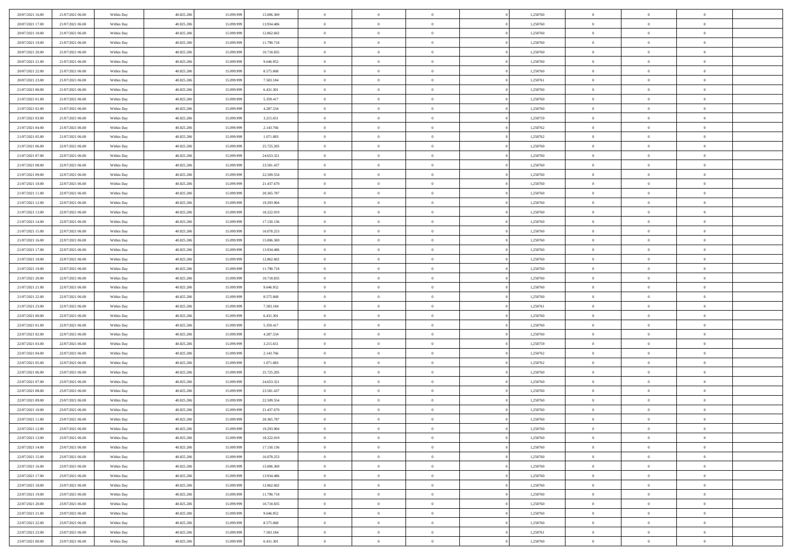| 20/07/2021 16:00                     | 21/07/2021 06:00                     | Within Day               | 40.825.206               | 15.099.999               | 15.006.369               | $\,0\,$                      | $\overline{0}$                   | $\bf{0}$                   |                | 1,250760             | $\,$ 0 $\,$             | $\overline{0}$                   | $\bf{0}$                   |  |
|--------------------------------------|--------------------------------------|--------------------------|--------------------------|--------------------------|--------------------------|------------------------------|----------------------------------|----------------------------|----------------|----------------------|-------------------------|----------------------------------|----------------------------|--|
| 20/07/2021 17:00                     | 21/07/2021 06:00                     | Within Day               | 40.825.206               | 15.099.99                | 13.934.486               | $\overline{0}$               | $\overline{0}$                   | $\overline{0}$             |                | 1,250760             | $\theta$                | $\overline{0}$                   | $\overline{0}$             |  |
| 20/07/2021 18:00                     | 21/07/2021 06:00                     | Within Day               | 40.825.206               | 15.099.999               | 12.862.602               | $\mathbf{0}$                 | $\overline{0}$                   | $\overline{0}$             |                | 1,250760             | $\theta$                | $\overline{0}$                   | $\overline{0}$             |  |
| 20/07/2021 19:00                     | 21/07/2021 06:00                     | Within Day               | 40.825.206               | 15.099.999               | 11.790.718               | $\bf{0}$                     | $\overline{0}$                   | $\overline{0}$             |                | 1,250760             | $\bf{0}$                | $\overline{0}$                   | $\bf{0}$                   |  |
| 20/07/2021 20:00                     | 21/07/2021 06:00                     | Within Day               | 40.825.206               | 15.099.999               | 10.718.835               | $\overline{0}$               | $\overline{0}$                   | $\overline{0}$             |                | 1,250760             | $\bf{0}$                | $\bf{0}$                         | $\bf{0}$                   |  |
| 20/07/2021 21:00                     | 21/07/2021 06:00                     | Within Day               | 40.825.206               | 15.099.999               | 9.646.952                | $\mathbf{0}$                 | $\overline{0}$                   | $\overline{0}$             |                | 1,250760             | $\theta$                | $\overline{0}$                   | $\theta$                   |  |
| 20/07/2021 22:00                     | 21/07/2021 06:00                     | Within Day               | 40.825.206               | 15.099.999               | 8.575.068                | $\,0\,$                      | $\overline{0}$                   | $\overline{0}$             |                | 1,250760             | $\bf{0}$                | $\overline{0}$                   | $\theta$                   |  |
| 20/07/2021 23:00                     | 21/07/2021 06:00                     | Within Day               | 40.825.206               | 15.099.999               | 7.503.184                | $\overline{0}$               | $\mathbf{0}$                     | $\overline{0}$             |                | 1,250761             | $\,$ 0 $\,$             | $\overline{0}$                   | $\theta$                   |  |
| 21/07/2021 00:00                     | 21/07/2021 06:00                     | Within Day               | 40.825.206               | 15.099.999               | 6.431.301                | $\mathbf{0}$                 | $\overline{0}$                   | $\overline{0}$             |                | 1,250760             | $\theta$                | $\overline{0}$                   | $\overline{0}$             |  |
| 21/07/2021 01:00                     | 21/07/2021 06:00                     | Within Day               | 40.825.206               | 15.099.999               | 5.359.417                | $\bf{0}$                     | $\overline{0}$                   | $\overline{0}$             |                | 1,250760             | $\mathbf{0}$            | $\overline{0}$                   | $\bf{0}$                   |  |
| 21/07/2021 02:00                     | 21/07/2021 06:00                     | Within Day               | 40.825.206               | 15.099.999               | 4.287.534                | $\bf{0}$                     | $\overline{0}$                   | $\overline{0}$             |                | 1,250760             | $\bf{0}$                | $\theta$                         | $\bf{0}$                   |  |
| 21/07/2021 03:00                     | 21/07/2021 06:00                     | Within Day               | 40.825.206               | 15.099.999               | 3.215.651                | $\mathbf{0}$                 | $\overline{0}$                   | $\overline{0}$             |                | 1,250759             | $\theta$                | $\overline{0}$                   | $\overline{0}$             |  |
| 21/07/2021 04:00                     | 21/07/2021 06:00                     | Within Day               | 40.825.206               | 15.099.999               | 2.143.766                | $\,0\,$                      | $\overline{0}$                   | $\overline{0}$             |                | 1,250762             | $\bf{0}$                | $\overline{0}$                   | $\bf{0}$                   |  |
| 21/07/2021 05:00                     | 21/07/2021 06:00                     | Within Day               | 40.825.206               | 15.099.999               | 1.071.883                | $\bf{0}$                     | $\overline{0}$                   | $\overline{0}$             |                | 1,250762             | $\,$ 0 $\,$             | $\overline{0}$                   | $\theta$                   |  |
| 21/07/2021 06:00                     | 22/07/2021 06:00                     | Within Day               | 40.825.206               | 15.099.999               | 25.725.205               | $\mathbf{0}$                 | $\overline{0}$                   | $\overline{0}$             |                | 1,250760             | $\theta$                | $\overline{0}$                   | $\overline{0}$             |  |
| 21/07/2021 07:00                     | 22/07/2021 06:00                     | Within Day               | 40.825.206               | 15.099.999               | 24.653.321               | $\,0\,$                      | $\overline{0}$                   | $\overline{0}$             |                | 1,250760             | $\bf{0}$                | $\overline{0}$                   | $\bf{0}$                   |  |
| 21/07/2021 08:00                     | 22/07/2021 06:00                     | Within Day               | 40.825.206               | 15.099.999               | 23.581.437               | $\bf{0}$                     | $\overline{0}$                   | $\overline{0}$             |                | 1,250760             | $\bf{0}$                | $\overline{0}$                   | $\overline{0}$             |  |
| 21/07/2021 09:00                     | 22/07/2021 06:00                     | Within Day               | 40.825.206               | 15.099.999               | 22.509.554               | $\mathbf{0}$                 | $\overline{0}$                   | $\overline{0}$             |                | 1,250760             | $\theta$                | $\overline{0}$                   | $\overline{0}$             |  |
| 21/07/2021 10:00                     | 22/07/2021 06:00                     | Within Day               | 40.825.206               | 15.099.999               | 21.437.670               | $\bf{0}$                     | $\overline{0}$                   | $\bf{0}$                   |                | 1,250760             | $\bf{0}$                | $\overline{0}$                   | $\bf{0}$                   |  |
| 21/07/2021 11:00                     | 22/07/2021 06:00                     | Within Day               | 40.825.206               | 15.099.999               | 20.365.787               | $\bf{0}$                     | $\overline{0}$                   | $\overline{0}$             |                | 1,250760             | $\bf{0}$                | $\overline{0}$                   | $\overline{0}$             |  |
| 21/07/2021 12:00                     | 22/07/2021 06:00                     | Within Day               | 40.825.206               | 15.099.999               | 19.293.904               | $\overline{0}$               | $\overline{0}$                   | $\overline{0}$             |                | 1,250760             | $\theta$                | $\overline{0}$                   | $\overline{0}$             |  |
| 21/07/2021 13:00                     | 22/07/2021 06:00                     | Within Day               | 40.825.206               | 15.099.999               | 18.222.019               | $\mathbf{0}$                 | $\overline{0}$                   | $\overline{0}$             |                | 1,250760             | $\bf{0}$                | $\overline{0}$                   | $\theta$                   |  |
| 21/07/2021 14:00                     | 22/07/2021 06:00                     | Within Day               | 40.825.206               | 15.099.999               | 17.150.136               | $\bf{0}$                     | $\overline{0}$                   | $\overline{0}$             |                | 1,250760             | $\bf{0}$                | $\overline{0}$                   | $\overline{0}$             |  |
| 21/07/2021 15:00                     | 22/07/2021 06:00                     | Within Day               | 40.825.206               | 15.099.999               | 16.078.253               | $\mathbf{0}$                 | $\overline{0}$                   | $\overline{0}$             |                | 1,250760             | $\theta$                | $\overline{0}$                   | $\overline{0}$             |  |
| 21/07/2021 16:00                     | 22/07/2021 06:00                     | Within Day               | 40.825.206               | 15.099.999               | 15.006.369               | $\bf{0}$                     | $\overline{0}$                   | $\overline{0}$             |                | 1,250760             | $\bf{0}$                | $\overline{0}$                   | $\bf{0}$                   |  |
| 21/07/2021 17:00                     | 22/07/2021 06:00                     | Within Day               | 40.825.206               | 15.099.999               | 13.934.486               | $\bf{0}$                     | $\overline{0}$                   | $\overline{0}$             |                | 1,250760             | $\bf{0}$                | $\overline{0}$                   | $\bf{0}$                   |  |
| 21/07/2021 18:00                     | 22/07/2021 06:00                     | Within Day               | 40.825.206               | 15.099.999               | 12.862.602               | $\mathbf{0}$                 | $\overline{0}$                   | $\overline{0}$             |                | 1,250760             | $\theta$                | $\overline{0}$                   | $\overline{0}$             |  |
| 21/07/2021 19:00                     | 22/07/2021 06:00                     | Within Day               | 40.825.206               | 15.099.999               | 11.790.718               | $\,0\,$                      | $\overline{0}$                   | $\bf{0}$                   |                | 1,250760             | $\bf{0}$                | $\overline{0}$                   | $\bf{0}$                   |  |
| 21/07/2021 20:00                     | 22/07/2021 06:00                     | Within Day               | 40.825.206               | 15.099.999               | 10.718.835               | $\overline{0}$               | $\overline{0}$                   | $\overline{0}$             |                | 1,250760             | $\,$ 0 $\,$             | $\overline{0}$                   | $\bf{0}$                   |  |
| 21/07/2021 21:00                     | 22/07/2021 06:00                     | Within Day               | 40.825.206               | 15.099.999               | 9.646.952                | $\mathbf{0}$                 | $\overline{0}$                   | $\overline{0}$             |                | 1,250760             | $\theta$                | $\overline{0}$                   | $\overline{0}$             |  |
| 21/07/2021 22:00                     | 22/07/2021 06:00                     | Within Day               | 40.825.206               | 15.099.999               | 8.575.068                | $\mathbf{0}$                 | $\overline{0}$                   | $\theta$                   |                | 1,250760             | $\,$ 0 $\,$             | $\overline{0}$                   | $\theta$                   |  |
| 21/07/2021 23:00                     | 22/07/2021 06:00                     | Within Day               | 40.825.206               | 15.099.999               | 7.503.184                | $\bf{0}$                     | $\overline{0}$                   | $\overline{0}$             |                | 1,250761             | $\bf{0}$                | $\overline{0}$                   | $\bf{0}$                   |  |
| 22/07/2021 00:00                     | 22/07/2021 06:00                     | Within Day               | 40.825.206               | 15.099.999               | 6.431.301                | $\mathbf{0}$                 | $\overline{0}$                   | $\overline{0}$             |                | 1,250760             | $\theta$                | $\overline{0}$                   | $\overline{0}$             |  |
| 22/07/2021 01:00                     | 22/07/2021 06:00                     | Within Day               | 40.825.206               | 15.099.999               | 5.359.417                | $\mathbf{0}$                 | $\overline{0}$                   | $\overline{0}$             |                | 1,250760             | $\,$ 0 $\,$             | $\overline{0}$                   | $\theta$                   |  |
| 22/07/2021 02:00                     | 22/07/2021 06:00                     | Within Day               | 40.825.206               | 15.099.999               | 4.287.534                | $\overline{0}$               | $\overline{0}$                   | $\overline{0}$             |                | 1,250760             | $\bf{0}$                | $\overline{0}$                   | $\overline{0}$             |  |
| 22/07/2021 03:00                     | 22/07/2021 06:00                     | Within Day               | 40.825.206               | 15.099.999               | 3.215.651                | $\mathbf{0}$                 | $\overline{0}$                   | $\overline{0}$             |                | 1,250759             | $\theta$                | $\overline{0}$                   | $\overline{0}$             |  |
| 22/07/2021 04:00                     | 22/07/2021 06:00                     | Within Day               | 40.825.206               | 15.099.999               | 2.143.766                | $\mathbf{0}$                 | $\overline{0}$                   | $\theta$                   |                | 1,250762             | $\,$ 0 $\,$             | $\overline{0}$                   | $\theta$                   |  |
| 22/07/2021 05:00                     | 22/07/2021 06:00                     | Within Day               | 40.825.206               | 15.099.999               | 1.071.883                | $\bf{0}$                     | $\overline{0}$                   | $\overline{0}$             |                | 1,250762             | $\bf{0}$                | $\overline{0}$                   | $\overline{0}$             |  |
| 22/07/2021 06:00                     | 23/07/2021 06:00                     | Within Day               | 40.825.206               | 15.099.999               | 25.725.205               | $\mathbf{0}$                 | $\overline{0}$                   | $\overline{0}$             |                | 1,250760             | $\theta$                | $\overline{0}$                   | $\overline{0}$             |  |
| 22/07/2021 07:00                     | 23/07/2021 06:00                     | Within Day               | 40.825.206               | 15.099.999               | 24.653.321               | $\,$ 0 $\,$                  | $\overline{0}$                   | $\bf{0}$                   |                | 1,250760             | $\,$ 0 $\,$             | $\overline{0}$                   | $\theta$                   |  |
| 22/07/2021 08:00<br>22/07/2021 09:00 | 23/07/2021 06:00<br>23/07/2021 06:00 | Within Day               | 40.825.206               | 15.099.999               | 23.581.437               | $\bf{0}$                     | $\overline{0}$                   | $\overline{0}$             |                | 1,250760             | $\bf{0}$                | $\overline{0}$                   | $\overline{0}$             |  |
| 22/07/2021 10:00                     | 23/07/2021 06:00                     | Within Day<br>Within Day | 40.825.206<br>40.825.206 | 15.099.999<br>15.099.999 | 22.509.554<br>21.437.670 | $\mathbf{0}$<br>$\mathbf{0}$ | $\overline{0}$<br>$\overline{0}$ | $\overline{0}$<br>$\theta$ |                | 1,250760<br>1,250760 | $\theta$<br>$\,$ 0 $\,$ | $\overline{0}$<br>$\overline{0}$ | $\overline{0}$<br>$\theta$ |  |
| 22/07/2021 11:00                     | 23/07/2021 06:00                     |                          | 40.825.206               | 15.099.999               | 20.365.787               | $\bf{0}$                     | $\overline{0}$                   | $\overline{0}$             |                | 1,250760             | $\,$ 0 $\,$             | $\overline{0}$                   | $\overline{0}$             |  |
| 22/07/2021 12:00                     | 23/07/2021 06:00                     | Within Day<br>Within Day | 40.825.206               | 15.099.999               | 19.293.904               | $\mathbf{0}$                 | $\overline{0}$                   | $\Omega$                   |                | 1,250760             | $\overline{0}$          | $^{\circ}$                       | $\theta$                   |  |
| 22/07/2021 13:00                     | 23/07/2021 06:00                     | Within Day               | 40.825.206               | 15.099.999               | 18.222.019               | $\,$ 0 $\,$                  | $\overline{0}$                   | $\overline{0}$             |                | 1,250760             | $\,$ 0 $\,$             | $\bf{0}$                         | $\theta$                   |  |
| 22/07/2021 14:00                     | 23/07/2021 06:00                     | Within Day               | 40.825.206               | 15.099.999               | 17.150.136               | $\mathbf{0}$                 | $\overline{0}$                   | $\overline{0}$             |                | 1,250760             | $\,$ 0 $\,$             | $\overline{0}$                   | $\overline{0}$             |  |
| 22/07/2021 15:00                     | 23/07/2021 06:00                     | Within Day               | 40.825.206               | 15.099.999               | 16.078.253               | $\mathbf{0}$                 | $\overline{0}$                   | $\overline{0}$             |                | 1,250760             | $\mathbf{0}$            | $\overline{0}$                   | $\overline{0}$             |  |
| 22/07/2021 16:00                     | 23/07/2021 06:00                     | Within Day               | 40.825.206               | 15.099.999               | 15.006.369               | $\,$ 0                       | $\overline{0}$                   | $\overline{0}$             | $\overline{0}$ | 1,250760             | $\,$ 0 $\,$             | $\bf{0}$                         | $\,$ 0 $\,$                |  |
| 22/07/2021 17:00                     | 23/07/2021 06:00                     | Within Day               | 40.825.206               | 15.099.999               | 13.934.486               | $\bf{0}$                     | $\overline{0}$                   | $\overline{0}$             |                | 1,250760             | $\,$ 0 $\,$             | $\overline{0}$                   | $\bf{0}$                   |  |
| 22/07/2021 18:00                     | 23/07/2021 06:00                     | Within Day               | 40.825.206               | 15.099.999               | 12.862.602               | $\mathbf{0}$                 | $\overline{0}$                   | $\overline{0}$             |                | 1,250760             | $\overline{0}$          | $\overline{0}$                   | $\overline{0}$             |  |
| 22/07/2021 19:00                     | 23/07/2021 06:00                     | Within Day               | 40.825.206               | 15.099.999               | 11.790.718               | $\,$ 0 $\,$                  | $\overline{0}$                   | $\overline{0}$             |                | 1,250760             | $\,$ 0 $\,$             | $\bf{0}$                         | $\,$ 0 $\,$                |  |
| 22/07/2021 20:00                     | 23/07/2021 06:00                     | Within Day               | 40.825.206               | 15.099.999               | 10.718.835               | $\overline{0}$               | $\overline{0}$                   | $\overline{0}$             |                | 1,250760             | $\overline{0}$          | $\overline{0}$                   | $\overline{0}$             |  |
| 22/07/2021 21:00                     | 23/07/2021 06:00                     | Within Day               | 40.825.206               | 15.099.999               | 9.646.952                | $\mathbf{0}$                 | $\overline{0}$                   | $\overline{0}$             |                | 1,250760             | $\mathbf{0}$            | $\overline{0}$                   | $\overline{0}$             |  |
| 22/07/2021 22:00                     | 23/07/2021 06:00                     | Within Day               | 40.825.206               | 15.099.999               | 8.575.068                | $\,$ 0 $\,$                  | $\overline{0}$                   | $\overline{0}$             | $\overline{0}$ | 1,250760             | $\,$ 0 $\,$             | $\bf{0}$                         | $\,$ 0 $\,$                |  |
| 22/07/2021 23:00                     | 23/07/2021 06:00                     | Within Day               | 40.825.206               | 15.099.999               | 7.503.184                | $\bf{0}$                     | $\overline{0}$                   | $\overline{0}$             |                | 1,250761             | $\,$ 0 $\,$             | $\overline{0}$                   | $\overline{0}$             |  |
| 23/07/2021 00:00                     | 23/07/2021 06:00                     | Within Day               | 40.825.206               | 15.099.999               | 6.431.301                | $\mathbf{0}$                 | $\overline{0}$                   | $\overline{0}$             |                | 1,250760             | $\mathbf{0}$            | $\overline{0}$                   | $\overline{0}$             |  |
|                                      |                                      |                          |                          |                          |                          |                              |                                  |                            |                |                      |                         |                                  |                            |  |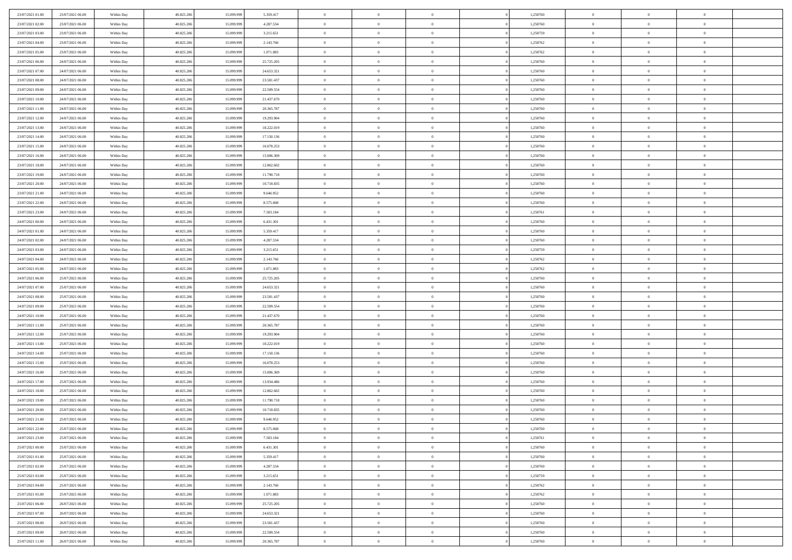| 23/07/2021 01:00 | 23/07/2021 06:00 | Within Day               | 40.825.206 | 15.099.999 | 5.359.417  | $\bf{0}$       | $\bf{0}$       | $\theta$       |          | 1,250760 | $\bf{0}$       | $\overline{0}$ | $\,0\,$        |  |
|------------------|------------------|--------------------------|------------|------------|------------|----------------|----------------|----------------|----------|----------|----------------|----------------|----------------|--|
| 23/07/2021 02:00 | 23/07/2021 06:00 | Within Day               | 40.825.206 | 15.099.999 | 4.287.534  | $\overline{0}$ | $\overline{0}$ | $\overline{0}$ |          | 1,250760 | $\overline{0}$ | $\overline{0}$ | $\theta$       |  |
| 23/07/2021 03:00 | 23/07/2021 06:00 | Within Dav               | 40.825.206 | 15.099.999 | 3.215.651  | $\mathbf{0}$   | $\overline{0}$ | $\overline{0}$ |          | 1,250759 | $\mathbf{0}$   | $\overline{0}$ | $\overline{0}$ |  |
| 23/07/2021 04:00 | 23/07/2021 06:00 | Within Day               | 40.825.206 | 15.099.999 | 2.143.766  | $\bf{0}$       | $\overline{0}$ | $\overline{0}$ |          | 1,250762 | $\bf{0}$       | $\overline{0}$ | $\bf{0}$       |  |
| 23/07/2021 05:00 | 23/07/2021 06:00 | Within Day               | 40.825.206 | 15.099.999 | 1.071.883  | $\bf{0}$       | $\bf{0}$       | $\overline{0}$ |          | 1,250762 | $\bf{0}$       | $\bf{0}$       | $\,0\,$        |  |
| 23/07/2021 06:00 | 24/07/2021 06:00 | Within Dav               | 40.825.206 | 15.099.999 | 25.725.205 | $\overline{0}$ | $\overline{0}$ | $\overline{0}$ |          | 1,250760 | $\mathbf{0}$   | $\overline{0}$ | $\overline{0}$ |  |
| 23/07/2021 07:00 | 24/07/2021 06:00 | Within Day               | 40.825.206 | 15.099.999 | 24.653.321 | $\bf{0}$       | $\bf{0}$       | $\overline{0}$ |          | 1,250760 | $\bf{0}$       | $\overline{0}$ | $\,0\,$        |  |
| 23/07/2021 08:00 | 24/07/2021 06:00 | Within Day               | 40.825.206 | 15.099.999 | 23.581.437 | $\overline{0}$ | $\overline{0}$ | $\overline{0}$ |          | 1,250760 | $\,$ 0 $\,$    | $\overline{0}$ | $\theta$       |  |
| 23/07/2021 09:00 | 24/07/2021 06:00 | Within Dav               | 40.825.206 | 15.099.999 | 22.509.554 | $\mathbf{0}$   | $\overline{0}$ | $\overline{0}$ |          | 1,250760 | $\mathbf{0}$   | $\overline{0}$ | $\overline{0}$ |  |
| 23/07/2021 10:00 | 24/07/2021 06:00 | Within Day               | 40.825.206 | 15.099.999 | 21.437.670 | $\bf{0}$       | $\bf{0}$       | $\overline{0}$ |          | 1,250760 | $\bf{0}$       | $\overline{0}$ | $\,0\,$        |  |
| 23/07/2021 11:00 | 24/07/2021 06:00 |                          | 40.825.206 | 15,099,999 | 20.365.787 | $\bf{0}$       | $\overline{0}$ | $\overline{0}$ |          | 1,250760 | $\bf{0}$       | $\overline{0}$ | $\overline{0}$ |  |
| 23/07/2021 12:00 | 24/07/2021 06:00 | Within Day<br>Within Dav | 40.825.206 | 15.099.999 | 19.293.904 | $\mathbf{0}$   | $\overline{0}$ | $\overline{0}$ |          | 1,250760 | $\mathbf{0}$   | $\overline{0}$ | $\overline{0}$ |  |
| 23/07/2021 13:00 | 24/07/2021 06:00 |                          | 40.825.206 | 15.099.999 | 18.222.019 | $\bf{0}$       | $\overline{0}$ | $\bf{0}$       |          | 1,250760 | $\bf{0}$       | $\overline{0}$ | $\bf{0}$       |  |
|                  |                  | Within Day               |            |            |            | $\bf{0}$       | $\overline{0}$ | $\overline{0}$ |          |          | $\bf{0}$       | $\overline{0}$ | $\,0\,$        |  |
| 23/07/2021 14:00 | 24/07/2021 06:00 | Within Day               | 40.825.206 | 15.099.999 | 17.150.136 | $\overline{0}$ |                |                |          | 1,250760 | $\mathbf{0}$   |                | $\overline{0}$ |  |
| 23/07/2021 15:00 | 24/07/2021 06:00 | Within Dav               | 40.825.206 | 15.099.999 | 16.078.253 |                | $\overline{0}$ | $\overline{0}$ |          | 1,250760 |                | $\overline{0}$ |                |  |
| 23/07/2021 16:00 | 24/07/2021 06:00 | Within Day               | 40.825.206 | 15.099.999 | 15.006.369 | $\bf{0}$       | $\bf{0}$       | $\overline{0}$ |          | 1,250760 | $\bf{0}$       | $\overline{0}$ | $\bf{0}$       |  |
| 23/07/2021 18:00 | 24/07/2021 06:00 | Within Day               | 40.825.206 | 15.099.999 | 12.862.602 | $\overline{0}$ | $\overline{0}$ | $\overline{0}$ |          | 1,250760 | $\bf{0}$       | $\overline{0}$ | $\theta$       |  |
| 23/07/2021 19:00 | 24/07/2021 06:00 | Within Day               | 40.825.206 | 15.099.999 | 11.790.718 | $\mathbf{0}$   | $\overline{0}$ | $\overline{0}$ |          | 1,250760 | $\mathbf{0}$   | $\overline{0}$ | $\overline{0}$ |  |
| 23/07/2021 20:00 | 24/07/2021 06:00 | Within Day               | 40.825.206 | 15.099.999 | 10.718.835 | $\bf{0}$       | $\bf{0}$       | $\overline{0}$ |          | 1,250760 | $\bf{0}$       | $\overline{0}$ | $\,0\,$        |  |
| 23/07/2021 21:00 | 24/07/2021 06:00 | Within Day               | 40.825.206 | 15.099.999 | 9.646.952  | $\bf{0}$       | $\overline{0}$ | $\overline{0}$ |          | 1,250760 | $\bf{0}$       | $\overline{0}$ | $\bf{0}$       |  |
| 23/07/2021 22:00 | 24/07/2021 06:00 | Within Dav               | 40.825.206 | 15.099.999 | 8.575.068  | $\mathbf{0}$   | $\overline{0}$ | $\overline{0}$ |          | 1,250760 | $\mathbf{0}$   | $\overline{0}$ | $\overline{0}$ |  |
| 23/07/2021 23:00 | 24/07/2021 06:00 | Within Day               | 40.825.206 | 15.099.999 | 7.503.184  | $\bf{0}$       | $\overline{0}$ | $\overline{0}$ |          | 1,250761 | $\bf{0}$       | $\overline{0}$ | $\bf{0}$       |  |
| 24/07/2021 00:00 | 24/07/2021 06:00 | Within Day               | 40.825.206 | 15.099.999 | 6.431.301  | $\bf{0}$       | $\bf{0}$       | $\overline{0}$ |          | 1,250760 | $\,$ 0 $\,$    | $\overline{0}$ | $\,0\,$        |  |
| 24/07/2021 01:00 | 24/07/2021 06:00 | Within Dav               | 40.825.206 | 15.099.999 | 5.359.417  | $\mathbf{0}$   | $\overline{0}$ | $\overline{0}$ |          | 1,250760 | $\mathbf{0}$   | $\overline{0}$ | $\overline{0}$ |  |
| 24/07/2021 02.00 | 24/07/2021 06:00 | Within Day               | 40.825.206 | 15.099.999 | 4.287.534  | $\bf{0}$       | $\bf{0}$       | $\overline{0}$ |          | 1,250760 | $\bf{0}$       | $\overline{0}$ | $\bf{0}$       |  |
| 24/07/2021 03:00 | 24/07/2021 06:00 | Within Day               | 40.825.206 | 15.099.999 | 3.215.651  | $\overline{0}$ | $\overline{0}$ | $\overline{0}$ |          | 1,250759 | $\bf{0}$       | $\mathbf{0}$   | $\overline{0}$ |  |
| 24/07/2021 04:00 | 24/07/2021 06:00 | Within Dav               | 40.825.206 | 15.099.999 | 2.143.766  | $\mathbf{0}$   | $\overline{0}$ | $\overline{0}$ |          | 1,250762 | $\mathbf{0}$   | $\overline{0}$ | $\overline{0}$ |  |
| 24/07/2021 05:00 | 24/07/2021 06:00 | Within Day               | 40.825.206 | 15.099.999 | 1.071.883  | $\bf{0}$       | $\bf{0}$       | $\overline{0}$ |          | 1,250762 | $\bf{0}$       | $\overline{0}$ | $\,0\,$        |  |
| 24/07/2021 06:00 | 25/07/2021 06:00 | Within Day               | 40.825.206 | 15,099,999 | 25.725.205 | $\bf{0}$       | $\bf{0}$       | $\overline{0}$ |          | 1,250760 | $\bf{0}$       | $\overline{0}$ | $\bf{0}$       |  |
| 24/07/2021 07:00 | 25/07/2021 06:00 | Within Dav               | 40.825.206 | 15.099.999 | 24.653.321 | $\mathbf{0}$   | $\overline{0}$ | $\overline{0}$ |          | 1,250760 | $\mathbf{0}$   | $\overline{0}$ | $\overline{0}$ |  |
| 24/07/2021 08:00 | 25/07/2021 06:00 | Within Day               | 40.825.206 | 15.099.999 | 23.581.437 | $\bf{0}$       | $\overline{0}$ | $\theta$       |          | 1,250760 | $\,$ 0         | $\overline{0}$ | $\theta$       |  |
| 24/07/2021 09:00 | 25/07/2021 06:00 | Within Day               | 40.825.206 | 15.099.999 | 22.509.554 | $\bf{0}$       | $\bf{0}$       | $\overline{0}$ |          | 1,250760 | $\bf{0}$       | $\overline{0}$ | $\bf{0}$       |  |
| 24/07/2021 10:00 | 25/07/2021 06:00 | Within Dav               | 40.825.206 | 15.099.999 | 21.437.670 | $\overline{0}$ | $\overline{0}$ | $\overline{0}$ |          | 1,250760 | $\mathbf{0}$   | $\overline{0}$ | $\overline{0}$ |  |
| 24/07/2021 11:00 | 25/07/2021 06:00 | Within Day               | 40.825.206 | 15.099.999 | 20.365.787 | $\bf{0}$       | $\overline{0}$ | $\theta$       |          | 1,250760 | $\,$ 0         | $\overline{0}$ | $\theta$       |  |
| 24/07/2021 12:00 | 25/07/2021 06:00 | Within Day               | 40.825.206 | 15.099.999 | 19.293.904 | $\bf{0}$       | $\overline{0}$ | $\overline{0}$ |          | 1,250760 | $\bf{0}$       | $\overline{0}$ | $\overline{0}$ |  |
| 24/07/2021 13:00 | 25/07/2021 06:00 | Within Day               | 40.825.206 | 15.099.999 | 18.222.019 | $\mathbf{0}$   | $\overline{0}$ | $\overline{0}$ |          | 1,250760 | $\mathbf{0}$   | $\overline{0}$ | $\overline{0}$ |  |
| 24/07/2021 14:00 | 25/07/2021 06:00 | Within Day               | 40.825.206 | 15.099.999 | 17.150.136 | $\bf{0}$       | $\overline{0}$ | $\theta$       |          | 1,250760 | $\,$ 0         | $\overline{0}$ | $\theta$       |  |
| 24/07/2021 15:00 | 25/07/2021 06:00 | Within Day               | 40.825.206 | 15.099.999 | 16.078.253 | $\bf{0}$       | $\overline{0}$ | $\overline{0}$ |          | 1,250760 | $\bf{0}$       | $\overline{0}$ | $\overline{0}$ |  |
| 24/07/2021 16:00 | 25/07/2021 06:00 | Within Dav               | 40.825.206 | 15.099.999 | 15.006.369 | $\mathbf{0}$   | $\overline{0}$ | $\overline{0}$ |          | 1,250760 | $\mathbf{0}$   | $\overline{0}$ | $\overline{0}$ |  |
| 24/07/2021 17:00 | 25/07/2021 06:00 | Within Day               | 40.825.206 | 15.099.999 | 13.934.486 | $\,0\,$        | $\overline{0}$ | $\theta$       |          | 1,250760 | $\,$ 0         | $\overline{0}$ | $\theta$       |  |
| 24/07/2021 18:00 | 25/07/2021 06:00 | Within Day               | 40.825.206 | 15.099.999 | 12.862.602 | $\bf{0}$       | $\overline{0}$ | $\overline{0}$ |          | 1,250760 | $\bf{0}$       | $\overline{0}$ | $\overline{0}$ |  |
| 24/07/2021 19:00 | 25/07/2021 06:00 | Within Dav               | 40.825.206 | 15.099.999 | 11.790.718 | $\mathbf{0}$   | $\overline{0}$ | $\overline{0}$ |          | 1,250760 | $\mathbf{0}$   | $\overline{0}$ | $\overline{0}$ |  |
| 24/07/2021 20:00 | 25/07/2021 06:00 | Within Day               | 40.825.206 | 15.099.999 | 10.718.835 | $\bf{0}$       | $\overline{0}$ | $\theta$       |          | 1,250760 | $\,$ 0         | $\overline{0}$ | $\theta$       |  |
| 24/07/2021 21:00 | 25/07/2021 06:00 | Within Day               | 40.825.206 | 15.099.999 | 9.646.952  | $\bf{0}$       | $\overline{0}$ | $\overline{0}$ |          | 1,250760 | $\bf{0}$       | $\overline{0}$ | $\overline{0}$ |  |
| 24/07/2021 22:00 | 25/07/2021 06:00 | Within Day               | 40.825.206 | 15.099.999 | 8.575.068  | $\bf{0}$       | $\overline{0}$ | $\Omega$       |          | 1,250760 | $\overline{0}$ | $\theta$       | $\theta$       |  |
| 24/07/2021 23:00 | 25/07/2021 06:00 | Within Day               | 40.825.206 | 15.099.999 | 7.503.184  | $\,0\,$        | $\overline{0}$ | $\theta$       |          | 1,250761 | $\,$ 0 $\,$    | $\bf{0}$       | $\theta$       |  |
| 25/07/2021 00:00 | 25/07/2021 06:00 | Within Day               | 40.825.206 | 15.099.999 | 6.431.301  | $\overline{0}$ | $\overline{0}$ | $\overline{0}$ |          | 1,250760 | $\overline{0}$ | $\overline{0}$ | $\overline{0}$ |  |
| 25/07/2021 01:00 | 25/07/2021 06:00 | Within Day               | 40.825.206 | 15.099.999 | 5.359.417  | $\bf{0}$       | $\overline{0}$ | $\overline{0}$ |          | 1,250760 | $\overline{0}$ | $\bf{0}$       | $\overline{0}$ |  |
| 25/07/2021 02:00 | 25/07/2021 06:00 | Within Day               | 40.825.206 | 15.099.999 | 4.287.534  | $\bf{0}$       | $\overline{0}$ | $\overline{0}$ | $\theta$ | 1,250760 | $\mathbf{0}$   | $\bf{0}$       | $\,$ 0 $\,$    |  |
| 25/07/2021 03:00 | 25/07/2021 06:00 | Within Day               | 40.825.206 | 15.099.999 | 3.215.651  | $\bf{0}$       | $\overline{0}$ | $\overline{0}$ |          | 1,250759 | $\,$ 0 $\,$    | $\overline{0}$ | $\overline{0}$ |  |
| 25/07/2021 04:00 | 25/07/2021 06:00 | Within Day               | 40.825.206 | 15.099.999 | 2.143.766  | $\bf{0}$       | $\overline{0}$ | $\overline{0}$ |          | 1,250762 | $\mathbf{0}$   | $\overline{0}$ | $\overline{0}$ |  |
| 25/07/2021 05:00 | 25/07/2021 06:00 | Within Day               | 40.825.206 | 15.099.999 | 1.071.883  | $\,$ 0 $\,$    | $\overline{0}$ | $\overline{0}$ | $\theta$ | 1,250762 | $\,$ 0 $\,$    | $\mathbf{0}$   | $\,$ 0 $\,$    |  |
| 25/07/2021 06:00 | 26/07/2021 06:00 | Within Day               | 40.825.206 | 15.099.999 | 25.725.205 | $\bf{0}$       | $\overline{0}$ | $\overline{0}$ |          | 1,250760 | $\overline{0}$ | $\overline{0}$ | $\overline{0}$ |  |
| 25/07/2021 07:00 | 26/07/2021 06:00 | Within Day               | 40.825.206 | 15.099.999 | 24.653.321 | $\bf{0}$       | $\overline{0}$ | $\overline{0}$ |          | 1,250760 | $\overline{0}$ | $\bf{0}$       | $\overline{0}$ |  |
| 25/07/2021 08:00 | 26/07/2021 06:00 | Within Day               | 40.825.206 | 15.099.999 | 23.581.437 | $\,0\,$        | $\overline{0}$ | $\overline{0}$ |          | 1,250760 | $\mathbf{0}$   | $\mathbf{0}$   | $\,$ 0 $\,$    |  |
| 25/07/2021 09:00 | 26/07/2021 06:00 | Within Day               | 40.825.206 | 15.099.999 | 22.509.554 | $\bf{0}$       | $\bf{0}$       | $\overline{0}$ |          | 1,250760 | $\bf{0}$       | $\mathbf{0}$   | $\overline{0}$ |  |
| 25/07/2021 11:00 | 26/07/2021 06:00 | Within Day               | 40.825.206 | 15.099.999 | 20.365.787 | $\overline{0}$ | $\overline{0}$ | $\overline{0}$ |          | 1,250760 | $\mathbf{0}$   | $\overline{0}$ | $\overline{0}$ |  |
|                  |                  |                          |            |            |            |                |                |                |          |          |                |                |                |  |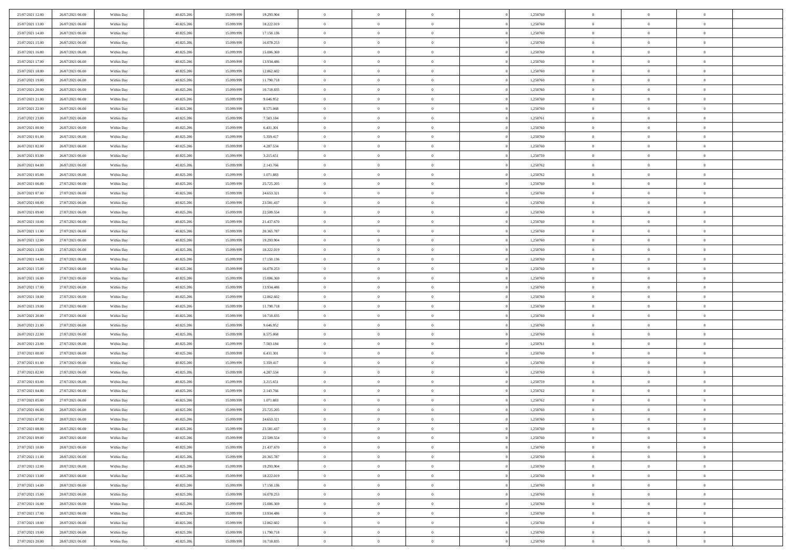| 25/07/2021 12:00                     | 26/07/2021 06:00                     | Within Day               | 40.825.206               | 15.099.999               | 19.293.904               | $\,$ 0         | $\bf{0}$                   | $\theta$       |          | 1,250760             | $\bf{0}$       | $\overline{0}$ | $\,0\,$        |  |
|--------------------------------------|--------------------------------------|--------------------------|--------------------------|--------------------------|--------------------------|----------------|----------------------------|----------------|----------|----------------------|----------------|----------------|----------------|--|
| 25/07/2021 13:00                     | 26/07/2021 06:00                     | Within Day               | 40.825.206               | 15,099,999               | 18.222.019               | $\overline{0}$ | $\overline{0}$             | $\overline{0}$ |          | 1,250760             | $\theta$       | $\overline{0}$ | $\theta$       |  |
| 25/07/2021 14:00                     | 26/07/2021 06:00                     | Within Dav               | 40.825.206               | 15.099.999               | 17.150.136               | $\mathbf{0}$   | $\overline{0}$             | $\overline{0}$ |          | 1,250760             | $\mathbf{0}$   | $\overline{0}$ | $\overline{0}$ |  |
| 25/07/2021 15:00                     | 26/07/2021 06:00                     | Within Day               | 40.825.206               | 15.099.999               | 16.078.253               | $\bf{0}$       | $\overline{0}$             | $\overline{0}$ |          | 1,250760             | $\bf{0}$       | $\overline{0}$ | $\bf{0}$       |  |
| 25/07/2021 16:00                     | 26/07/2021 06:00                     | Within Day               | 40.825.206               | 15.099.999               | 15.006.369               | $\bf{0}$       | $\bf{0}$                   | $\overline{0}$ |          | 1,250760             | $\bf{0}$       | $\bf{0}$       | $\,0\,$        |  |
| 25/07/2021 17:00                     | 26/07/2021 06:00                     | Within Dav               | 40.825.206               | 15.099.999               | 13.934.486               | $\overline{0}$ | $\overline{0}$             | $\overline{0}$ |          | 1,250760             | $\mathbf{0}$   | $\overline{0}$ | $\overline{0}$ |  |
| 25/07/2021 18:00                     | 26/07/2021 06:00                     | Within Day               | 40.825.206               | 15.099.999               | 12.862.602               | $\bf{0}$       | $\bf{0}$                   | $\overline{0}$ |          | 1,250760             | $\bf{0}$       | $\overline{0}$ | $\,0\,$        |  |
| 25/07/2021 19:00                     | 26/07/2021 06:00                     | Within Day               | 40.825.206               | 15.099.999               | 11.790.718               | $\overline{0}$ | $\overline{0}$             | $\overline{0}$ |          | 1,250760             | $\,$ 0 $\,$    | $\overline{0}$ | $\theta$       |  |
| 25/07/2021 20:00                     | 26/07/2021 06:00                     | Within Dav               | 40.825.206               | 15.099.999               | 10.718.835               | $\mathbf{0}$   | $\overline{0}$             | $\overline{0}$ |          | 1,250760             | $\mathbf{0}$   | $\overline{0}$ | $\overline{0}$ |  |
| 25/07/2021 21:00                     | 26/07/2021 06:00                     | Within Day               | 40.825.206               | 15.099.999               | 9.646.952                | $\bf{0}$       | $\bf{0}$                   | $\overline{0}$ |          | 1,250760             | $\bf{0}$       | $\overline{0}$ | $\,0\,$        |  |
| 25/07/2021 22.00                     | 26/07/2021 06:00                     | Within Day               | 40.825.206               | 15.099.999               | 8.575.068                | $\bf{0}$       | $\overline{0}$             | $\overline{0}$ |          | 1,250760             | $\bf{0}$       | $\overline{0}$ | $\overline{0}$ |  |
| 25/07/2021 23:00                     | 26/07/2021 06:00                     | Within Dav               | 40.825.206               | 15.099.999               | 7.503.184                | $\mathbf{0}$   | $\overline{0}$             | $\overline{0}$ |          | 1,250761             | $\mathbf{0}$   | $\overline{0}$ | $\overline{0}$ |  |
| 26/07/2021 00:00                     | 26/07/2021 06:00                     | Within Day               | 40.825.206               | 15.099.999               | 6.431.301                | $\bf{0}$       | $\overline{0}$             | $\bf{0}$       |          | 1,250760             | $\bf{0}$       | $\overline{0}$ | $\bf{0}$       |  |
| 26/07/2021 01:00                     | 26/07/2021 06:00                     | Within Day               | 40.825.206               | 15.099.999               | 5.359.417                | $\bf{0}$       | $\bf{0}$                   | $\overline{0}$ |          | 1,250760             | $\bf{0}$       | $\overline{0}$ | $\,0\,$        |  |
| 26/07/2021 02:00                     | 26/07/2021 06:00                     | Within Dav               | 40.825.206               | 15.099.999               | 4.287.534                | $\overline{0}$ | $\overline{0}$             | $\overline{0}$ |          | 1,250760             | $\mathbf{0}$   | $\overline{0}$ | $\overline{0}$ |  |
| 26/07/2021 03:00                     | 26/07/2021 06:00                     | Within Day               | 40.825.206               | 15.099.999               | 3.215.651                | $\bf{0}$       | $\bf{0}$                   | $\overline{0}$ |          | 1,250759             | $\bf{0}$       | $\overline{0}$ | $\bf{0}$       |  |
| 26/07/2021 04:00                     | 26/07/2021 06:00                     |                          | 40.825.206               | 15.099.999               | 2.143.766                | $\bf{0}$       | $\overline{0}$             | $\overline{0}$ |          | 1,250762             | $\bf{0}$       | $\overline{0}$ | $\theta$       |  |
| 26/07/2021 05:00                     | 26/07/2021 06:00                     | Within Day<br>Within Day | 40.825.206               | 15.099.999               | 1.071.883                | $\mathbf{0}$   | $\overline{0}$             | $\overline{0}$ |          | 1,250762             | $\mathbf{0}$   | $\overline{0}$ | $\overline{0}$ |  |
|                                      |                                      |                          |                          |                          |                          | $\bf{0}$       |                            | $\overline{0}$ |          |                      | $\bf{0}$       | $\overline{0}$ | $\,0\,$        |  |
| 26/07/2021 06:00<br>26/07/2021 07:00 | 27/07/2021 06:00<br>27/07/2021 06:00 | Within Day               | 40.825.206<br>40.825.206 | 15.099.999<br>15.099.999 | 25.725.205<br>24.653.321 | $\bf{0}$       | $\bf{0}$<br>$\overline{0}$ | $\overline{0}$ |          | 1,250760<br>1,250760 | $\bf{0}$       | $\overline{0}$ | $\bf{0}$       |  |
| 26/07/2021 08:00                     | 27/07/2021 06:00                     | Within Day<br>Within Dav | 40.825.206               | 15.099.999               | 23.581.437               | $\mathbf{0}$   | $\overline{0}$             | $\overline{0}$ |          | 1,250760             | $\mathbf{0}$   | $\overline{0}$ | $\overline{0}$ |  |
|                                      | 27/07/2021 06:00                     |                          |                          |                          |                          | $\bf{0}$       |                            |                |          |                      | $\bf{0}$       |                | $\bf{0}$       |  |
| 26/07/2021 09:00                     |                                      | Within Day               | 40.825.206               | 15.099.999               | 22.509.554               |                | $\overline{0}$             | $\overline{0}$ |          | 1,250760             |                | $\overline{0}$ |                |  |
| 26/07/2021 10:00                     | 27/07/2021 06:00                     | Within Day               | 40.825.206               | 15.099.999               | 21.437.670               | $\bf{0}$       | $\bf{0}$                   | $\overline{0}$ |          | 1,250760             | $\,$ 0 $\,$    | $\overline{0}$ | $\,0\,$        |  |
| 26/07/2021 11:00                     | 27/07/2021 06:00                     | Within Dav               | 40.825.206               | 15.099.999               | 20.365.787               | $\mathbf{0}$   | $\overline{0}$             | $\overline{0}$ |          | 1,250760             | $\mathbf{0}$   | $\overline{0}$ | $\overline{0}$ |  |
| 26/07/2021 12:00                     | 27/07/2021 06:00                     | Within Day               | 40.825.206               | 15.099.999               | 19.293.904               | $\bf{0}$       | $\bf{0}$                   | $\overline{0}$ |          | 1,250760             | $\bf{0}$       | $\overline{0}$ | $\bf{0}$       |  |
| 26/07/2021 13:00                     | 27/07/2021 06:00                     | Within Day               | 40.825.206               | 15.099.999               | 18.222.019               | $\overline{0}$ | $\overline{0}$             | $\overline{0}$ |          | 1,250760             | $\bf{0}$       | $\mathbf{0}$   | $\overline{0}$ |  |
| 26/07/2021 14:00                     | 27/07/2021 06:00                     | Within Dav               | 40.825.206               | 15.099.999               | 17.150.136               | $\mathbf{0}$   | $\overline{0}$             | $\overline{0}$ |          | 1,250760             | $\mathbf{0}$   | $\overline{0}$ | $\overline{0}$ |  |
| 26/07/2021 15:00                     | 27/07/2021 06:00                     | Within Day               | 40.825.206               | 15.099.999               | 16.078.253               | $\bf{0}$       | $\bf{0}$                   | $\overline{0}$ |          | 1,250760             | $\bf{0}$       | $\overline{0}$ | $\,0\,$        |  |
| 26/07/2021 16:00                     | 27/07/2021 06:00                     | Within Day               | 40.825.206               | 15.099.999               | 15.006.369               | $\bf{0}$       | $\bf{0}$                   | $\overline{0}$ |          | 1,250760             | $\bf{0}$       | $\overline{0}$ | $\overline{0}$ |  |
| 26/07/2021 17:00                     | 27/07/2021 06:00                     | Within Dav               | 40.825.206               | 15.099.999               | 13.934.486               | $\mathbf{0}$   | $\overline{0}$             | $\overline{0}$ |          | 1,250760             | $\mathbf{0}$   | $\overline{0}$ | $\overline{0}$ |  |
| 26/07/2021 18:00                     | 27/07/2021 06:00                     | Within Day               | 40.825.206               | 15.099.999               | 12.862.602               | $\bf{0}$       | $\overline{0}$             | $\theta$       |          | 1,250760             | $\,$ 0         | $\overline{0}$ | $\theta$       |  |
| 26/07/2021 19:00                     | 27/07/2021 06:00                     | Within Day               | 40.825.206               | 15.099.999               | 11.790.718               | $\bf{0}$       | $\bf{0}$                   | $\overline{0}$ |          | 1,250760             | $\bf{0}$       | $\overline{0}$ | $\overline{0}$ |  |
| 26/07/2021 20:00                     | 27/07/2021 06:00                     | Within Dav               | 40.825.206               | 15.099.999               | 10.718.835               | $\overline{0}$ | $\overline{0}$             | $\overline{0}$ |          | 1,250760             | $\mathbf{0}$   | $\overline{0}$ | $\overline{0}$ |  |
| 26/07/2021 21:00                     | 27/07/2021 06:00                     | Within Day               | 40.825.206               | 15.099.999               | 9.646.952                | $\bf{0}$       | $\overline{0}$             | $\theta$       |          | 1,250760             | $\,$ 0         | $\overline{0}$ | $\theta$       |  |
| 26/07/2021 22:00                     | 27/07/2021 06:00                     | Within Day               | 40.825.206               | 15.099.999               | 8.575.068                | $\overline{0}$ | $\overline{0}$             | $\overline{0}$ |          | 1,250760             | $\bf{0}$       | $\overline{0}$ | $\overline{0}$ |  |
| 26/07/2021 23:00                     | 27/07/2021 06:00                     | Within Day               | 40.825.206               | 15.099.999               | 7.503.184                | $\mathbf{0}$   | $\overline{0}$             | $\overline{0}$ |          | 1,250761             | $\mathbf{0}$   | $\overline{0}$ | $\overline{0}$ |  |
| 27/07/2021 00:00                     | 27/07/2021 06:00                     | Within Day               | 40.825.206               | 15.099.999               | 6.431.301                | $\bf{0}$       | $\overline{0}$             | $\theta$       |          | 1,250760             | $\,$ 0         | $\overline{0}$ | $\theta$       |  |
| 27/07/2021 01:00                     | 27/07/2021 06:00                     | Within Day               | 40.825.206               | 15.099.999               | 5.359.417                | $\bf{0}$       | $\overline{0}$             | $\overline{0}$ |          | 1,250760             | $\bf{0}$       | $\overline{0}$ | $\overline{0}$ |  |
| 27/07/2021 02:00                     | 27/07/2021 06:00                     | Within Dav               | 40.825.206               | 15.099.999               | 4.287.534                | $\mathbf{0}$   | $\overline{0}$             | $\overline{0}$ |          | 1,250760             | $\mathbf{0}$   | $\overline{0}$ | $\overline{0}$ |  |
| 27/07/2021 03:00                     | 27/07/2021 06:00                     | Within Day               | 40.825.206               | 15.099.999               | 3.215.651                | $\,0\,$        | $\overline{0}$             | $\theta$       |          | 1,250759             | $\,$ 0         | $\overline{0}$ | $\theta$       |  |
| 27/07/2021 04:00                     | 27/07/2021 06:00                     | Within Day               | 40.825.206               | 15.099.999               | 2.143.766                | $\bf{0}$       | $\overline{0}$             | $\overline{0}$ |          | 1,250762             | $\bf{0}$       | $\overline{0}$ | $\bf{0}$       |  |
| 27/07/2021 05:00                     | 27/07/2021 06:00                     | Within Dav               | 40.825.206               | 15.099.999               | 1.071.883                | $\mathbf{0}$   | $\overline{0}$             | $\overline{0}$ |          | 1,250762             | $\mathbf{0}$   | $\overline{0}$ | $\overline{0}$ |  |
| 27/07/2021 06:00                     | 28/07/2021 06:00                     | Within Day               | 40.825.206               | 15.099.999               | 25.725.205               | $\bf{0}$       | $\overline{0}$             | $\theta$       |          | 1,250760             | $\,$ 0         | $\overline{0}$ | $\theta$       |  |
| 27/07/2021 07:00                     | 28/07/2021 06:00                     | Within Day               | 40.825.206               | 15.099.999               | 24.653.321               | $\bf{0}$       | $\overline{0}$             | $\overline{0}$ |          | 1,250760             | $\bf{0}$       | $\overline{0}$ | $\bf{0}$       |  |
| 27/07/2021 08:00                     | 28/07/2021 06:00                     | Within Day               | 40.825.206               | 15.099.999               | 23.581.437               | $\bf{0}$       | $\overline{0}$             | $\Omega$       |          | 1,250760             | $\overline{0}$ | $\theta$       | $\theta$       |  |
| 27/07/2021 09:00                     | 28/07/2021 06:00                     | Within Day               | 40.825.206               | 15.099.999               | 22.509.554               | $\,0\,$        | $\overline{0}$             | $\theta$       |          | 1,250760             | $\,$ 0 $\,$    | $\bf{0}$       | $\theta$       |  |
| 27/07/2021 10:00                     | 28/07/2021 06:00                     | Within Day               | 40.825.206               | 15.099.999               | 21.437.670               | $\overline{0}$ | $\overline{0}$             | $\overline{0}$ |          | 1,250760             | $\overline{0}$ | $\overline{0}$ | $\overline{0}$ |  |
| 27/07/2021 11:00                     | 28/07/2021 06:00                     | Within Day               | 40.825.206               | 15.099.999               | 20.365.787               | $\bf{0}$       | $\overline{0}$             | $\overline{0}$ |          | 1,250760             | $\overline{0}$ | $\bf{0}$       | $\overline{0}$ |  |
| 27/07/2021 12:00                     | 28/07/2021 06:00                     | Within Day               | 40.825.206               | 15.099.999               | 19.293.904               | $\bf{0}$       | $\overline{0}$             | $\overline{0}$ | $\theta$ | 1,250760             | $\mathbf{0}$   | $\bf{0}$       | $\,$ 0 $\,$    |  |
| 27/07/2021 13:00                     | 28/07/2021 06:00                     | Within Day               | 40.825.206               | 15.099.999               | 18.222.019               | $\bf{0}$       | $\overline{0}$             | $\overline{0}$ |          | 1,250760             | $\,$ 0 $\,$    | $\overline{0}$ | $\overline{0}$ |  |
| 27/07/2021 14:00                     | 28/07/2021 06:00                     | Within Day               | 40.825.206               | 15.099.999               | 17.150.136               | $\bf{0}$       | $\overline{0}$             | $\overline{0}$ |          | 1,250760             | $\mathbf{0}$   | $\overline{0}$ | $\overline{0}$ |  |
| 27/07/2021 15:00                     | 28/07/2021 06:00                     | Within Day               | 40.825.206               | 15.099.999               | 16.078.253               | $\,$ 0 $\,$    | $\overline{0}$             | $\overline{0}$ | $\theta$ | 1,250760             | $\mathbf{0}$   | $\mathbf{0}$   | $\,$ 0 $\,$    |  |
| 27/07/2021 16:00                     | 28/07/2021 06:00                     | Within Day               | 40.825.206               | 15.099.999               | 15.006.369               | $\bf{0}$       | $\overline{0}$             | $\overline{0}$ |          | 1,250760             | $\overline{0}$ | $\overline{0}$ | $\overline{0}$ |  |
| 27/07/2021 17:00                     | 28/07/2021 06:00                     | Within Day               | 40.825.206               | 15.099.999               | 13.934.486               | $\bf{0}$       | $\overline{0}$             | $\overline{0}$ |          | 1,250760             | $\mathbf{0}$   | $\bf{0}$       | $\overline{0}$ |  |
| 27/07/2021 18:00                     | 28/07/2021 06:00                     | Within Day               | 40.825.206               | 15.099.999               | 12.862.602               | $\,0\,$        | $\overline{0}$             | $\overline{0}$ |          | 1,250760             | $\mathbf{0}$   | $\mathbf{0}$   | $\,$ 0 $\,$    |  |
| 27/07/2021 19:00                     | 28/07/2021 06:00                     | Within Day               | 40.825.206               | 15.099.999               | 11.790.718               | $\bf{0}$       | $\bf{0}$                   | $\overline{0}$ |          | 1,250760             | $\bf{0}$       | $\mathbf{0}$   | $\overline{0}$ |  |
| 27/07/2021 20:00                     | 28/07/2021 06:00                     | Within Day               | 40.825.206               | 15.099.999               | 10.718.835               | $\overline{0}$ | $\overline{0}$             | $\overline{0}$ |          | 1,250760             | $\mathbf{0}$   | $\overline{0}$ | $\overline{0}$ |  |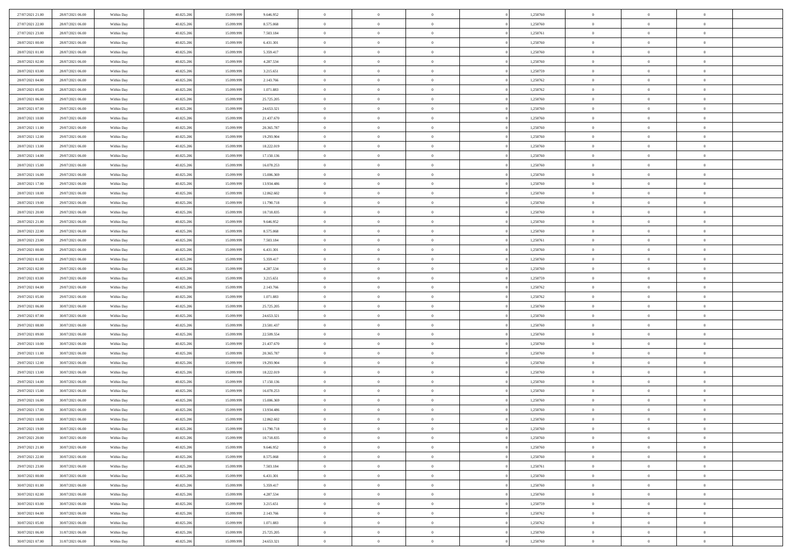| 27/07/2021 21:00                     | 28/07/2021 06:00                     | Within Day               | 40.825.206               | 15.099.999               | 9.646.952                | $\,0\,$                      | $\overline{0}$                   | $\bf{0}$                         |                | 1,250760             | $\,$ 0 $\,$                   | $\overline{0}$                   | $\bf{0}$                         |  |
|--------------------------------------|--------------------------------------|--------------------------|--------------------------|--------------------------|--------------------------|------------------------------|----------------------------------|----------------------------------|----------------|----------------------|-------------------------------|----------------------------------|----------------------------------|--|
| 27/07/2021 22.00                     | 28/07/2021 06:00                     | Within Day               | 40.825.206               | 15.099.999               | 8.575.068                | $\overline{0}$               | $\overline{0}$                   | $\overline{0}$                   |                | 1,250760             | $\theta$                      | $\overline{0}$                   | $\overline{0}$                   |  |
| 27/07/2021 23:00                     | 28/07/2021 06:00                     | Within Day               | 40.825.206               | 15.099.999               | 7.503.184                | $\mathbf{0}$                 | $\overline{0}$                   | $\overline{0}$                   |                | 1,250761             | $\theta$                      | $\overline{0}$                   | $\overline{0}$                   |  |
| 28/07/2021 00:00                     | 28/07/2021 06:00                     | Within Day               | 40.825.206               | 15.099.999               | 6.431.301                | $\bf{0}$                     | $\overline{0}$                   | $\overline{0}$                   |                | 1,250760             | $\bf{0}$                      | $\overline{0}$                   | $\bf{0}$                         |  |
| 28/07/2021 01:00                     | 28/07/2021 06:00                     | Within Day               | 40.825.206               | 15.099.999               | 5.359.417                | $\overline{0}$               | $\overline{0}$                   | $\overline{0}$                   |                | 1,250760             | $\bf{0}$                      | $\bf{0}$                         | $\bf{0}$                         |  |
| 28/07/2021 02:00                     | 28/07/2021 06:00                     | Within Day               | 40.825.206               | 15.099.999               | 4.287.534                | $\mathbf{0}$                 | $\overline{0}$                   | $\overline{0}$                   |                | 1,250760             | $\theta$                      | $\overline{0}$                   | $\theta$                         |  |
| 28/07/2021 03:00                     | 28/07/2021 06:00                     | Within Day               | 40.825.206               | 15.099.999               | 3.215.651                | $\,0\,$                      | $\overline{0}$                   | $\overline{0}$                   |                | 1,250759             | $\bf{0}$                      | $\overline{0}$                   | $\bf{0}$                         |  |
| 28/07/2021 04:00                     | 28/07/2021 06:00                     | Within Day               | 40.825.206               | 15.099.999               | 2.143.766                | $\overline{0}$               | $\mathbf{0}$                     | $\overline{0}$                   |                | 1,250762             | $\,$ 0 $\,$                   | $\overline{0}$                   | $\overline{0}$                   |  |
| 28/07/2021 05:00                     | 28/07/2021 06:00                     | Within Day               | 40.825.206               | 15.099.999               | 1.071.883                | $\mathbf{0}$                 | $\overline{0}$                   | $\overline{0}$                   |                | 1,250762             | $\theta$                      | $\overline{0}$                   | $\overline{0}$                   |  |
| 28/07/2021 06:00                     | 29/07/2021 06:00                     | Within Day               | 40.825.206               | 15.099.999               | 25.725.205               | $\bf{0}$                     | $\overline{0}$                   | $\overline{0}$                   |                | 1,250760             | $\mathbf{0}$                  | $\overline{0}$                   | $\bf{0}$                         |  |
| 28/07/2021 07:00                     | 29/07/2021 06:00                     | Within Day               | 40.825.206               | 15.099.999               | 24.653.321               | $\bf{0}$                     | $\overline{0}$                   | $\overline{0}$                   |                | 1,250760             | $\bf{0}$                      | $\bf{0}$                         | $\bf{0}$                         |  |
| 28/07/2021 10:00                     | 29/07/2021 06:00                     | Within Day               | 40.825.206               | 15.099.999               | 21.437.670               | $\mathbf{0}$                 | $\overline{0}$                   | $\overline{0}$                   |                | 1,250760             | $\theta$                      | $\overline{0}$                   | $\overline{0}$                   |  |
| 28/07/2021 11:00                     | 29/07/2021 06:00                     | Within Day               | 40.825.206               | 15.099.999               | 20.365.787               | $\,0\,$                      | $\overline{0}$                   | $\overline{0}$                   |                | 1,250760             | $\bf{0}$                      | $\overline{0}$                   | $\bf{0}$                         |  |
| 28/07/2021 12:00                     | 29/07/2021 06:00                     | Within Day               | 40.825.206               | 15.099.999               | 19.293.904               | $\bf{0}$                     | $\overline{0}$                   | $\overline{0}$                   |                | 1,250760             | $\,$ 0 $\,$                   | $\overline{0}$                   | $\overline{0}$                   |  |
| 28/07/2021 13:00                     | 29/07/2021 06:00                     | Within Day               | 40.825.206               | 15.099.999               | 18.222.019               | $\mathbf{0}$                 | $\overline{0}$                   | $\overline{0}$                   |                | 1,250760             | $\theta$                      | $\overline{0}$                   | $\overline{0}$                   |  |
| 28/07/2021 14:00                     | 29/07/2021 06:00                     | Within Day               | 40.825.206               | 15.099.999               | 17.150.136               | $\,0\,$                      | $\overline{0}$                   | $\overline{0}$                   |                | 1,250760             | $\bf{0}$                      | $\overline{0}$                   | $\bf{0}$                         |  |
| 28/07/2021 15:00                     | 29/07/2021 06:00                     | Within Day               | 40.825.206               | 15.099.999               | 16.078.253               | $\bf{0}$                     | $\overline{0}$                   | $\overline{0}$                   |                | 1,250760             | $\bf{0}$                      | $\overline{0}$                   | $\bf{0}$                         |  |
| 28/07/2021 16:00                     | 29/07/2021 06:00                     | Within Day               | 40.825.206               | 15.099.999               | 15.006.369               | $\mathbf{0}$                 | $\overline{0}$                   | $\overline{0}$                   |                | 1,250760             | $\theta$                      | $\overline{0}$                   | $\overline{0}$                   |  |
| 28/07/2021 17:00                     | 29/07/2021 06:00                     | Within Day               | 40.825.206               | 15.099.999               | 13.934.486               | $\bf{0}$                     | $\overline{0}$                   | $\overline{0}$                   |                | 1,250760             | $\bf{0}$                      | $\overline{0}$                   | $\bf{0}$                         |  |
| 28/07/2021 18:00                     | 29/07/2021 06:00                     | Within Day               | 40.825.206               | 15.099.999               | 12.862.602               | $\bf{0}$                     | $\overline{0}$                   | $\overline{0}$                   |                | 1,250760             | $\,$ 0 $\,$                   | $\overline{0}$                   | $\overline{0}$                   |  |
| 28/07/2021 19:00                     | 29/07/2021 06:00                     | Within Day               | 40.825.206               | 15.099.999               | 11.790.718               | $\overline{0}$               | $\overline{0}$                   | $\overline{0}$                   |                | 1,250760             | $\theta$                      | $\overline{0}$                   | $\overline{0}$                   |  |
| 28/07/2021 20:00                     | 29/07/2021 06:00                     | Within Day               | 40.825.206               | 15.099.999               | 10.718.835               | $\mathbf{0}$                 | $\overline{0}$                   | $\overline{0}$                   |                | 1,250760             | $\bf{0}$                      | $\overline{0}$                   | $\theta$                         |  |
| 28/07/2021 21:00                     | 29/07/2021 06:00                     | Within Day               | 40.825.206               | 15.099.999               | 9.646.952                | $\bf{0}$                     | $\overline{0}$                   | $\overline{0}$                   |                | 1,250760             | $\bf{0}$                      | $\overline{0}$                   | $\overline{0}$                   |  |
| 28/07/2021 22:00                     | 29/07/2021 06:00                     | Within Day               | 40.825.206               | 15.099.999               | 8.575.068                | $\mathbf{0}$                 | $\overline{0}$                   | $\overline{0}$                   |                | 1,250760             | $\theta$                      | $\overline{0}$                   | $\overline{0}$                   |  |
| 28/07/2021 23:00                     | 29/07/2021 06:00                     | Within Day               | 40.825.206               | 15.099.999               | 7.503.184                | $\bf{0}$                     | $\overline{0}$                   | $\overline{0}$                   |                | 1,250761             | $\bf{0}$                      | $\overline{0}$                   | $\bf{0}$                         |  |
| 29/07/2021 00:00                     | 29/07/2021 06:00                     | Within Day               | 40.825.206               | 15.099.999               | 6.431.301                | $\bf{0}$                     | $\overline{0}$                   | $\overline{0}$                   |                | 1,250760             | $\bf{0}$                      | $\overline{0}$                   | $\bf{0}$                         |  |
| 29/07/2021 01:00                     | 29/07/2021 06:00                     | Within Day               | 40.825.206               | 15.099.999               | 5.359.417                | $\mathbf{0}$                 | $\overline{0}$                   | $\overline{0}$                   |                | 1,250760             | $\theta$                      | $\overline{0}$                   | $\overline{0}$                   |  |
| 29/07/2021 02:00                     | 29/07/2021 06:00                     | Within Day               | 40.825.206               | 15.099.999               | 4.287.534                | $\,0\,$                      | $\overline{0}$                   | $\bf{0}$                         |                | 1,250760             | $\bf{0}$                      | $\overline{0}$                   | $\bf{0}$                         |  |
| 29/07/2021 03:00                     | 29/07/2021 06:00                     | Within Day               | 40.825.206               | 15.099.999               | 3.215.651                | $\overline{0}$               | $\overline{0}$                   | $\overline{0}$                   |                | 1,250759             | $\,$ 0 $\,$                   | $\overline{0}$                   | $\overline{0}$                   |  |
| 29/07/2021 04:00                     | 29/07/2021 06:00                     | Within Day               | 40.825.206               | 15.099.999               | 2.143.766                | $\mathbf{0}$                 | $\overline{0}$                   | $\overline{0}$                   |                | 1,250762             | $\theta$                      | $\overline{0}$                   | $\overline{0}$                   |  |
| 29/07/2021 05:00                     | 29/07/2021 06:00                     | Within Day               | 40.825.206               | 15.099.999               | 1.071.883                | $\mathbf{0}$                 | $\overline{0}$                   | $\overline{0}$                   |                | 1,250762             | $\,$ 0 $\,$                   | $\overline{0}$                   | $\theta$                         |  |
| 29/07/2021 06:00                     | 30/07/2021 06:00                     | Within Day               | 40.825.206               | 15.099.999               | 25.725.205               | $\bf{0}$                     | $\overline{0}$                   | $\overline{0}$                   |                | 1,250760             | $\bf{0}$                      | $\overline{0}$                   | $\overline{0}$                   |  |
| 29/07/2021 07:00                     | 30/07/2021 06:00                     | Within Day               | 40.825.206               | 15.099.999               | 24.653.321               | $\mathbf{0}$                 | $\overline{0}$                   | $\overline{0}$                   |                | 1,250760             | $\theta$                      | $\overline{0}$                   | $\overline{0}$                   |  |
| 29/07/2021 08:00                     | 30/07/2021 06:00                     | Within Day               | 40.825.206               | 15.099.999               | 23.581.437               | $\mathbf{0}$                 | $\overline{0}$                   | $\overline{0}$                   |                | 1,250760             | $\,$ 0 $\,$                   | $\overline{0}$                   | $\theta$                         |  |
| 29/07/2021 09:00                     | 30/07/2021 06:00                     | Within Day               | 40.825.206               | 15.099.999               | 22.509.554               | $\overline{0}$               | $\overline{0}$                   | $\overline{0}$                   |                | 1,250760             | $\bf{0}$                      | $\overline{0}$                   | $\bf{0}$                         |  |
| 29/07/2021 10:00                     | 30/07/2021 06:00                     | Within Day               | 40.825.206               | 15.099.999               | 21.437.670               | $\mathbf{0}$                 | $\overline{0}$                   | $\overline{0}$                   |                | 1,250760             | $\theta$                      | $\overline{0}$                   | $\overline{0}$                   |  |
| 29/07/2021 11:00                     | 30/07/2021 06:00                     | Within Day               | 40.825.206               | 15.099.999               | 20.365.787               | $\mathbf{0}$                 | $\overline{0}$                   | $\theta$                         |                | 1,250760             | $\,$ 0 $\,$                   | $\overline{0}$                   | $\theta$                         |  |
| 29/07/2021 12:00                     | 30/07/2021 06:00                     | Within Day               | 40.825.206               | 15.099.999               | 19.293.904               | $\bf{0}$                     | $\overline{0}$                   | $\overline{0}$                   |                | 1,250760             | $\bf{0}$                      | $\overline{0}$                   | $\overline{0}$                   |  |
| 29/07/2021 13:00                     | 30/07/2021 06:00                     | Within Day               | 40.825.206               | 15.099.999               | 18.222.019               | $\mathbf{0}$                 | $\overline{0}$                   | $\overline{0}$                   |                | 1,250760             | $\theta$                      | $\overline{0}$                   | $\overline{0}$                   |  |
| 29/07/2021 14:00                     | 30/07/2021 06:00                     | Within Day               | 40.825.206               | 15.099.999               | 17.150.136               | $\,$ 0 $\,$                  | $\overline{0}$                   | $\bf{0}$                         |                | 1,250760             | $\,$ 0 $\,$                   | $\overline{0}$                   | $\theta$                         |  |
| 29/07/2021 15:00                     | 30/07/2021 06:00                     | Within Day               | 40.825.206               | 15.099.999               | 16.078.253               | $\bf{0}$                     | $\overline{0}$                   | $\overline{0}$                   |                | 1,250760             | $\bf{0}$                      | $\overline{0}$                   | $\bf{0}$                         |  |
| 29/07/2021 16:00                     | 30/07/2021 06:00                     | Within Day               | 40.825.206               | 15.099.999               | 15.006.369               | $\mathbf{0}$                 | $\overline{0}$                   | $\overline{0}$                   |                | 1,250760             | $\theta$                      | $\overline{0}$                   | $\overline{0}$                   |  |
| 29/07/2021 17:00                     | 30/07/2021 06:00                     | Within Day               | 40.825.206               | 15.099.999               | 13.934.486               | $\mathbf{0}$                 | $\overline{0}$                   | $\overline{0}$                   |                | 1,250760             | $\,$ 0 $\,$                   | $\overline{0}$                   | $\theta$                         |  |
| 29/07/2021 18:00<br>29/07/2021 19:00 | 30/07/2021 06:00<br>30/07/2021 06:00 | Within Day<br>Within Day | 40.825.206<br>40.825.206 | 15.099.999<br>15.099.999 | 12.862.602<br>11.790.718 | $\bf{0}$<br>$\mathbf{0}$     | $\overline{0}$<br>$\overline{0}$ | $\overline{0}$                   |                | 1,250760<br>1,250760 | $\,$ 0 $\,$<br>$\overline{0}$ | $\overline{0}$                   | $\bf{0}$<br>$\theta$             |  |
|                                      |                                      |                          |                          |                          |                          |                              |                                  | $\overline{0}$                   |                |                      |                               | $^{\circ}$                       |                                  |  |
| 29/07/2021 20:00                     | 30/07/2021 06:00                     | Within Day               | 40.825.206               | 15.099.999               | 10.718.835               | $\,$ 0                       | $\overline{0}$                   | $\bf{0}$                         |                | 1,250760             | $\,$ 0 $\,$                   | $\overline{0}$                   | $\theta$                         |  |
| 29/07/2021 21:00<br>29/07/2021 22:00 | 30/07/2021 06:00<br>30/07/2021 06:00 | Within Day<br>Within Day | 40.825.206<br>40.825.206 | 15.099.999<br>15.099.999 | 9.646.952<br>8.575.068   | $\mathbf{0}$<br>$\mathbf{0}$ | $\overline{0}$<br>$\overline{0}$ | $\overline{0}$<br>$\overline{0}$ |                | 1,250760<br>1,250760 | $\,$ 0 $\,$<br>$\mathbf{0}$   | $\overline{0}$<br>$\overline{0}$ | $\overline{0}$<br>$\overline{0}$ |  |
|                                      |                                      |                          |                          |                          |                          | $\,$ 0 $\,$                  | $\overline{0}$                   |                                  |                |                      |                               | $\bf{0}$                         | $\,$ 0 $\,$                      |  |
| 29/07/2021 23:00<br>30/07/2021 00:00 | 30/07/2021 06:00<br>30/07/2021 06:00 | Within Day               | 40.825.206<br>40.825.206 | 15.099.999<br>15.099.999 | 7.503.184<br>6.431.301   | $\bf{0}$                     | $\overline{0}$                   | $\overline{0}$<br>$\overline{0}$ | $\overline{0}$ | 1,250761<br>1,250760 | $\,$ 0 $\,$<br>$\,$ 0 $\,$    | $\overline{0}$                   | $\bf{0}$                         |  |
| 30/07/2021 01:00                     | 30/07/2021 06:00                     | Within Day<br>Within Day | 40.825.206               | 15.099.999               | 5.359.417                | $\mathbf{0}$                 | $\overline{0}$                   | $\overline{0}$                   |                | 1,250760             | $\overline{0}$                | $\overline{0}$                   | $\overline{0}$                   |  |
| 30/07/2021 02:00                     | 30/07/2021 06:00                     | Within Day               | 40.825.206               | 15.099.999               | 4.287.534                | $\,$ 0 $\,$                  | $\overline{0}$                   | $\overline{0}$                   |                | 1,250760             | $\,$ 0 $\,$                   | $\bf{0}$                         | $\,$ 0 $\,$                      |  |
| 30/07/2021 03:00                     | 30/07/2021 06:00                     | Within Day               | 40.825.206               | 15.099.999               | 3.215.651                | $\overline{0}$               | $\overline{0}$                   | $\overline{0}$                   |                | 1,250759             | $\overline{0}$                | $\overline{0}$                   | $\overline{0}$                   |  |
| 30/07/2021 04:00                     | 30/07/2021 06:00                     | Within Day               | 40.825.206               | 15.099.999               | 2.143.766                | $\mathbf{0}$                 | $\overline{0}$                   | $\overline{0}$                   |                | 1,250762             | $\mathbf{0}$                  | $\overline{0}$                   | $\overline{0}$                   |  |
| 30/07/2021 05:00                     | 30/07/2021 06:00                     | Within Day               | 40.825.206               | 15.099.999               | 1.071.883                | $\,$ 0 $\,$                  | $\overline{0}$                   | $\overline{0}$                   | $\overline{0}$ | 1,250762             | $\,$ 0 $\,$                   | $\bf{0}$                         | $\,$ 0 $\,$                      |  |
| 30/07/2021 06:00                     | 31/07/2021 06:00                     | Within Day               | 40.825.206               | 15.099.999               | 25.725.205               | $\bf{0}$                     | $\overline{0}$                   | $\overline{0}$                   |                | 1,250760             | $\,$ 0 $\,$                   | $\overline{0}$                   | $\overline{0}$                   |  |
| 30/07/2021 07:00                     | 31/07/2021 06:00                     | Within Day               | 40.825.206               | 15.099.999               | 24.653.321               | $\mathbf{0}$                 | $\overline{0}$                   | $\overline{0}$                   |                | 1,250760             | $\mathbf{0}$                  | $\overline{0}$                   | $\overline{0}$                   |  |
|                                      |                                      |                          |                          |                          |                          |                              |                                  |                                  |                |                      |                               |                                  |                                  |  |